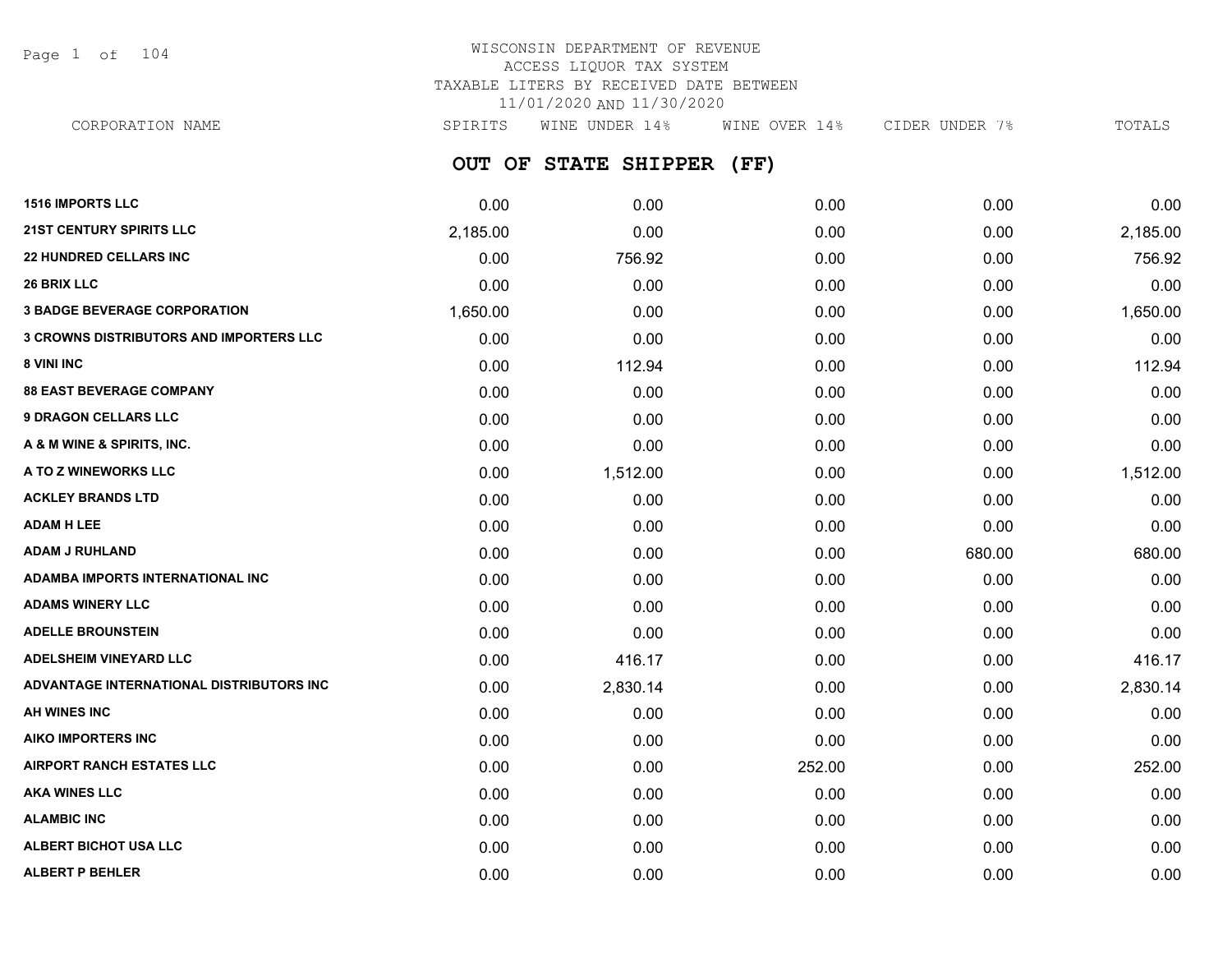Page 1 of 104

## WISCONSIN DEPARTMENT OF REVENUE ACCESS LIQUOR TAX SYSTEM TAXABLE LITERS BY RECEIVED DATE BETWEEN 11/01/2020 AND 11/30/2020

CORPORATION NAME SPIRITS WINE UNDER 14% WINE OVER 14% CIDER UNDER 7% TOTALS

**OUT OF STATE SHIPPER (FF)**

| <b>1516 IMPORTS LLC</b>                        | 0.00     | 0.00     | 0.00   | 0.00   | 0.00     |
|------------------------------------------------|----------|----------|--------|--------|----------|
| <b>21ST CENTURY SPIRITS LLC</b>                | 2,185.00 | 0.00     | 0.00   | 0.00   | 2,185.00 |
| <b>22 HUNDRED CELLARS INC</b>                  | 0.00     | 756.92   | 0.00   | 0.00   | 756.92   |
| <b>26 BRIX LLC</b>                             | 0.00     | 0.00     | 0.00   | 0.00   | 0.00     |
| <b>3 BADGE BEVERAGE CORPORATION</b>            | 1,650.00 | 0.00     | 0.00   | 0.00   | 1,650.00 |
| <b>3 CROWNS DISTRIBUTORS AND IMPORTERS LLC</b> | 0.00     | 0.00     | 0.00   | 0.00   | 0.00     |
| 8 VINI INC                                     | 0.00     | 112.94   | 0.00   | 0.00   | 112.94   |
| <b>88 EAST BEVERAGE COMPANY</b>                | 0.00     | 0.00     | 0.00   | 0.00   | 0.00     |
| <b>9 DRAGON CELLARS LLC</b>                    | 0.00     | 0.00     | 0.00   | 0.00   | 0.00     |
| A & M WINE & SPIRITS, INC.                     | 0.00     | 0.00     | 0.00   | 0.00   | 0.00     |
| A TO Z WINEWORKS LLC                           | 0.00     | 1,512.00 | 0.00   | 0.00   | 1,512.00 |
| <b>ACKLEY BRANDS LTD</b>                       | 0.00     | 0.00     | 0.00   | 0.00   | 0.00     |
| <b>ADAM H LEE</b>                              | 0.00     | 0.00     | 0.00   | 0.00   | 0.00     |
| <b>ADAM J RUHLAND</b>                          | 0.00     | 0.00     | 0.00   | 680.00 | 680.00   |
| <b>ADAMBA IMPORTS INTERNATIONAL INC</b>        | 0.00     | 0.00     | 0.00   | 0.00   | 0.00     |
| <b>ADAMS WINERY LLC</b>                        | 0.00     | 0.00     | 0.00   | 0.00   | 0.00     |
| <b>ADELLE BROUNSTEIN</b>                       | 0.00     | 0.00     | 0.00   | 0.00   | 0.00     |
| <b>ADELSHEIM VINEYARD LLC</b>                  | 0.00     | 416.17   | 0.00   | 0.00   | 416.17   |
| ADVANTAGE INTERNATIONAL DISTRIBUTORS INC       | 0.00     | 2,830.14 | 0.00   | 0.00   | 2,830.14 |
| AH WINES INC                                   | 0.00     | 0.00     | 0.00   | 0.00   | 0.00     |
| <b>AIKO IMPORTERS INC</b>                      | 0.00     | 0.00     | 0.00   | 0.00   | 0.00     |
| <b>AIRPORT RANCH ESTATES LLC</b>               | 0.00     | 0.00     | 252.00 | 0.00   | 252.00   |
| <b>AKA WINES LLC</b>                           | 0.00     | 0.00     | 0.00   | 0.00   | 0.00     |
| <b>ALAMBIC INC</b>                             | 0.00     | 0.00     | 0.00   | 0.00   | 0.00     |
| <b>ALBERT BICHOT USA LLC</b>                   | 0.00     | 0.00     | 0.00   | 0.00   | 0.00     |
| <b>ALBERT P BEHLER</b>                         | 0.00     | 0.00     | 0.00   | 0.00   | 0.00     |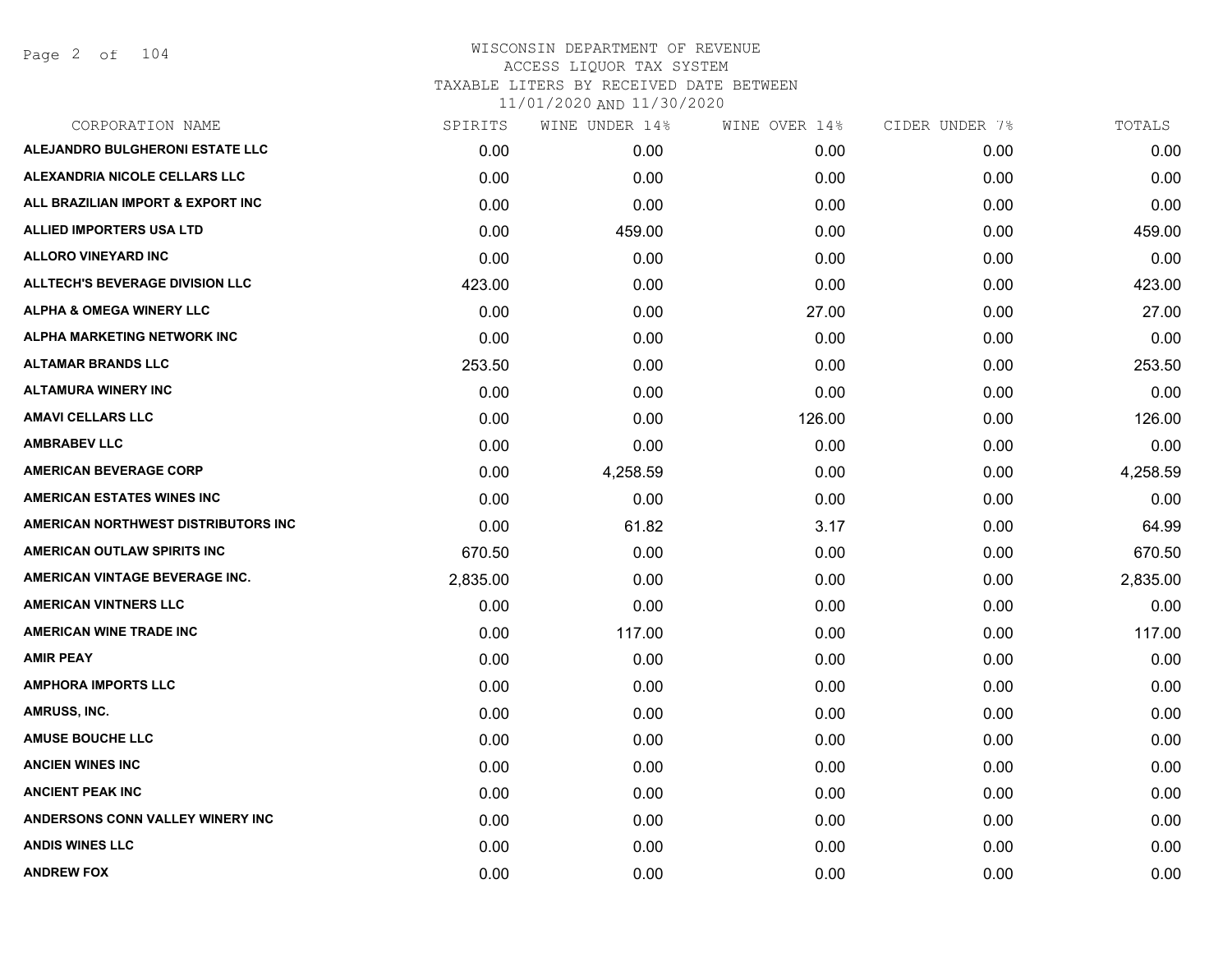Page 2 of 104

| CORPORATION NAME                       | SPIRITS  | WINE UNDER 14% | WINE OVER 14% | CIDER UNDER 7% | TOTALS   |
|----------------------------------------|----------|----------------|---------------|----------------|----------|
| ALEJANDRO BULGHERONI ESTATE LLC        | 0.00     | 0.00           | 0.00          | 0.00           | 0.00     |
| ALEXANDRIA NICOLE CELLARS LLC          | 0.00     | 0.00           | 0.00          | 0.00           | 0.00     |
| ALL BRAZILIAN IMPORT & EXPORT INC      | 0.00     | 0.00           | 0.00          | 0.00           | 0.00     |
| <b>ALLIED IMPORTERS USA LTD</b>        | 0.00     | 459.00         | 0.00          | 0.00           | 459.00   |
| <b>ALLORO VINEYARD INC</b>             | 0.00     | 0.00           | 0.00          | 0.00           | 0.00     |
| <b>ALLTECH'S BEVERAGE DIVISION LLC</b> | 423.00   | 0.00           | 0.00          | 0.00           | 423.00   |
| ALPHA & OMEGA WINERY LLC               | 0.00     | 0.00           | 27.00         | 0.00           | 27.00    |
| ALPHA MARKETING NETWORK INC            | 0.00     | 0.00           | 0.00          | 0.00           | 0.00     |
| <b>ALTAMAR BRANDS LLC</b>              | 253.50   | 0.00           | 0.00          | 0.00           | 253.50   |
| <b>ALTAMURA WINERY INC</b>             | 0.00     | 0.00           | 0.00          | 0.00           | 0.00     |
| <b>AMAVI CELLARS LLC</b>               | 0.00     | 0.00           | 126.00        | 0.00           | 126.00   |
| <b>AMBRABEV LLC</b>                    | 0.00     | 0.00           | 0.00          | 0.00           | 0.00     |
| <b>AMERICAN BEVERAGE CORP</b>          | 0.00     | 4,258.59       | 0.00          | 0.00           | 4,258.59 |
| <b>AMERICAN ESTATES WINES INC</b>      | 0.00     | 0.00           | 0.00          | 0.00           | 0.00     |
| AMERICAN NORTHWEST DISTRIBUTORS INC    | 0.00     | 61.82          | 3.17          | 0.00           | 64.99    |
| <b>AMERICAN OUTLAW SPIRITS INC</b>     | 670.50   | 0.00           | 0.00          | 0.00           | 670.50   |
| AMERICAN VINTAGE BEVERAGE INC.         | 2,835.00 | 0.00           | 0.00          | 0.00           | 2,835.00 |
| <b>AMERICAN VINTNERS LLC</b>           | 0.00     | 0.00           | 0.00          | 0.00           | 0.00     |
| <b>AMERICAN WINE TRADE INC</b>         | 0.00     | 117.00         | 0.00          | 0.00           | 117.00   |
| <b>AMIR PEAY</b>                       | 0.00     | 0.00           | 0.00          | 0.00           | 0.00     |
| <b>AMPHORA IMPORTS LLC</b>             | 0.00     | 0.00           | 0.00          | 0.00           | 0.00     |
| AMRUSS, INC.                           | 0.00     | 0.00           | 0.00          | 0.00           | 0.00     |
| <b>AMUSE BOUCHE LLC</b>                | 0.00     | 0.00           | 0.00          | 0.00           | 0.00     |
| <b>ANCIEN WINES INC</b>                | 0.00     | 0.00           | 0.00          | 0.00           | 0.00     |
| <b>ANCIENT PEAK INC</b>                | 0.00     | 0.00           | 0.00          | 0.00           | 0.00     |
| ANDERSONS CONN VALLEY WINERY INC       | 0.00     | 0.00           | 0.00          | 0.00           | 0.00     |
| <b>ANDIS WINES LLC</b>                 | 0.00     | 0.00           | 0.00          | 0.00           | 0.00     |
| <b>ANDREW FOX</b>                      | 0.00     | 0.00           | 0.00          | 0.00           | 0.00     |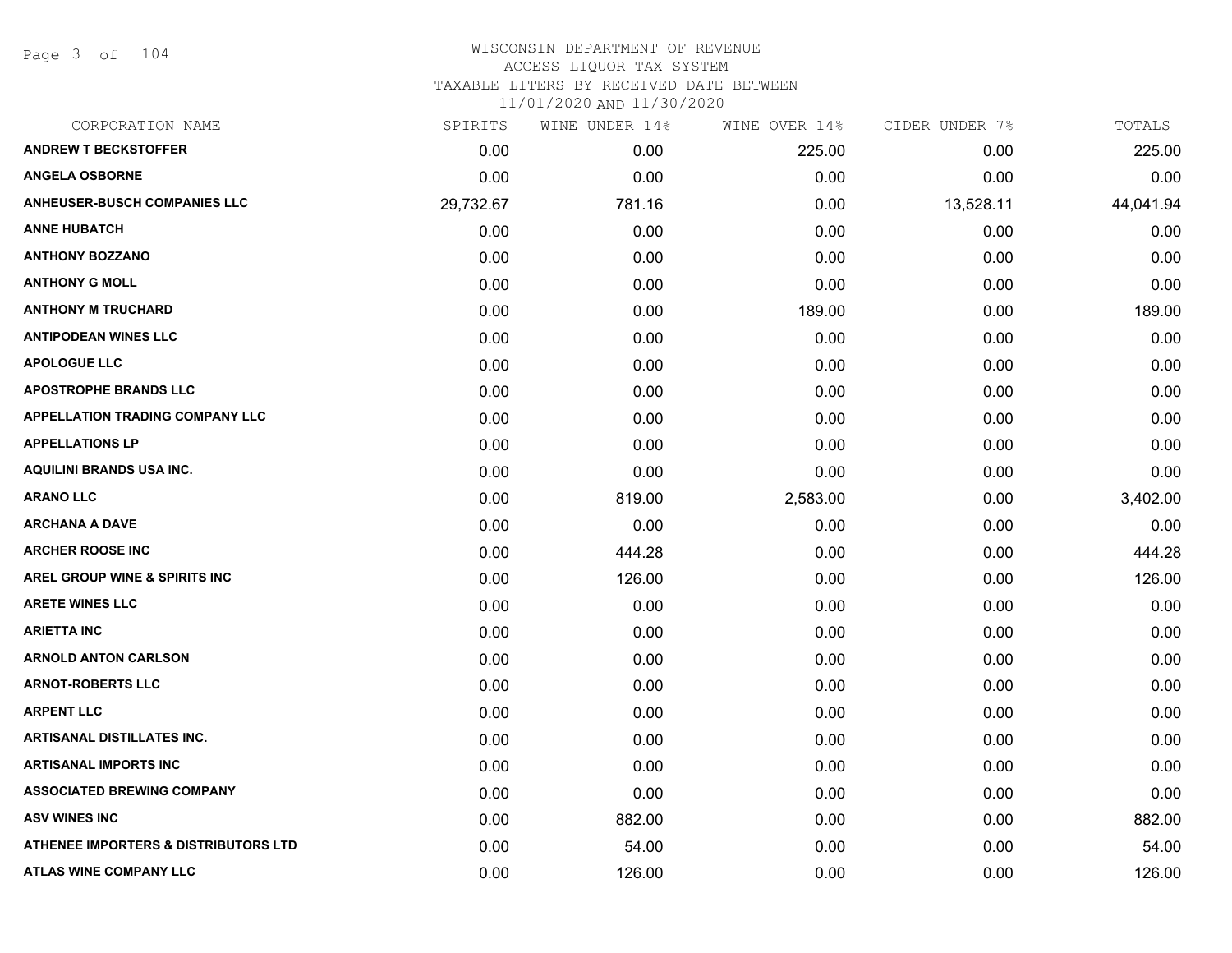Page 3 of 104

| CORPORATION NAME                                | SPIRITS   | WINE UNDER 14% | WINE OVER 14% | CIDER UNDER 7% | TOTALS    |
|-------------------------------------------------|-----------|----------------|---------------|----------------|-----------|
| <b>ANDREW T BECKSTOFFER</b>                     | 0.00      | 0.00           | 225.00        | 0.00           | 225.00    |
| <b>ANGELA OSBORNE</b>                           | 0.00      | 0.00           | 0.00          | 0.00           | 0.00      |
| <b>ANHEUSER-BUSCH COMPANIES LLC</b>             | 29,732.67 | 781.16         | 0.00          | 13,528.11      | 44,041.94 |
| <b>ANNE HUBATCH</b>                             | 0.00      | 0.00           | 0.00          | 0.00           | 0.00      |
| <b>ANTHONY BOZZANO</b>                          | 0.00      | 0.00           | 0.00          | 0.00           | 0.00      |
| <b>ANTHONY G MOLL</b>                           | 0.00      | 0.00           | 0.00          | 0.00           | 0.00      |
| <b>ANTHONY M TRUCHARD</b>                       | 0.00      | 0.00           | 189.00        | 0.00           | 189.00    |
| <b>ANTIPODEAN WINES LLC</b>                     | 0.00      | 0.00           | 0.00          | 0.00           | 0.00      |
| <b>APOLOGUE LLC</b>                             | 0.00      | 0.00           | 0.00          | 0.00           | 0.00      |
| <b>APOSTROPHE BRANDS LLC</b>                    | 0.00      | 0.00           | 0.00          | 0.00           | 0.00      |
| <b>APPELLATION TRADING COMPANY LLC</b>          | 0.00      | 0.00           | 0.00          | 0.00           | 0.00      |
| <b>APPELLATIONS LP</b>                          | 0.00      | 0.00           | 0.00          | 0.00           | 0.00      |
| AQUILINI BRANDS USA INC.                        | 0.00      | 0.00           | 0.00          | 0.00           | 0.00      |
| <b>ARANO LLC</b>                                | 0.00      | 819.00         | 2,583.00      | 0.00           | 3,402.00  |
| <b>ARCHANA A DAVE</b>                           | 0.00      | 0.00           | 0.00          | 0.00           | 0.00      |
| <b>ARCHER ROOSE INC</b>                         | 0.00      | 444.28         | 0.00          | 0.00           | 444.28    |
| AREL GROUP WINE & SPIRITS INC                   | 0.00      | 126.00         | 0.00          | 0.00           | 126.00    |
| <b>ARETE WINES LLC</b>                          | 0.00      | 0.00           | 0.00          | 0.00           | 0.00      |
| <b>ARIETTA INC</b>                              | 0.00      | 0.00           | 0.00          | 0.00           | 0.00      |
| <b>ARNOLD ANTON CARLSON</b>                     | 0.00      | 0.00           | 0.00          | 0.00           | 0.00      |
| <b>ARNOT-ROBERTS LLC</b>                        | 0.00      | 0.00           | 0.00          | 0.00           | 0.00      |
| <b>ARPENT LLC</b>                               | 0.00      | 0.00           | 0.00          | 0.00           | 0.00      |
| ARTISANAL DISTILLATES INC.                      | 0.00      | 0.00           | 0.00          | 0.00           | 0.00      |
| <b>ARTISANAL IMPORTS INC</b>                    | 0.00      | 0.00           | 0.00          | 0.00           | 0.00      |
| <b>ASSOCIATED BREWING COMPANY</b>               | 0.00      | 0.00           | 0.00          | 0.00           | 0.00      |
| <b>ASV WINES INC</b>                            | 0.00      | 882.00         | 0.00          | 0.00           | 882.00    |
| <b>ATHENEE IMPORTERS &amp; DISTRIBUTORS LTD</b> | 0.00      | 54.00          | 0.00          | 0.00           | 54.00     |
| ATLAS WINE COMPANY LLC                          | 0.00      | 126.00         | 0.00          | 0.00           | 126.00    |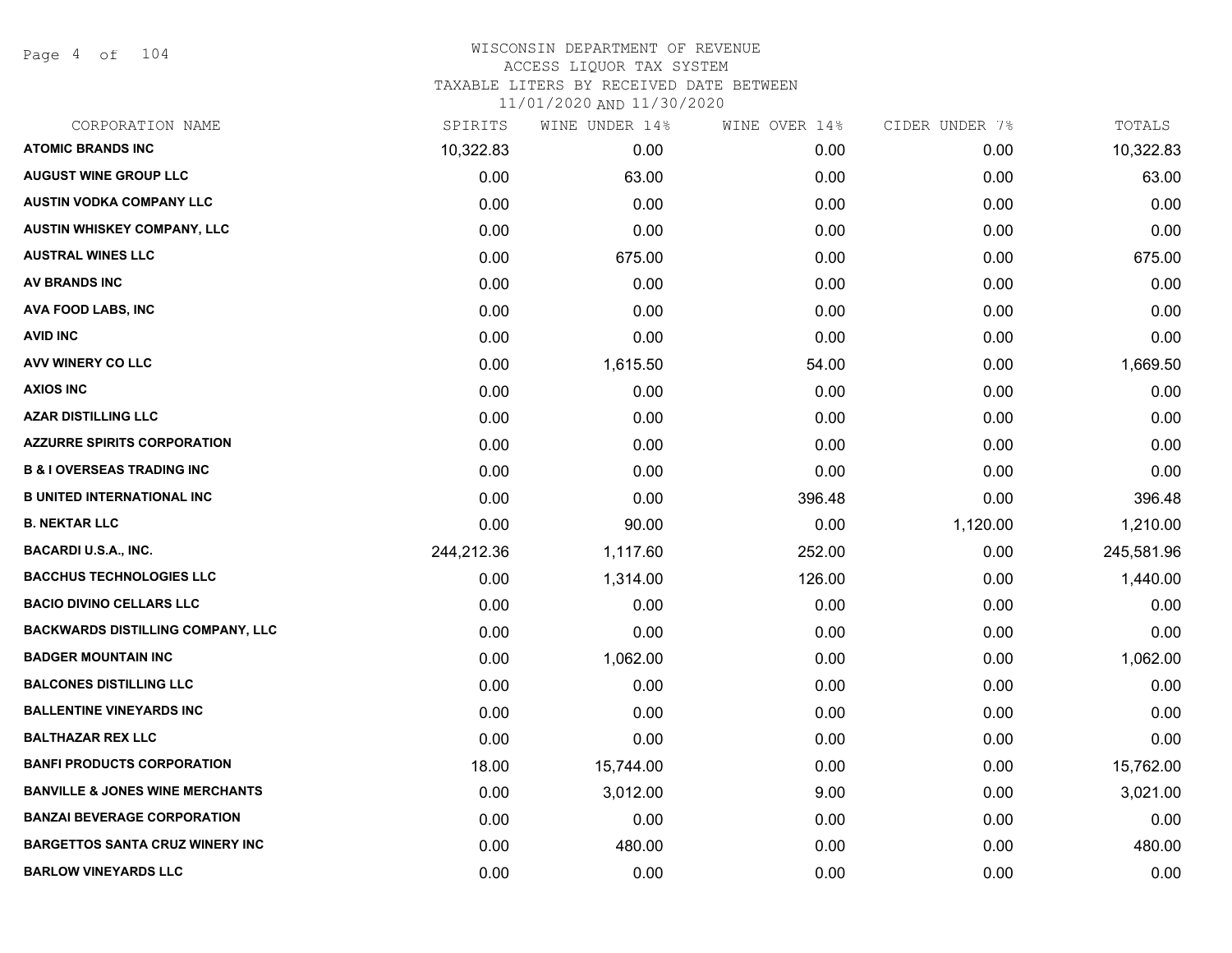Page 4 of 104

| CORPORATION NAME                           | SPIRITS    | WINE UNDER 14% | WINE OVER 14% | CIDER UNDER 7% | TOTALS     |
|--------------------------------------------|------------|----------------|---------------|----------------|------------|
| <b>ATOMIC BRANDS INC</b>                   | 10,322.83  | 0.00           | 0.00          | 0.00           | 10,322.83  |
| <b>AUGUST WINE GROUP LLC</b>               | 0.00       | 63.00          | 0.00          | 0.00           | 63.00      |
| <b>AUSTIN VODKA COMPANY LLC</b>            | 0.00       | 0.00           | 0.00          | 0.00           | 0.00       |
| AUSTIN WHISKEY COMPANY, LLC                | 0.00       | 0.00           | 0.00          | 0.00           | 0.00       |
| <b>AUSTRAL WINES LLC</b>                   | 0.00       | 675.00         | 0.00          | 0.00           | 675.00     |
| <b>AV BRANDS INC</b>                       | 0.00       | 0.00           | 0.00          | 0.00           | 0.00       |
| AVA FOOD LABS, INC                         | 0.00       | 0.00           | 0.00          | 0.00           | 0.00       |
| <b>AVID INC</b>                            | 0.00       | 0.00           | 0.00          | 0.00           | 0.00       |
| <b>AVV WINERY CO LLC</b>                   | 0.00       | 1,615.50       | 54.00         | 0.00           | 1,669.50   |
| <b>AXIOS INC</b>                           | 0.00       | 0.00           | 0.00          | 0.00           | 0.00       |
| <b>AZAR DISTILLING LLC</b>                 | 0.00       | 0.00           | 0.00          | 0.00           | 0.00       |
| <b>AZZURRE SPIRITS CORPORATION</b>         | 0.00       | 0.00           | 0.00          | 0.00           | 0.00       |
| <b>B &amp; I OVERSEAS TRADING INC</b>      | 0.00       | 0.00           | 0.00          | 0.00           | 0.00       |
| <b>B UNITED INTERNATIONAL INC</b>          | 0.00       | 0.00           | 396.48        | 0.00           | 396.48     |
| <b>B. NEKTAR LLC</b>                       | 0.00       | 90.00          | 0.00          | 1,120.00       | 1,210.00   |
| <b>BACARDI U.S.A., INC.</b>                | 244,212.36 | 1,117.60       | 252.00        | 0.00           | 245,581.96 |
| <b>BACCHUS TECHNOLOGIES LLC</b>            | 0.00       | 1,314.00       | 126.00        | 0.00           | 1,440.00   |
| <b>BACIO DIVINO CELLARS LLC</b>            | 0.00       | 0.00           | 0.00          | 0.00           | 0.00       |
| <b>BACKWARDS DISTILLING COMPANY, LLC</b>   | 0.00       | 0.00           | 0.00          | 0.00           | 0.00       |
| <b>BADGER MOUNTAIN INC</b>                 | 0.00       | 1,062.00       | 0.00          | 0.00           | 1,062.00   |
| <b>BALCONES DISTILLING LLC</b>             | 0.00       | 0.00           | 0.00          | 0.00           | 0.00       |
| <b>BALLENTINE VINEYARDS INC</b>            | 0.00       | 0.00           | 0.00          | 0.00           | 0.00       |
| <b>BALTHAZAR REX LLC</b>                   | 0.00       | 0.00           | 0.00          | 0.00           | 0.00       |
| <b>BANFI PRODUCTS CORPORATION</b>          | 18.00      | 15,744.00      | 0.00          | 0.00           | 15,762.00  |
| <b>BANVILLE &amp; JONES WINE MERCHANTS</b> | 0.00       | 3,012.00       | 9.00          | 0.00           | 3,021.00   |
| <b>BANZAI BEVERAGE CORPORATION</b>         | 0.00       | 0.00           | 0.00          | 0.00           | 0.00       |
| <b>BARGETTOS SANTA CRUZ WINERY INC</b>     | 0.00       | 480.00         | 0.00          | 0.00           | 480.00     |
| <b>BARLOW VINEYARDS LLC</b>                | 0.00       | 0.00           | 0.00          | 0.00           | 0.00       |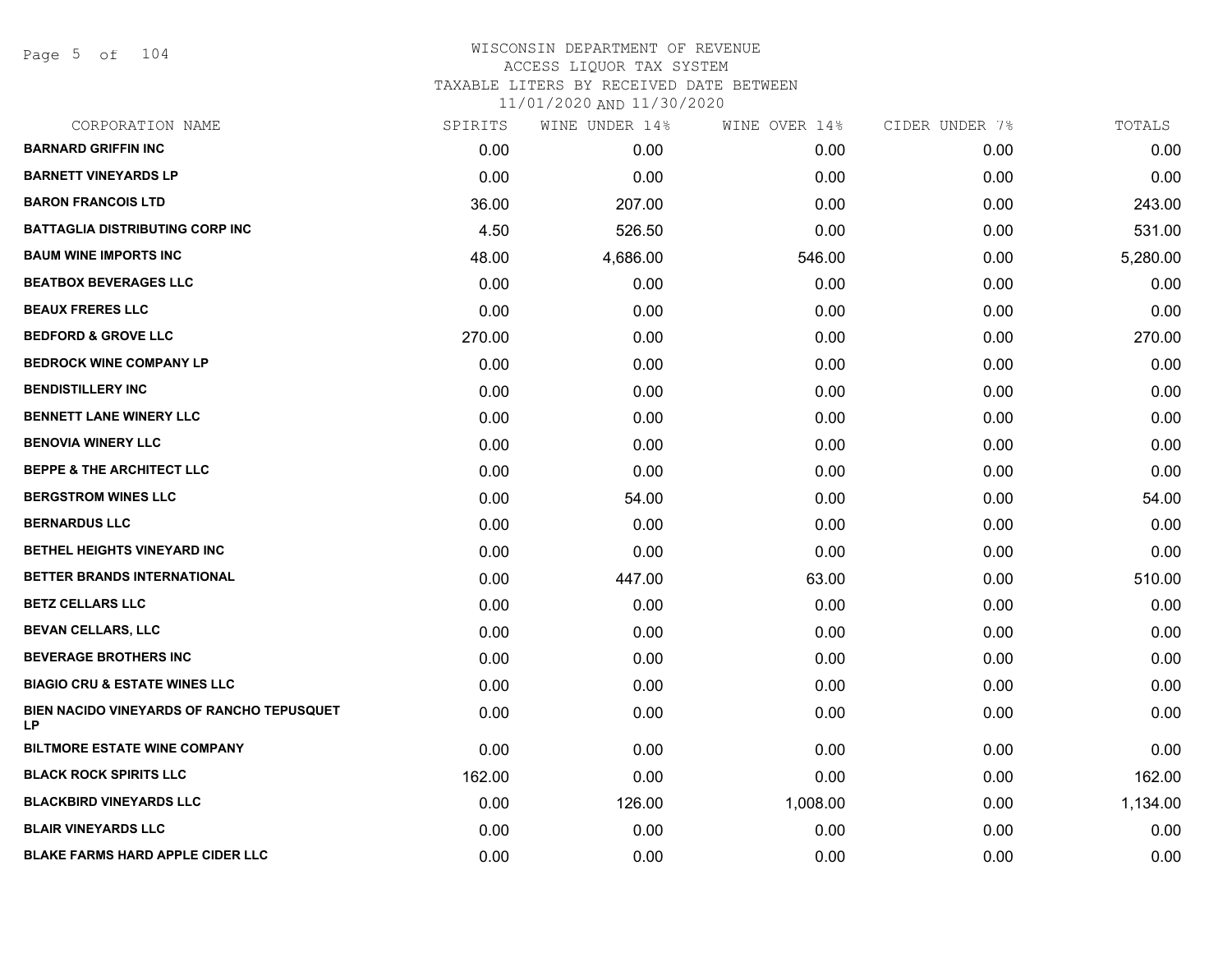Page 5 of 104

| CORPORATION NAME                                | SPIRITS | WINE UNDER 14% | WINE OVER 14% | CIDER UNDER 7% | TOTALS   |
|-------------------------------------------------|---------|----------------|---------------|----------------|----------|
| <b>BARNARD GRIFFIN INC</b>                      | 0.00    | 0.00           | 0.00          | 0.00           | 0.00     |
| <b>BARNETT VINEYARDS LP</b>                     | 0.00    | 0.00           | 0.00          | 0.00           | 0.00     |
| <b>BARON FRANCOIS LTD</b>                       | 36.00   | 207.00         | 0.00          | 0.00           | 243.00   |
| <b>BATTAGLIA DISTRIBUTING CORP INC</b>          | 4.50    | 526.50         | 0.00          | 0.00           | 531.00   |
| <b>BAUM WINE IMPORTS INC</b>                    | 48.00   | 4,686.00       | 546.00        | 0.00           | 5,280.00 |
| <b>BEATBOX BEVERAGES LLC</b>                    | 0.00    | 0.00           | 0.00          | 0.00           | 0.00     |
| <b>BEAUX FRERES LLC</b>                         | 0.00    | 0.00           | 0.00          | 0.00           | 0.00     |
| <b>BEDFORD &amp; GROVE LLC</b>                  | 270.00  | 0.00           | 0.00          | 0.00           | 270.00   |
| <b>BEDROCK WINE COMPANY LP</b>                  | 0.00    | 0.00           | 0.00          | 0.00           | 0.00     |
| <b>BENDISTILLERY INC</b>                        | 0.00    | 0.00           | 0.00          | 0.00           | 0.00     |
| <b>BENNETT LANE WINERY LLC</b>                  | 0.00    | 0.00           | 0.00          | 0.00           | 0.00     |
| <b>BENOVIA WINERY LLC</b>                       | 0.00    | 0.00           | 0.00          | 0.00           | 0.00     |
| <b>BEPPE &amp; THE ARCHITECT LLC</b>            | 0.00    | 0.00           | 0.00          | 0.00           | 0.00     |
| <b>BERGSTROM WINES LLC</b>                      | 0.00    | 54.00          | 0.00          | 0.00           | 54.00    |
| <b>BERNARDUS LLC</b>                            | 0.00    | 0.00           | 0.00          | 0.00           | 0.00     |
| <b>BETHEL HEIGHTS VINEYARD INC</b>              | 0.00    | 0.00           | 0.00          | 0.00           | 0.00     |
| BETTER BRANDS INTERNATIONAL                     | 0.00    | 447.00         | 63.00         | 0.00           | 510.00   |
| <b>BETZ CELLARS LLC</b>                         | 0.00    | 0.00           | 0.00          | 0.00           | 0.00     |
| <b>BEVAN CELLARS, LLC</b>                       | 0.00    | 0.00           | 0.00          | 0.00           | 0.00     |
| <b>BEVERAGE BROTHERS INC</b>                    | 0.00    | 0.00           | 0.00          | 0.00           | 0.00     |
| <b>BIAGIO CRU &amp; ESTATE WINES LLC</b>        | 0.00    | 0.00           | 0.00          | 0.00           | 0.00     |
| BIEN NACIDO VINEYARDS OF RANCHO TEPUSQUET<br>LP | 0.00    | 0.00           | 0.00          | 0.00           | 0.00     |
| <b>BILTMORE ESTATE WINE COMPANY</b>             | 0.00    | 0.00           | 0.00          | 0.00           | 0.00     |
| <b>BLACK ROCK SPIRITS LLC</b>                   | 162.00  | 0.00           | 0.00          | 0.00           | 162.00   |
| <b>BLACKBIRD VINEYARDS LLC</b>                  | 0.00    | 126.00         | 1,008.00      | 0.00           | 1,134.00 |
| <b>BLAIR VINEYARDS LLC</b>                      | 0.00    | 0.00           | 0.00          | 0.00           | 0.00     |
| <b>BLAKE FARMS HARD APPLE CIDER LLC</b>         | 0.00    | 0.00           | 0.00          | 0.00           | 0.00     |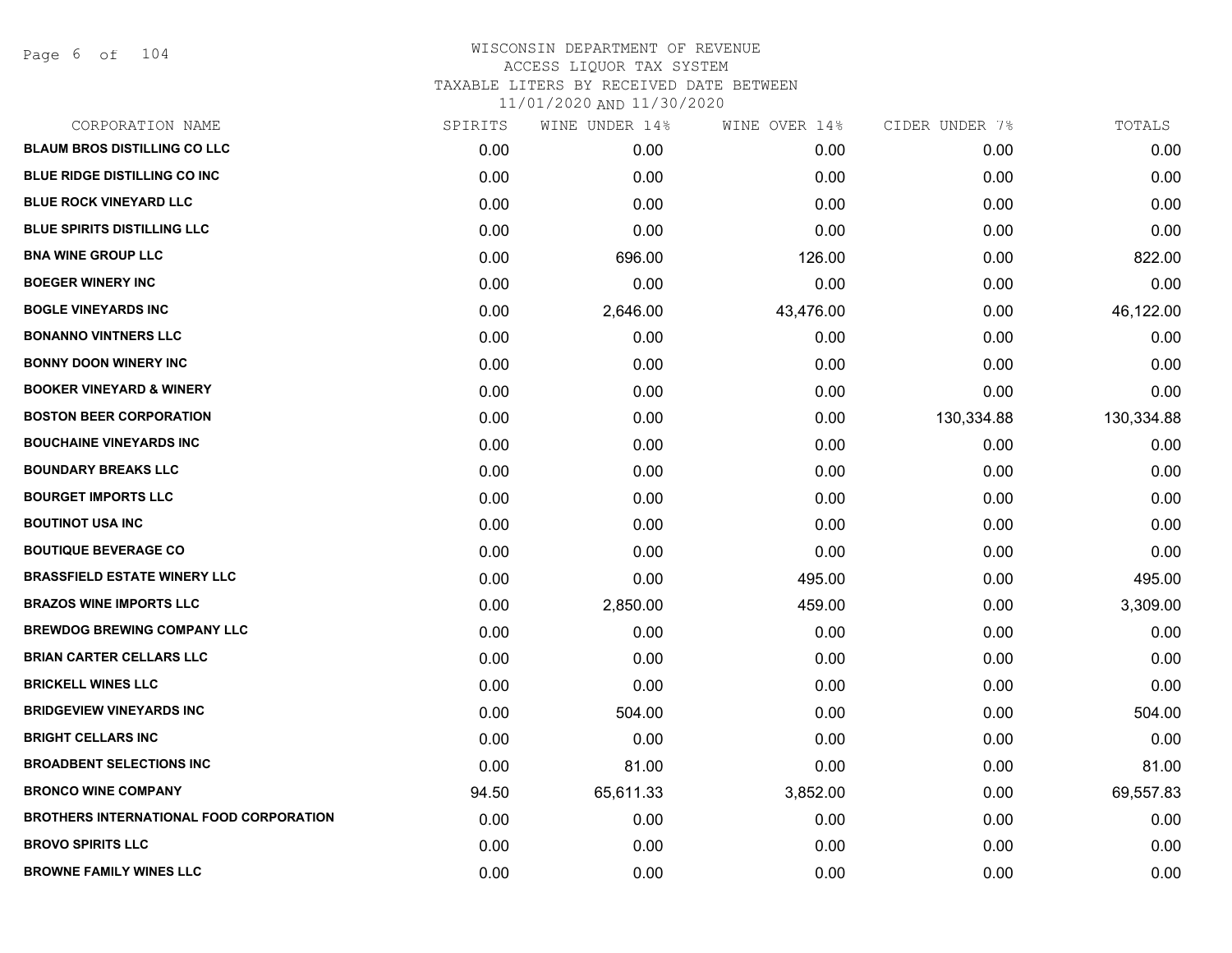Page 6 of 104

| CORPORATION NAME                               | SPIRITS | WINE UNDER 14% | WINE OVER 14% | CIDER UNDER 7% | TOTALS     |
|------------------------------------------------|---------|----------------|---------------|----------------|------------|
| <b>BLAUM BROS DISTILLING CO LLC</b>            | 0.00    | 0.00           | 0.00          | 0.00           | 0.00       |
| <b>BLUE RIDGE DISTILLING CO INC.</b>           | 0.00    | 0.00           | 0.00          | 0.00           | 0.00       |
| <b>BLUE ROCK VINEYARD LLC</b>                  | 0.00    | 0.00           | 0.00          | 0.00           | 0.00       |
| <b>BLUE SPIRITS DISTILLING LLC</b>             | 0.00    | 0.00           | 0.00          | 0.00           | 0.00       |
| <b>BNA WINE GROUP LLC</b>                      | 0.00    | 696.00         | 126.00        | 0.00           | 822.00     |
| <b>BOEGER WINERY INC</b>                       | 0.00    | 0.00           | 0.00          | 0.00           | 0.00       |
| <b>BOGLE VINEYARDS INC</b>                     | 0.00    | 2,646.00       | 43,476.00     | 0.00           | 46,122.00  |
| <b>BONANNO VINTNERS LLC</b>                    | 0.00    | 0.00           | 0.00          | 0.00           | 0.00       |
| <b>BONNY DOON WINERY INC</b>                   | 0.00    | 0.00           | 0.00          | 0.00           | 0.00       |
| <b>BOOKER VINEYARD &amp; WINERY</b>            | 0.00    | 0.00           | 0.00          | 0.00           | 0.00       |
| <b>BOSTON BEER CORPORATION</b>                 | 0.00    | 0.00           | 0.00          | 130,334.88     | 130,334.88 |
| <b>BOUCHAINE VINEYARDS INC</b>                 | 0.00    | 0.00           | 0.00          | 0.00           | 0.00       |
| <b>BOUNDARY BREAKS LLC</b>                     | 0.00    | 0.00           | 0.00          | 0.00           | 0.00       |
| <b>BOURGET IMPORTS LLC</b>                     | 0.00    | 0.00           | 0.00          | 0.00           | 0.00       |
| <b>BOUTINOT USA INC</b>                        | 0.00    | 0.00           | 0.00          | 0.00           | 0.00       |
| <b>BOUTIQUE BEVERAGE CO</b>                    | 0.00    | 0.00           | 0.00          | 0.00           | 0.00       |
| <b>BRASSFIELD ESTATE WINERY LLC</b>            | 0.00    | 0.00           | 495.00        | 0.00           | 495.00     |
| <b>BRAZOS WINE IMPORTS LLC</b>                 | 0.00    | 2,850.00       | 459.00        | 0.00           | 3,309.00   |
| <b>BREWDOG BREWING COMPANY LLC</b>             | 0.00    | 0.00           | 0.00          | 0.00           | 0.00       |
| <b>BRIAN CARTER CELLARS LLC</b>                | 0.00    | 0.00           | 0.00          | 0.00           | 0.00       |
| <b>BRICKELL WINES LLC</b>                      | 0.00    | 0.00           | 0.00          | 0.00           | 0.00       |
| <b>BRIDGEVIEW VINEYARDS INC</b>                | 0.00    | 504.00         | 0.00          | 0.00           | 504.00     |
| <b>BRIGHT CELLARS INC</b>                      | 0.00    | 0.00           | 0.00          | 0.00           | 0.00       |
| <b>BROADBENT SELECTIONS INC</b>                | 0.00    | 81.00          | 0.00          | 0.00           | 81.00      |
| <b>BRONCO WINE COMPANY</b>                     | 94.50   | 65,611.33      | 3,852.00      | 0.00           | 69,557.83  |
| <b>BROTHERS INTERNATIONAL FOOD CORPORATION</b> | 0.00    | 0.00           | 0.00          | 0.00           | 0.00       |
| <b>BROVO SPIRITS LLC</b>                       | 0.00    | 0.00           | 0.00          | 0.00           | 0.00       |
| <b>BROWNE FAMILY WINES LLC</b>                 | 0.00    | 0.00           | 0.00          | 0.00           | 0.00       |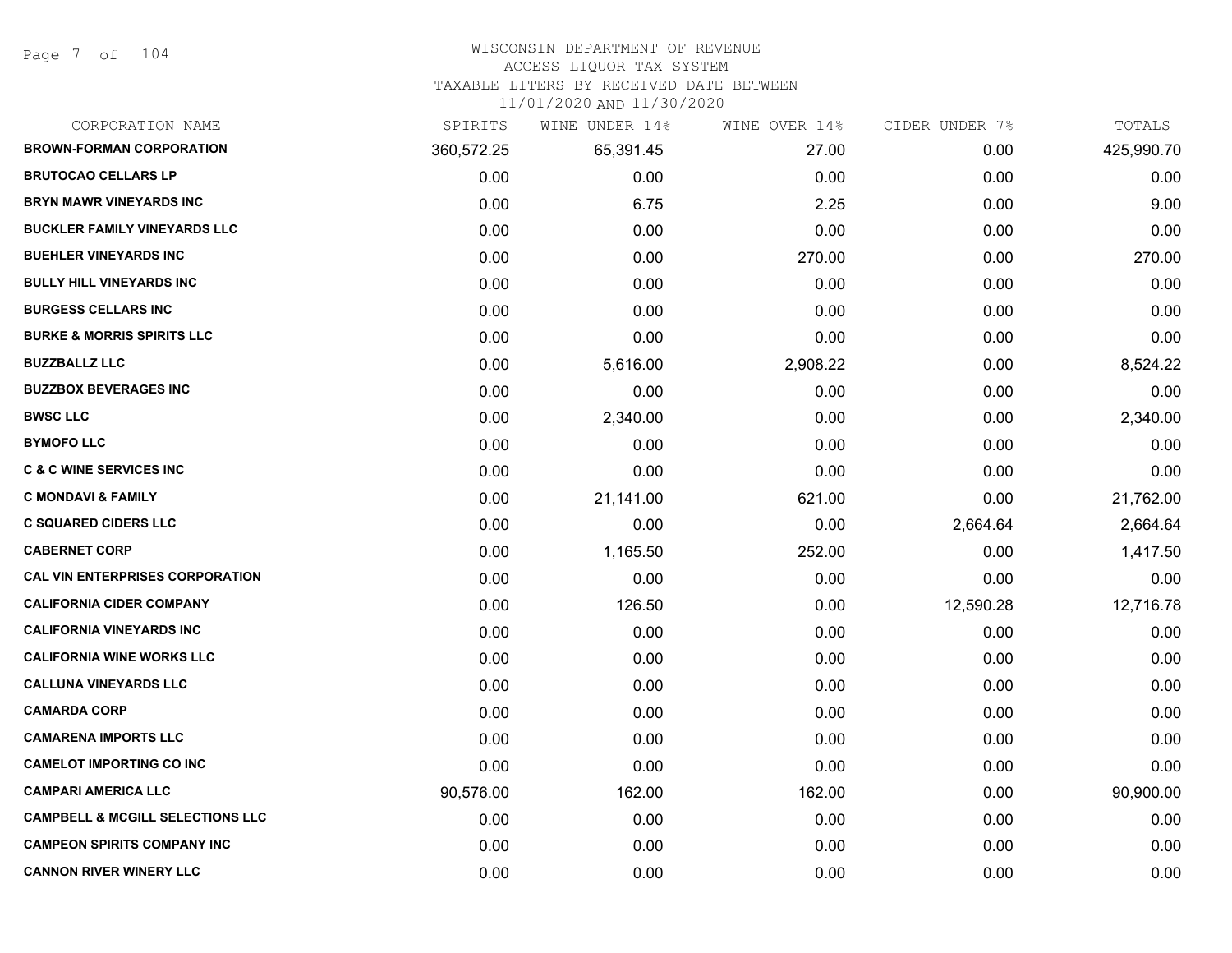#### WISCONSIN DEPARTMENT OF REVENUE

#### ACCESS LIQUOR TAX SYSTEM

TAXABLE LITERS BY RECEIVED DATE BETWEEN

| CORPORATION NAME                            | SPIRITS    | WINE UNDER 14% | WINE OVER 14% | CIDER UNDER 7% | TOTALS     |
|---------------------------------------------|------------|----------------|---------------|----------------|------------|
| <b>BROWN-FORMAN CORPORATION</b>             | 360,572.25 | 65,391.45      | 27.00         | 0.00           | 425,990.70 |
| <b>BRUTOCAO CELLARS LP</b>                  | 0.00       | 0.00           | 0.00          | 0.00           | 0.00       |
| <b>BRYN MAWR VINEYARDS INC</b>              | 0.00       | 6.75           | 2.25          | 0.00           | 9.00       |
| <b>BUCKLER FAMILY VINEYARDS LLC</b>         | 0.00       | 0.00           | 0.00          | 0.00           | 0.00       |
| <b>BUEHLER VINEYARDS INC</b>                | 0.00       | 0.00           | 270.00        | 0.00           | 270.00     |
| <b>BULLY HILL VINEYARDS INC</b>             | 0.00       | 0.00           | 0.00          | 0.00           | 0.00       |
| <b>BURGESS CELLARS INC</b>                  | 0.00       | 0.00           | 0.00          | 0.00           | 0.00       |
| <b>BURKE &amp; MORRIS SPIRITS LLC</b>       | 0.00       | 0.00           | 0.00          | 0.00           | 0.00       |
| <b>BUZZBALLZ LLC</b>                        | 0.00       | 5,616.00       | 2,908.22      | 0.00           | 8,524.22   |
| <b>BUZZBOX BEVERAGES INC</b>                | 0.00       | 0.00           | 0.00          | 0.00           | 0.00       |
| <b>BWSC LLC</b>                             | 0.00       | 2,340.00       | 0.00          | 0.00           | 2,340.00   |
| <b>BYMOFO LLC</b>                           | 0.00       | 0.00           | 0.00          | 0.00           | 0.00       |
| <b>C &amp; C WINE SERVICES INC</b>          | 0.00       | 0.00           | 0.00          | 0.00           | 0.00       |
| <b>C MONDAVI &amp; FAMILY</b>               | 0.00       | 21,141.00      | 621.00        | 0.00           | 21,762.00  |
| <b>C SQUARED CIDERS LLC</b>                 | 0.00       | 0.00           | 0.00          | 2,664.64       | 2,664.64   |
| <b>CABERNET CORP</b>                        | 0.00       | 1,165.50       | 252.00        | 0.00           | 1,417.50   |
| <b>CAL VIN ENTERPRISES CORPORATION</b>      | 0.00       | 0.00           | 0.00          | 0.00           | 0.00       |
| <b>CALIFORNIA CIDER COMPANY</b>             | 0.00       | 126.50         | 0.00          | 12,590.28      | 12,716.78  |
| <b>CALIFORNIA VINEYARDS INC</b>             | 0.00       | 0.00           | 0.00          | 0.00           | 0.00       |
| <b>CALIFORNIA WINE WORKS LLC</b>            | 0.00       | 0.00           | 0.00          | 0.00           | 0.00       |
| <b>CALLUNA VINEYARDS LLC</b>                | 0.00       | 0.00           | 0.00          | 0.00           | 0.00       |
| <b>CAMARDA CORP</b>                         | 0.00       | 0.00           | 0.00          | 0.00           | 0.00       |
| <b>CAMARENA IMPORTS LLC</b>                 | 0.00       | 0.00           | 0.00          | 0.00           | 0.00       |
| <b>CAMELOT IMPORTING CO INC</b>             | 0.00       | 0.00           | 0.00          | 0.00           | 0.00       |
| <b>CAMPARI AMERICA LLC</b>                  | 90,576.00  | 162.00         | 162.00        | 0.00           | 90,900.00  |
| <b>CAMPBELL &amp; MCGILL SELECTIONS LLC</b> | 0.00       | 0.00           | 0.00          | 0.00           | 0.00       |
| <b>CAMPEON SPIRITS COMPANY INC</b>          | 0.00       | 0.00           | 0.00          | 0.00           | 0.00       |
| <b>CANNON RIVER WINERY LLC</b>              | 0.00       | 0.00           | 0.00          | 0.00           | 0.00       |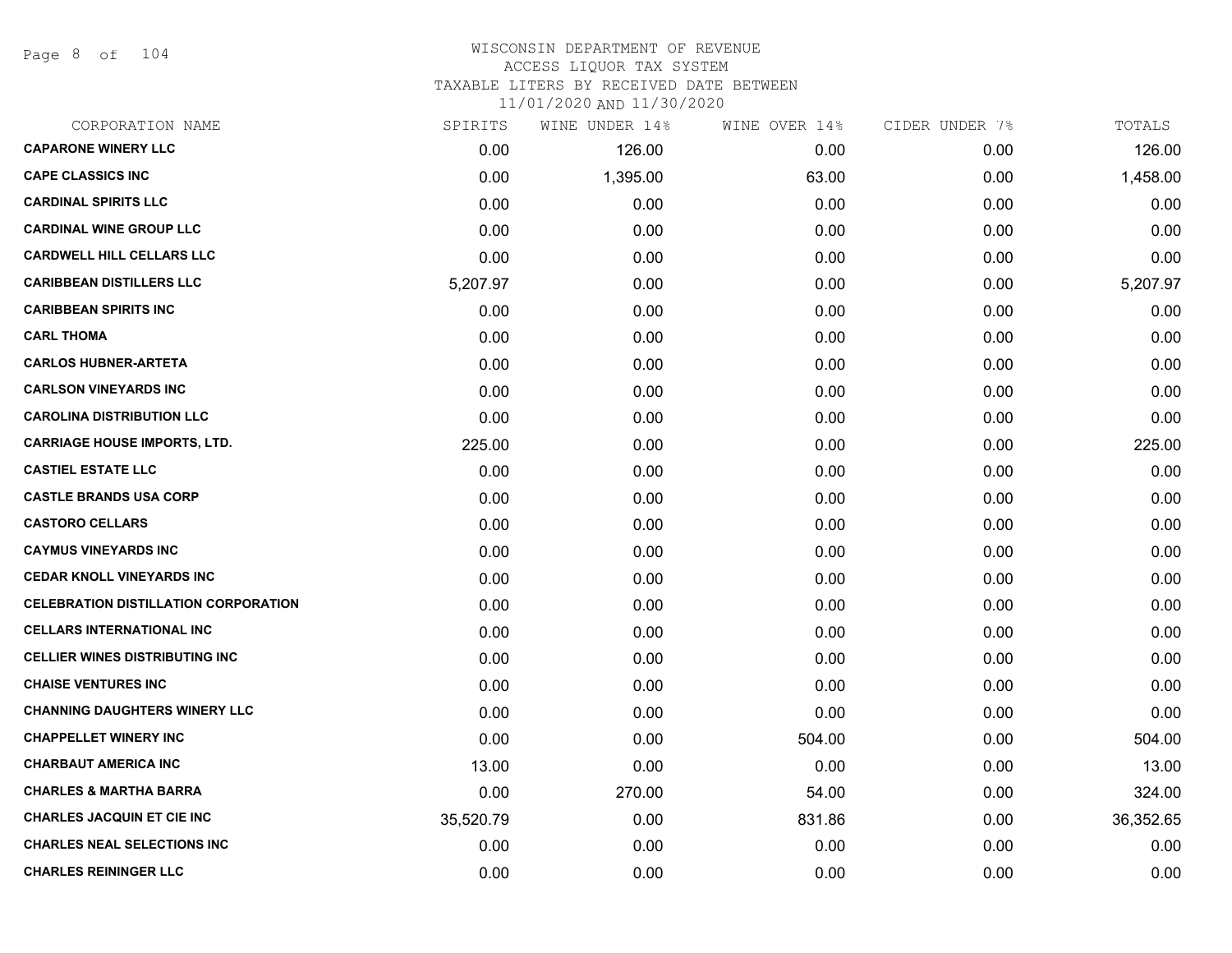Page 8 of 104

## WISCONSIN DEPARTMENT OF REVENUE ACCESS LIQUOR TAX SYSTEM TAXABLE LITERS BY RECEIVED DATE BETWEEN

| CORPORATION NAME                            | SPIRITS   | WINE UNDER 14% | WINE OVER 14% | CIDER UNDER 7% | TOTALS    |
|---------------------------------------------|-----------|----------------|---------------|----------------|-----------|
| <b>CAPARONE WINERY LLC</b>                  | 0.00      | 126.00         | 0.00          | 0.00           | 126.00    |
| <b>CAPE CLASSICS INC</b>                    | 0.00      | 1,395.00       | 63.00         | 0.00           | 1,458.00  |
| <b>CARDINAL SPIRITS LLC</b>                 | 0.00      | 0.00           | 0.00          | 0.00           | 0.00      |
| <b>CARDINAL WINE GROUP LLC</b>              | 0.00      | 0.00           | 0.00          | 0.00           | 0.00      |
| <b>CARDWELL HILL CELLARS LLC</b>            | 0.00      | 0.00           | 0.00          | 0.00           | 0.00      |
| <b>CARIBBEAN DISTILLERS LLC</b>             | 5,207.97  | 0.00           | 0.00          | 0.00           | 5,207.97  |
| <b>CARIBBEAN SPIRITS INC</b>                | 0.00      | 0.00           | 0.00          | 0.00           | 0.00      |
| <b>CARL THOMA</b>                           | 0.00      | 0.00           | 0.00          | 0.00           | 0.00      |
| <b>CARLOS HUBNER-ARTETA</b>                 | 0.00      | 0.00           | 0.00          | 0.00           | 0.00      |
| <b>CARLSON VINEYARDS INC</b>                | 0.00      | 0.00           | 0.00          | 0.00           | 0.00      |
| <b>CAROLINA DISTRIBUTION LLC</b>            | 0.00      | 0.00           | 0.00          | 0.00           | 0.00      |
| <b>CARRIAGE HOUSE IMPORTS, LTD.</b>         | 225.00    | 0.00           | 0.00          | 0.00           | 225.00    |
| <b>CASTIEL ESTATE LLC</b>                   | 0.00      | 0.00           | 0.00          | 0.00           | 0.00      |
| <b>CASTLE BRANDS USA CORP</b>               | 0.00      | 0.00           | 0.00          | 0.00           | 0.00      |
| <b>CASTORO CELLARS</b>                      | 0.00      | 0.00           | 0.00          | 0.00           | 0.00      |
| <b>CAYMUS VINEYARDS INC</b>                 | 0.00      | 0.00           | 0.00          | 0.00           | 0.00      |
| <b>CEDAR KNOLL VINEYARDS INC</b>            | 0.00      | 0.00           | 0.00          | 0.00           | 0.00      |
| <b>CELEBRATION DISTILLATION CORPORATION</b> | 0.00      | 0.00           | 0.00          | 0.00           | 0.00      |
| <b>CELLARS INTERNATIONAL INC</b>            | 0.00      | 0.00           | 0.00          | 0.00           | 0.00      |
| <b>CELLIER WINES DISTRIBUTING INC</b>       | 0.00      | 0.00           | 0.00          | 0.00           | 0.00      |
| <b>CHAISE VENTURES INC</b>                  | 0.00      | 0.00           | 0.00          | 0.00           | 0.00      |
| <b>CHANNING DAUGHTERS WINERY LLC</b>        | 0.00      | 0.00           | 0.00          | 0.00           | 0.00      |
| <b>CHAPPELLET WINERY INC</b>                | 0.00      | 0.00           | 504.00        | 0.00           | 504.00    |
| <b>CHARBAUT AMERICA INC</b>                 | 13.00     | 0.00           | 0.00          | 0.00           | 13.00     |
| <b>CHARLES &amp; MARTHA BARRA</b>           | 0.00      | 270.00         | 54.00         | 0.00           | 324.00    |
| <b>CHARLES JACQUIN ET CIE INC</b>           | 35,520.79 | 0.00           | 831.86        | 0.00           | 36,352.65 |
| <b>CHARLES NEAL SELECTIONS INC</b>          | 0.00      | 0.00           | 0.00          | 0.00           | 0.00      |
| <b>CHARLES REININGER LLC</b>                | 0.00      | 0.00           | 0.00          | 0.00           | 0.00      |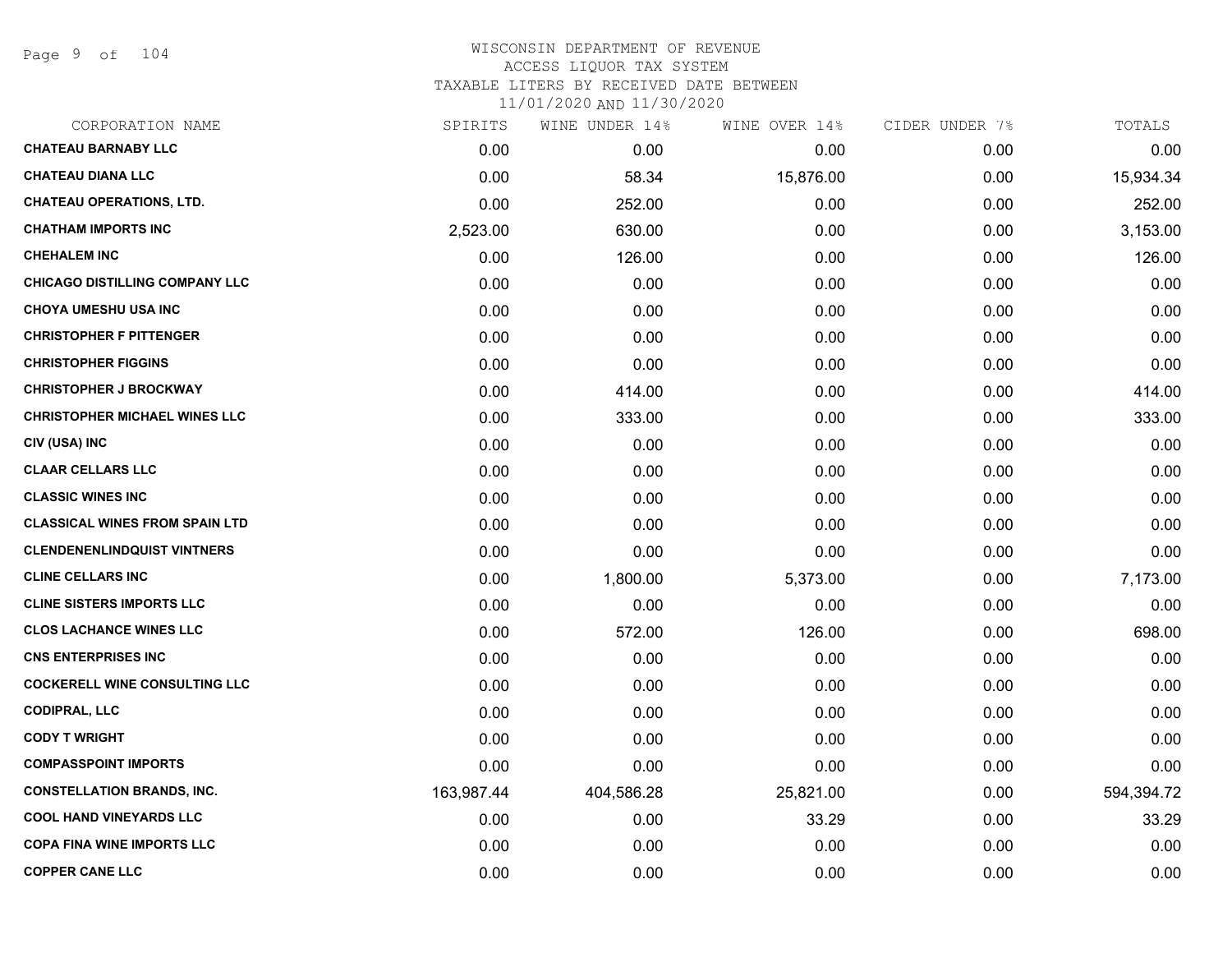Page 9 of 104

# WISCONSIN DEPARTMENT OF REVENUE ACCESS LIQUOR TAX SYSTEM TAXABLE LITERS BY RECEIVED DATE BETWEEN

| CORPORATION NAME                      | SPIRITS    | WINE UNDER 14% | WINE OVER 14% | CIDER UNDER 7% | TOTALS     |
|---------------------------------------|------------|----------------|---------------|----------------|------------|
| <b>CHATEAU BARNABY LLC</b>            | 0.00       | 0.00           | 0.00          | 0.00           | 0.00       |
| <b>CHATEAU DIANA LLC</b>              | 0.00       | 58.34          | 15,876.00     | 0.00           | 15,934.34  |
| <b>CHATEAU OPERATIONS, LTD.</b>       | 0.00       | 252.00         | 0.00          | 0.00           | 252.00     |
| <b>CHATHAM IMPORTS INC</b>            | 2,523.00   | 630.00         | 0.00          | 0.00           | 3,153.00   |
| <b>CHEHALEM INC</b>                   | 0.00       | 126.00         | 0.00          | 0.00           | 126.00     |
| <b>CHICAGO DISTILLING COMPANY LLC</b> | 0.00       | 0.00           | 0.00          | 0.00           | 0.00       |
| <b>CHOYA UMESHU USA INC</b>           | 0.00       | 0.00           | 0.00          | 0.00           | 0.00       |
| <b>CHRISTOPHER F PITTENGER</b>        | 0.00       | 0.00           | 0.00          | 0.00           | 0.00       |
| <b>CHRISTOPHER FIGGINS</b>            | 0.00       | 0.00           | 0.00          | 0.00           | 0.00       |
| <b>CHRISTOPHER J BROCKWAY</b>         | 0.00       | 414.00         | 0.00          | 0.00           | 414.00     |
| <b>CHRISTOPHER MICHAEL WINES LLC</b>  | 0.00       | 333.00         | 0.00          | 0.00           | 333.00     |
| CIV (USA) INC                         | 0.00       | 0.00           | 0.00          | 0.00           | 0.00       |
| <b>CLAAR CELLARS LLC</b>              | 0.00       | 0.00           | 0.00          | 0.00           | 0.00       |
| <b>CLASSIC WINES INC</b>              | 0.00       | 0.00           | 0.00          | 0.00           | 0.00       |
| <b>CLASSICAL WINES FROM SPAIN LTD</b> | 0.00       | 0.00           | 0.00          | 0.00           | 0.00       |
| <b>CLENDENENLINDQUIST VINTNERS</b>    | 0.00       | 0.00           | 0.00          | 0.00           | 0.00       |
| <b>CLINE CELLARS INC</b>              | 0.00       | 1,800.00       | 5,373.00      | 0.00           | 7,173.00   |
| <b>CLINE SISTERS IMPORTS LLC</b>      | 0.00       | 0.00           | 0.00          | 0.00           | 0.00       |
| <b>CLOS LACHANCE WINES LLC</b>        | 0.00       | 572.00         | 126.00        | 0.00           | 698.00     |
| <b>CNS ENTERPRISES INC</b>            | 0.00       | 0.00           | 0.00          | 0.00           | 0.00       |
| <b>COCKERELL WINE CONSULTING LLC</b>  | 0.00       | 0.00           | 0.00          | 0.00           | 0.00       |
| <b>CODIPRAL, LLC</b>                  | 0.00       | 0.00           | 0.00          | 0.00           | 0.00       |
| <b>CODY T WRIGHT</b>                  | 0.00       | 0.00           | 0.00          | 0.00           | 0.00       |
| <b>COMPASSPOINT IMPORTS</b>           | 0.00       | 0.00           | 0.00          | 0.00           | 0.00       |
| <b>CONSTELLATION BRANDS, INC.</b>     | 163,987.44 | 404,586.28     | 25,821.00     | 0.00           | 594,394.72 |
| <b>COOL HAND VINEYARDS LLC</b>        | 0.00       | 0.00           | 33.29         | 0.00           | 33.29      |
| <b>COPA FINA WINE IMPORTS LLC</b>     | 0.00       | 0.00           | 0.00          | 0.00           | 0.00       |
| <b>COPPER CANE LLC</b>                | 0.00       | 0.00           | 0.00          | 0.00           | 0.00       |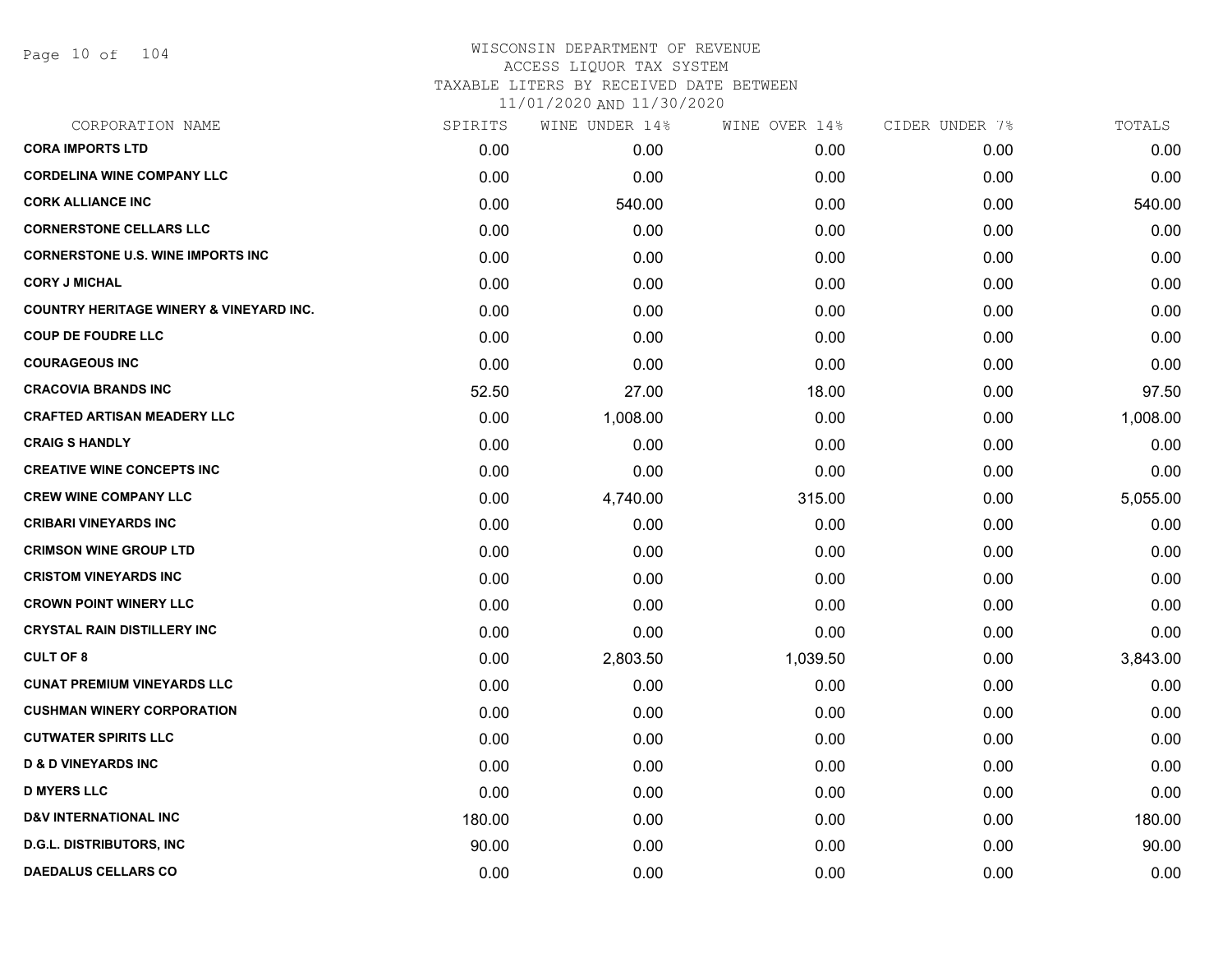Page 10 of 104

## WISCONSIN DEPARTMENT OF REVENUE ACCESS LIQUOR TAX SYSTEM TAXABLE LITERS BY RECEIVED DATE BETWEEN

| CORPORATION NAME                                   | SPIRITS | WINE UNDER 14% | WINE OVER 14% | CIDER UNDER 7% | TOTALS   |
|----------------------------------------------------|---------|----------------|---------------|----------------|----------|
| <b>CORA IMPORTS LTD</b>                            | 0.00    | 0.00           | 0.00          | 0.00           | 0.00     |
| <b>CORDELINA WINE COMPANY LLC</b>                  | 0.00    | 0.00           | 0.00          | 0.00           | 0.00     |
| <b>CORK ALLIANCE INC</b>                           | 0.00    | 540.00         | 0.00          | 0.00           | 540.00   |
| <b>CORNERSTONE CELLARS LLC</b>                     | 0.00    | 0.00           | 0.00          | 0.00           | 0.00     |
| <b>CORNERSTONE U.S. WINE IMPORTS INC</b>           | 0.00    | 0.00           | 0.00          | 0.00           | 0.00     |
| <b>CORY J MICHAL</b>                               | 0.00    | 0.00           | 0.00          | 0.00           | 0.00     |
| <b>COUNTRY HERITAGE WINERY &amp; VINEYARD INC.</b> | 0.00    | 0.00           | 0.00          | 0.00           | 0.00     |
| <b>COUP DE FOUDRE LLC</b>                          | 0.00    | 0.00           | 0.00          | 0.00           | 0.00     |
| <b>COURAGEOUS INC</b>                              | 0.00    | 0.00           | 0.00          | 0.00           | 0.00     |
| <b>CRACOVIA BRANDS INC</b>                         | 52.50   | 27.00          | 18.00         | 0.00           | 97.50    |
| <b>CRAFTED ARTISAN MEADERY LLC</b>                 | 0.00    | 1,008.00       | 0.00          | 0.00           | 1,008.00 |
| <b>CRAIG S HANDLY</b>                              | 0.00    | 0.00           | 0.00          | 0.00           | 0.00     |
| <b>CREATIVE WINE CONCEPTS INC</b>                  | 0.00    | 0.00           | 0.00          | 0.00           | 0.00     |
| <b>CREW WINE COMPANY LLC</b>                       | 0.00    | 4,740.00       | 315.00        | 0.00           | 5,055.00 |
| <b>CRIBARI VINEYARDS INC</b>                       | 0.00    | 0.00           | 0.00          | 0.00           | 0.00     |
| <b>CRIMSON WINE GROUP LTD</b>                      | 0.00    | 0.00           | 0.00          | 0.00           | 0.00     |
| <b>CRISTOM VINEYARDS INC</b>                       | 0.00    | 0.00           | 0.00          | 0.00           | 0.00     |
| <b>CROWN POINT WINERY LLC</b>                      | 0.00    | 0.00           | 0.00          | 0.00           | 0.00     |
| <b>CRYSTAL RAIN DISTILLERY INC</b>                 | 0.00    | 0.00           | 0.00          | 0.00           | 0.00     |
| <b>CULT OF 8</b>                                   | 0.00    | 2,803.50       | 1,039.50      | 0.00           | 3,843.00 |
| <b>CUNAT PREMIUM VINEYARDS LLC</b>                 | 0.00    | 0.00           | 0.00          | 0.00           | 0.00     |
| <b>CUSHMAN WINERY CORPORATION</b>                  | 0.00    | 0.00           | 0.00          | 0.00           | 0.00     |
| <b>CUTWATER SPIRITS LLC</b>                        | 0.00    | 0.00           | 0.00          | 0.00           | 0.00     |
| <b>D &amp; D VINEYARDS INC</b>                     | 0.00    | 0.00           | 0.00          | 0.00           | 0.00     |
| <b>D MYERS LLC</b>                                 | 0.00    | 0.00           | 0.00          | 0.00           | 0.00     |
| <b>D&amp;V INTERNATIONAL INC</b>                   | 180.00  | 0.00           | 0.00          | 0.00           | 180.00   |
| <b>D.G.L. DISTRIBUTORS, INC</b>                    | 90.00   | 0.00           | 0.00          | 0.00           | 90.00    |
| <b>DAEDALUS CELLARS CO</b>                         | 0.00    | 0.00           | 0.00          | 0.00           | 0.00     |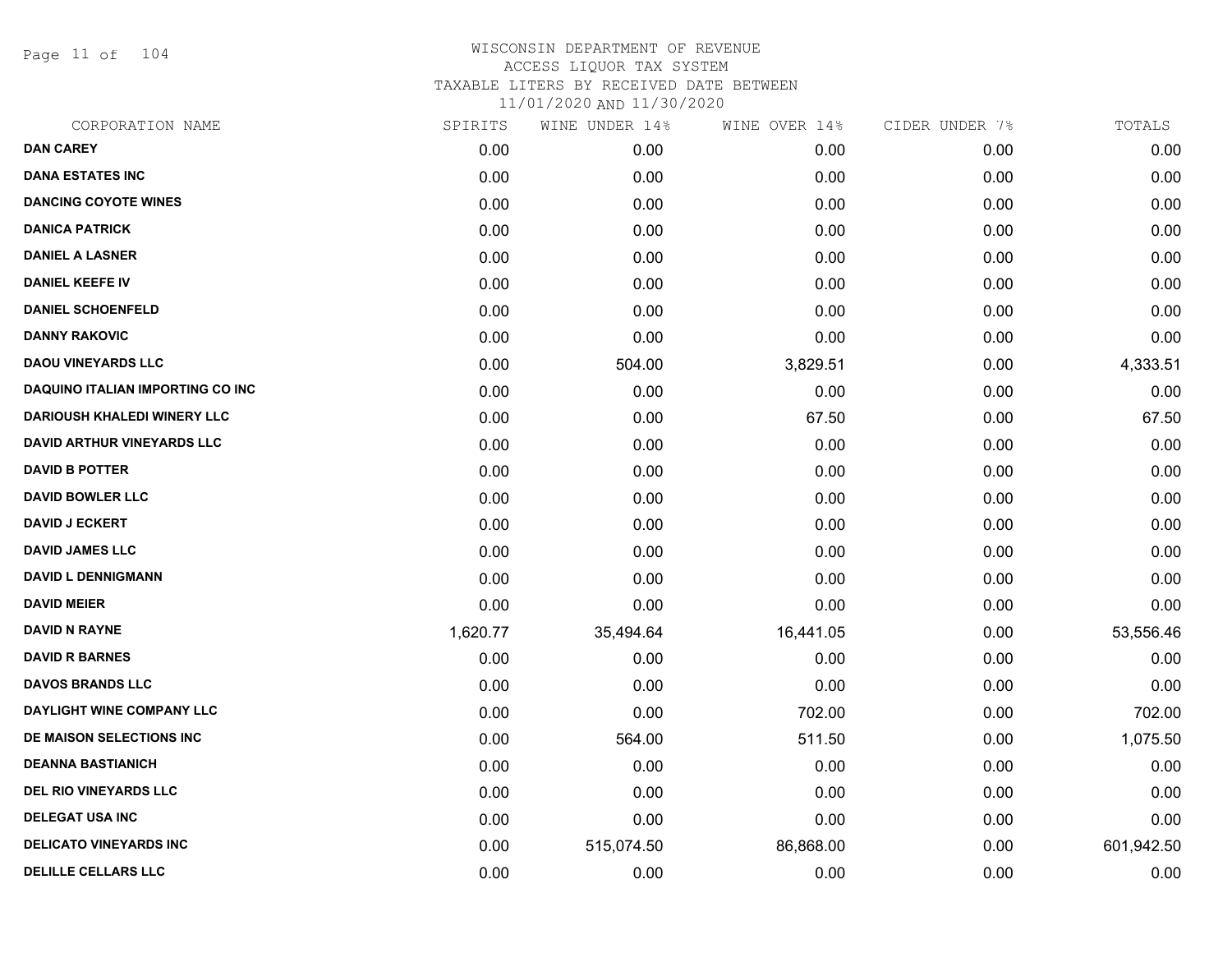Page 11 of 104

| CORPORATION NAME                        | SPIRITS  | WINE UNDER 14% | WINE OVER 14% | CIDER UNDER 7% | TOTALS     |
|-----------------------------------------|----------|----------------|---------------|----------------|------------|
| <b>DAN CAREY</b>                        | 0.00     | 0.00           | 0.00          | 0.00           | 0.00       |
| <b>DANA ESTATES INC</b>                 | 0.00     | 0.00           | 0.00          | 0.00           | 0.00       |
| <b>DANCING COYOTE WINES</b>             | 0.00     | 0.00           | 0.00          | 0.00           | 0.00       |
| <b>DANICA PATRICK</b>                   | 0.00     | 0.00           | 0.00          | 0.00           | 0.00       |
| <b>DANIEL A LASNER</b>                  | 0.00     | 0.00           | 0.00          | 0.00           | 0.00       |
| <b>DANIEL KEEFE IV</b>                  | 0.00     | 0.00           | 0.00          | 0.00           | 0.00       |
| <b>DANIEL SCHOENFELD</b>                | 0.00     | 0.00           | 0.00          | 0.00           | 0.00       |
| <b>DANNY RAKOVIC</b>                    | 0.00     | 0.00           | 0.00          | 0.00           | 0.00       |
| <b>DAOU VINEYARDS LLC</b>               | 0.00     | 504.00         | 3,829.51      | 0.00           | 4,333.51   |
| <b>DAQUINO ITALIAN IMPORTING CO INC</b> | 0.00     | 0.00           | 0.00          | 0.00           | 0.00       |
| <b>DARIOUSH KHALEDI WINERY LLC</b>      | 0.00     | 0.00           | 67.50         | 0.00           | 67.50      |
| DAVID ARTHUR VINEYARDS LLC              | 0.00     | 0.00           | 0.00          | 0.00           | 0.00       |
| <b>DAVID B POTTER</b>                   | 0.00     | 0.00           | 0.00          | 0.00           | 0.00       |
| <b>DAVID BOWLER LLC</b>                 | 0.00     | 0.00           | 0.00          | 0.00           | 0.00       |
| <b>DAVID J ECKERT</b>                   | 0.00     | 0.00           | 0.00          | 0.00           | 0.00       |
| <b>DAVID JAMES LLC</b>                  | 0.00     | 0.00           | 0.00          | 0.00           | 0.00       |
| <b>DAVID L DENNIGMANN</b>               | 0.00     | 0.00           | 0.00          | 0.00           | 0.00       |
| <b>DAVID MEIER</b>                      | 0.00     | 0.00           | 0.00          | 0.00           | 0.00       |
| <b>DAVID N RAYNE</b>                    | 1,620.77 | 35,494.64      | 16,441.05     | 0.00           | 53,556.46  |
| <b>DAVID R BARNES</b>                   | 0.00     | 0.00           | 0.00          | 0.00           | 0.00       |
| <b>DAVOS BRANDS LLC</b>                 | 0.00     | 0.00           | 0.00          | 0.00           | 0.00       |
| DAYLIGHT WINE COMPANY LLC               | 0.00     | 0.00           | 702.00        | 0.00           | 702.00     |
| DE MAISON SELECTIONS INC                | 0.00     | 564.00         | 511.50        | 0.00           | 1,075.50   |
| <b>DEANNA BASTIANICH</b>                | 0.00     | 0.00           | 0.00          | 0.00           | 0.00       |
| <b>DEL RIO VINEYARDS LLC</b>            | 0.00     | 0.00           | 0.00          | 0.00           | 0.00       |
| <b>DELEGAT USA INC</b>                  | 0.00     | 0.00           | 0.00          | 0.00           | 0.00       |
| <b>DELICATO VINEYARDS INC</b>           | 0.00     | 515,074.50     | 86,868.00     | 0.00           | 601,942.50 |
| <b>DELILLE CELLARS LLC</b>              | 0.00     | 0.00           | 0.00          | 0.00           | 0.00       |
|                                         |          |                |               |                |            |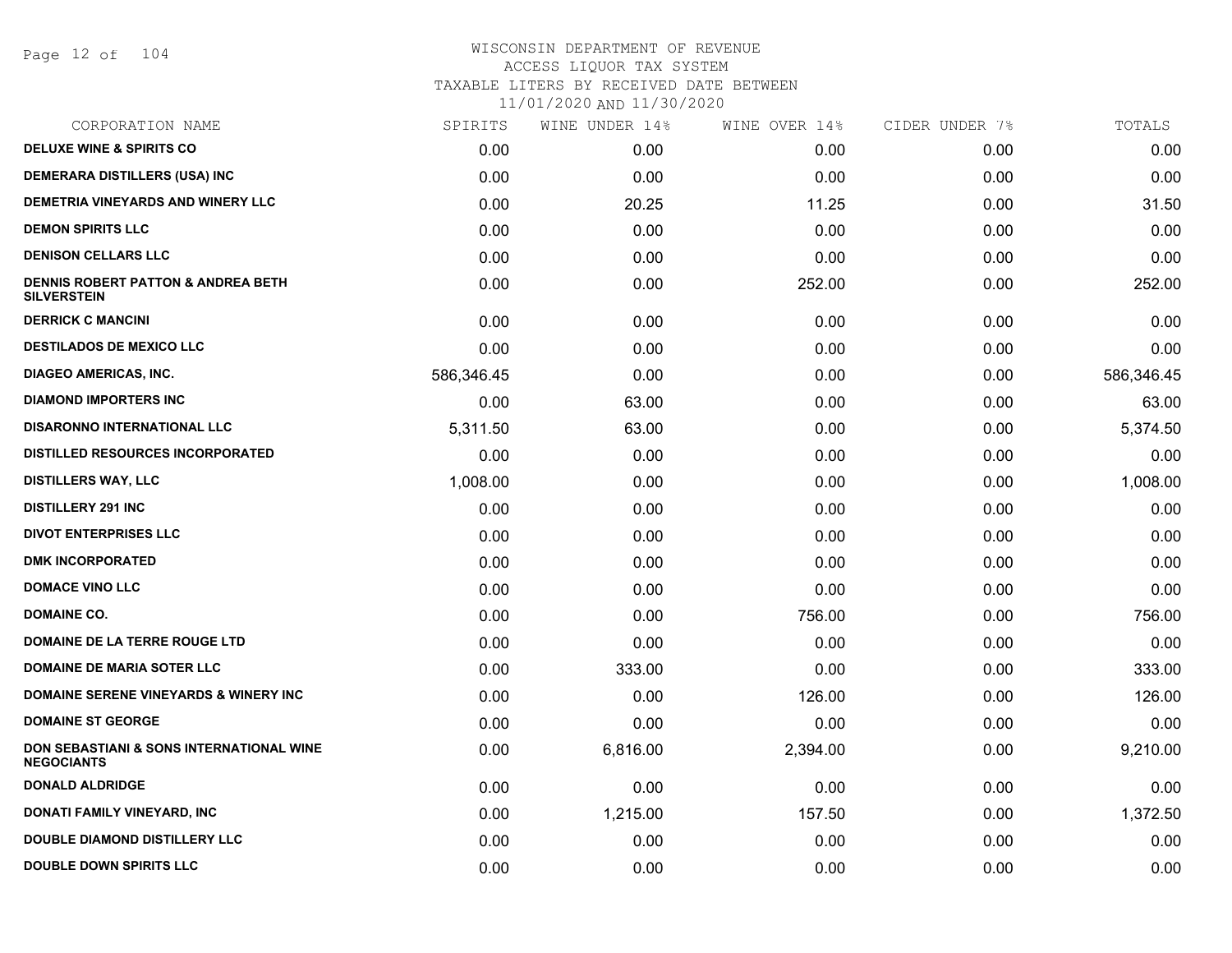Page 12 of 104

| CORPORATION NAME                                                    | SPIRITS    | WINE UNDER 14% | WINE OVER 14% | CIDER UNDER 7% | TOTALS     |
|---------------------------------------------------------------------|------------|----------------|---------------|----------------|------------|
| <b>DELUXE WINE &amp; SPIRITS CO</b>                                 | 0.00       | 0.00           | 0.00          | 0.00           | 0.00       |
| <b>DEMERARA DISTILLERS (USA) INC</b>                                | 0.00       | 0.00           | 0.00          | 0.00           | 0.00       |
| DEMETRIA VINEYARDS AND WINERY LLC                                   | 0.00       | 20.25          | 11.25         | 0.00           | 31.50      |
| <b>DEMON SPIRITS LLC</b>                                            | 0.00       | 0.00           | 0.00          | 0.00           | 0.00       |
| <b>DENISON CELLARS LLC</b>                                          | 0.00       | 0.00           | 0.00          | 0.00           | 0.00       |
| <b>DENNIS ROBERT PATTON &amp; ANDREA BETH</b><br><b>SILVERSTEIN</b> | 0.00       | 0.00           | 252.00        | 0.00           | 252.00     |
| <b>DERRICK C MANCINI</b>                                            | 0.00       | 0.00           | 0.00          | 0.00           | 0.00       |
| <b>DESTILADOS DE MEXICO LLC</b>                                     | 0.00       | 0.00           | 0.00          | 0.00           | 0.00       |
| <b>DIAGEO AMERICAS, INC.</b>                                        | 586,346.45 | 0.00           | 0.00          | 0.00           | 586,346.45 |
| <b>DIAMOND IMPORTERS INC</b>                                        | 0.00       | 63.00          | 0.00          | 0.00           | 63.00      |
| <b>DISARONNO INTERNATIONAL LLC</b>                                  | 5,311.50   | 63.00          | 0.00          | 0.00           | 5,374.50   |
| <b>DISTILLED RESOURCES INCORPORATED</b>                             | 0.00       | 0.00           | 0.00          | 0.00           | 0.00       |
| <b>DISTILLERS WAY, LLC</b>                                          | 1,008.00   | 0.00           | 0.00          | 0.00           | 1,008.00   |
| <b>DISTILLERY 291 INC</b>                                           | 0.00       | 0.00           | 0.00          | 0.00           | 0.00       |
| <b>DIVOT ENTERPRISES LLC</b>                                        | 0.00       | 0.00           | 0.00          | 0.00           | 0.00       |
| <b>DMK INCORPORATED</b>                                             | 0.00       | 0.00           | 0.00          | 0.00           | 0.00       |
| <b>DOMACE VINO LLC</b>                                              | 0.00       | 0.00           | 0.00          | 0.00           | 0.00       |
| <b>DOMAINE CO.</b>                                                  | 0.00       | 0.00           | 756.00        | 0.00           | 756.00     |
| <b>DOMAINE DE LA TERRE ROUGE LTD</b>                                | 0.00       | 0.00           | 0.00          | 0.00           | 0.00       |
| <b>DOMAINE DE MARIA SOTER LLC</b>                                   | 0.00       | 333.00         | 0.00          | 0.00           | 333.00     |
| <b>DOMAINE SERENE VINEYARDS &amp; WINERY INC</b>                    | 0.00       | 0.00           | 126.00        | 0.00           | 126.00     |
| <b>DOMAINE ST GEORGE</b>                                            | 0.00       | 0.00           | 0.00          | 0.00           | 0.00       |
| DON SEBASTIANI & SONS INTERNATIONAL WINE<br><b>NEGOCIANTS</b>       | 0.00       | 6,816.00       | 2,394.00      | 0.00           | 9,210.00   |
| <b>DONALD ALDRIDGE</b>                                              | 0.00       | 0.00           | 0.00          | 0.00           | 0.00       |
| <b>DONATI FAMILY VINEYARD, INC</b>                                  | 0.00       | 1,215.00       | 157.50        | 0.00           | 1,372.50   |
| <b>DOUBLE DIAMOND DISTILLERY LLC</b>                                | 0.00       | 0.00           | 0.00          | 0.00           | 0.00       |
| <b>DOUBLE DOWN SPIRITS LLC</b>                                      | 0.00       | 0.00           | 0.00          | 0.00           | 0.00       |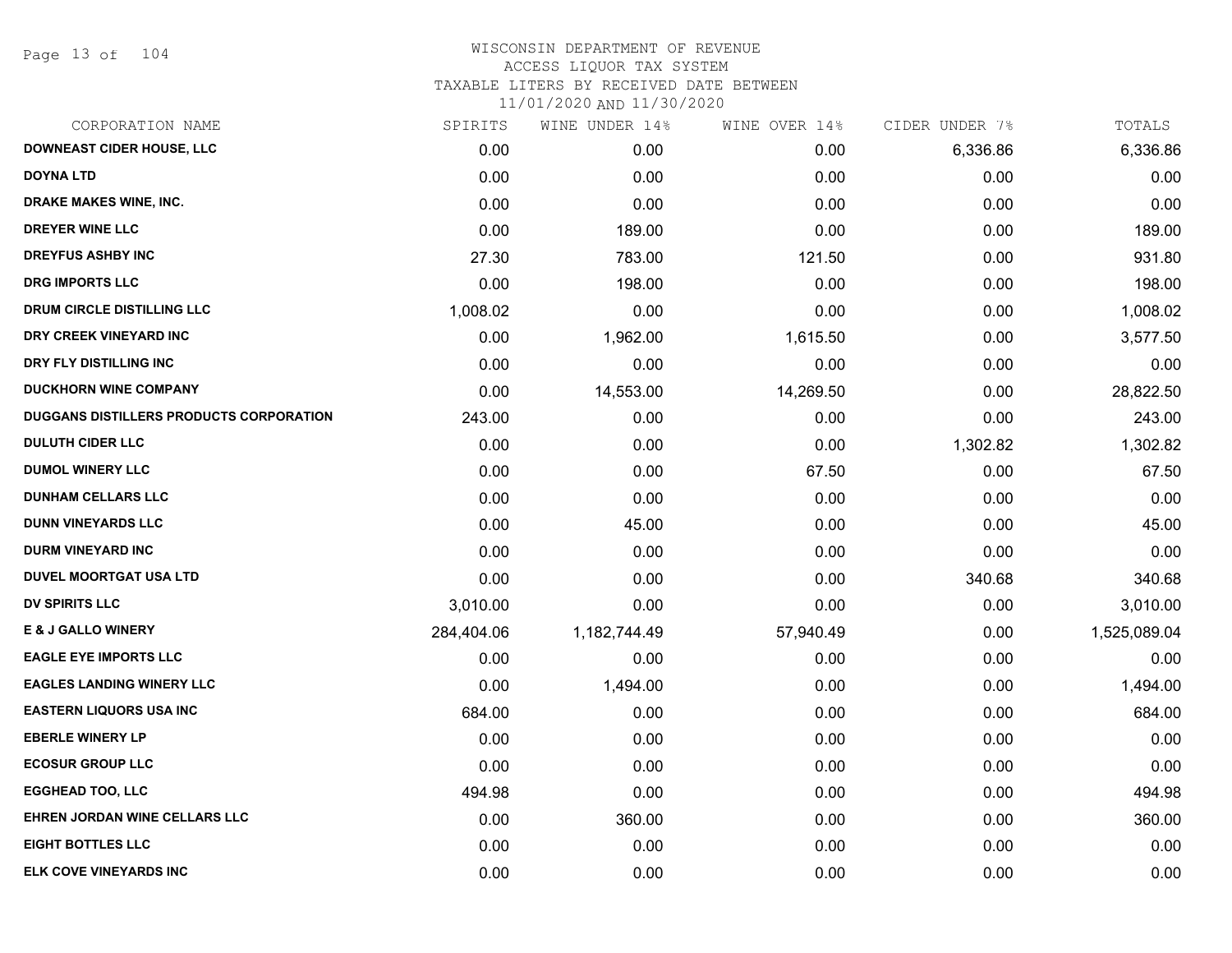Page 13 of 104

| CORPORATION NAME                        | SPIRITS    | WINE UNDER 14% | WINE OVER 14% | CIDER UNDER 7% | TOTALS       |
|-----------------------------------------|------------|----------------|---------------|----------------|--------------|
| <b>DOWNEAST CIDER HOUSE, LLC</b>        | 0.00       | 0.00           | 0.00          | 6,336.86       | 6,336.86     |
| <b>DOYNA LTD</b>                        | 0.00       | 0.00           | 0.00          | 0.00           | 0.00         |
| DRAKE MAKES WINE, INC.                  | 0.00       | 0.00           | 0.00          | 0.00           | 0.00         |
| <b>DREYER WINE LLC</b>                  | 0.00       | 189.00         | 0.00          | 0.00           | 189.00       |
| <b>DREYFUS ASHBY INC</b>                | 27.30      | 783.00         | 121.50        | 0.00           | 931.80       |
| <b>DRG IMPORTS LLC</b>                  | 0.00       | 198.00         | 0.00          | 0.00           | 198.00       |
| DRUM CIRCLE DISTILLING LLC              | 1,008.02   | 0.00           | 0.00          | 0.00           | 1,008.02     |
| DRY CREEK VINEYARD INC                  | 0.00       | 1,962.00       | 1,615.50      | 0.00           | 3,577.50     |
| DRY FLY DISTILLING INC                  | 0.00       | 0.00           | 0.00          | 0.00           | 0.00         |
| <b>DUCKHORN WINE COMPANY</b>            | 0.00       | 14,553.00      | 14,269.50     | 0.00           | 28,822.50    |
| DUGGANS DISTILLERS PRODUCTS CORPORATION | 243.00     | 0.00           | 0.00          | 0.00           | 243.00       |
| <b>DULUTH CIDER LLC</b>                 | 0.00       | 0.00           | 0.00          | 1,302.82       | 1,302.82     |
| <b>DUMOL WINERY LLC</b>                 | 0.00       | 0.00           | 67.50         | 0.00           | 67.50        |
| <b>DUNHAM CELLARS LLC</b>               | 0.00       | 0.00           | 0.00          | 0.00           | 0.00         |
| <b>DUNN VINEYARDS LLC</b>               | 0.00       | 45.00          | 0.00          | 0.00           | 45.00        |
| <b>DURM VINEYARD INC</b>                | 0.00       | 0.00           | 0.00          | 0.00           | 0.00         |
| <b>DUVEL MOORTGAT USA LTD</b>           | 0.00       | 0.00           | 0.00          | 340.68         | 340.68       |
| <b>DV SPIRITS LLC</b>                   | 3,010.00   | 0.00           | 0.00          | 0.00           | 3,010.00     |
| <b>E &amp; J GALLO WINERY</b>           | 284,404.06 | 1,182,744.49   | 57,940.49     | 0.00           | 1,525,089.04 |
| <b>EAGLE EYE IMPORTS LLC</b>            | 0.00       | 0.00           | 0.00          | 0.00           | 0.00         |
| <b>EAGLES LANDING WINERY LLC</b>        | 0.00       | 1,494.00       | 0.00          | 0.00           | 1,494.00     |
| <b>EASTERN LIQUORS USA INC</b>          | 684.00     | 0.00           | 0.00          | 0.00           | 684.00       |
| <b>EBERLE WINERY LP</b>                 | 0.00       | 0.00           | 0.00          | 0.00           | 0.00         |
| <b>ECOSUR GROUP LLC</b>                 | 0.00       | 0.00           | 0.00          | 0.00           | 0.00         |
| <b>EGGHEAD TOO, LLC</b>                 | 494.98     | 0.00           | 0.00          | 0.00           | 494.98       |
| EHREN JORDAN WINE CELLARS LLC           | 0.00       | 360.00         | 0.00          | 0.00           | 360.00       |
| <b>EIGHT BOTTLES LLC</b>                | 0.00       | 0.00           | 0.00          | 0.00           | 0.00         |
| <b>ELK COVE VINEYARDS INC</b>           | 0.00       | 0.00           | 0.00          | 0.00           | 0.00         |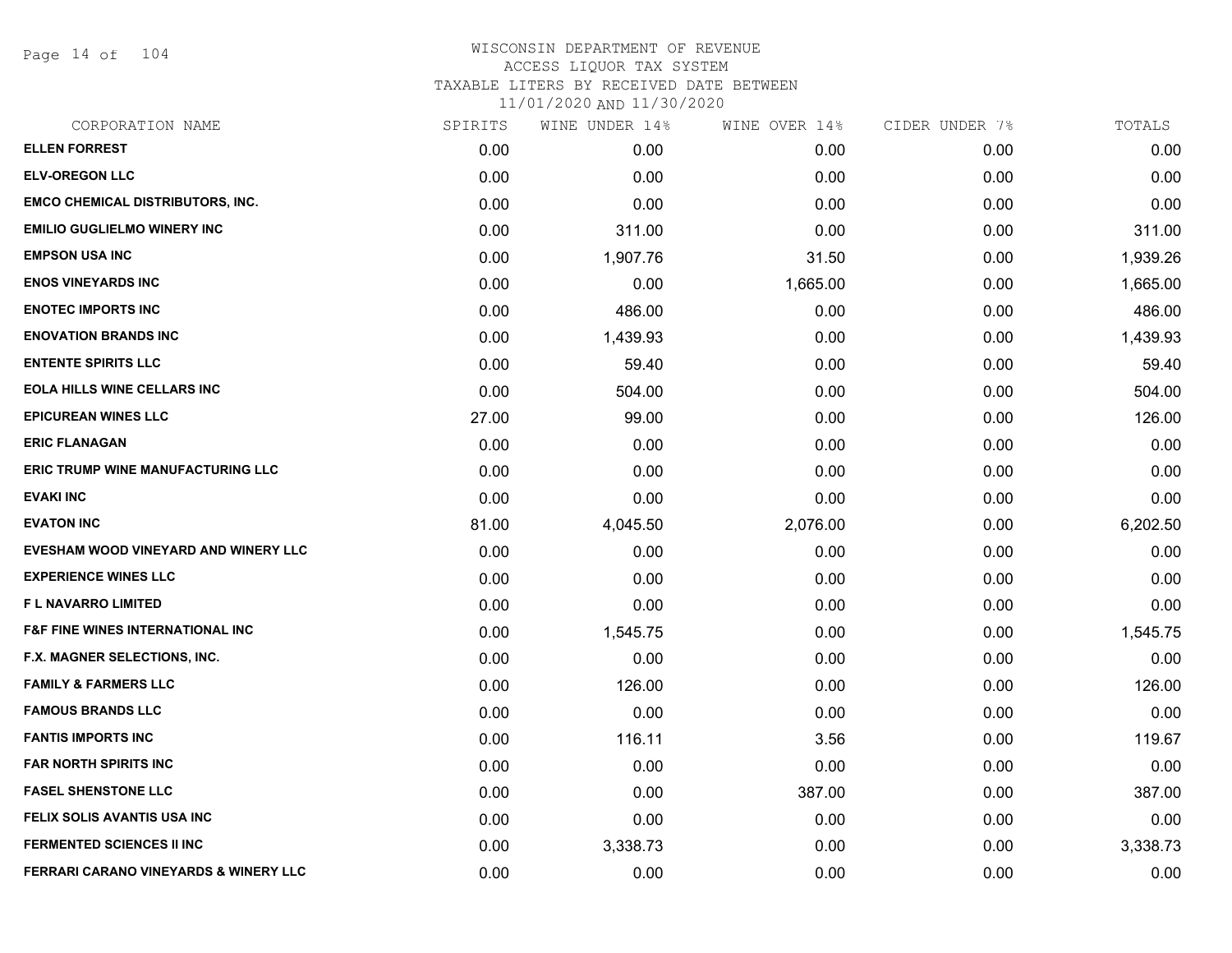Page 14 of 104

| CORPORATION NAME                                 | SPIRITS | WINE UNDER 14% | WINE OVER 14% | CIDER UNDER 7% | TOTALS   |
|--------------------------------------------------|---------|----------------|---------------|----------------|----------|
| <b>ELLEN FORREST</b>                             | 0.00    | 0.00           | 0.00          | 0.00           | 0.00     |
| <b>ELV-OREGON LLC</b>                            | 0.00    | 0.00           | 0.00          | 0.00           | 0.00     |
| <b>EMCO CHEMICAL DISTRIBUTORS, INC.</b>          | 0.00    | 0.00           | 0.00          | 0.00           | 0.00     |
| <b>EMILIO GUGLIELMO WINERY INC</b>               | 0.00    | 311.00         | 0.00          | 0.00           | 311.00   |
| <b>EMPSON USA INC</b>                            | 0.00    | 1,907.76       | 31.50         | 0.00           | 1,939.26 |
| <b>ENOS VINEYARDS INC</b>                        | 0.00    | 0.00           | 1,665.00      | 0.00           | 1,665.00 |
| <b>ENOTEC IMPORTS INC</b>                        | 0.00    | 486.00         | 0.00          | 0.00           | 486.00   |
| <b>ENOVATION BRANDS INC</b>                      | 0.00    | 1,439.93       | 0.00          | 0.00           | 1,439.93 |
| <b>ENTENTE SPIRITS LLC</b>                       | 0.00    | 59.40          | 0.00          | 0.00           | 59.40    |
| <b>EOLA HILLS WINE CELLARS INC</b>               | 0.00    | 504.00         | 0.00          | 0.00           | 504.00   |
| <b>EPICUREAN WINES LLC</b>                       | 27.00   | 99.00          | 0.00          | 0.00           | 126.00   |
| <b>ERIC FLANAGAN</b>                             | 0.00    | 0.00           | 0.00          | 0.00           | 0.00     |
| ERIC TRUMP WINE MANUFACTURING LLC                | 0.00    | 0.00           | 0.00          | 0.00           | 0.00     |
| <b>EVAKI INC</b>                                 | 0.00    | 0.00           | 0.00          | 0.00           | 0.00     |
| <b>EVATON INC</b>                                | 81.00   | 4,045.50       | 2,076.00      | 0.00           | 6,202.50 |
| EVESHAM WOOD VINEYARD AND WINERY LLC             | 0.00    | 0.00           | 0.00          | 0.00           | 0.00     |
| <b>EXPERIENCE WINES LLC</b>                      | 0.00    | 0.00           | 0.00          | 0.00           | 0.00     |
| <b>FL NAVARRO LIMITED</b>                        | 0.00    | 0.00           | 0.00          | 0.00           | 0.00     |
| <b>F&amp;F FINE WINES INTERNATIONAL INC</b>      | 0.00    | 1,545.75       | 0.00          | 0.00           | 1,545.75 |
| F.X. MAGNER SELECTIONS, INC.                     | 0.00    | 0.00           | 0.00          | 0.00           | 0.00     |
| <b>FAMILY &amp; FARMERS LLC</b>                  | 0.00    | 126.00         | 0.00          | 0.00           | 126.00   |
| <b>FAMOUS BRANDS LLC</b>                         | 0.00    | 0.00           | 0.00          | 0.00           | 0.00     |
| <b>FANTIS IMPORTS INC</b>                        | 0.00    | 116.11         | 3.56          | 0.00           | 119.67   |
| <b>FAR NORTH SPIRITS INC</b>                     | 0.00    | 0.00           | 0.00          | 0.00           | 0.00     |
| <b>FASEL SHENSTONE LLC</b>                       | 0.00    | 0.00           | 387.00        | 0.00           | 387.00   |
| FELIX SOLIS AVANTIS USA INC                      | 0.00    | 0.00           | 0.00          | 0.00           | 0.00     |
| <b>FERMENTED SCIENCES II INC</b>                 | 0.00    | 3,338.73       | 0.00          | 0.00           | 3,338.73 |
| <b>FERRARI CARANO VINEYARDS &amp; WINERY LLC</b> | 0.00    | 0.00           | 0.00          | 0.00           | 0.00     |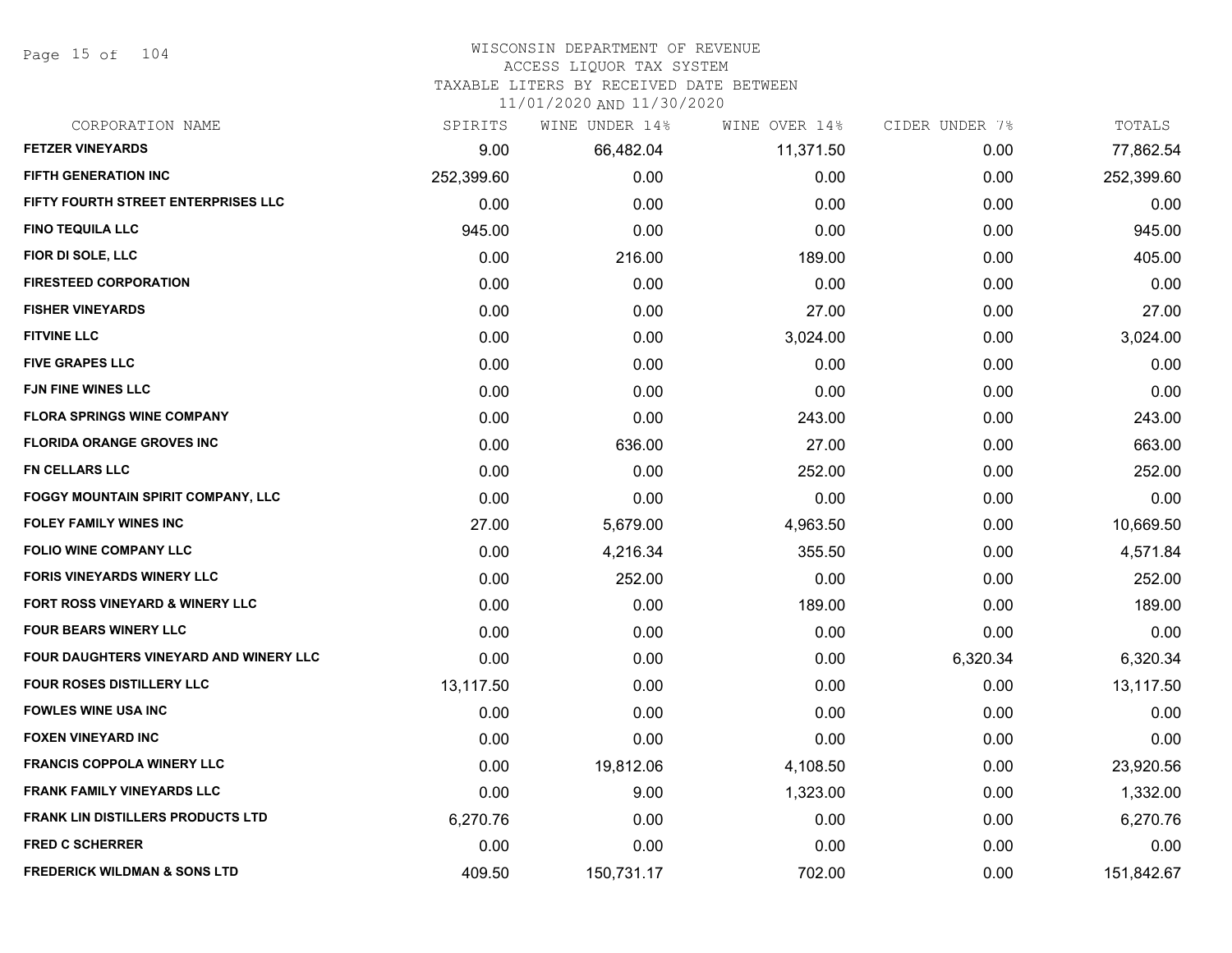Page 15 of 104

# WISCONSIN DEPARTMENT OF REVENUE

ACCESS LIQUOR TAX SYSTEM

TAXABLE LITERS BY RECEIVED DATE BETWEEN

| CORPORATION NAME                              | SPIRITS    | WINE UNDER 14% | WINE OVER 14% | CIDER UNDER 7% | TOTALS     |
|-----------------------------------------------|------------|----------------|---------------|----------------|------------|
| <b>FETZER VINEYARDS</b>                       | 9.00       | 66,482.04      | 11,371.50     | 0.00           | 77,862.54  |
| <b>FIFTH GENERATION INC</b>                   | 252,399.60 | 0.00           | 0.00          | 0.00           | 252,399.60 |
| FIFTY FOURTH STREET ENTERPRISES LLC           | 0.00       | 0.00           | 0.00          | 0.00           | 0.00       |
| <b>FINO TEQUILA LLC</b>                       | 945.00     | 0.00           | 0.00          | 0.00           | 945.00     |
| FIOR DI SOLE, LLC                             | 0.00       | 216.00         | 189.00        | 0.00           | 405.00     |
| <b>FIRESTEED CORPORATION</b>                  | 0.00       | 0.00           | 0.00          | 0.00           | 0.00       |
| <b>FISHER VINEYARDS</b>                       | 0.00       | 0.00           | 27.00         | 0.00           | 27.00      |
| <b>FITVINE LLC</b>                            | 0.00       | 0.00           | 3,024.00      | 0.00           | 3,024.00   |
| <b>FIVE GRAPES LLC</b>                        | 0.00       | 0.00           | 0.00          | 0.00           | 0.00       |
| <b>FJN FINE WINES LLC</b>                     | 0.00       | 0.00           | 0.00          | 0.00           | 0.00       |
| <b>FLORA SPRINGS WINE COMPANY</b>             | 0.00       | 0.00           | 243.00        | 0.00           | 243.00     |
| <b>FLORIDA ORANGE GROVES INC</b>              | 0.00       | 636.00         | 27.00         | 0.00           | 663.00     |
| <b>FN CELLARS LLC</b>                         | 0.00       | 0.00           | 252.00        | 0.00           | 252.00     |
| <b>FOGGY MOUNTAIN SPIRIT COMPANY, LLC</b>     | 0.00       | 0.00           | 0.00          | 0.00           | 0.00       |
| <b>FOLEY FAMILY WINES INC</b>                 | 27.00      | 5,679.00       | 4,963.50      | 0.00           | 10,669.50  |
| <b>FOLIO WINE COMPANY LLC</b>                 | 0.00       | 4,216.34       | 355.50        | 0.00           | 4,571.84   |
| <b>FORIS VINEYARDS WINERY LLC</b>             | 0.00       | 252.00         | 0.00          | 0.00           | 252.00     |
| FORT ROSS VINEYARD & WINERY LLC               | 0.00       | 0.00           | 189.00        | 0.00           | 189.00     |
| <b>FOUR BEARS WINERY LLC</b>                  | 0.00       | 0.00           | 0.00          | 0.00           | 0.00       |
| <b>FOUR DAUGHTERS VINEYARD AND WINERY LLC</b> | 0.00       | 0.00           | 0.00          | 6,320.34       | 6,320.34   |
| <b>FOUR ROSES DISTILLERY LLC</b>              | 13,117.50  | 0.00           | 0.00          | 0.00           | 13,117.50  |
| <b>FOWLES WINE USA INC</b>                    | 0.00       | 0.00           | 0.00          | 0.00           | 0.00       |
| <b>FOXEN VINEYARD INC</b>                     | 0.00       | 0.00           | 0.00          | 0.00           | 0.00       |
| <b>FRANCIS COPPOLA WINERY LLC</b>             | 0.00       | 19,812.06      | 4,108.50      | 0.00           | 23,920.56  |
| <b>FRANK FAMILY VINEYARDS LLC</b>             | 0.00       | 9.00           | 1,323.00      | 0.00           | 1,332.00   |
| <b>FRANK LIN DISTILLERS PRODUCTS LTD</b>      | 6,270.76   | 0.00           | 0.00          | 0.00           | 6,270.76   |
| <b>FRED C SCHERRER</b>                        | 0.00       | 0.00           | 0.00          | 0.00           | 0.00       |
| <b>FREDERICK WILDMAN &amp; SONS LTD</b>       | 409.50     | 150,731.17     | 702.00        | 0.00           | 151,842.67 |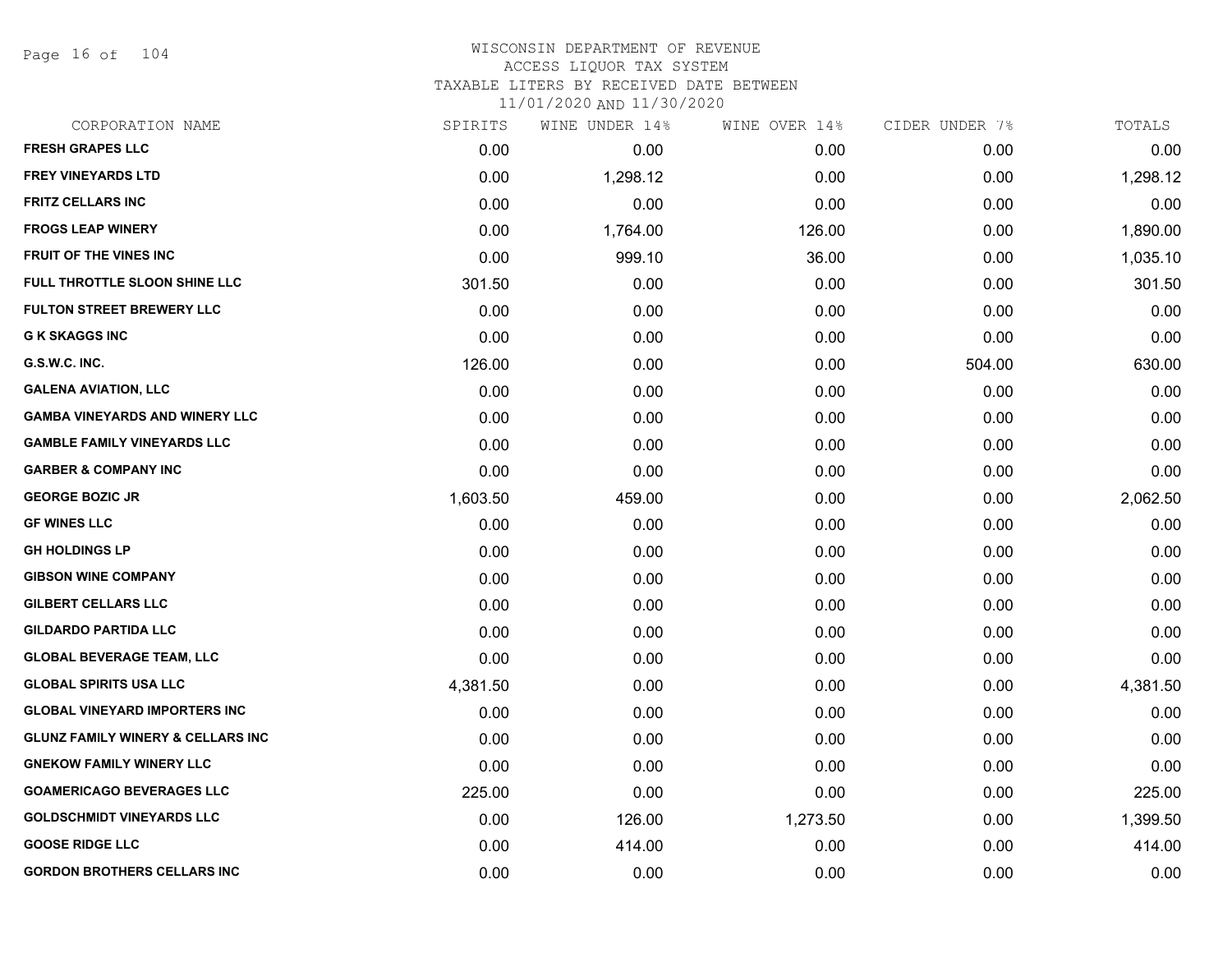Page 16 of 104

## WISCONSIN DEPARTMENT OF REVENUE ACCESS LIQUOR TAX SYSTEM TAXABLE LITERS BY RECEIVED DATE BETWEEN

| CORPORATION NAME                             | SPIRITS  | WINE UNDER 14% | WINE OVER 14% | CIDER UNDER 7% | TOTALS   |
|----------------------------------------------|----------|----------------|---------------|----------------|----------|
| <b>FRESH GRAPES LLC</b>                      | 0.00     | 0.00           | 0.00          | 0.00           | 0.00     |
| <b>FREY VINEYARDS LTD</b>                    | 0.00     | 1,298.12       | 0.00          | 0.00           | 1,298.12 |
| <b>FRITZ CELLARS INC</b>                     | 0.00     | 0.00           | 0.00          | 0.00           | 0.00     |
| <b>FROGS LEAP WINERY</b>                     | 0.00     | 1,764.00       | 126.00        | 0.00           | 1,890.00 |
| <b>FRUIT OF THE VINES INC</b>                | 0.00     | 999.10         | 36.00         | 0.00           | 1,035.10 |
| FULL THROTTLE SLOON SHINE LLC                | 301.50   | 0.00           | 0.00          | 0.00           | 301.50   |
| <b>FULTON STREET BREWERY LLC</b>             | 0.00     | 0.00           | 0.00          | 0.00           | 0.00     |
| <b>G K SKAGGS INC</b>                        | 0.00     | 0.00           | 0.00          | 0.00           | 0.00     |
| G.S.W.C. INC.                                | 126.00   | 0.00           | 0.00          | 504.00         | 630.00   |
| <b>GALENA AVIATION, LLC</b>                  | 0.00     | 0.00           | 0.00          | 0.00           | 0.00     |
| <b>GAMBA VINEYARDS AND WINERY LLC</b>        | 0.00     | 0.00           | 0.00          | 0.00           | 0.00     |
| <b>GAMBLE FAMILY VINEYARDS LLC</b>           | 0.00     | 0.00           | 0.00          | 0.00           | 0.00     |
| <b>GARBER &amp; COMPANY INC</b>              | 0.00     | 0.00           | 0.00          | 0.00           | 0.00     |
| <b>GEORGE BOZIC JR</b>                       | 1,603.50 | 459.00         | 0.00          | 0.00           | 2,062.50 |
| <b>GF WINES LLC</b>                          | 0.00     | 0.00           | 0.00          | 0.00           | 0.00     |
| <b>GH HOLDINGS LP</b>                        | 0.00     | 0.00           | 0.00          | 0.00           | 0.00     |
| <b>GIBSON WINE COMPANY</b>                   | 0.00     | 0.00           | 0.00          | 0.00           | 0.00     |
| GILBERT CELLARS LLC                          | 0.00     | 0.00           | 0.00          | 0.00           | 0.00     |
| <b>GILDARDO PARTIDA LLC</b>                  | 0.00     | 0.00           | 0.00          | 0.00           | 0.00     |
| <b>GLOBAL BEVERAGE TEAM, LLC</b>             | 0.00     | 0.00           | 0.00          | 0.00           | 0.00     |
| <b>GLOBAL SPIRITS USA LLC</b>                | 4,381.50 | 0.00           | 0.00          | 0.00           | 4,381.50 |
| <b>GLOBAL VINEYARD IMPORTERS INC</b>         | 0.00     | 0.00           | 0.00          | 0.00           | 0.00     |
| <b>GLUNZ FAMILY WINERY &amp; CELLARS INC</b> | 0.00     | 0.00           | 0.00          | 0.00           | 0.00     |
| <b>GNEKOW FAMILY WINERY LLC</b>              | 0.00     | 0.00           | 0.00          | 0.00           | 0.00     |
| <b>GOAMERICAGO BEVERAGES LLC</b>             | 225.00   | 0.00           | 0.00          | 0.00           | 225.00   |
| <b>GOLDSCHMIDT VINEYARDS LLC</b>             | 0.00     | 126.00         | 1,273.50      | 0.00           | 1,399.50 |
| <b>GOOSE RIDGE LLC</b>                       | 0.00     | 414.00         | 0.00          | 0.00           | 414.00   |
| <b>GORDON BROTHERS CELLARS INC</b>           | 0.00     | 0.00           | 0.00          | 0.00           | 0.00     |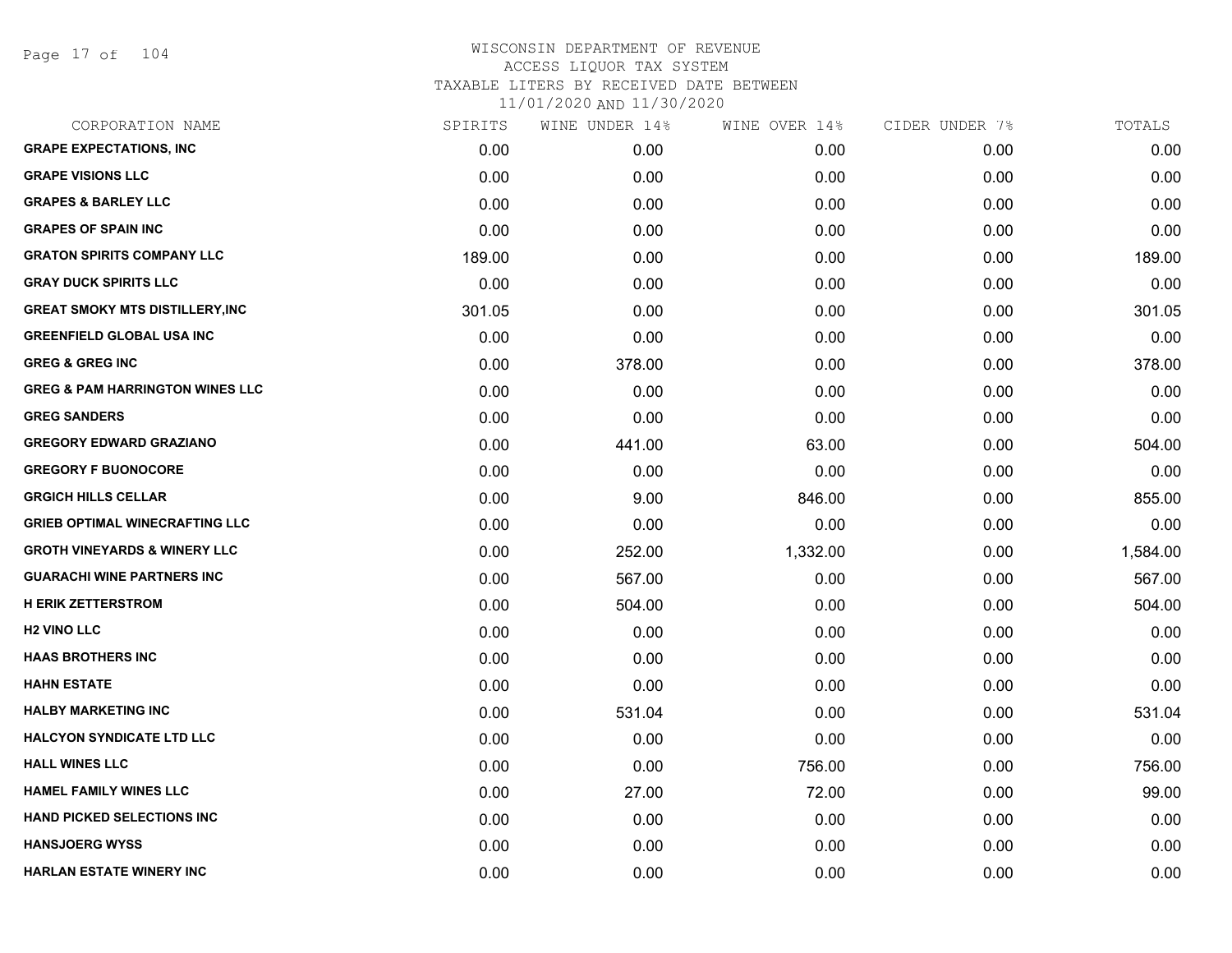Page 17 of 104

| CORPORATION NAME                           | SPIRITS | WINE UNDER 14% | WINE OVER 14% | CIDER UNDER 7% | TOTALS   |
|--------------------------------------------|---------|----------------|---------------|----------------|----------|
| <b>GRAPE EXPECTATIONS, INC</b>             | 0.00    | 0.00           | 0.00          | 0.00           | 0.00     |
| <b>GRAPE VISIONS LLC</b>                   | 0.00    | 0.00           | 0.00          | 0.00           | 0.00     |
| <b>GRAPES &amp; BARLEY LLC</b>             | 0.00    | 0.00           | 0.00          | 0.00           | 0.00     |
| <b>GRAPES OF SPAIN INC</b>                 | 0.00    | 0.00           | 0.00          | 0.00           | 0.00     |
| <b>GRATON SPIRITS COMPANY LLC</b>          | 189.00  | 0.00           | 0.00          | 0.00           | 189.00   |
| <b>GRAY DUCK SPIRITS LLC</b>               | 0.00    | 0.00           | 0.00          | 0.00           | 0.00     |
| <b>GREAT SMOKY MTS DISTILLERY, INC</b>     | 301.05  | 0.00           | 0.00          | 0.00           | 301.05   |
| <b>GREENFIELD GLOBAL USA INC</b>           | 0.00    | 0.00           | 0.00          | 0.00           | 0.00     |
| <b>GREG &amp; GREG INC</b>                 | 0.00    | 378.00         | 0.00          | 0.00           | 378.00   |
| <b>GREG &amp; PAM HARRINGTON WINES LLC</b> | 0.00    | 0.00           | 0.00          | 0.00           | 0.00     |
| <b>GREG SANDERS</b>                        | 0.00    | 0.00           | 0.00          | 0.00           | 0.00     |
| <b>GREGORY EDWARD GRAZIANO</b>             | 0.00    | 441.00         | 63.00         | 0.00           | 504.00   |
| <b>GREGORY F BUONOCORE</b>                 | 0.00    | 0.00           | 0.00          | 0.00           | 0.00     |
| <b>GRGICH HILLS CELLAR</b>                 | 0.00    | 9.00           | 846.00        | 0.00           | 855.00   |
| <b>GRIEB OPTIMAL WINECRAFTING LLC</b>      | 0.00    | 0.00           | 0.00          | 0.00           | 0.00     |
| <b>GROTH VINEYARDS &amp; WINERY LLC</b>    | 0.00    | 252.00         | 1,332.00      | 0.00           | 1,584.00 |
| <b>GUARACHI WINE PARTNERS INC</b>          | 0.00    | 567.00         | 0.00          | 0.00           | 567.00   |
| <b>H ERIK ZETTERSTROM</b>                  | 0.00    | 504.00         | 0.00          | 0.00           | 504.00   |
| <b>H2 VINO LLC</b>                         | 0.00    | 0.00           | 0.00          | 0.00           | 0.00     |
| <b>HAAS BROTHERS INC</b>                   | 0.00    | 0.00           | 0.00          | 0.00           | 0.00     |
| <b>HAHN ESTATE</b>                         | 0.00    | 0.00           | 0.00          | 0.00           | 0.00     |
| <b>HALBY MARKETING INC</b>                 | 0.00    | 531.04         | 0.00          | 0.00           | 531.04   |
| <b>HALCYON SYNDICATE LTD LLC</b>           | 0.00    | 0.00           | 0.00          | 0.00           | 0.00     |
| <b>HALL WINES LLC</b>                      | 0.00    | 0.00           | 756.00        | 0.00           | 756.00   |
| <b>HAMEL FAMILY WINES LLC</b>              | 0.00    | 27.00          | 72.00         | 0.00           | 99.00    |
| <b>HAND PICKED SELECTIONS INC</b>          | 0.00    | 0.00           | 0.00          | 0.00           | 0.00     |
| <b>HANSJOERG WYSS</b>                      | 0.00    | 0.00           | 0.00          | 0.00           | 0.00     |
| <b>HARLAN ESTATE WINERY INC</b>            | 0.00    | 0.00           | 0.00          | 0.00           | 0.00     |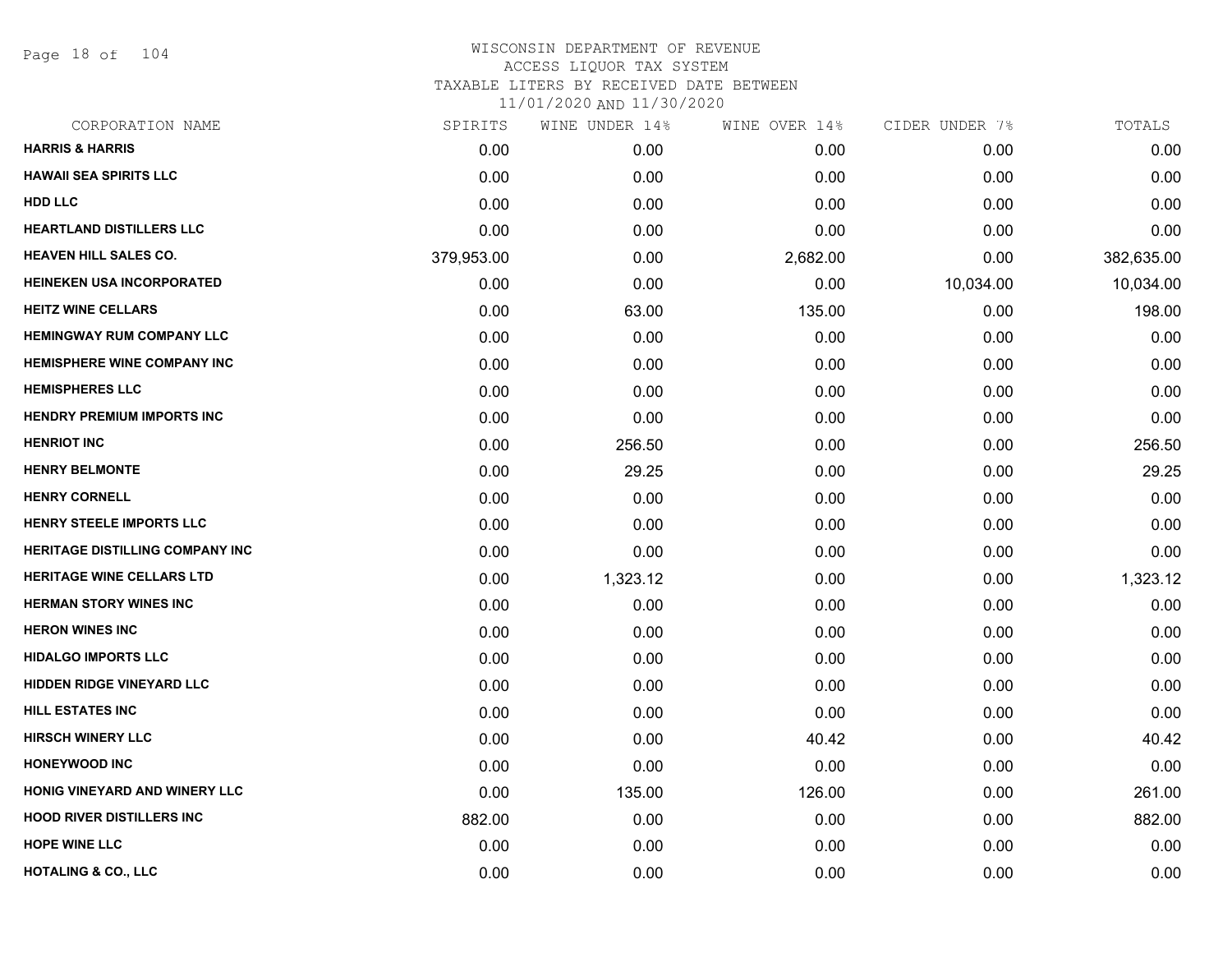Page 18 of 104

| SPIRITS    | WINE UNDER 14% | WINE OVER 14% | CIDER UNDER 7% | TOTALS     |
|------------|----------------|---------------|----------------|------------|
| 0.00       | 0.00           | 0.00          | 0.00           | 0.00       |
| 0.00       | 0.00           | 0.00          | 0.00           | 0.00       |
| 0.00       | 0.00           | 0.00          | 0.00           | 0.00       |
| 0.00       | 0.00           | 0.00          | 0.00           | 0.00       |
| 379,953.00 | 0.00           | 2,682.00      | 0.00           | 382,635.00 |
| 0.00       | 0.00           | 0.00          | 10,034.00      | 10,034.00  |
| 0.00       | 63.00          | 135.00        | 0.00           | 198.00     |
| 0.00       | 0.00           | 0.00          | 0.00           | 0.00       |
| 0.00       | 0.00           | 0.00          | 0.00           | 0.00       |
| 0.00       | 0.00           | 0.00          | 0.00           | 0.00       |
| 0.00       | 0.00           | 0.00          | 0.00           | 0.00       |
| 0.00       | 256.50         | 0.00          | 0.00           | 256.50     |
| 0.00       | 29.25          | 0.00          | 0.00           | 29.25      |
| 0.00       | 0.00           | 0.00          | 0.00           | 0.00       |
| 0.00       | 0.00           | 0.00          | 0.00           | 0.00       |
| 0.00       | 0.00           | 0.00          | 0.00           | 0.00       |
| 0.00       | 1,323.12       | 0.00          | 0.00           | 1,323.12   |
| 0.00       | 0.00           | 0.00          | 0.00           | 0.00       |
| 0.00       | 0.00           | 0.00          | 0.00           | 0.00       |
| 0.00       | 0.00           | 0.00          | 0.00           | 0.00       |
| 0.00       | 0.00           | 0.00          | 0.00           | 0.00       |
| 0.00       | 0.00           | 0.00          | 0.00           | 0.00       |
| 0.00       | 0.00           | 40.42         | 0.00           | 40.42      |
| 0.00       | 0.00           | 0.00          | 0.00           | 0.00       |
| 0.00       | 135.00         | 126.00        | 0.00           | 261.00     |
| 882.00     | 0.00           | 0.00          | 0.00           | 882.00     |
| 0.00       | 0.00           | 0.00          | 0.00           | 0.00       |
| 0.00       | 0.00           | 0.00          | 0.00           | 0.00       |
|            |                |               |                |            |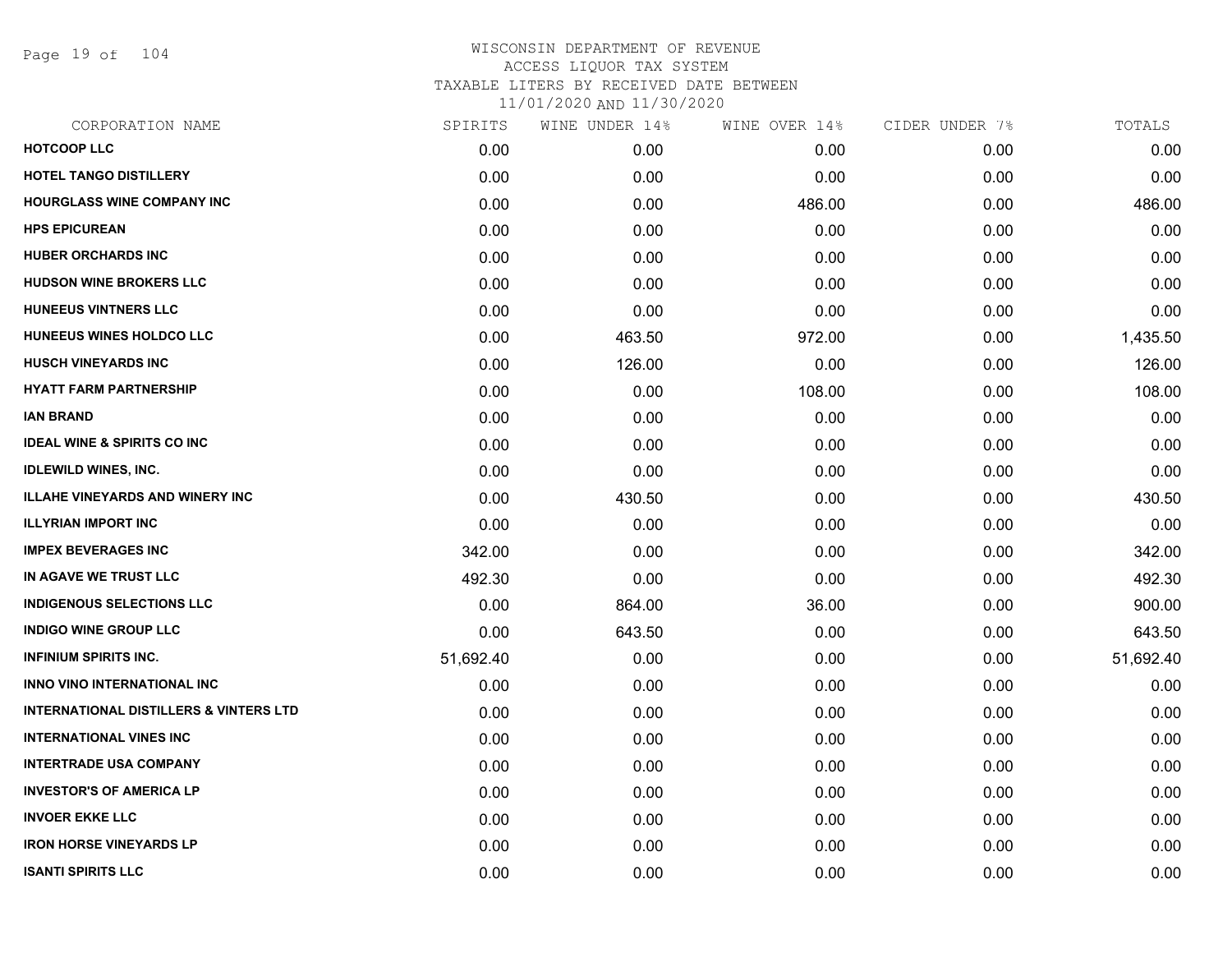Page 19 of 104

| CORPORATION NAME                                  | SPIRITS   | WINE UNDER 14% | WINE OVER 14% | CIDER UNDER 7% | TOTALS    |
|---------------------------------------------------|-----------|----------------|---------------|----------------|-----------|
| <b>HOTCOOP LLC</b>                                | 0.00      | 0.00           | 0.00          | 0.00           | 0.00      |
| <b>HOTEL TANGO DISTILLERY</b>                     | 0.00      | 0.00           | 0.00          | 0.00           | 0.00      |
| <b>HOURGLASS WINE COMPANY INC</b>                 | 0.00      | 0.00           | 486.00        | 0.00           | 486.00    |
| <b>HPS EPICUREAN</b>                              | 0.00      | 0.00           | 0.00          | 0.00           | 0.00      |
| <b>HUBER ORCHARDS INC</b>                         | 0.00      | 0.00           | 0.00          | 0.00           | 0.00      |
| <b>HUDSON WINE BROKERS LLC</b>                    | 0.00      | 0.00           | 0.00          | 0.00           | 0.00      |
| <b>HUNEEUS VINTNERS LLC</b>                       | 0.00      | 0.00           | 0.00          | 0.00           | 0.00      |
| HUNEEUS WINES HOLDCO LLC                          | 0.00      | 463.50         | 972.00        | 0.00           | 1,435.50  |
| <b>HUSCH VINEYARDS INC</b>                        | 0.00      | 126.00         | 0.00          | 0.00           | 126.00    |
| <b>HYATT FARM PARTNERSHIP</b>                     | 0.00      | 0.00           | 108.00        | 0.00           | 108.00    |
| <b>IAN BRAND</b>                                  | 0.00      | 0.00           | 0.00          | 0.00           | 0.00      |
| <b>IDEAL WINE &amp; SPIRITS CO INC</b>            | 0.00      | 0.00           | 0.00          | 0.00           | 0.00      |
| <b>IDLEWILD WINES, INC.</b>                       | 0.00      | 0.00           | 0.00          | 0.00           | 0.00      |
| <b>ILLAHE VINEYARDS AND WINERY INC</b>            | 0.00      | 430.50         | 0.00          | 0.00           | 430.50    |
| <b>ILLYRIAN IMPORT INC</b>                        | 0.00      | 0.00           | 0.00          | 0.00           | 0.00      |
| <b>IMPEX BEVERAGES INC</b>                        | 342.00    | 0.00           | 0.00          | 0.00           | 342.00    |
| IN AGAVE WE TRUST LLC                             | 492.30    | 0.00           | 0.00          | 0.00           | 492.30    |
| <b>INDIGENOUS SELECTIONS LLC</b>                  | 0.00      | 864.00         | 36.00         | 0.00           | 900.00    |
| <b>INDIGO WINE GROUP LLC</b>                      | 0.00      | 643.50         | 0.00          | 0.00           | 643.50    |
| <b>INFINIUM SPIRITS INC.</b>                      | 51,692.40 | 0.00           | 0.00          | 0.00           | 51,692.40 |
| INNO VINO INTERNATIONAL INC                       | 0.00      | 0.00           | 0.00          | 0.00           | 0.00      |
| <b>INTERNATIONAL DISTILLERS &amp; VINTERS LTD</b> | 0.00      | 0.00           | 0.00          | 0.00           | 0.00      |
| <b>INTERNATIONAL VINES INC</b>                    | 0.00      | 0.00           | 0.00          | 0.00           | 0.00      |
| <b>INTERTRADE USA COMPANY</b>                     | 0.00      | 0.00           | 0.00          | 0.00           | 0.00      |
| <b>INVESTOR'S OF AMERICA LP</b>                   | 0.00      | 0.00           | 0.00          | 0.00           | 0.00      |
| <b>INVOER EKKE LLC</b>                            | 0.00      | 0.00           | 0.00          | 0.00           | 0.00      |
| <b>IRON HORSE VINEYARDS LP</b>                    | 0.00      | 0.00           | 0.00          | 0.00           | 0.00      |
| <b>ISANTI SPIRITS LLC</b>                         | 0.00      | 0.00           | 0.00          | 0.00           | 0.00      |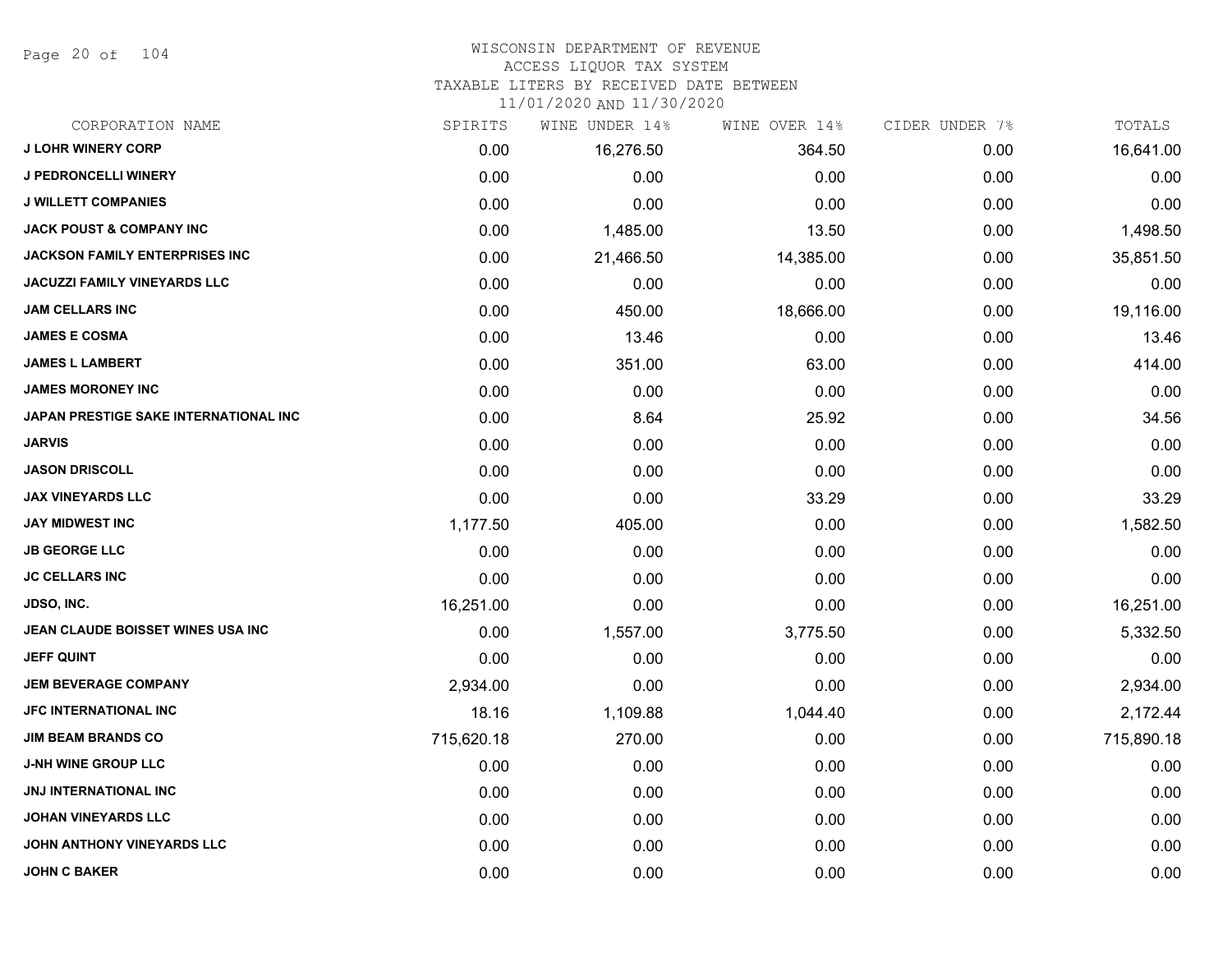Page 20 of 104

#### WISCONSIN DEPARTMENT OF REVENUE ACCESS LIQUOR TAX SYSTEM

# TAXABLE LITERS BY RECEIVED DATE BETWEEN

| CORPORATION NAME                      | SPIRITS    | WINE UNDER 14% | WINE OVER 14% | CIDER UNDER 7% | TOTALS     |
|---------------------------------------|------------|----------------|---------------|----------------|------------|
| <b>J LOHR WINERY CORP</b>             | 0.00       | 16,276.50      | 364.50        | 0.00           | 16,641.00  |
| <b>J PEDRONCELLI WINERY</b>           | 0.00       | 0.00           | 0.00          | 0.00           | 0.00       |
| <b>J WILLETT COMPANIES</b>            | 0.00       | 0.00           | 0.00          | 0.00           | 0.00       |
| <b>JACK POUST &amp; COMPANY INC</b>   | 0.00       | 1,485.00       | 13.50         | 0.00           | 1,498.50   |
| JACKSON FAMILY ENTERPRISES INC        | 0.00       | 21,466.50      | 14,385.00     | 0.00           | 35,851.50  |
| <b>JACUZZI FAMILY VINEYARDS LLC</b>   | 0.00       | 0.00           | 0.00          | 0.00           | 0.00       |
| <b>JAM CELLARS INC</b>                | 0.00       | 450.00         | 18,666.00     | 0.00           | 19,116.00  |
| <b>JAMES E COSMA</b>                  | 0.00       | 13.46          | 0.00          | 0.00           | 13.46      |
| <b>JAMES L LAMBERT</b>                | 0.00       | 351.00         | 63.00         | 0.00           | 414.00     |
| <b>JAMES MORONEY INC</b>              | 0.00       | 0.00           | 0.00          | 0.00           | 0.00       |
| JAPAN PRESTIGE SAKE INTERNATIONAL INC | 0.00       | 8.64           | 25.92         | 0.00           | 34.56      |
| <b>JARVIS</b>                         | 0.00       | 0.00           | 0.00          | 0.00           | 0.00       |
| <b>JASON DRISCOLL</b>                 | 0.00       | 0.00           | 0.00          | 0.00           | 0.00       |
| <b>JAX VINEYARDS LLC</b>              | 0.00       | 0.00           | 33.29         | 0.00           | 33.29      |
| <b>JAY MIDWEST INC</b>                | 1,177.50   | 405.00         | 0.00          | 0.00           | 1,582.50   |
| <b>JB GEORGE LLC</b>                  | 0.00       | 0.00           | 0.00          | 0.00           | 0.00       |
| <b>JC CELLARS INC</b>                 | 0.00       | 0.00           | 0.00          | 0.00           | 0.00       |
| <b>JDSO, INC.</b>                     | 16,251.00  | 0.00           | 0.00          | 0.00           | 16,251.00  |
| JEAN CLAUDE BOISSET WINES USA INC     | 0.00       | 1,557.00       | 3,775.50      | 0.00           | 5,332.50   |
| <b>JEFF QUINT</b>                     | 0.00       | 0.00           | 0.00          | 0.00           | 0.00       |
| <b>JEM BEVERAGE COMPANY</b>           | 2,934.00   | 0.00           | 0.00          | 0.00           | 2,934.00   |
| <b>JFC INTERNATIONAL INC</b>          | 18.16      | 1,109.88       | 1,044.40      | 0.00           | 2,172.44   |
| <b>JIM BEAM BRANDS CO</b>             | 715,620.18 | 270.00         | 0.00          | 0.00           | 715,890.18 |
| <b>J-NH WINE GROUP LLC</b>            | 0.00       | 0.00           | 0.00          | 0.00           | 0.00       |
| <b>JNJ INTERNATIONAL INC</b>          | 0.00       | 0.00           | 0.00          | 0.00           | 0.00       |
| <b>JOHAN VINEYARDS LLC</b>            | 0.00       | 0.00           | 0.00          | 0.00           | 0.00       |
| JOHN ANTHONY VINEYARDS LLC            | 0.00       | 0.00           | 0.00          | 0.00           | 0.00       |
| <b>JOHN C BAKER</b>                   | 0.00       | 0.00           | 0.00          | 0.00           | 0.00       |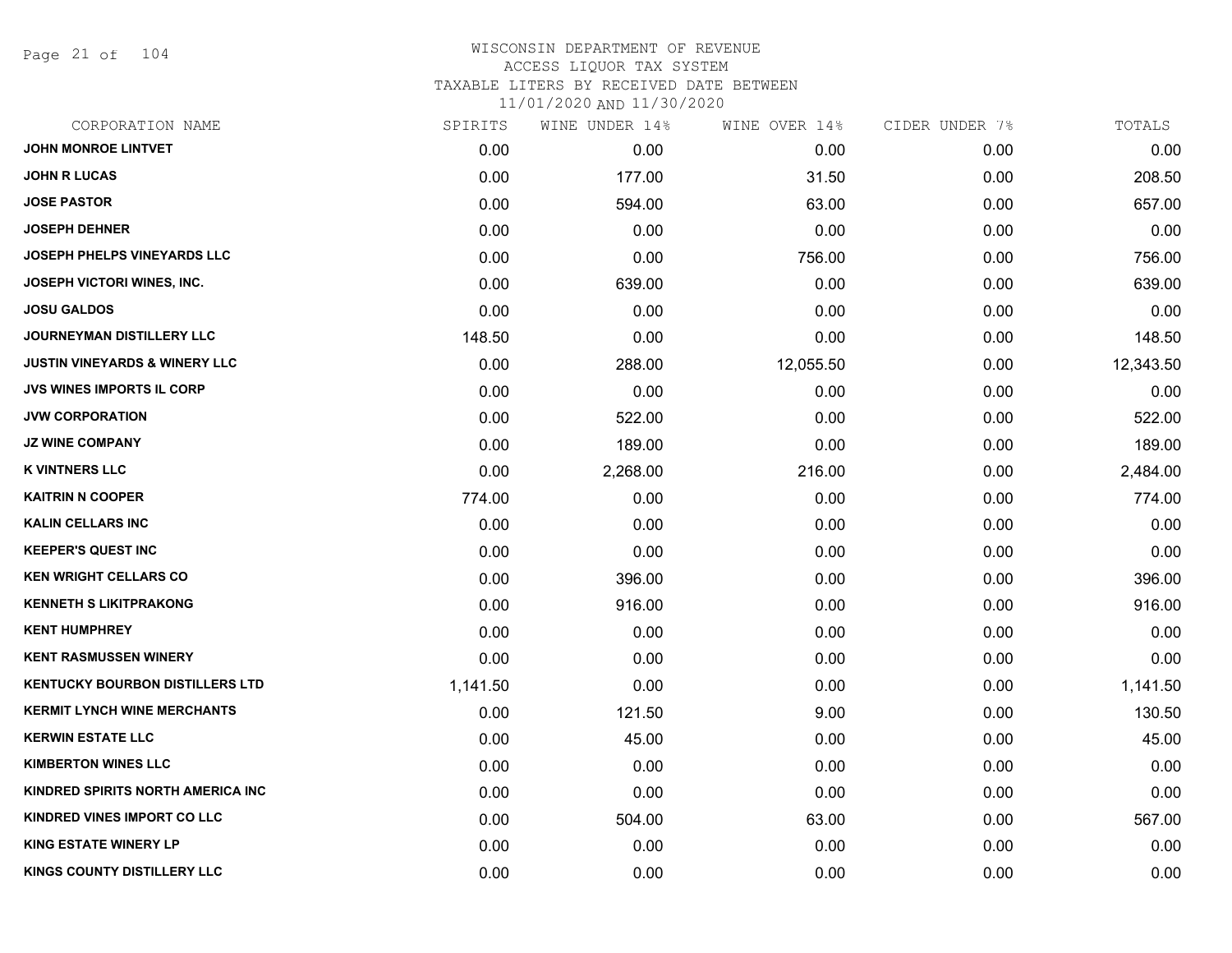Page 21 of 104

| CORPORATION NAME                         | SPIRITS  | WINE UNDER 14% | WINE OVER 14% | CIDER UNDER 7% | TOTALS    |
|------------------------------------------|----------|----------------|---------------|----------------|-----------|
| <b>JOHN MONROE LINTVET</b>               | 0.00     | 0.00           | 0.00          | 0.00           | 0.00      |
| <b>JOHN R LUCAS</b>                      | 0.00     | 177.00         | 31.50         | 0.00           | 208.50    |
| <b>JOSE PASTOR</b>                       | 0.00     | 594.00         | 63.00         | 0.00           | 657.00    |
| <b>JOSEPH DEHNER</b>                     | 0.00     | 0.00           | 0.00          | 0.00           | 0.00      |
| JOSEPH PHELPS VINEYARDS LLC              | 0.00     | 0.00           | 756.00        | 0.00           | 756.00    |
| <b>JOSEPH VICTORI WINES, INC.</b>        | 0.00     | 639.00         | 0.00          | 0.00           | 639.00    |
| <b>JOSU GALDOS</b>                       | 0.00     | 0.00           | 0.00          | 0.00           | 0.00      |
| <b>JOURNEYMAN DISTILLERY LLC</b>         | 148.50   | 0.00           | 0.00          | 0.00           | 148.50    |
| <b>JUSTIN VINEYARDS &amp; WINERY LLC</b> | 0.00     | 288.00         | 12,055.50     | 0.00           | 12,343.50 |
| <b>JVS WINES IMPORTS IL CORP</b>         | 0.00     | 0.00           | 0.00          | 0.00           | 0.00      |
| <b>JVW CORPORATION</b>                   | 0.00     | 522.00         | 0.00          | 0.00           | 522.00    |
| <b>JZ WINE COMPANY</b>                   | 0.00     | 189.00         | 0.00          | 0.00           | 189.00    |
| <b>K VINTNERS LLC</b>                    | 0.00     | 2,268.00       | 216.00        | 0.00           | 2,484.00  |
| <b>KAITRIN N COOPER</b>                  | 774.00   | 0.00           | 0.00          | 0.00           | 774.00    |
| <b>KALIN CELLARS INC</b>                 | 0.00     | 0.00           | 0.00          | 0.00           | 0.00      |
| <b>KEEPER'S QUEST INC</b>                | 0.00     | 0.00           | 0.00          | 0.00           | 0.00      |
| <b>KEN WRIGHT CELLARS CO</b>             | 0.00     | 396.00         | 0.00          | 0.00           | 396.00    |
| <b>KENNETH S LIKITPRAKONG</b>            | 0.00     | 916.00         | 0.00          | 0.00           | 916.00    |
| <b>KENT HUMPHREY</b>                     | 0.00     | 0.00           | 0.00          | 0.00           | 0.00      |
| <b>KENT RASMUSSEN WINERY</b>             | 0.00     | 0.00           | 0.00          | 0.00           | 0.00      |
| <b>KENTUCKY BOURBON DISTILLERS LTD</b>   | 1,141.50 | 0.00           | 0.00          | 0.00           | 1,141.50  |
| <b>KERMIT LYNCH WINE MERCHANTS</b>       | 0.00     | 121.50         | 9.00          | 0.00           | 130.50    |
| <b>KERWIN ESTATE LLC</b>                 | 0.00     | 45.00          | 0.00          | 0.00           | 45.00     |
| <b>KIMBERTON WINES LLC</b>               | 0.00     | 0.00           | 0.00          | 0.00           | 0.00      |
| KINDRED SPIRITS NORTH AMERICA INC        | 0.00     | 0.00           | 0.00          | 0.00           | 0.00      |
| KINDRED VINES IMPORT CO LLC              | 0.00     | 504.00         | 63.00         | 0.00           | 567.00    |
| <b>KING ESTATE WINERY LP</b>             | 0.00     | 0.00           | 0.00          | 0.00           | 0.00      |
| KINGS COUNTY DISTILLERY LLC              | 0.00     | 0.00           | 0.00          | 0.00           | 0.00      |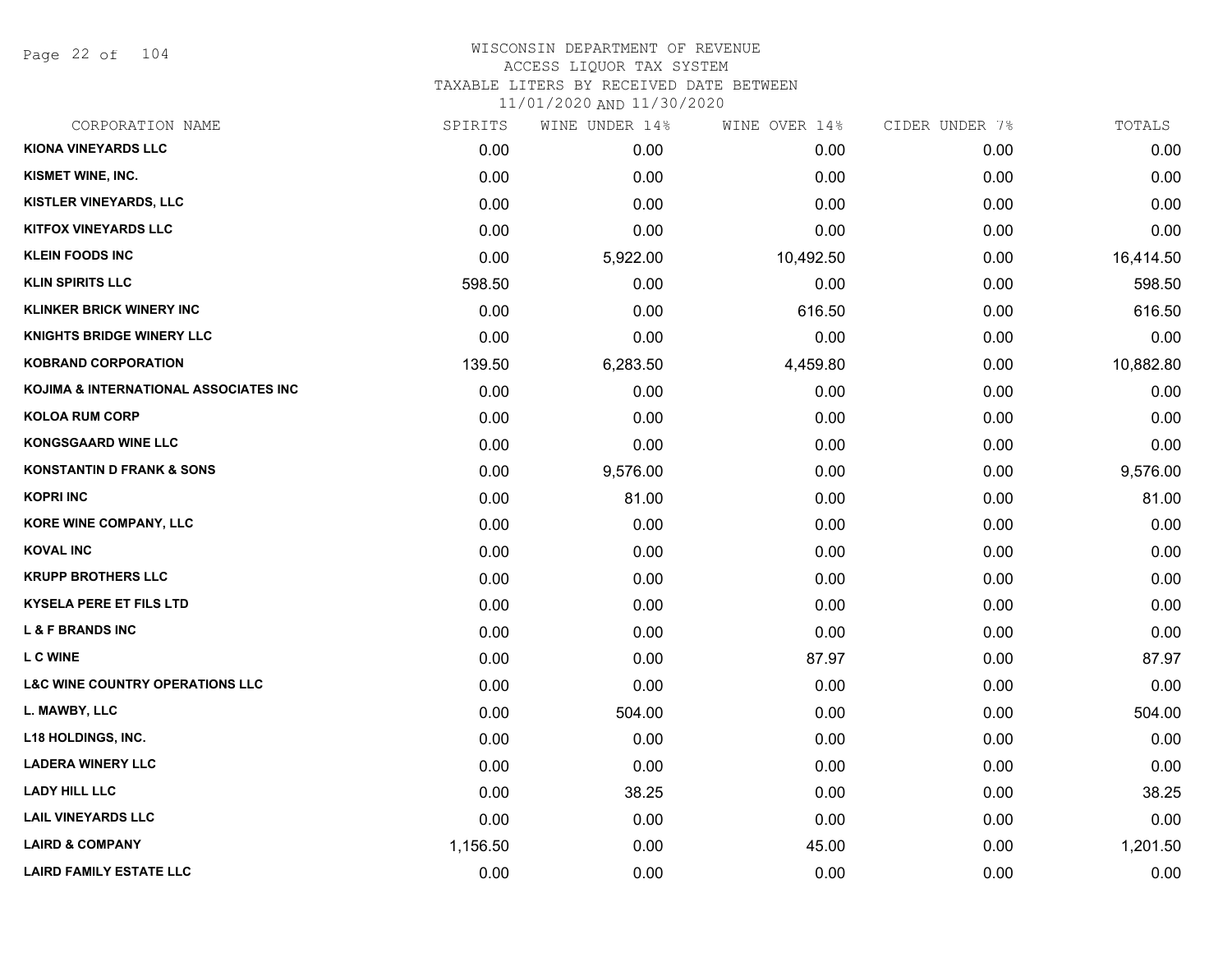Page 22 of 104

# WISCONSIN DEPARTMENT OF REVENUE ACCESS LIQUOR TAX SYSTEM TAXABLE LITERS BY RECEIVED DATE BETWEEN

| CORPORATION NAME                           | SPIRITS  | WINE UNDER 14% | WINE OVER 14% | CIDER UNDER 7% | TOTALS    |
|--------------------------------------------|----------|----------------|---------------|----------------|-----------|
| KIONA VINEYARDS LLC                        | 0.00     | 0.00           | 0.00          | 0.00           | 0.00      |
| KISMET WINE, INC.                          | 0.00     | 0.00           | 0.00          | 0.00           | 0.00      |
| KISTLER VINEYARDS, LLC                     | 0.00     | 0.00           | 0.00          | 0.00           | 0.00      |
| <b>KITFOX VINEYARDS LLC</b>                | 0.00     | 0.00           | 0.00          | 0.00           | 0.00      |
| <b>KLEIN FOODS INC</b>                     | 0.00     | 5,922.00       | 10,492.50     | 0.00           | 16,414.50 |
| <b>KLIN SPIRITS LLC</b>                    | 598.50   | 0.00           | 0.00          | 0.00           | 598.50    |
| <b>KLINKER BRICK WINERY INC</b>            | 0.00     | 0.00           | 616.50        | 0.00           | 616.50    |
| <b>KNIGHTS BRIDGE WINERY LLC</b>           | 0.00     | 0.00           | 0.00          | 0.00           | 0.00      |
| <b>KOBRAND CORPORATION</b>                 | 139.50   | 6,283.50       | 4,459.80      | 0.00           | 10,882.80 |
| KOJIMA & INTERNATIONAL ASSOCIATES INC      | 0.00     | 0.00           | 0.00          | 0.00           | 0.00      |
| <b>KOLOA RUM CORP</b>                      | 0.00     | 0.00           | 0.00          | 0.00           | 0.00      |
| <b>KONGSGAARD WINE LLC</b>                 | 0.00     | 0.00           | 0.00          | 0.00           | 0.00      |
| <b>KONSTANTIN D FRANK &amp; SONS</b>       | 0.00     | 9,576.00       | 0.00          | 0.00           | 9,576.00  |
| <b>KOPRI INC</b>                           | 0.00     | 81.00          | 0.00          | 0.00           | 81.00     |
| <b>KORE WINE COMPANY, LLC</b>              | 0.00     | 0.00           | 0.00          | 0.00           | 0.00      |
| <b>KOVAL INC</b>                           | 0.00     | 0.00           | 0.00          | 0.00           | 0.00      |
| <b>KRUPP BROTHERS LLC</b>                  | 0.00     | 0.00           | 0.00          | 0.00           | 0.00      |
| <b>KYSELA PERE ET FILS LTD</b>             | 0.00     | 0.00           | 0.00          | 0.00           | 0.00      |
| <b>L &amp; F BRANDS INC</b>                | 0.00     | 0.00           | 0.00          | 0.00           | 0.00      |
| <b>LC WINE</b>                             | 0.00     | 0.00           | 87.97         | 0.00           | 87.97     |
| <b>L&amp;C WINE COUNTRY OPERATIONS LLC</b> | 0.00     | 0.00           | 0.00          | 0.00           | 0.00      |
| L. MAWBY, LLC                              | 0.00     | 504.00         | 0.00          | 0.00           | 504.00    |
| L18 HOLDINGS, INC.                         | 0.00     | 0.00           | 0.00          | 0.00           | 0.00      |
| <b>LADERA WINERY LLC</b>                   | 0.00     | 0.00           | 0.00          | 0.00           | 0.00      |
| <b>LADY HILL LLC</b>                       | 0.00     | 38.25          | 0.00          | 0.00           | 38.25     |
| <b>LAIL VINEYARDS LLC</b>                  | 0.00     | 0.00           | 0.00          | 0.00           | 0.00      |
| <b>LAIRD &amp; COMPANY</b>                 | 1,156.50 | 0.00           | 45.00         | 0.00           | 1,201.50  |
| <b>LAIRD FAMILY ESTATE LLC</b>             | 0.00     | 0.00           | 0.00          | 0.00           | 0.00      |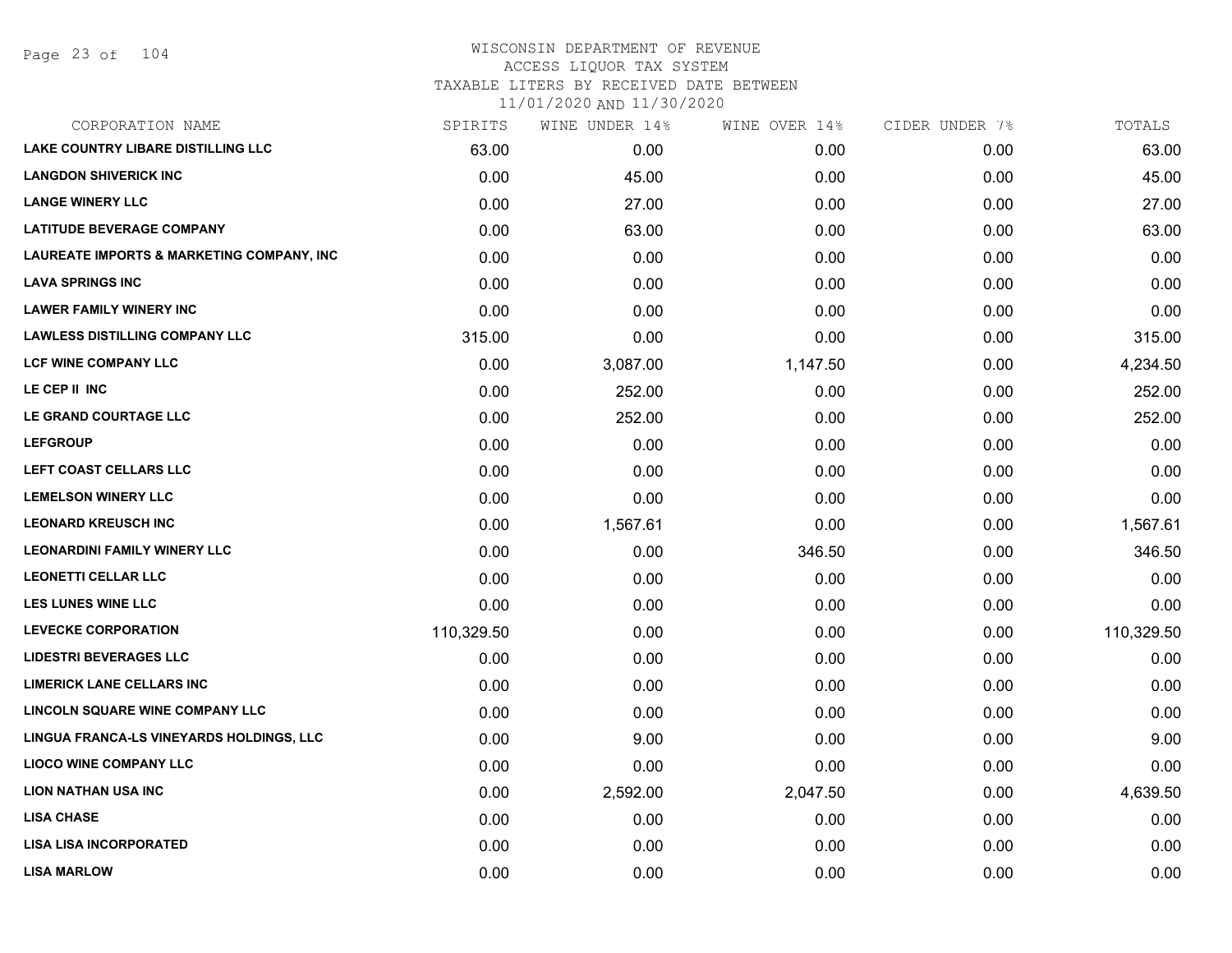#### WISCONSIN DEPARTMENT OF REVENUE ACCESS LIQUOR TAX SYSTEM TAXABLE LITERS BY RECEIVED DATE BETWEEN

| CORPORATION NAME                                     | SPIRITS    | WINE UNDER 14% | WINE OVER 14% | CIDER UNDER 7% | TOTALS     |
|------------------------------------------------------|------------|----------------|---------------|----------------|------------|
| <b>LAKE COUNTRY LIBARE DISTILLING LLC</b>            | 63.00      | 0.00           | 0.00          | 0.00           | 63.00      |
| <b>LANGDON SHIVERICK INC</b>                         | 0.00       | 45.00          | 0.00          | 0.00           | 45.00      |
| <b>LANGE WINERY LLC</b>                              | 0.00       | 27.00          | 0.00          | 0.00           | 27.00      |
| <b>LATITUDE BEVERAGE COMPANY</b>                     | 0.00       | 63.00          | 0.00          | 0.00           | 63.00      |
| <b>LAUREATE IMPORTS &amp; MARKETING COMPANY, INC</b> | 0.00       | 0.00           | 0.00          | 0.00           | 0.00       |
| <b>LAVA SPRINGS INC</b>                              | 0.00       | 0.00           | 0.00          | 0.00           | 0.00       |
| <b>LAWER FAMILY WINERY INC</b>                       | 0.00       | 0.00           | 0.00          | 0.00           | 0.00       |
| <b>LAWLESS DISTILLING COMPANY LLC</b>                | 315.00     | 0.00           | 0.00          | 0.00           | 315.00     |
| LCF WINE COMPANY LLC                                 | 0.00       | 3,087.00       | 1,147.50      | 0.00           | 4,234.50   |
| LE CEP II INC                                        | 0.00       | 252.00         | 0.00          | 0.00           | 252.00     |
| LE GRAND COURTAGE LLC                                | 0.00       | 252.00         | 0.00          | 0.00           | 252.00     |
| <b>LEFGROUP</b>                                      | 0.00       | 0.00           | 0.00          | 0.00           | 0.00       |
| LEFT COAST CELLARS LLC                               | 0.00       | 0.00           | 0.00          | 0.00           | 0.00       |
| <b>LEMELSON WINERY LLC</b>                           | 0.00       | 0.00           | 0.00          | 0.00           | 0.00       |
| <b>LEONARD KREUSCH INC</b>                           | 0.00       | 1,567.61       | 0.00          | 0.00           | 1,567.61   |
| <b>LEONARDINI FAMILY WINERY LLC</b>                  | 0.00       | 0.00           | 346.50        | 0.00           | 346.50     |
| <b>LEONETTI CELLAR LLC</b>                           | 0.00       | 0.00           | 0.00          | 0.00           | 0.00       |
| <b>LES LUNES WINE LLC</b>                            | 0.00       | 0.00           | 0.00          | 0.00           | 0.00       |
| <b>LEVECKE CORPORATION</b>                           | 110,329.50 | 0.00           | 0.00          | 0.00           | 110,329.50 |
| <b>LIDESTRI BEVERAGES LLC</b>                        | 0.00       | 0.00           | 0.00          | 0.00           | 0.00       |
| <b>LIMERICK LANE CELLARS INC</b>                     | 0.00       | 0.00           | 0.00          | 0.00           | 0.00       |
| LINCOLN SQUARE WINE COMPANY LLC                      | 0.00       | 0.00           | 0.00          | 0.00           | 0.00       |
| LINGUA FRANCA-LS VINEYARDS HOLDINGS, LLC             | 0.00       | 9.00           | 0.00          | 0.00           | 9.00       |
| <b>LIOCO WINE COMPANY LLC</b>                        | 0.00       | 0.00           | 0.00          | 0.00           | 0.00       |
| <b>LION NATHAN USA INC</b>                           | 0.00       | 2,592.00       | 2,047.50      | 0.00           | 4,639.50   |
| <b>LISA CHASE</b>                                    | 0.00       | 0.00           | 0.00          | 0.00           | 0.00       |
| <b>LISA LISA INCORPORATED</b>                        | 0.00       | 0.00           | 0.00          | 0.00           | 0.00       |
| <b>LISA MARLOW</b>                                   | 0.00       | 0.00           | 0.00          | 0.00           | 0.00       |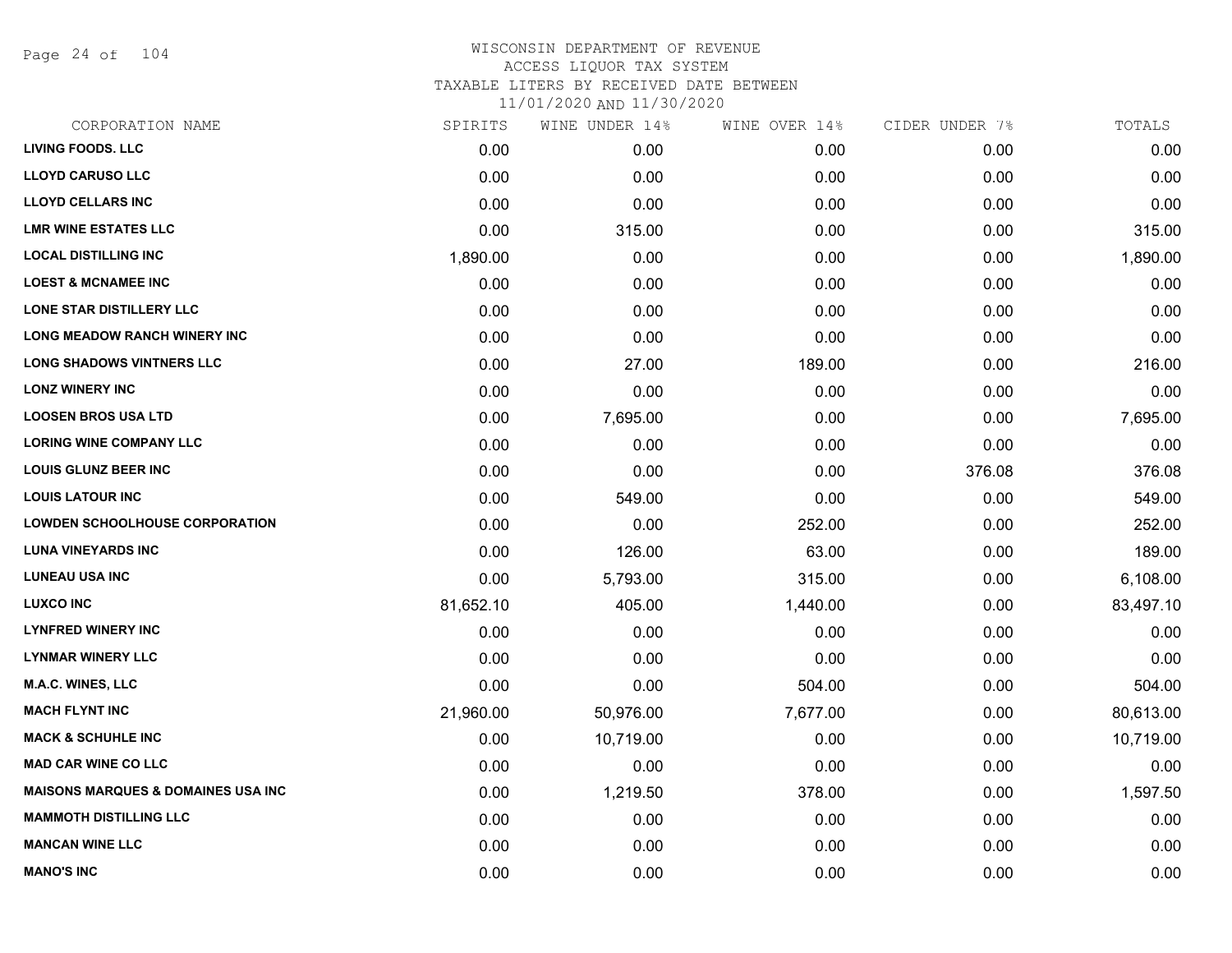Page 24 of 104

## WISCONSIN DEPARTMENT OF REVENUE ACCESS LIQUOR TAX SYSTEM TAXABLE LITERS BY RECEIVED DATE BETWEEN

| CORPORATION NAME                               | SPIRITS   | WINE UNDER 14% | WINE OVER 14% | CIDER UNDER 7% | TOTALS    |
|------------------------------------------------|-----------|----------------|---------------|----------------|-----------|
| <b>LIVING FOODS. LLC</b>                       | 0.00      | 0.00           | 0.00          | 0.00           | 0.00      |
| <b>LLOYD CARUSO LLC</b>                        | 0.00      | 0.00           | 0.00          | 0.00           | 0.00      |
| <b>LLOYD CELLARS INC</b>                       | 0.00      | 0.00           | 0.00          | 0.00           | 0.00      |
| <b>LMR WINE ESTATES LLC</b>                    | 0.00      | 315.00         | 0.00          | 0.00           | 315.00    |
| <b>LOCAL DISTILLING INC</b>                    | 1,890.00  | 0.00           | 0.00          | 0.00           | 1,890.00  |
| <b>LOEST &amp; MCNAMEE INC</b>                 | 0.00      | 0.00           | 0.00          | 0.00           | 0.00      |
| LONE STAR DISTILLERY LLC                       | 0.00      | 0.00           | 0.00          | 0.00           | 0.00      |
| <b>LONG MEADOW RANCH WINERY INC</b>            | 0.00      | 0.00           | 0.00          | 0.00           | 0.00      |
| <b>LONG SHADOWS VINTNERS LLC</b>               | 0.00      | 27.00          | 189.00        | 0.00           | 216.00    |
| <b>LONZ WINERY INC</b>                         | 0.00      | 0.00           | 0.00          | 0.00           | 0.00      |
| <b>LOOSEN BROS USA LTD</b>                     | 0.00      | 7,695.00       | 0.00          | 0.00           | 7,695.00  |
| <b>LORING WINE COMPANY LLC</b>                 | 0.00      | 0.00           | 0.00          | 0.00           | 0.00      |
| <b>LOUIS GLUNZ BEER INC</b>                    | 0.00      | 0.00           | 0.00          | 376.08         | 376.08    |
| <b>LOUIS LATOUR INC</b>                        | 0.00      | 549.00         | 0.00          | 0.00           | 549.00    |
| <b>LOWDEN SCHOOLHOUSE CORPORATION</b>          | 0.00      | 0.00           | 252.00        | 0.00           | 252.00    |
| <b>LUNA VINEYARDS INC</b>                      | 0.00      | 126.00         | 63.00         | 0.00           | 189.00    |
| <b>LUNEAU USA INC</b>                          | 0.00      | 5,793.00       | 315.00        | 0.00           | 6,108.00  |
| <b>LUXCO INC</b>                               | 81,652.10 | 405.00         | 1,440.00      | 0.00           | 83,497.10 |
| <b>LYNFRED WINERY INC</b>                      | 0.00      | 0.00           | 0.00          | 0.00           | 0.00      |
| <b>LYNMAR WINERY LLC</b>                       | 0.00      | 0.00           | 0.00          | 0.00           | 0.00      |
| <b>M.A.C. WINES, LLC</b>                       | 0.00      | 0.00           | 504.00        | 0.00           | 504.00    |
| <b>MACH FLYNT INC</b>                          | 21,960.00 | 50,976.00      | 7,677.00      | 0.00           | 80,613.00 |
| <b>MACK &amp; SCHUHLE INC</b>                  | 0.00      | 10,719.00      | 0.00          | 0.00           | 10,719.00 |
| <b>MAD CAR WINE CO LLC</b>                     | 0.00      | 0.00           | 0.00          | 0.00           | 0.00      |
| <b>MAISONS MARQUES &amp; DOMAINES USA INC.</b> | 0.00      | 1,219.50       | 378.00        | 0.00           | 1,597.50  |
| <b>MAMMOTH DISTILLING LLC</b>                  | 0.00      | 0.00           | 0.00          | 0.00           | 0.00      |
| <b>MANCAN WINE LLC</b>                         | 0.00      | 0.00           | 0.00          | 0.00           | 0.00      |
| <b>MANO'S INC</b>                              | 0.00      | 0.00           | 0.00          | 0.00           | 0.00      |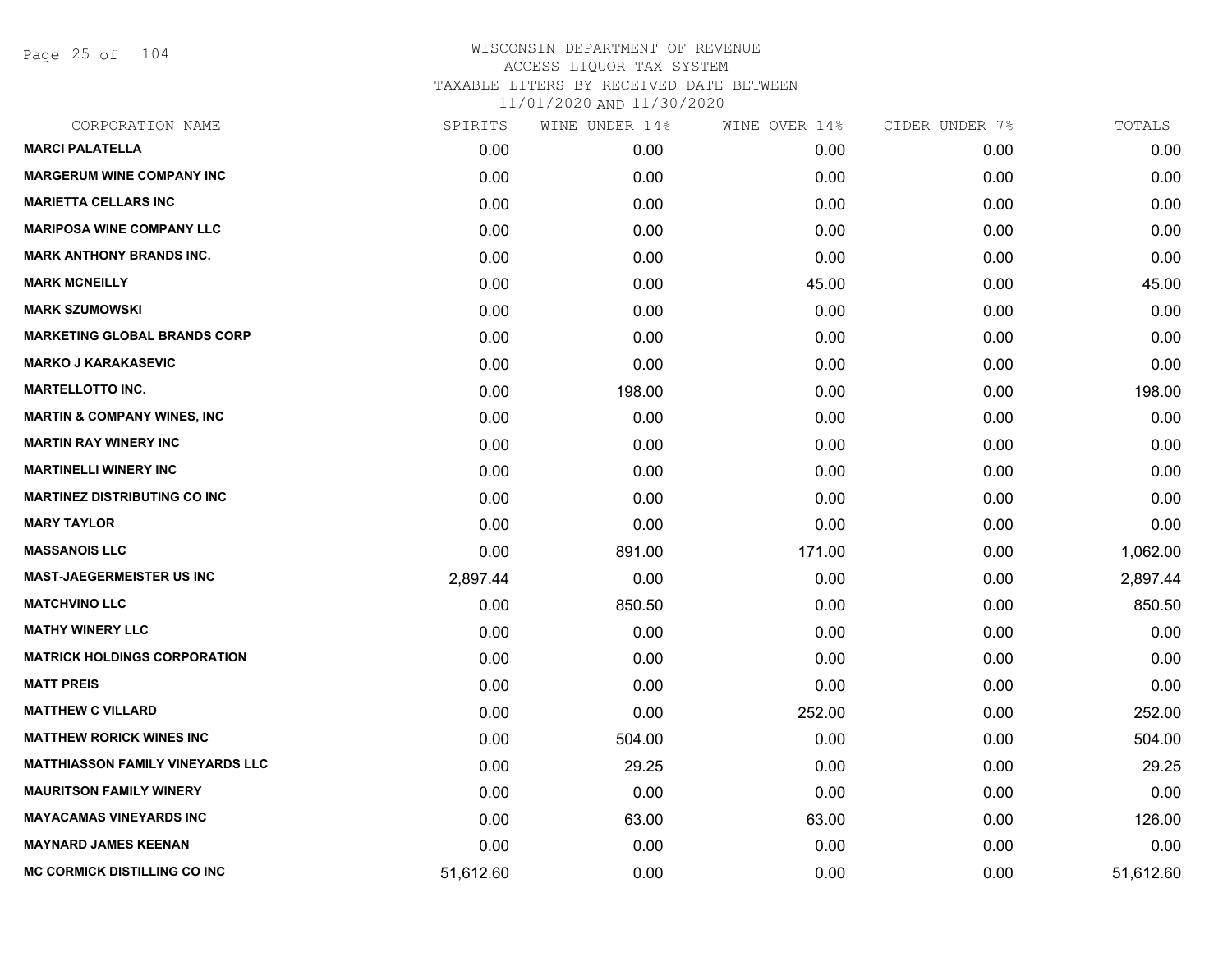Page 25 of 104

| CORPORATION NAME                        | SPIRITS   | WINE UNDER 14% | WINE OVER 14% | CIDER UNDER 7% | TOTALS    |
|-----------------------------------------|-----------|----------------|---------------|----------------|-----------|
| <b>MARCI PALATELLA</b>                  | 0.00      | 0.00           | 0.00          | 0.00           | 0.00      |
| <b>MARGERUM WINE COMPANY INC</b>        | 0.00      | 0.00           | 0.00          | 0.00           | 0.00      |
| <b>MARIETTA CELLARS INC</b>             | 0.00      | 0.00           | 0.00          | 0.00           | 0.00      |
| <b>MARIPOSA WINE COMPANY LLC</b>        | 0.00      | 0.00           | 0.00          | 0.00           | 0.00      |
| <b>MARK ANTHONY BRANDS INC.</b>         | 0.00      | 0.00           | 0.00          | 0.00           | 0.00      |
| <b>MARK MCNEILLY</b>                    | 0.00      | 0.00           | 45.00         | 0.00           | 45.00     |
| <b>MARK SZUMOWSKI</b>                   | 0.00      | 0.00           | 0.00          | 0.00           | 0.00      |
| <b>MARKETING GLOBAL BRANDS CORP</b>     | 0.00      | 0.00           | 0.00          | 0.00           | 0.00      |
| <b>MARKO J KARAKASEVIC</b>              | 0.00      | 0.00           | 0.00          | 0.00           | 0.00      |
| <b>MARTELLOTTO INC.</b>                 | 0.00      | 198.00         | 0.00          | 0.00           | 198.00    |
| <b>MARTIN &amp; COMPANY WINES, INC</b>  | 0.00      | 0.00           | 0.00          | 0.00           | 0.00      |
| <b>MARTIN RAY WINERY INC</b>            | 0.00      | 0.00           | 0.00          | 0.00           | 0.00      |
| <b>MARTINELLI WINERY INC</b>            | 0.00      | 0.00           | 0.00          | 0.00           | 0.00      |
| <b>MARTINEZ DISTRIBUTING CO INC</b>     | 0.00      | 0.00           | 0.00          | 0.00           | 0.00      |
| <b>MARY TAYLOR</b>                      | 0.00      | 0.00           | 0.00          | 0.00           | 0.00      |
| <b>MASSANOIS LLC</b>                    | 0.00      | 891.00         | 171.00        | 0.00           | 1,062.00  |
| <b>MAST-JAEGERMEISTER US INC</b>        | 2,897.44  | 0.00           | 0.00          | 0.00           | 2,897.44  |
| <b>MATCHVINO LLC</b>                    | 0.00      | 850.50         | 0.00          | 0.00           | 850.50    |
| <b>MATHY WINERY LLC</b>                 | 0.00      | 0.00           | 0.00          | 0.00           | 0.00      |
| <b>MATRICK HOLDINGS CORPORATION</b>     | 0.00      | 0.00           | 0.00          | 0.00           | 0.00      |
| <b>MATT PREIS</b>                       | 0.00      | 0.00           | 0.00          | 0.00           | 0.00      |
| <b>MATTHEW C VILLARD</b>                | 0.00      | 0.00           | 252.00        | 0.00           | 252.00    |
| <b>MATTHEW RORICK WINES INC</b>         | 0.00      | 504.00         | 0.00          | 0.00           | 504.00    |
| <b>MATTHIASSON FAMILY VINEYARDS LLC</b> | 0.00      | 29.25          | 0.00          | 0.00           | 29.25     |
| <b>MAURITSON FAMILY WINERY</b>          | 0.00      | 0.00           | 0.00          | 0.00           | 0.00      |
| <b>MAYACAMAS VINEYARDS INC</b>          | 0.00      | 63.00          | 63.00         | 0.00           | 126.00    |
| <b>MAYNARD JAMES KEENAN</b>             | 0.00      | 0.00           | 0.00          | 0.00           | 0.00      |
| MC CORMICK DISTILLING CO INC            | 51,612.60 | 0.00           | 0.00          | 0.00           | 51,612.60 |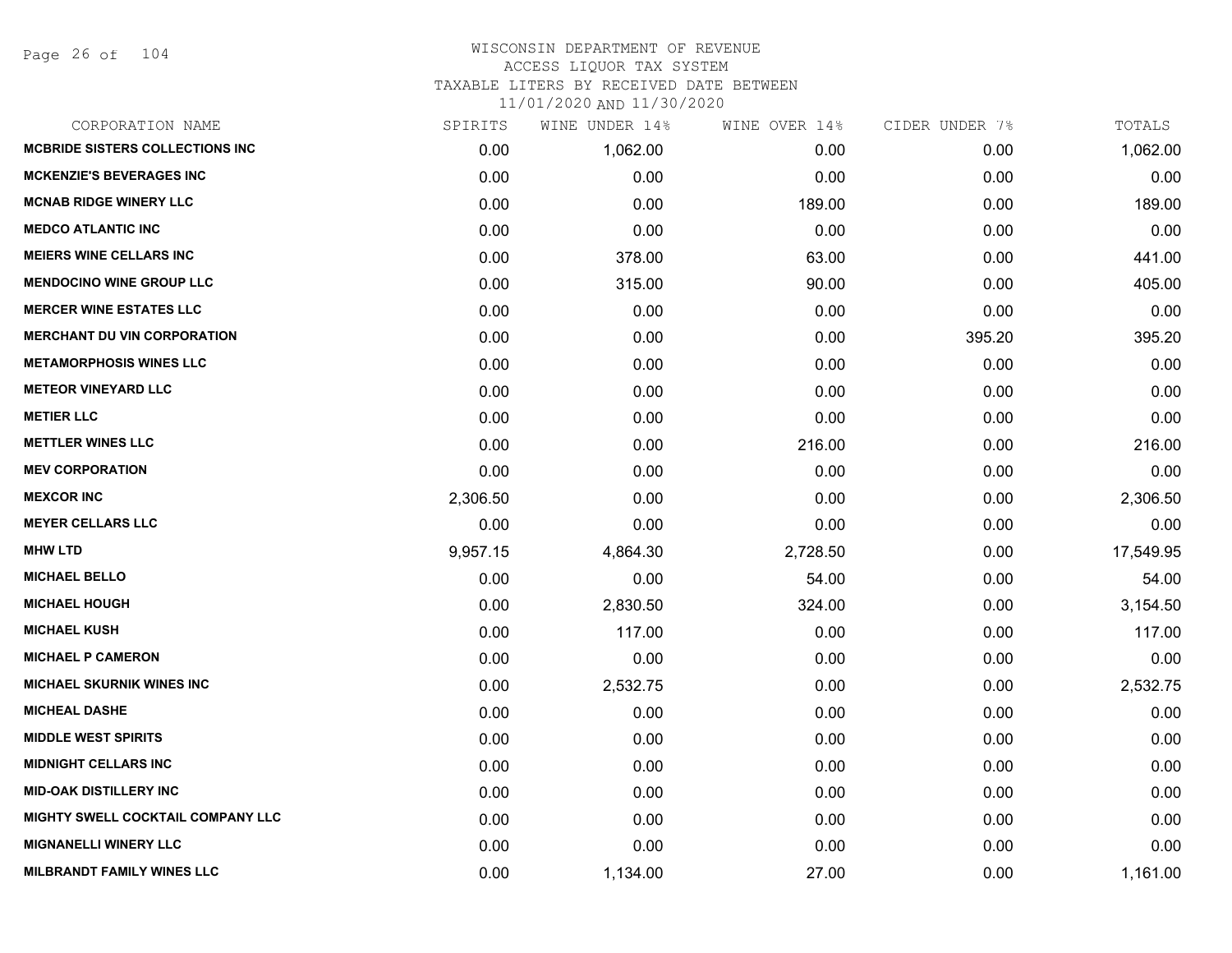Page 26 of 104

| CORPORATION NAME                       | SPIRITS  | WINE UNDER 14% | WINE OVER 14% | CIDER UNDER 7% | TOTALS    |
|----------------------------------------|----------|----------------|---------------|----------------|-----------|
| <b>MCBRIDE SISTERS COLLECTIONS INC</b> | 0.00     | 1,062.00       | 0.00          | 0.00           | 1,062.00  |
| <b>MCKENZIE'S BEVERAGES INC</b>        | 0.00     | 0.00           | 0.00          | 0.00           | 0.00      |
| <b>MCNAB RIDGE WINERY LLC</b>          | 0.00     | 0.00           | 189.00        | 0.00           | 189.00    |
| <b>MEDCO ATLANTIC INC</b>              | 0.00     | 0.00           | 0.00          | 0.00           | 0.00      |
| <b>MEIERS WINE CELLARS INC</b>         | 0.00     | 378.00         | 63.00         | 0.00           | 441.00    |
| <b>MENDOCINO WINE GROUP LLC</b>        | 0.00     | 315.00         | 90.00         | 0.00           | 405.00    |
| <b>MERCER WINE ESTATES LLC</b>         | 0.00     | 0.00           | 0.00          | 0.00           | 0.00      |
| <b>MERCHANT DU VIN CORPORATION</b>     | 0.00     | 0.00           | 0.00          | 395.20         | 395.20    |
| <b>METAMORPHOSIS WINES LLC</b>         | 0.00     | 0.00           | 0.00          | 0.00           | 0.00      |
| <b>METEOR VINEYARD LLC</b>             | 0.00     | 0.00           | 0.00          | 0.00           | 0.00      |
| <b>METIER LLC</b>                      | 0.00     | 0.00           | 0.00          | 0.00           | 0.00      |
| <b>METTLER WINES LLC</b>               | 0.00     | 0.00           | 216.00        | 0.00           | 216.00    |
| <b>MEV CORPORATION</b>                 | 0.00     | 0.00           | 0.00          | 0.00           | 0.00      |
| <b>MEXCOR INC</b>                      | 2,306.50 | 0.00           | 0.00          | 0.00           | 2,306.50  |
| <b>MEYER CELLARS LLC</b>               | 0.00     | 0.00           | 0.00          | 0.00           | 0.00      |
| <b>MHW LTD</b>                         | 9,957.15 | 4,864.30       | 2,728.50      | 0.00           | 17,549.95 |
| <b>MICHAEL BELLO</b>                   | 0.00     | 0.00           | 54.00         | 0.00           | 54.00     |
| <b>MICHAEL HOUGH</b>                   | 0.00     | 2,830.50       | 324.00        | 0.00           | 3,154.50  |
| <b>MICHAEL KUSH</b>                    | 0.00     | 117.00         | 0.00          | 0.00           | 117.00    |
| <b>MICHAEL P CAMERON</b>               | 0.00     | 0.00           | 0.00          | 0.00           | 0.00      |
| <b>MICHAEL SKURNIK WINES INC</b>       | 0.00     | 2,532.75       | 0.00          | 0.00           | 2,532.75  |
| <b>MICHEAL DASHE</b>                   | 0.00     | 0.00           | 0.00          | 0.00           | 0.00      |
| <b>MIDDLE WEST SPIRITS</b>             | 0.00     | 0.00           | 0.00          | 0.00           | 0.00      |
| <b>MIDNIGHT CELLARS INC</b>            | 0.00     | 0.00           | 0.00          | 0.00           | 0.00      |
| <b>MID-OAK DISTILLERY INC</b>          | 0.00     | 0.00           | 0.00          | 0.00           | 0.00      |
| MIGHTY SWELL COCKTAIL COMPANY LLC      | 0.00     | 0.00           | 0.00          | 0.00           | 0.00      |
| <b>MIGNANELLI WINERY LLC</b>           | 0.00     | 0.00           | 0.00          | 0.00           | 0.00      |
| <b>MILBRANDT FAMILY WINES LLC</b>      | 0.00     | 1,134.00       | 27.00         | 0.00           | 1,161.00  |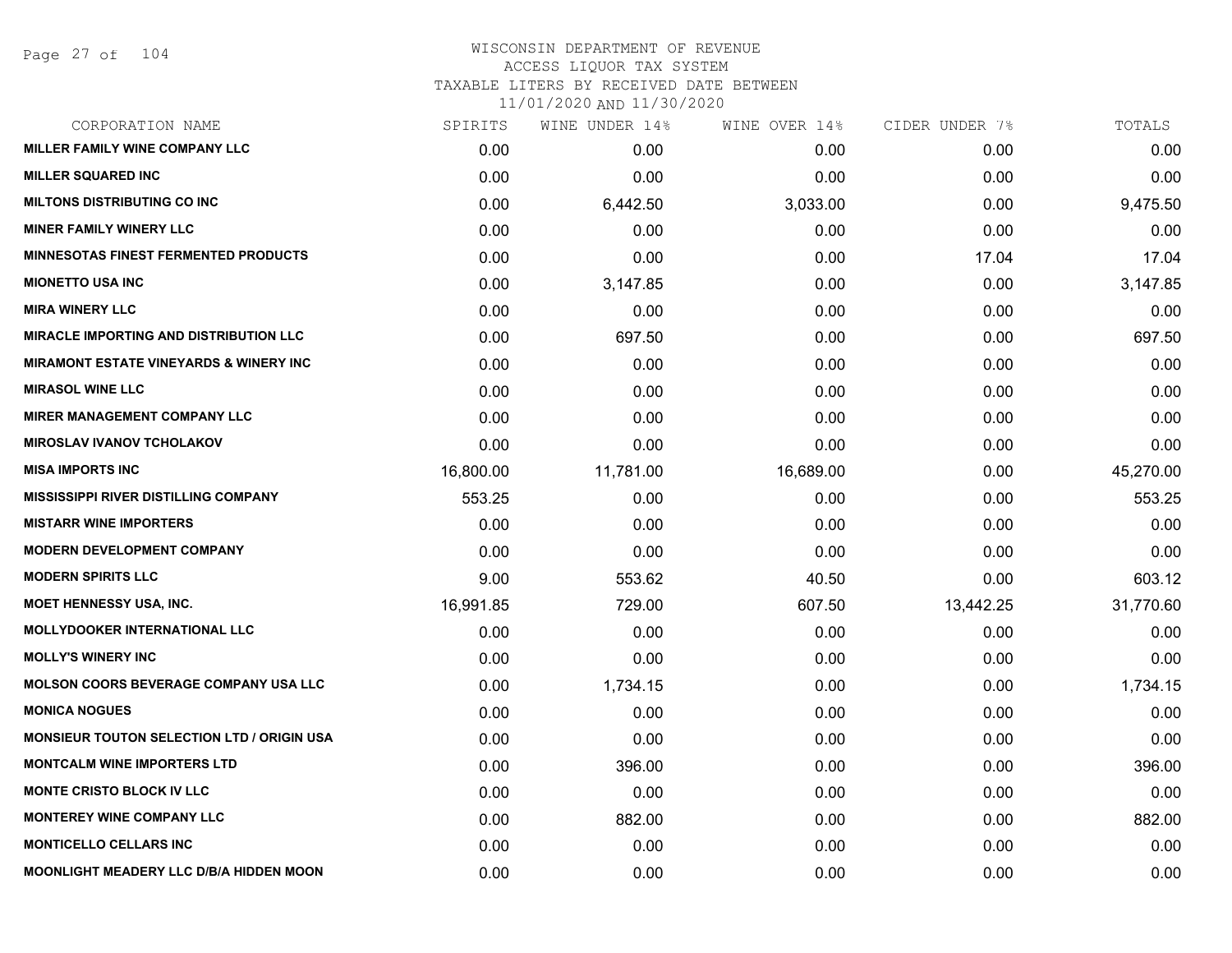## WISCONSIN DEPARTMENT OF REVENUE ACCESS LIQUOR TAX SYSTEM TAXABLE LITERS BY RECEIVED DATE BETWEEN

| CORPORATION NAME                                  | SPIRITS   | WINE UNDER 14% | WINE OVER 14% | CIDER UNDER 7% | TOTALS    |
|---------------------------------------------------|-----------|----------------|---------------|----------------|-----------|
| MILLER FAMILY WINE COMPANY LLC                    | 0.00      | 0.00           | 0.00          | 0.00           | 0.00      |
| <b>MILLER SQUARED INC</b>                         | 0.00      | 0.00           | 0.00          | 0.00           | 0.00      |
| <b>MILTONS DISTRIBUTING CO INC</b>                | 0.00      | 6,442.50       | 3,033.00      | 0.00           | 9,475.50  |
| <b>MINER FAMILY WINERY LLC</b>                    | 0.00      | 0.00           | 0.00          | 0.00           | 0.00      |
| <b>MINNESOTAS FINEST FERMENTED PRODUCTS</b>       | 0.00      | 0.00           | 0.00          | 17.04          | 17.04     |
| <b>MIONETTO USA INC</b>                           | 0.00      | 3,147.85       | 0.00          | 0.00           | 3,147.85  |
| <b>MIRA WINERY LLC</b>                            | 0.00      | 0.00           | 0.00          | 0.00           | 0.00      |
| <b>MIRACLE IMPORTING AND DISTRIBUTION LLC</b>     | 0.00      | 697.50         | 0.00          | 0.00           | 697.50    |
| <b>MIRAMONT ESTATE VINEYARDS &amp; WINERY INC</b> | 0.00      | 0.00           | 0.00          | 0.00           | 0.00      |
| <b>MIRASOL WINE LLC</b>                           | 0.00      | 0.00           | 0.00          | 0.00           | 0.00      |
| <b>MIRER MANAGEMENT COMPANY LLC</b>               | 0.00      | 0.00           | 0.00          | 0.00           | 0.00      |
| <b>MIROSLAV IVANOV TCHOLAKOV</b>                  | 0.00      | 0.00           | 0.00          | 0.00           | 0.00      |
| <b>MISA IMPORTS INC</b>                           | 16,800.00 | 11,781.00      | 16,689.00     | 0.00           | 45,270.00 |
| <b>MISSISSIPPI RIVER DISTILLING COMPANY</b>       | 553.25    | 0.00           | 0.00          | 0.00           | 553.25    |
| <b>MISTARR WINE IMPORTERS</b>                     | 0.00      | 0.00           | 0.00          | 0.00           | 0.00      |
| <b>MODERN DEVELOPMENT COMPANY</b>                 | 0.00      | 0.00           | 0.00          | 0.00           | 0.00      |
| <b>MODERN SPIRITS LLC</b>                         | 9.00      | 553.62         | 40.50         | 0.00           | 603.12    |
| <b>MOET HENNESSY USA, INC.</b>                    | 16,991.85 | 729.00         | 607.50        | 13,442.25      | 31,770.60 |
| <b>MOLLYDOOKER INTERNATIONAL LLC</b>              | 0.00      | 0.00           | 0.00          | 0.00           | 0.00      |
| <b>MOLLY'S WINERY INC</b>                         | 0.00      | 0.00           | 0.00          | 0.00           | 0.00      |
| <b>MOLSON COORS BEVERAGE COMPANY USA LLC</b>      | 0.00      | 1,734.15       | 0.00          | 0.00           | 1,734.15  |
| <b>MONICA NOGUES</b>                              | 0.00      | 0.00           | 0.00          | 0.00           | 0.00      |
| <b>MONSIEUR TOUTON SELECTION LTD / ORIGIN USA</b> | 0.00      | 0.00           | 0.00          | 0.00           | 0.00      |
| <b>MONTCALM WINE IMPORTERS LTD</b>                | 0.00      | 396.00         | 0.00          | 0.00           | 396.00    |
| <b>MONTE CRISTO BLOCK IV LLC</b>                  | 0.00      | 0.00           | 0.00          | 0.00           | 0.00      |
| <b>MONTEREY WINE COMPANY LLC</b>                  | 0.00      | 882.00         | 0.00          | 0.00           | 882.00    |
| <b>MONTICELLO CELLARS INC</b>                     | 0.00      | 0.00           | 0.00          | 0.00           | 0.00      |
| MOONLIGHT MEADERY LLC D/B/A HIDDEN MOON           | 0.00      | 0.00           | 0.00          | 0.00           | 0.00      |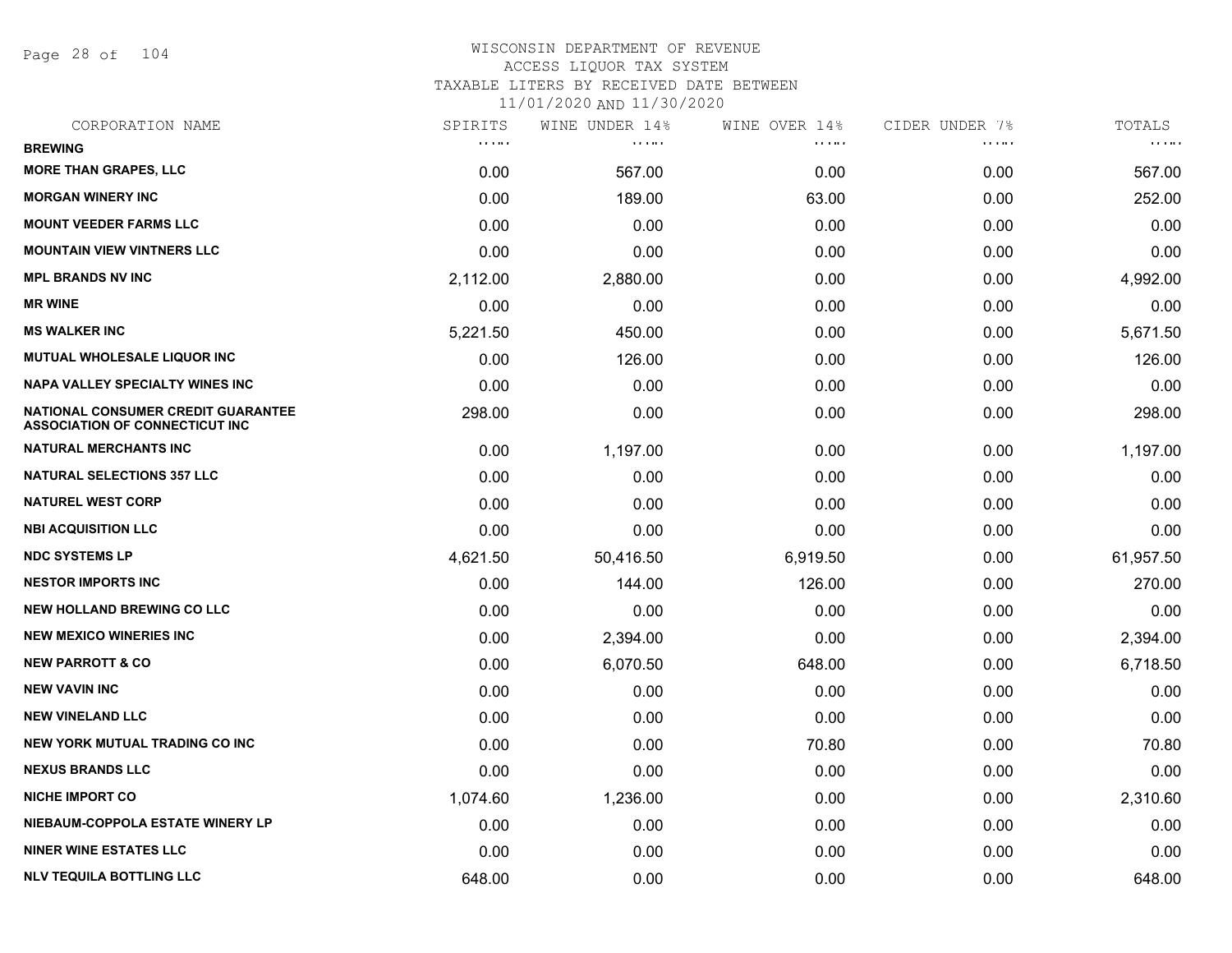Page 28 of 104

| CORPORATION NAME                                                            | SPIRITS      | WINE UNDER 14% | WINE OVER 14% | CIDER UNDER 7% | TOTALS    |
|-----------------------------------------------------------------------------|--------------|----------------|---------------|----------------|-----------|
| <b>BREWING</b>                                                              | <b>COLOR</b> | <b>.</b>       | <b>COLOR</b>  | .              | <b></b>   |
| <b>MORE THAN GRAPES, LLC</b>                                                | 0.00         | 567.00         | 0.00          | 0.00           | 567.00    |
| <b>MORGAN WINERY INC</b>                                                    | 0.00         | 189.00         | 63.00         | 0.00           | 252.00    |
| <b>MOUNT VEEDER FARMS LLC</b>                                               | 0.00         | 0.00           | 0.00          | 0.00           | 0.00      |
| <b>MOUNTAIN VIEW VINTNERS LLC</b>                                           | 0.00         | 0.00           | 0.00          | 0.00           | 0.00      |
| <b>MPL BRANDS NV INC</b>                                                    | 2,112.00     | 2,880.00       | 0.00          | 0.00           | 4,992.00  |
| <b>MR WINE</b>                                                              | 0.00         | 0.00           | 0.00          | 0.00           | 0.00      |
| <b>MS WALKER INC</b>                                                        | 5,221.50     | 450.00         | 0.00          | 0.00           | 5,671.50  |
| MUTUAL WHOLESALE LIQUOR INC                                                 | 0.00         | 126.00         | 0.00          | 0.00           | 126.00    |
| <b>NAPA VALLEY SPECIALTY WINES INC</b>                                      | 0.00         | 0.00           | 0.00          | 0.00           | 0.00      |
| NATIONAL CONSUMER CREDIT GUARANTEE<br><b>ASSOCIATION OF CONNECTICUT INC</b> | 298.00       | 0.00           | 0.00          | 0.00           | 298.00    |
| <b>NATURAL MERCHANTS INC</b>                                                | 0.00         | 1,197.00       | 0.00          | 0.00           | 1,197.00  |
| <b>NATURAL SELECTIONS 357 LLC</b>                                           | 0.00         | 0.00           | 0.00          | 0.00           | 0.00      |
| <b>NATUREL WEST CORP</b>                                                    | 0.00         | 0.00           | 0.00          | 0.00           | 0.00      |
| <b>NBI ACQUISITION LLC</b>                                                  | 0.00         | 0.00           | 0.00          | 0.00           | 0.00      |
| <b>NDC SYSTEMS LP</b>                                                       | 4,621.50     | 50,416.50      | 6,919.50      | 0.00           | 61,957.50 |
| <b>NESTOR IMPORTS INC</b>                                                   | 0.00         | 144.00         | 126.00        | 0.00           | 270.00    |
| <b>NEW HOLLAND BREWING CO LLC</b>                                           | 0.00         | 0.00           | 0.00          | 0.00           | 0.00      |
| <b>NEW MEXICO WINERIES INC</b>                                              | 0.00         | 2,394.00       | 0.00          | 0.00           | 2,394.00  |
| <b>NEW PARROTT &amp; CO</b>                                                 | 0.00         | 6,070.50       | 648.00        | 0.00           | 6,718.50  |
| <b>NEW VAVIN INC</b>                                                        | 0.00         | 0.00           | 0.00          | 0.00           | 0.00      |
| <b>NEW VINELAND LLC</b>                                                     | 0.00         | 0.00           | 0.00          | 0.00           | 0.00      |
| NEW YORK MUTUAL TRADING CO INC                                              | 0.00         | 0.00           | 70.80         | 0.00           | 70.80     |
| <b>NEXUS BRANDS LLC</b>                                                     | 0.00         | 0.00           | 0.00          | 0.00           | 0.00      |
| <b>NICHE IMPORT CO</b>                                                      | 1,074.60     | 1,236.00       | 0.00          | 0.00           | 2,310.60  |
| NIEBAUM-COPPOLA ESTATE WINERY LP                                            | 0.00         | 0.00           | 0.00          | 0.00           | 0.00      |
| <b>NINER WINE ESTATES LLC</b>                                               | 0.00         | 0.00           | 0.00          | 0.00           | 0.00      |
| <b>NLV TEQUILA BOTTLING LLC</b>                                             | 648.00       | 0.00           | 0.00          | 0.00           | 648.00    |
|                                                                             |              |                |               |                |           |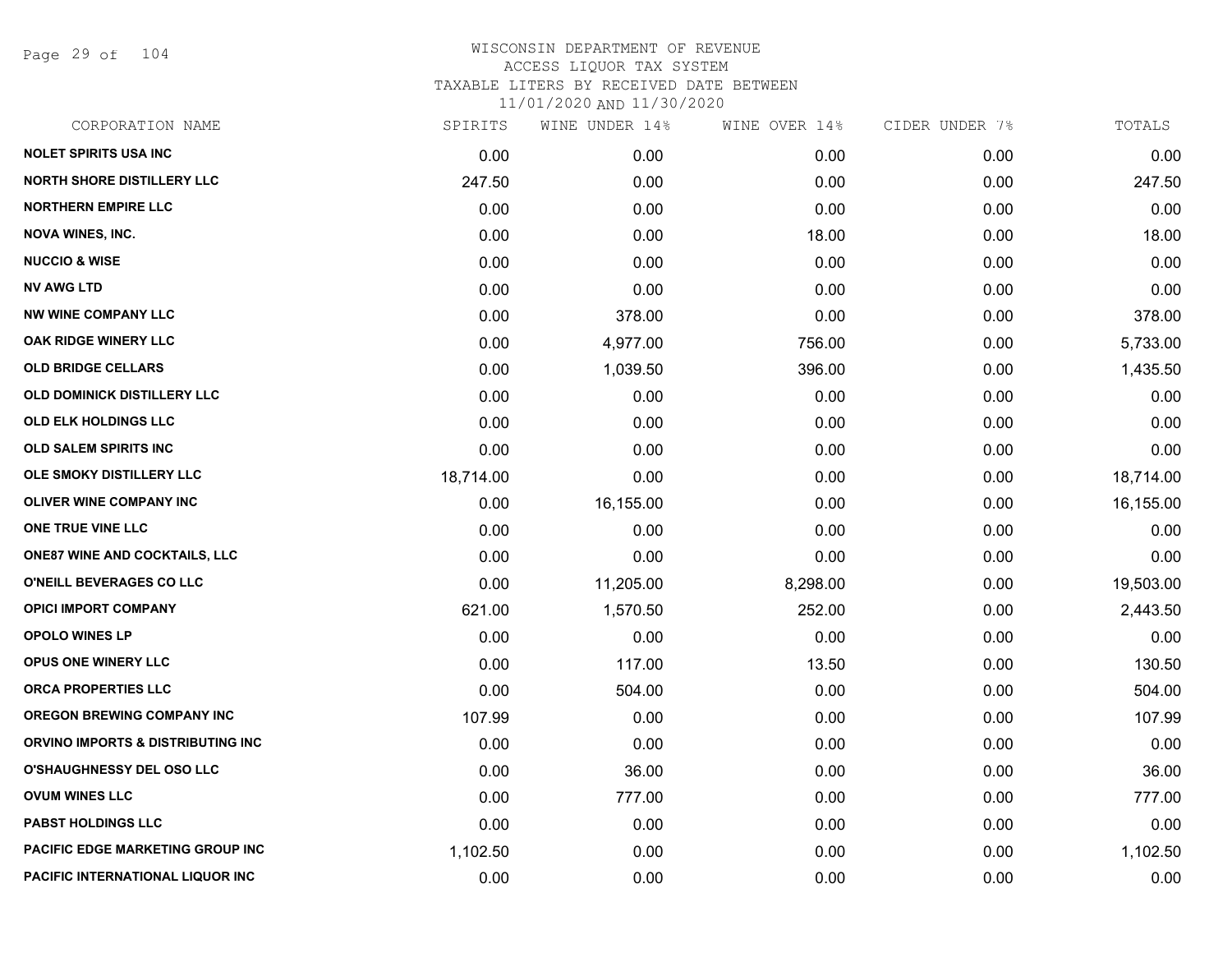Page 29 of 104

| SPIRITS   | WINE UNDER 14% |          | CIDER UNDER 7% | TOTALS    |
|-----------|----------------|----------|----------------|-----------|
| 0.00      | 0.00           | 0.00     | 0.00           | 0.00      |
| 247.50    | 0.00           | 0.00     | 0.00           | 247.50    |
| 0.00      | 0.00           | 0.00     | 0.00           | 0.00      |
| 0.00      | 0.00           | 18.00    | 0.00           | 18.00     |
| 0.00      | 0.00           | 0.00     | 0.00           | 0.00      |
| 0.00      | 0.00           | 0.00     | 0.00           | 0.00      |
| 0.00      | 378.00         | 0.00     | 0.00           | 378.00    |
| 0.00      | 4,977.00       | 756.00   | 0.00           | 5,733.00  |
| 0.00      | 1,039.50       | 396.00   | 0.00           | 1,435.50  |
| 0.00      | 0.00           | 0.00     | 0.00           | 0.00      |
| 0.00      | 0.00           | 0.00     | 0.00           | 0.00      |
| 0.00      | 0.00           | 0.00     | 0.00           | 0.00      |
| 18,714.00 | 0.00           | 0.00     | 0.00           | 18,714.00 |
| 0.00      | 16,155.00      | 0.00     | 0.00           | 16,155.00 |
| 0.00      | 0.00           | 0.00     | 0.00           | 0.00      |
| 0.00      | 0.00           | 0.00     | 0.00           | 0.00      |
| 0.00      | 11,205.00      | 8,298.00 | 0.00           | 19,503.00 |
| 621.00    | 1,570.50       | 252.00   | 0.00           | 2,443.50  |
| 0.00      | 0.00           | 0.00     | 0.00           | 0.00      |
| 0.00      | 117.00         | 13.50    | 0.00           | 130.50    |
| 0.00      | 504.00         | 0.00     | 0.00           | 504.00    |
| 107.99    | 0.00           | 0.00     | 0.00           | 107.99    |
| 0.00      | 0.00           | 0.00     | 0.00           | 0.00      |
| 0.00      | 36.00          | 0.00     | 0.00           | 36.00     |
| 0.00      | 777.00         | 0.00     | 0.00           | 777.00    |
| 0.00      | 0.00           | 0.00     | 0.00           | 0.00      |
| 1,102.50  | 0.00           | 0.00     | 0.00           | 1,102.50  |
| 0.00      | 0.00           | 0.00     | 0.00           | 0.00      |
|           |                |          | WINE OVER 14%  |           |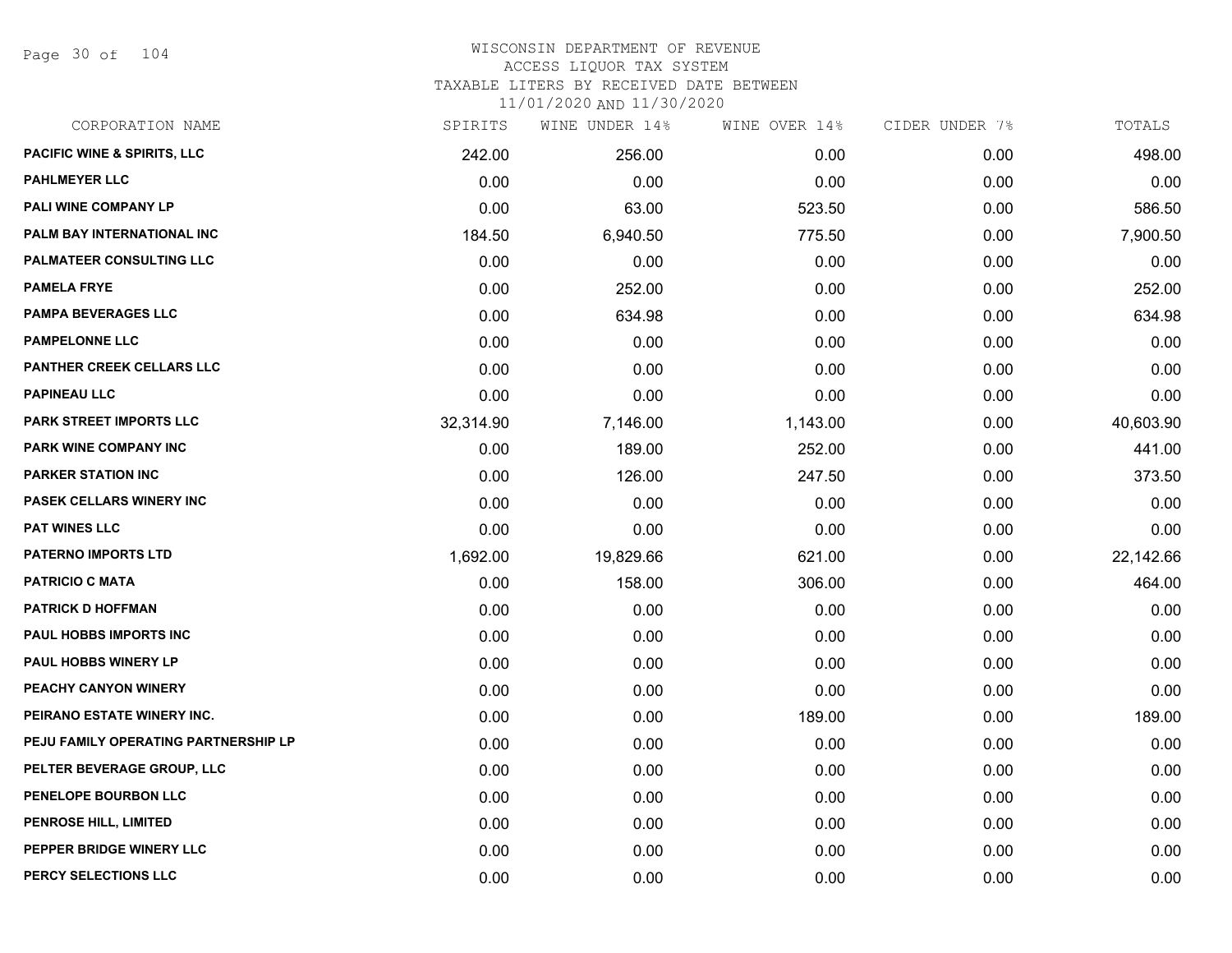Page 30 of 104

| CORPORATION NAME                       | SPIRITS   | WINE UNDER 14% | WINE OVER 14% | CIDER UNDER 7% | TOTALS    |
|----------------------------------------|-----------|----------------|---------------|----------------|-----------|
| <b>PACIFIC WINE &amp; SPIRITS, LLC</b> | 242.00    | 256.00         | 0.00          | 0.00           | 498.00    |
| <b>PAHLMEYER LLC</b>                   | 0.00      | 0.00           | 0.00          | 0.00           | 0.00      |
| PALI WINE COMPANY LP                   | 0.00      | 63.00          | 523.50        | 0.00           | 586.50    |
| PALM BAY INTERNATIONAL INC             | 184.50    | 6,940.50       | 775.50        | 0.00           | 7,900.50  |
| <b>PALMATEER CONSULTING LLC</b>        | 0.00      | 0.00           | 0.00          | 0.00           | 0.00      |
| <b>PAMELA FRYE</b>                     | 0.00      | 252.00         | 0.00          | 0.00           | 252.00    |
| <b>PAMPA BEVERAGES LLC</b>             | 0.00      | 634.98         | 0.00          | 0.00           | 634.98    |
| <b>PAMPELONNE LLC</b>                  | 0.00      | 0.00           | 0.00          | 0.00           | 0.00      |
| PANTHER CREEK CELLARS LLC              | 0.00      | 0.00           | 0.00          | 0.00           | 0.00      |
| <b>PAPINEAU LLC</b>                    | 0.00      | 0.00           | 0.00          | 0.00           | 0.00      |
| PARK STREET IMPORTS LLC                | 32,314.90 | 7,146.00       | 1,143.00      | 0.00           | 40,603.90 |
| PARK WINE COMPANY INC                  | 0.00      | 189.00         | 252.00        | 0.00           | 441.00    |
| <b>PARKER STATION INC</b>              | 0.00      | 126.00         | 247.50        | 0.00           | 373.50    |
| <b>PASEK CELLARS WINERY INC</b>        | 0.00      | 0.00           | 0.00          | 0.00           | 0.00      |
| <b>PAT WINES LLC</b>                   | 0.00      | 0.00           | 0.00          | 0.00           | 0.00      |
| <b>PATERNO IMPORTS LTD</b>             | 1,692.00  | 19,829.66      | 621.00        | 0.00           | 22,142.66 |
| <b>PATRICIO C MATA</b>                 | 0.00      | 158.00         | 306.00        | 0.00           | 464.00    |
| <b>PATRICK D HOFFMAN</b>               | 0.00      | 0.00           | 0.00          | 0.00           | 0.00      |
| PAUL HOBBS IMPORTS INC                 | 0.00      | 0.00           | 0.00          | 0.00           | 0.00      |
| <b>PAUL HOBBS WINERY LP</b>            | 0.00      | 0.00           | 0.00          | 0.00           | 0.00      |
| PEACHY CANYON WINERY                   | 0.00      | 0.00           | 0.00          | 0.00           | 0.00      |
| PEIRANO ESTATE WINERY INC.             | 0.00      | 0.00           | 189.00        | 0.00           | 189.00    |
| PEJU FAMILY OPERATING PARTNERSHIP LP   | 0.00      | 0.00           | 0.00          | 0.00           | 0.00      |
| PELTER BEVERAGE GROUP, LLC             | 0.00      | 0.00           | 0.00          | 0.00           | 0.00      |
| PENELOPE BOURBON LLC                   | 0.00      | 0.00           | 0.00          | 0.00           | 0.00      |
| PENROSE HILL, LIMITED                  | 0.00      | 0.00           | 0.00          | 0.00           | 0.00      |
| PEPPER BRIDGE WINERY LLC               | 0.00      | 0.00           | 0.00          | 0.00           | 0.00      |
| PERCY SELECTIONS LLC                   | 0.00      | 0.00           | 0.00          | 0.00           | 0.00      |
|                                        |           |                |               |                |           |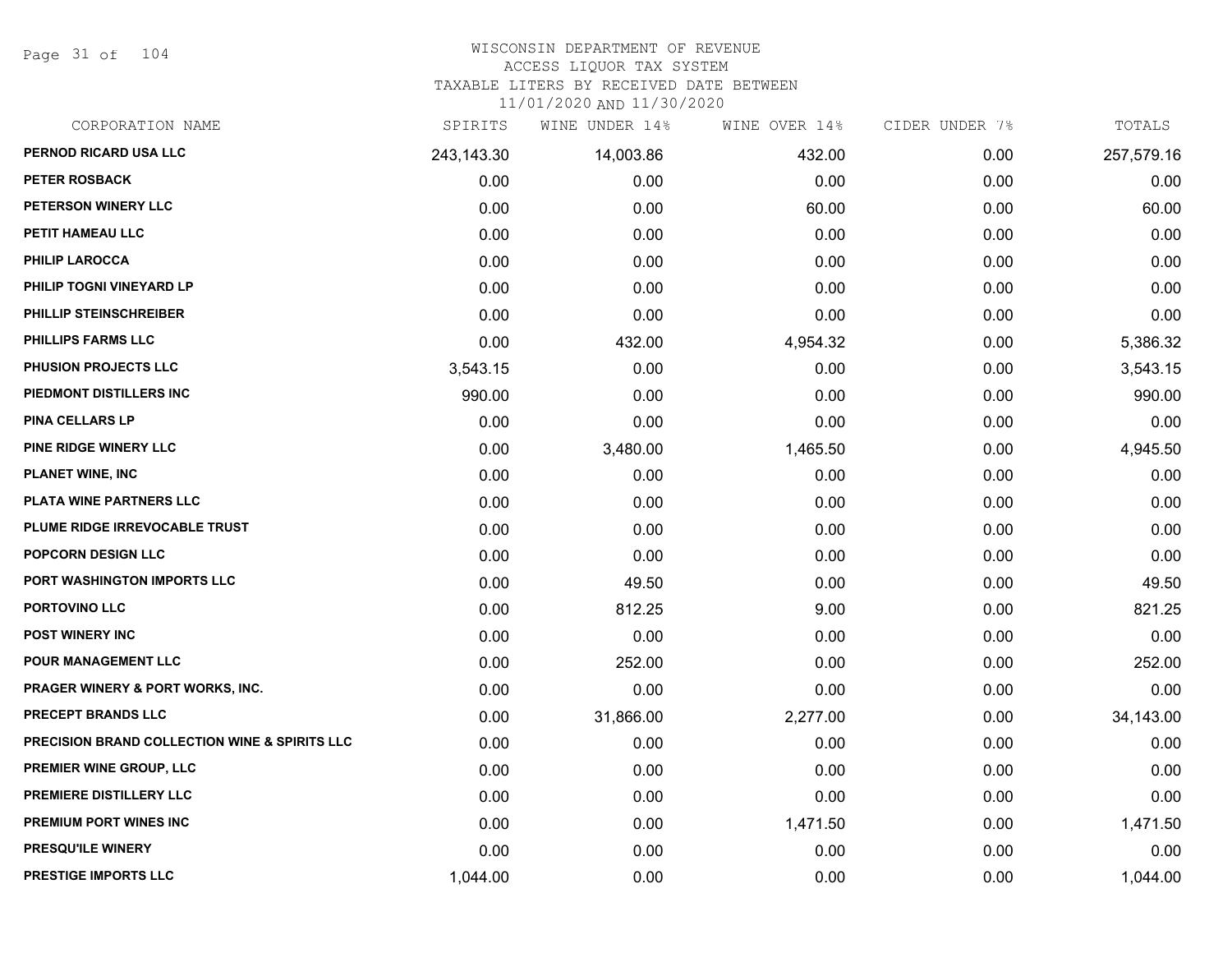Page 31 of 104

#### WISCONSIN DEPARTMENT OF REVENUE ACCESS LIQUOR TAX SYSTEM

TAXABLE LITERS BY RECEIVED DATE BETWEEN

| CORPORATION NAME                              | SPIRITS    | WINE UNDER 14% | WINE OVER 14% | CIDER UNDER 7% | TOTALS     |
|-----------------------------------------------|------------|----------------|---------------|----------------|------------|
| PERNOD RICARD USA LLC                         | 243,143.30 | 14,003.86      | 432.00        | 0.00           | 257,579.16 |
| <b>PETER ROSBACK</b>                          | 0.00       | 0.00           | 0.00          | 0.00           | 0.00       |
| PETERSON WINERY LLC                           | 0.00       | 0.00           | 60.00         | 0.00           | 60.00      |
| PETIT HAMEAU LLC                              | 0.00       | 0.00           | 0.00          | 0.00           | 0.00       |
| PHILIP LAROCCA                                | 0.00       | 0.00           | 0.00          | 0.00           | 0.00       |
| PHILIP TOGNI VINEYARD LP                      | 0.00       | 0.00           | 0.00          | 0.00           | 0.00       |
| <b>PHILLIP STEINSCHREIBER</b>                 | 0.00       | 0.00           | 0.00          | 0.00           | 0.00       |
| PHILLIPS FARMS LLC                            | 0.00       | 432.00         | 4,954.32      | 0.00           | 5,386.32   |
| PHUSION PROJECTS LLC                          | 3,543.15   | 0.00           | 0.00          | 0.00           | 3,543.15   |
| PIEDMONT DISTILLERS INC                       | 990.00     | 0.00           | 0.00          | 0.00           | 990.00     |
| <b>PINA CELLARS LP</b>                        | 0.00       | 0.00           | 0.00          | 0.00           | 0.00       |
| PINE RIDGE WINERY LLC                         | 0.00       | 3,480.00       | 1,465.50      | 0.00           | 4,945.50   |
| <b>PLANET WINE, INC</b>                       | 0.00       | 0.00           | 0.00          | 0.00           | 0.00       |
| PLATA WINE PARTNERS LLC                       | 0.00       | 0.00           | 0.00          | 0.00           | 0.00       |
| PLUME RIDGE IRREVOCABLE TRUST                 | 0.00       | 0.00           | 0.00          | 0.00           | 0.00       |
| <b>POPCORN DESIGN LLC</b>                     | 0.00       | 0.00           | 0.00          | 0.00           | 0.00       |
| PORT WASHINGTON IMPORTS LLC                   | 0.00       | 49.50          | 0.00          | 0.00           | 49.50      |
| PORTOVINO LLC                                 | 0.00       | 812.25         | 9.00          | 0.00           | 821.25     |
| POST WINERY INC                               | 0.00       | 0.00           | 0.00          | 0.00           | 0.00       |
| <b>POUR MANAGEMENT LLC</b>                    | 0.00       | 252.00         | 0.00          | 0.00           | 252.00     |
| PRAGER WINERY & PORT WORKS, INC.              | 0.00       | 0.00           | 0.00          | 0.00           | 0.00       |
| PRECEPT BRANDS LLC                            | 0.00       | 31,866.00      | 2,277.00      | 0.00           | 34,143.00  |
| PRECISION BRAND COLLECTION WINE & SPIRITS LLC | 0.00       | 0.00           | 0.00          | 0.00           | 0.00       |
| PREMIER WINE GROUP, LLC                       | 0.00       | 0.00           | 0.00          | 0.00           | 0.00       |
| PREMIERE DISTILLERY LLC                       | 0.00       | 0.00           | 0.00          | 0.00           | 0.00       |
| <b>PREMIUM PORT WINES INC</b>                 | 0.00       | 0.00           | 1,471.50      | 0.00           | 1,471.50   |
| PRESQU'ILE WINERY                             | 0.00       | 0.00           | 0.00          | 0.00           | 0.00       |
| <b>PRESTIGE IMPORTS LLC</b>                   | 1,044.00   | 0.00           | 0.00          | 0.00           | 1,044.00   |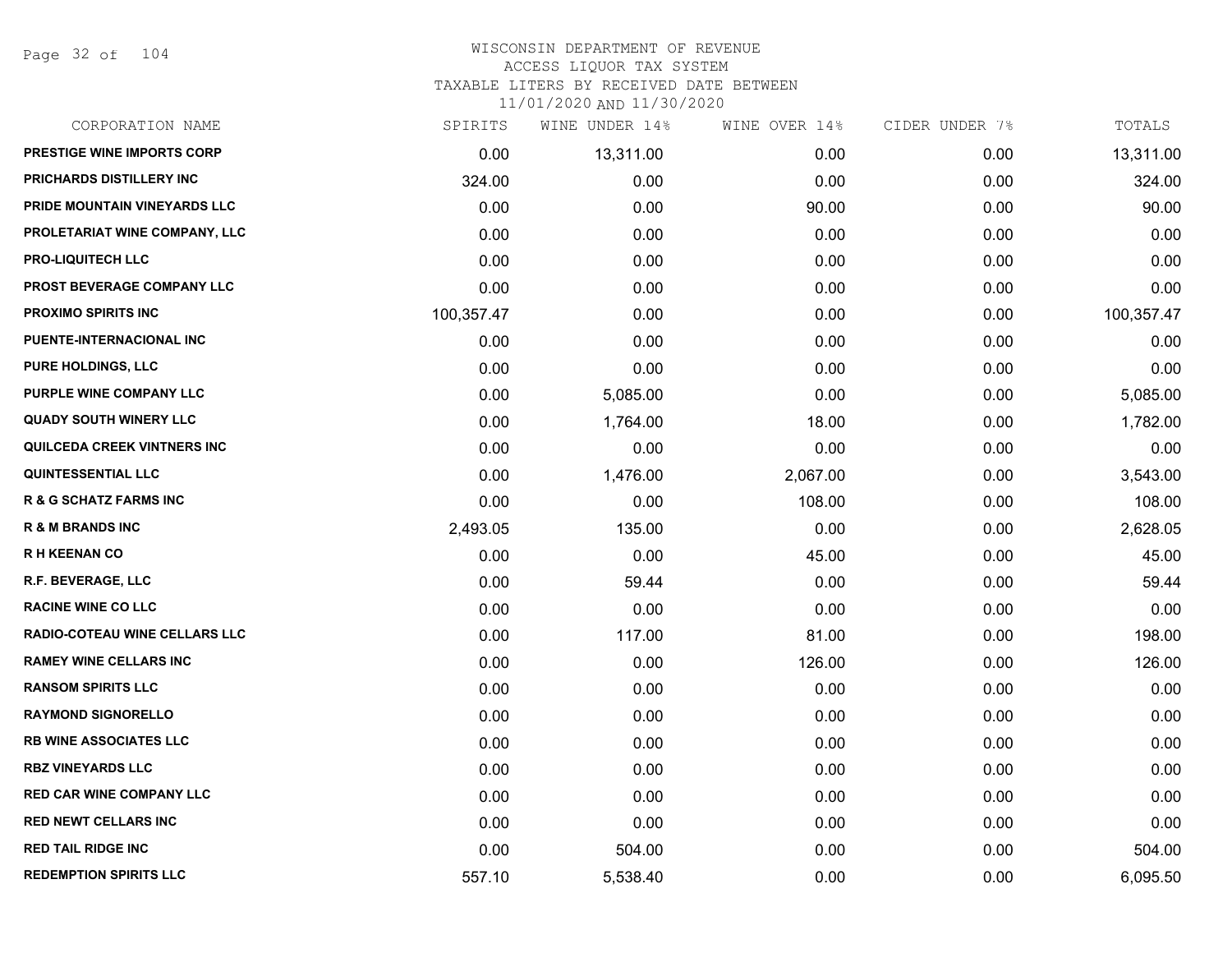Page 32 of 104

| CORPORATION NAME                  | SPIRITS    | WINE UNDER 14% | WINE OVER 14% | CIDER UNDER 7% | TOTALS     |
|-----------------------------------|------------|----------------|---------------|----------------|------------|
| PRESTIGE WINE IMPORTS CORP        | 0.00       | 13,311.00      | 0.00          | 0.00           | 13,311.00  |
| PRICHARDS DISTILLERY INC          | 324.00     | 0.00           | 0.00          | 0.00           | 324.00     |
| PRIDE MOUNTAIN VINEYARDS LLC      | 0.00       | 0.00           | 90.00         | 0.00           | 90.00      |
| PROLETARIAT WINE COMPANY, LLC     | 0.00       | 0.00           | 0.00          | 0.00           | 0.00       |
| <b>PRO-LIQUITECH LLC</b>          | 0.00       | 0.00           | 0.00          | 0.00           | 0.00       |
| <b>PROST BEVERAGE COMPANY LLC</b> | 0.00       | 0.00           | 0.00          | 0.00           | 0.00       |
| <b>PROXIMO SPIRITS INC</b>        | 100,357.47 | 0.00           | 0.00          | 0.00           | 100,357.47 |
| PUENTE-INTERNACIONAL INC          | 0.00       | 0.00           | 0.00          | 0.00           | 0.00       |
| PURE HOLDINGS, LLC                | 0.00       | 0.00           | 0.00          | 0.00           | 0.00       |
| PURPLE WINE COMPANY LLC           | 0.00       | 5,085.00       | 0.00          | 0.00           | 5,085.00   |
| <b>QUADY SOUTH WINERY LLC</b>     | 0.00       | 1,764.00       | 18.00         | 0.00           | 1,782.00   |
| QUILCEDA CREEK VINTNERS INC       | 0.00       | 0.00           | 0.00          | 0.00           | 0.00       |
| <b>QUINTESSENTIAL LLC</b>         | 0.00       | 1,476.00       | 2,067.00      | 0.00           | 3,543.00   |
| <b>R &amp; G SCHATZ FARMS INC</b> | 0.00       | 0.00           | 108.00        | 0.00           | 108.00     |
| <b>R &amp; M BRANDS INC</b>       | 2,493.05   | 135.00         | 0.00          | 0.00           | 2,628.05   |
| <b>RH KEENAN CO</b>               | 0.00       | 0.00           | 45.00         | 0.00           | 45.00      |
| R.F. BEVERAGE, LLC                | 0.00       | 59.44          | 0.00          | 0.00           | 59.44      |
| <b>RACINE WINE CO LLC</b>         | 0.00       | 0.00           | 0.00          | 0.00           | 0.00       |
| RADIO-COTEAU WINE CELLARS LLC     | 0.00       | 117.00         | 81.00         | 0.00           | 198.00     |
| <b>RAMEY WINE CELLARS INC</b>     | 0.00       | 0.00           | 126.00        | 0.00           | 126.00     |
| <b>RANSOM SPIRITS LLC</b>         | 0.00       | 0.00           | 0.00          | 0.00           | 0.00       |
| <b>RAYMOND SIGNORELLO</b>         | 0.00       | 0.00           | 0.00          | 0.00           | 0.00       |
| <b>RB WINE ASSOCIATES LLC</b>     | 0.00       | 0.00           | 0.00          | 0.00           | 0.00       |
| <b>RBZ VINEYARDS LLC</b>          | 0.00       | 0.00           | 0.00          | 0.00           | 0.00       |
| <b>RED CAR WINE COMPANY LLC</b>   | 0.00       | 0.00           | 0.00          | 0.00           | 0.00       |
| <b>RED NEWT CELLARS INC</b>       | 0.00       | 0.00           | 0.00          | 0.00           | 0.00       |
| <b>RED TAIL RIDGE INC</b>         | 0.00       | 504.00         | 0.00          | 0.00           | 504.00     |
| <b>REDEMPTION SPIRITS LLC</b>     | 557.10     | 5,538.40       | 0.00          | 0.00           | 6,095.50   |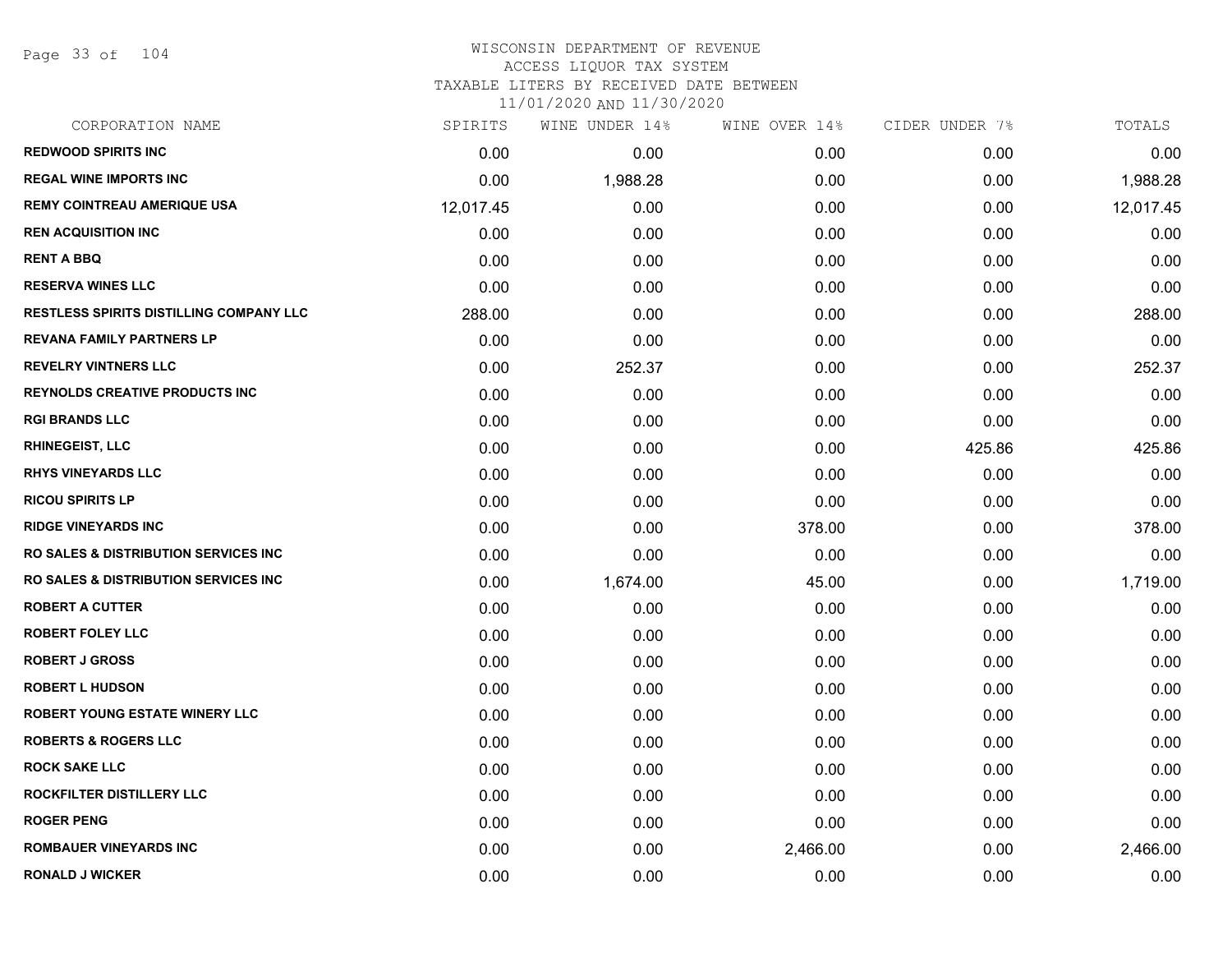Page 33 of 104

## WISCONSIN DEPARTMENT OF REVENUE ACCESS LIQUOR TAX SYSTEM TAXABLE LITERS BY RECEIVED DATE BETWEEN

| CORPORATION NAME                                 | SPIRITS   | WINE UNDER 14% | WINE OVER 14% | CIDER UNDER 7% | TOTALS    |
|--------------------------------------------------|-----------|----------------|---------------|----------------|-----------|
| <b>REDWOOD SPIRITS INC</b>                       | 0.00      | 0.00           | 0.00          | 0.00           | 0.00      |
| <b>REGAL WINE IMPORTS INC.</b>                   | 0.00      | 1,988.28       | 0.00          | 0.00           | 1,988.28  |
| <b>REMY COINTREAU AMERIQUE USA</b>               | 12,017.45 | 0.00           | 0.00          | 0.00           | 12,017.45 |
| <b>REN ACQUISITION INC</b>                       | 0.00      | 0.00           | 0.00          | 0.00           | 0.00      |
| <b>RENT A BBQ</b>                                | 0.00      | 0.00           | 0.00          | 0.00           | 0.00      |
| <b>RESERVA WINES LLC</b>                         | 0.00      | 0.00           | 0.00          | 0.00           | 0.00      |
| <b>RESTLESS SPIRITS DISTILLING COMPANY LLC</b>   | 288.00    | 0.00           | 0.00          | 0.00           | 288.00    |
| <b>REVANA FAMILY PARTNERS LP</b>                 | 0.00      | 0.00           | 0.00          | 0.00           | 0.00      |
| <b>REVELRY VINTNERS LLC</b>                      | 0.00      | 252.37         | 0.00          | 0.00           | 252.37    |
| <b>REYNOLDS CREATIVE PRODUCTS INC.</b>           | 0.00      | 0.00           | 0.00          | 0.00           | 0.00      |
| <b>RGI BRANDS LLC</b>                            | 0.00      | 0.00           | 0.00          | 0.00           | 0.00      |
| <b>RHINEGEIST, LLC</b>                           | 0.00      | 0.00           | 0.00          | 425.86         | 425.86    |
| <b>RHYS VINEYARDS LLC</b>                        | 0.00      | 0.00           | 0.00          | 0.00           | 0.00      |
| <b>RICOU SPIRITS LP</b>                          | 0.00      | 0.00           | 0.00          | 0.00           | 0.00      |
| <b>RIDGE VINEYARDS INC</b>                       | 0.00      | 0.00           | 378.00        | 0.00           | 378.00    |
| <b>RO SALES &amp; DISTRIBUTION SERVICES INC.</b> | 0.00      | 0.00           | 0.00          | 0.00           | 0.00      |
| <b>RO SALES &amp; DISTRIBUTION SERVICES INC.</b> | 0.00      | 1,674.00       | 45.00         | 0.00           | 1,719.00  |
| <b>ROBERT A CUTTER</b>                           | 0.00      | 0.00           | 0.00          | 0.00           | 0.00      |
| <b>ROBERT FOLEY LLC</b>                          | 0.00      | 0.00           | 0.00          | 0.00           | 0.00      |
| <b>ROBERT J GROSS</b>                            | 0.00      | 0.00           | 0.00          | 0.00           | 0.00      |
| <b>ROBERT L HUDSON</b>                           | 0.00      | 0.00           | 0.00          | 0.00           | 0.00      |
| ROBERT YOUNG ESTATE WINERY LLC                   | 0.00      | 0.00           | 0.00          | 0.00           | 0.00      |
| <b>ROBERTS &amp; ROGERS LLC</b>                  | 0.00      | 0.00           | 0.00          | 0.00           | 0.00      |
| <b>ROCK SAKE LLC</b>                             | 0.00      | 0.00           | 0.00          | 0.00           | 0.00      |
| ROCKFILTER DISTILLERY LLC                        | 0.00      | 0.00           | 0.00          | 0.00           | 0.00      |
| <b>ROGER PENG</b>                                | 0.00      | 0.00           | 0.00          | 0.00           | 0.00      |
| <b>ROMBAUER VINEYARDS INC</b>                    | 0.00      | 0.00           | 2,466.00      | 0.00           | 2,466.00  |
| <b>RONALD J WICKER</b>                           | 0.00      | 0.00           | 0.00          | 0.00           | 0.00      |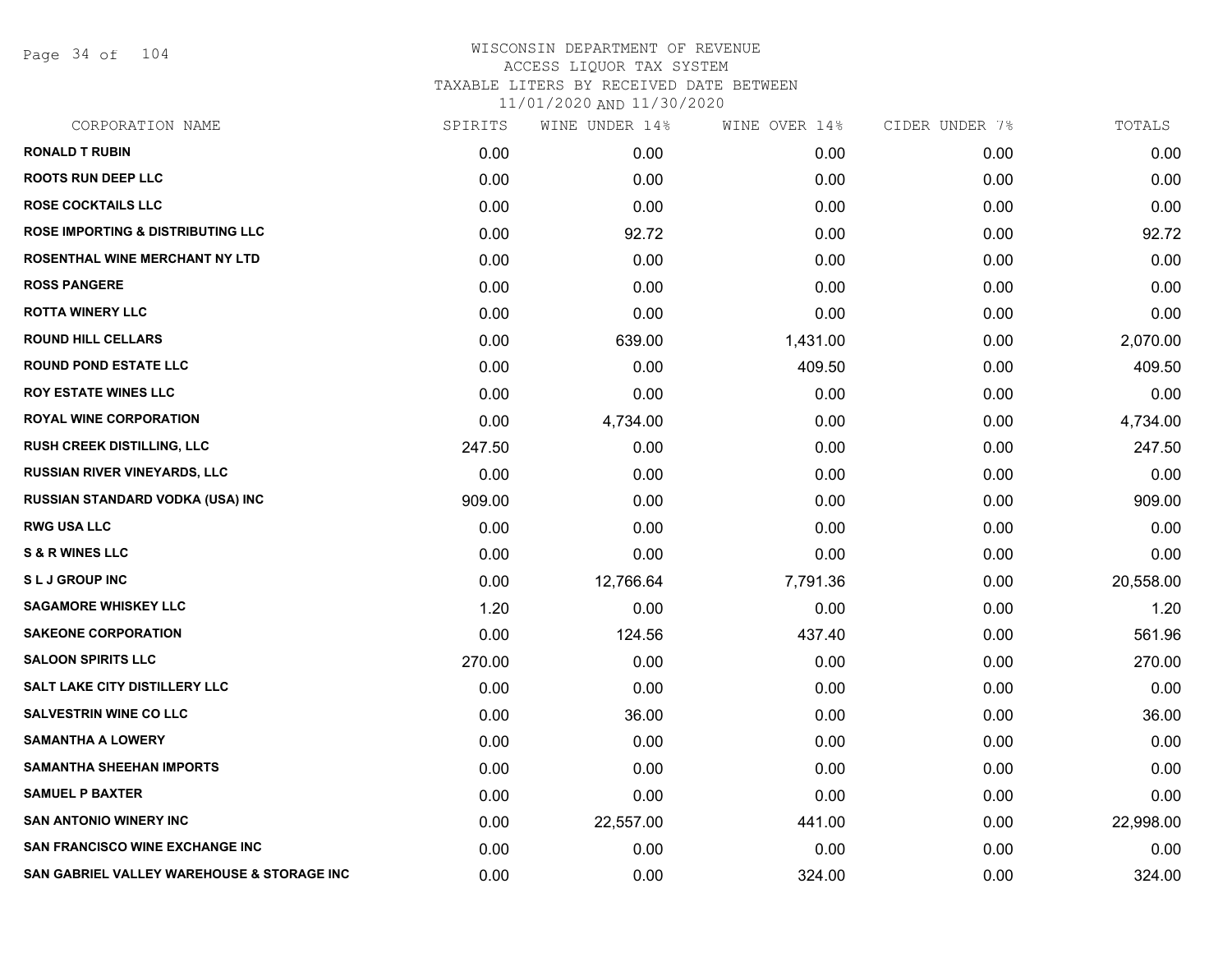Page 34 of 104

| CORPORATION NAME                             | SPIRITS | WINE UNDER 14% | WINE OVER 14% | CIDER UNDER 7% | TOTALS    |
|----------------------------------------------|---------|----------------|---------------|----------------|-----------|
| <b>RONALD T RUBIN</b>                        | 0.00    | 0.00           | 0.00          | 0.00           | 0.00      |
| <b>ROOTS RUN DEEP LLC</b>                    | 0.00    | 0.00           | 0.00          | 0.00           | 0.00      |
| <b>ROSE COCKTAILS LLC</b>                    | 0.00    | 0.00           | 0.00          | 0.00           | 0.00      |
| <b>ROSE IMPORTING &amp; DISTRIBUTING LLC</b> | 0.00    | 92.72          | 0.00          | 0.00           | 92.72     |
| ROSENTHAL WINE MERCHANT NY LTD               | 0.00    | 0.00           | 0.00          | 0.00           | 0.00      |
| <b>ROSS PANGERE</b>                          | 0.00    | 0.00           | 0.00          | 0.00           | 0.00      |
| <b>ROTTA WINERY LLC</b>                      | 0.00    | 0.00           | 0.00          | 0.00           | 0.00      |
| <b>ROUND HILL CELLARS</b>                    | 0.00    | 639.00         | 1,431.00      | 0.00           | 2,070.00  |
| <b>ROUND POND ESTATE LLC</b>                 | 0.00    | 0.00           | 409.50        | 0.00           | 409.50    |
| <b>ROY ESTATE WINES LLC</b>                  | 0.00    | 0.00           | 0.00          | 0.00           | 0.00      |
| ROYAL WINE CORPORATION                       | 0.00    | 4,734.00       | 0.00          | 0.00           | 4,734.00  |
| RUSH CREEK DISTILLING, LLC                   | 247.50  | 0.00           | 0.00          | 0.00           | 247.50    |
| RUSSIAN RIVER VINEYARDS, LLC                 | 0.00    | 0.00           | 0.00          | 0.00           | 0.00      |
| <b>RUSSIAN STANDARD VODKA (USA) INC</b>      | 909.00  | 0.00           | 0.00          | 0.00           | 909.00    |
| <b>RWG USA LLC</b>                           | 0.00    | 0.00           | 0.00          | 0.00           | 0.00      |
| <b>S &amp; R WINES LLC</b>                   | 0.00    | 0.00           | 0.00          | 0.00           | 0.00      |
| <b>SLJ GROUP INC</b>                         | 0.00    | 12,766.64      | 7,791.36      | 0.00           | 20,558.00 |
| <b>SAGAMORE WHISKEY LLC</b>                  | 1.20    | 0.00           | 0.00          | 0.00           | 1.20      |
| <b>SAKEONE CORPORATION</b>                   | 0.00    | 124.56         | 437.40        | 0.00           | 561.96    |
| <b>SALOON SPIRITS LLC</b>                    | 270.00  | 0.00           | 0.00          | 0.00           | 270.00    |
| <b>SALT LAKE CITY DISTILLERY LLC</b>         | 0.00    | 0.00           | 0.00          | 0.00           | 0.00      |
| <b>SALVESTRIN WINE CO LLC</b>                | 0.00    | 36.00          | 0.00          | 0.00           | 36.00     |
| <b>SAMANTHA A LOWERY</b>                     | 0.00    | 0.00           | 0.00          | 0.00           | 0.00      |
| <b>SAMANTHA SHEEHAN IMPORTS</b>              | 0.00    | 0.00           | 0.00          | 0.00           | 0.00      |
| <b>SAMUEL P BAXTER</b>                       | 0.00    | 0.00           | 0.00          | 0.00           | 0.00      |
| <b>SAN ANTONIO WINERY INC</b>                | 0.00    | 22,557.00      | 441.00        | 0.00           | 22,998.00 |
| <b>SAN FRANCISCO WINE EXCHANGE INC</b>       | 0.00    | 0.00           | 0.00          | 0.00           | 0.00      |
| SAN GABRIEL VALLEY WAREHOUSE & STORAGE INC   | 0.00    | 0.00           | 324.00        | 0.00           | 324.00    |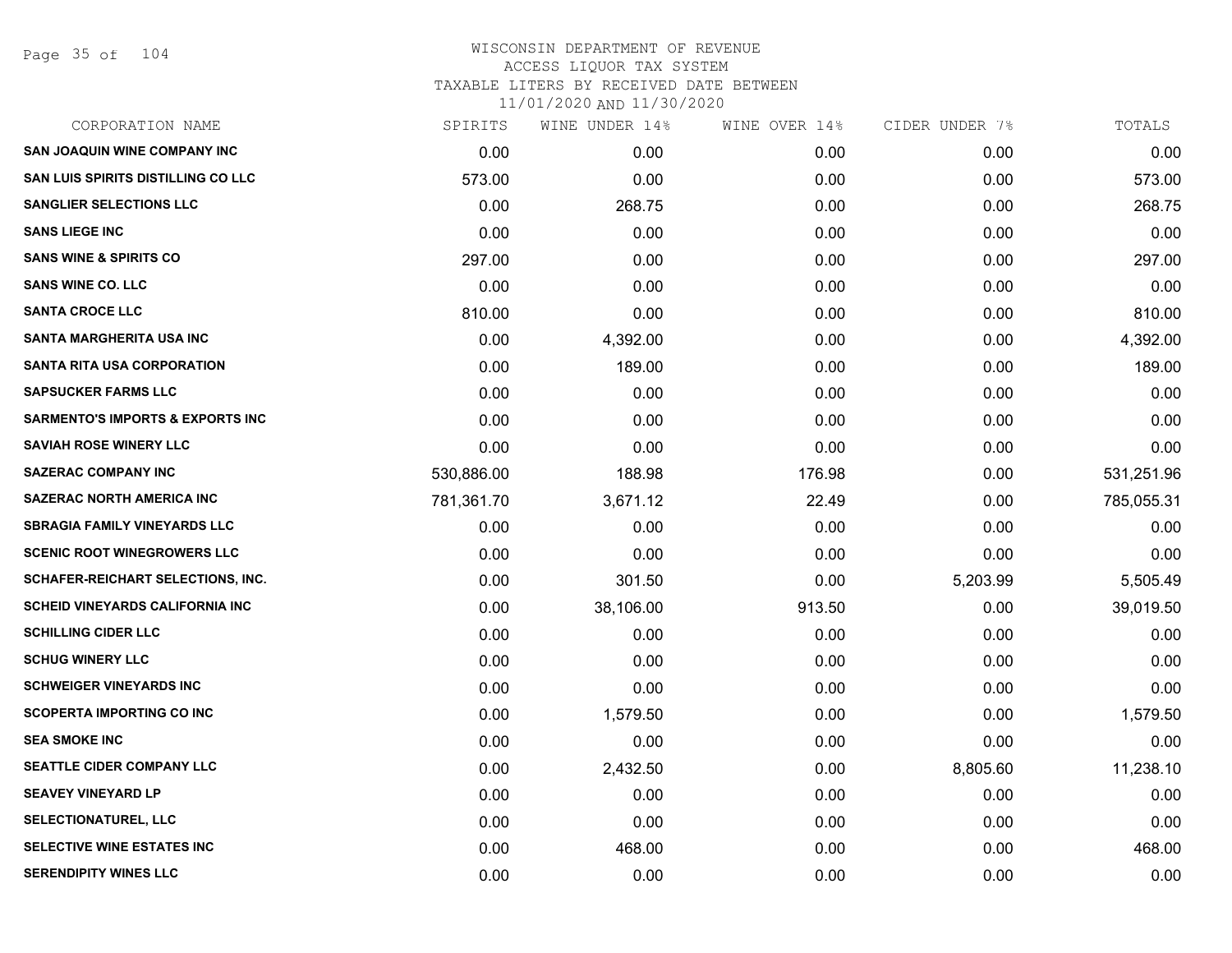Page 35 of 104

| CORPORATION NAME                            | SPIRITS    | WINE UNDER 14% | WINE OVER 14% | CIDER UNDER 7% | TOTALS     |
|---------------------------------------------|------------|----------------|---------------|----------------|------------|
| <b>SAN JOAQUIN WINE COMPANY INC</b>         | 0.00       | 0.00           | 0.00          | 0.00           | 0.00       |
| SAN LUIS SPIRITS DISTILLING CO LLC          | 573.00     | 0.00           | 0.00          | 0.00           | 573.00     |
| <b>SANGLIER SELECTIONS LLC</b>              | 0.00       | 268.75         | 0.00          | 0.00           | 268.75     |
| <b>SANS LIEGE INC</b>                       | 0.00       | 0.00           | 0.00          | 0.00           | 0.00       |
| <b>SANS WINE &amp; SPIRITS CO</b>           | 297.00     | 0.00           | 0.00          | 0.00           | 297.00     |
| <b>SANS WINE CO. LLC</b>                    | 0.00       | 0.00           | 0.00          | 0.00           | 0.00       |
| <b>SANTA CROCE LLC</b>                      | 810.00     | 0.00           | 0.00          | 0.00           | 810.00     |
| SANTA MARGHERITA USA INC                    | 0.00       | 4,392.00       | 0.00          | 0.00           | 4,392.00   |
| <b>SANTA RITA USA CORPORATION</b>           | 0.00       | 189.00         | 0.00          | 0.00           | 189.00     |
| <b>SAPSUCKER FARMS LLC</b>                  | 0.00       | 0.00           | 0.00          | 0.00           | 0.00       |
| <b>SARMENTO'S IMPORTS &amp; EXPORTS INC</b> | 0.00       | 0.00           | 0.00          | 0.00           | 0.00       |
| <b>SAVIAH ROSE WINERY LLC</b>               | 0.00       | 0.00           | 0.00          | 0.00           | 0.00       |
| <b>SAZERAC COMPANY INC</b>                  | 530,886.00 | 188.98         | 176.98        | 0.00           | 531,251.96 |
| <b>SAZERAC NORTH AMERICA INC</b>            | 781,361.70 | 3,671.12       | 22.49         | 0.00           | 785,055.31 |
| <b>SBRAGIA FAMILY VINEYARDS LLC</b>         | 0.00       | 0.00           | 0.00          | 0.00           | 0.00       |
| <b>SCENIC ROOT WINEGROWERS LLC</b>          | 0.00       | 0.00           | 0.00          | 0.00           | 0.00       |
| SCHAFER-REICHART SELECTIONS, INC.           | 0.00       | 301.50         | 0.00          | 5,203.99       | 5,505.49   |
| <b>SCHEID VINEYARDS CALIFORNIA INC</b>      | 0.00       | 38,106.00      | 913.50        | 0.00           | 39,019.50  |
| <b>SCHILLING CIDER LLC</b>                  | 0.00       | 0.00           | 0.00          | 0.00           | 0.00       |
| <b>SCHUG WINERY LLC</b>                     | 0.00       | 0.00           | 0.00          | 0.00           | 0.00       |
| <b>SCHWEIGER VINEYARDS INC</b>              | 0.00       | 0.00           | 0.00          | 0.00           | 0.00       |
| <b>SCOPERTA IMPORTING CO INC</b>            | 0.00       | 1,579.50       | 0.00          | 0.00           | 1,579.50   |
| <b>SEA SMOKE INC</b>                        | 0.00       | 0.00           | 0.00          | 0.00           | 0.00       |
| <b>SEATTLE CIDER COMPANY LLC</b>            | 0.00       | 2,432.50       | 0.00          | 8,805.60       | 11,238.10  |
| <b>SEAVEY VINEYARD LP</b>                   | 0.00       | 0.00           | 0.00          | 0.00           | 0.00       |
| SELECTIONATUREL, LLC                        | 0.00       | 0.00           | 0.00          | 0.00           | 0.00       |
| SELECTIVE WINE ESTATES INC                  | 0.00       | 468.00         | 0.00          | 0.00           | 468.00     |
| <b>SERENDIPITY WINES LLC</b>                | 0.00       | 0.00           | 0.00          | 0.00           | 0.00       |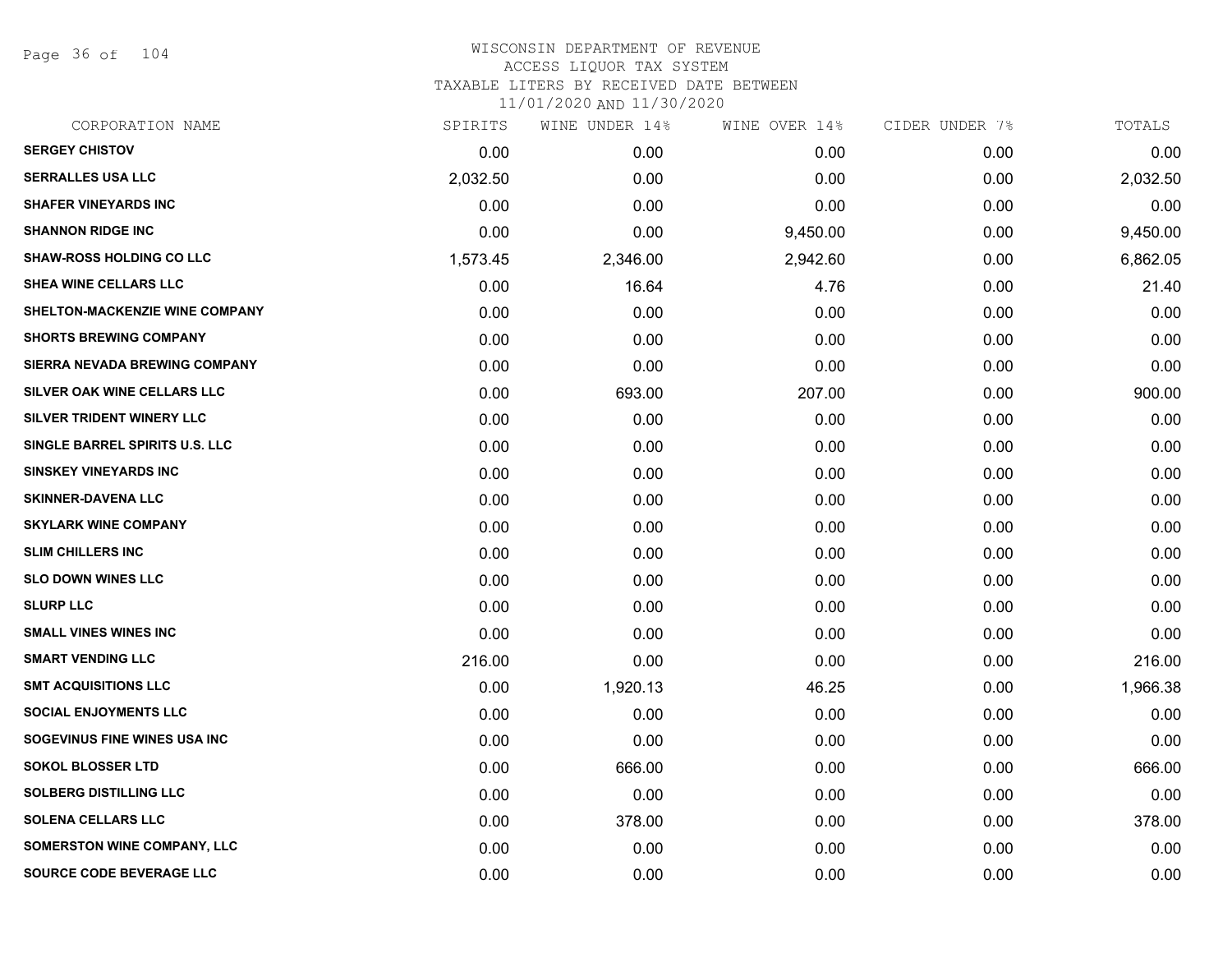Page 36 of 104

| CORPORATION NAME                      | SPIRITS  | WINE UNDER 14% | WINE OVER 14% | CIDER UNDER 7% | TOTALS   |
|---------------------------------------|----------|----------------|---------------|----------------|----------|
| <b>SERGEY CHISTOV</b>                 | 0.00     | 0.00           | 0.00          | 0.00           | 0.00     |
| <b>SERRALLES USA LLC</b>              | 2,032.50 | 0.00           | 0.00          | 0.00           | 2,032.50 |
| <b>SHAFER VINEYARDS INC</b>           | 0.00     | 0.00           | 0.00          | 0.00           | 0.00     |
| <b>SHANNON RIDGE INC</b>              | 0.00     | 0.00           | 9,450.00      | 0.00           | 9,450.00 |
| <b>SHAW-ROSS HOLDING CO LLC</b>       | 1,573.45 | 2,346.00       | 2,942.60      | 0.00           | 6,862.05 |
| SHEA WINE CELLARS LLC                 | 0.00     | 16.64          | 4.76          | 0.00           | 21.40    |
| <b>SHELTON-MACKENZIE WINE COMPANY</b> | 0.00     | 0.00           | 0.00          | 0.00           | 0.00     |
| <b>SHORTS BREWING COMPANY</b>         | 0.00     | 0.00           | 0.00          | 0.00           | 0.00     |
| SIERRA NEVADA BREWING COMPANY         | 0.00     | 0.00           | 0.00          | 0.00           | 0.00     |
| SILVER OAK WINE CELLARS LLC           | 0.00     | 693.00         | 207.00        | 0.00           | 900.00   |
| SILVER TRIDENT WINERY LLC             | 0.00     | 0.00           | 0.00          | 0.00           | 0.00     |
| SINGLE BARREL SPIRITS U.S. LLC        | 0.00     | 0.00           | 0.00          | 0.00           | 0.00     |
| <b>SINSKEY VINEYARDS INC</b>          | 0.00     | 0.00           | 0.00          | 0.00           | 0.00     |
| <b>SKINNER-DAVENA LLC</b>             | 0.00     | 0.00           | 0.00          | 0.00           | 0.00     |
| <b>SKYLARK WINE COMPANY</b>           | 0.00     | 0.00           | 0.00          | 0.00           | 0.00     |
| <b>SLIM CHILLERS INC</b>              | 0.00     | 0.00           | 0.00          | 0.00           | 0.00     |
| <b>SLO DOWN WINES LLC</b>             | 0.00     | 0.00           | 0.00          | 0.00           | 0.00     |
| <b>SLURP LLC</b>                      | 0.00     | 0.00           | 0.00          | 0.00           | 0.00     |
| <b>SMALL VINES WINES INC</b>          | 0.00     | 0.00           | 0.00          | 0.00           | 0.00     |
| <b>SMART VENDING LLC</b>              | 216.00   | 0.00           | 0.00          | 0.00           | 216.00   |
| <b>SMT ACQUISITIONS LLC</b>           | 0.00     | 1,920.13       | 46.25         | 0.00           | 1,966.38 |
| <b>SOCIAL ENJOYMENTS LLC</b>          | 0.00     | 0.00           | 0.00          | 0.00           | 0.00     |
| SOGEVINUS FINE WINES USA INC          | 0.00     | 0.00           | 0.00          | 0.00           | 0.00     |
| <b>SOKOL BLOSSER LTD</b>              | 0.00     | 666.00         | 0.00          | 0.00           | 666.00   |
| <b>SOLBERG DISTILLING LLC</b>         | 0.00     | 0.00           | 0.00          | 0.00           | 0.00     |
| <b>SOLENA CELLARS LLC</b>             | 0.00     | 378.00         | 0.00          | 0.00           | 378.00   |
| <b>SOMERSTON WINE COMPANY, LLC</b>    | 0.00     | 0.00           | 0.00          | 0.00           | 0.00     |
| SOURCE CODE BEVERAGE LLC              | 0.00     | 0.00           | 0.00          | 0.00           | 0.00     |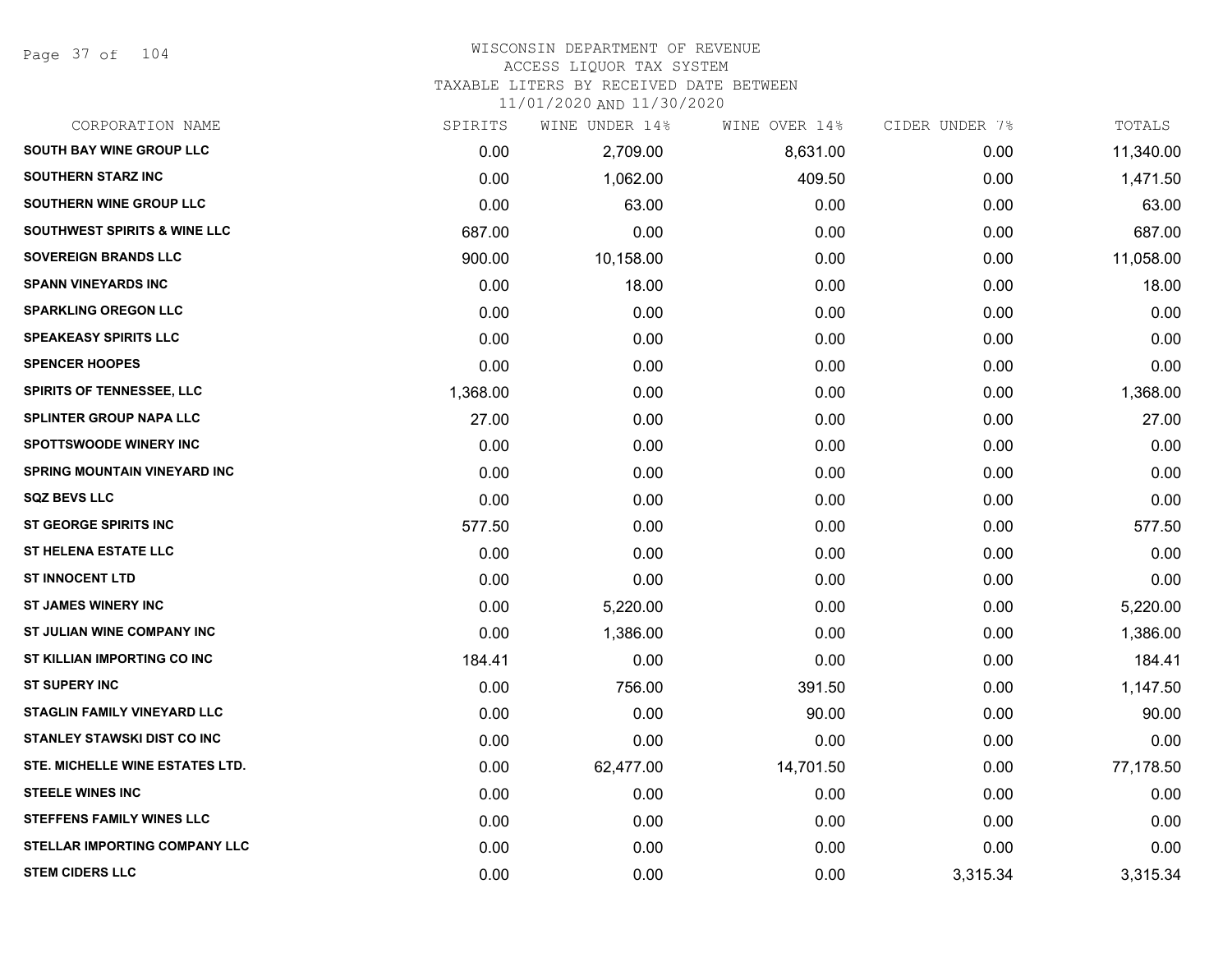Page 37 of 104

# WISCONSIN DEPARTMENT OF REVENUE ACCESS LIQUOR TAX SYSTEM

TAXABLE LITERS BY RECEIVED DATE BETWEEN

| CORPORATION NAME                        | SPIRITS  | WINE UNDER 14% | WINE OVER 14% | CIDER UNDER 7% | TOTALS    |
|-----------------------------------------|----------|----------------|---------------|----------------|-----------|
| <b>SOUTH BAY WINE GROUP LLC</b>         | 0.00     | 2,709.00       | 8,631.00      | 0.00           | 11,340.00 |
| <b>SOUTHERN STARZ INC</b>               | 0.00     | 1,062.00       | 409.50        | 0.00           | 1,471.50  |
| <b>SOUTHERN WINE GROUP LLC</b>          | 0.00     | 63.00          | 0.00          | 0.00           | 63.00     |
| <b>SOUTHWEST SPIRITS &amp; WINE LLC</b> | 687.00   | 0.00           | 0.00          | 0.00           | 687.00    |
| <b>SOVEREIGN BRANDS LLC</b>             | 900.00   | 10,158.00      | 0.00          | 0.00           | 11,058.00 |
| <b>SPANN VINEYARDS INC</b>              | 0.00     | 18.00          | 0.00          | 0.00           | 18.00     |
| <b>SPARKLING OREGON LLC</b>             | 0.00     | 0.00           | 0.00          | 0.00           | 0.00      |
| <b>SPEAKEASY SPIRITS LLC</b>            | 0.00     | 0.00           | 0.00          | 0.00           | 0.00      |
| <b>SPENCER HOOPES</b>                   | 0.00     | 0.00           | 0.00          | 0.00           | 0.00      |
| <b>SPIRITS OF TENNESSEE, LLC</b>        | 1,368.00 | 0.00           | 0.00          | 0.00           | 1,368.00  |
| <b>SPLINTER GROUP NAPA LLC</b>          | 27.00    | 0.00           | 0.00          | 0.00           | 27.00     |
| <b>SPOTTSWOODE WINERY INC</b>           | 0.00     | 0.00           | 0.00          | 0.00           | 0.00      |
| <b>SPRING MOUNTAIN VINEYARD INC</b>     | 0.00     | 0.00           | 0.00          | 0.00           | 0.00      |
| <b>SQZ BEVS LLC</b>                     | 0.00     | 0.00           | 0.00          | 0.00           | 0.00      |
| ST GEORGE SPIRITS INC                   | 577.50   | 0.00           | 0.00          | 0.00           | 577.50    |
| <b>ST HELENA ESTATE LLC</b>             | 0.00     | 0.00           | 0.00          | 0.00           | 0.00      |
| <b>ST INNOCENT LTD</b>                  | 0.00     | 0.00           | 0.00          | 0.00           | 0.00      |
| <b>ST JAMES WINERY INC</b>              | 0.00     | 5,220.00       | 0.00          | 0.00           | 5,220.00  |
| ST JULIAN WINE COMPANY INC              | 0.00     | 1,386.00       | 0.00          | 0.00           | 1,386.00  |
| ST KILLIAN IMPORTING CO INC             | 184.41   | 0.00           | 0.00          | 0.00           | 184.41    |
| <b>ST SUPERY INC</b>                    | 0.00     | 756.00         | 391.50        | 0.00           | 1,147.50  |
| STAGLIN FAMILY VINEYARD LLC             | 0.00     | 0.00           | 90.00         | 0.00           | 90.00     |
| <b>STANLEY STAWSKI DIST CO INC</b>      | 0.00     | 0.00           | 0.00          | 0.00           | 0.00      |
| STE. MICHELLE WINE ESTATES LTD.         | 0.00     | 62,477.00      | 14,701.50     | 0.00           | 77,178.50 |
| <b>STEELE WINES INC</b>                 | 0.00     | 0.00           | 0.00          | 0.00           | 0.00      |
| <b>STEFFENS FAMILY WINES LLC</b>        | 0.00     | 0.00           | 0.00          | 0.00           | 0.00      |
| STELLAR IMPORTING COMPANY LLC           | 0.00     | 0.00           | 0.00          | 0.00           | 0.00      |
| <b>STEM CIDERS LLC</b>                  | 0.00     | 0.00           | 0.00          | 3,315.34       | 3,315.34  |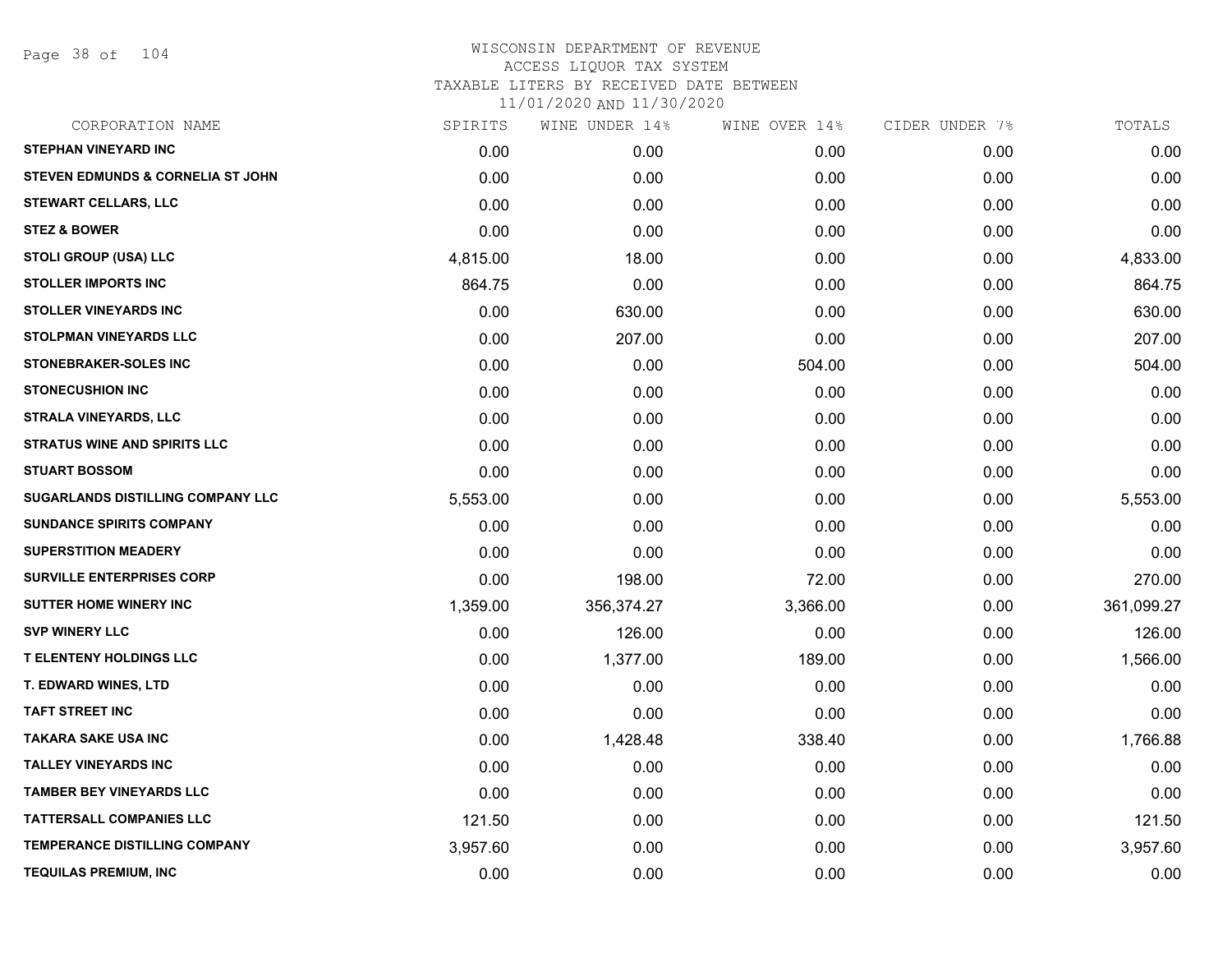Page 38 of 104

| CORPORATION NAME                             | SPIRITS  | WINE UNDER 14% | WINE OVER 14% | CIDER UNDER 7% | TOTALS     |
|----------------------------------------------|----------|----------------|---------------|----------------|------------|
| <b>STEPHAN VINEYARD INC</b>                  | 0.00     | 0.00           | 0.00          | 0.00           | 0.00       |
| <b>STEVEN EDMUNDS &amp; CORNELIA ST JOHN</b> | 0.00     | 0.00           | 0.00          | 0.00           | 0.00       |
| <b>STEWART CELLARS, LLC</b>                  | 0.00     | 0.00           | 0.00          | 0.00           | 0.00       |
| <b>STEZ &amp; BOWER</b>                      | 0.00     | 0.00           | 0.00          | 0.00           | 0.00       |
| <b>STOLI GROUP (USA) LLC</b>                 | 4,815.00 | 18.00          | 0.00          | 0.00           | 4,833.00   |
| <b>STOLLER IMPORTS INC</b>                   | 864.75   | 0.00           | 0.00          | 0.00           | 864.75     |
| <b>STOLLER VINEYARDS INC</b>                 | 0.00     | 630.00         | 0.00          | 0.00           | 630.00     |
| STOLPMAN VINEYARDS LLC                       | 0.00     | 207.00         | 0.00          | 0.00           | 207.00     |
| <b>STONEBRAKER-SOLES INC</b>                 | 0.00     | 0.00           | 504.00        | 0.00           | 504.00     |
| <b>STONECUSHION INC</b>                      | 0.00     | 0.00           | 0.00          | 0.00           | 0.00       |
| <b>STRALA VINEYARDS, LLC</b>                 | 0.00     | 0.00           | 0.00          | 0.00           | 0.00       |
| <b>STRATUS WINE AND SPIRITS LLC</b>          | 0.00     | 0.00           | 0.00          | 0.00           | 0.00       |
| <b>STUART BOSSOM</b>                         | 0.00     | 0.00           | 0.00          | 0.00           | 0.00       |
| SUGARLANDS DISTILLING COMPANY LLC            | 5,553.00 | 0.00           | 0.00          | 0.00           | 5,553.00   |
| <b>SUNDANCE SPIRITS COMPANY</b>              | 0.00     | 0.00           | 0.00          | 0.00           | 0.00       |
| <b>SUPERSTITION MEADERY</b>                  | 0.00     | 0.00           | 0.00          | 0.00           | 0.00       |
| SURVILLE ENTERPRISES CORP                    | 0.00     | 198.00         | 72.00         | 0.00           | 270.00     |
| SUTTER HOME WINERY INC                       | 1,359.00 | 356,374.27     | 3,366.00      | 0.00           | 361,099.27 |
| <b>SVP WINERY LLC</b>                        | 0.00     | 126.00         | 0.00          | 0.00           | 126.00     |
| <b>T ELENTENY HOLDINGS LLC</b>               | 0.00     | 1,377.00       | 189.00        | 0.00           | 1,566.00   |
| <b>T. EDWARD WINES, LTD</b>                  | 0.00     | 0.00           | 0.00          | 0.00           | 0.00       |
| <b>TAFT STREET INC</b>                       | 0.00     | 0.00           | 0.00          | 0.00           | 0.00       |
| TAKARA SAKE USA INC                          | 0.00     | 1,428.48       | 338.40        | 0.00           | 1,766.88   |
| <b>TALLEY VINEYARDS INC</b>                  | 0.00     | 0.00           | 0.00          | 0.00           | 0.00       |
| <b>TAMBER BEY VINEYARDS LLC</b>              | 0.00     | 0.00           | 0.00          | 0.00           | 0.00       |
| <b>TATTERSALL COMPANIES LLC</b>              | 121.50   | 0.00           | 0.00          | 0.00           | 121.50     |
| <b>TEMPERANCE DISTILLING COMPANY</b>         | 3,957.60 | 0.00           | 0.00          | 0.00           | 3,957.60   |
| <b>TEQUILAS PREMIUM, INC</b>                 | 0.00     | 0.00           | 0.00          | 0.00           | 0.00       |
|                                              |          |                |               |                |            |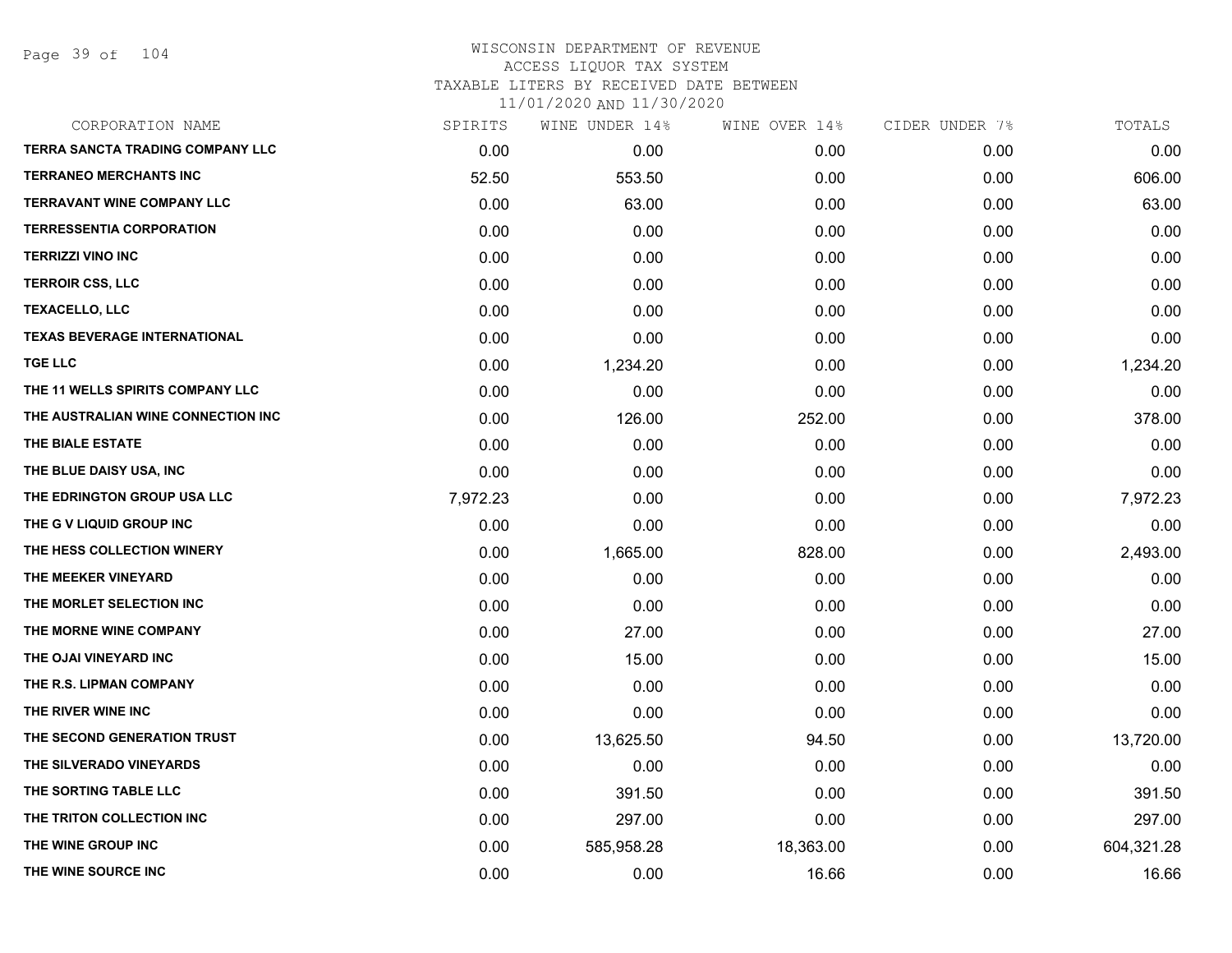Page 39 of 104

| SPIRITS  | WINE UNDER 14% | WINE OVER 14% | CIDER UNDER 7% | TOTALS     |
|----------|----------------|---------------|----------------|------------|
| 0.00     | 0.00           | 0.00          | 0.00           | 0.00       |
| 52.50    | 553.50         | 0.00          | 0.00           | 606.00     |
| 0.00     | 63.00          | 0.00          | 0.00           | 63.00      |
| 0.00     | 0.00           | 0.00          | 0.00           | 0.00       |
| 0.00     | 0.00           | 0.00          | 0.00           | 0.00       |
| 0.00     | 0.00           | 0.00          | 0.00           | 0.00       |
| 0.00     | 0.00           | 0.00          | 0.00           | 0.00       |
| 0.00     | 0.00           | 0.00          | 0.00           | 0.00       |
| 0.00     | 1,234.20       | 0.00          | 0.00           | 1,234.20   |
| 0.00     | 0.00           | 0.00          | 0.00           | 0.00       |
| 0.00     | 126.00         | 252.00        | 0.00           | 378.00     |
| 0.00     | 0.00           | 0.00          | 0.00           | 0.00       |
| 0.00     | 0.00           | 0.00          | 0.00           | 0.00       |
| 7,972.23 | 0.00           | 0.00          | 0.00           | 7,972.23   |
| 0.00     | 0.00           | 0.00          | 0.00           | 0.00       |
| 0.00     | 1,665.00       | 828.00        | 0.00           | 2,493.00   |
| 0.00     | 0.00           | 0.00          | 0.00           | 0.00       |
| 0.00     | 0.00           | 0.00          | 0.00           | 0.00       |
| 0.00     | 27.00          | 0.00          | 0.00           | 27.00      |
| 0.00     | 15.00          | 0.00          | 0.00           | 15.00      |
| 0.00     | 0.00           | 0.00          | 0.00           | 0.00       |
| 0.00     | 0.00           | 0.00          | 0.00           | 0.00       |
| 0.00     | 13,625.50      | 94.50         | 0.00           | 13,720.00  |
| 0.00     | 0.00           | 0.00          | 0.00           | 0.00       |
| 0.00     | 391.50         | 0.00          | 0.00           | 391.50     |
| 0.00     | 297.00         | 0.00          | 0.00           | 297.00     |
| 0.00     | 585,958.28     | 18,363.00     | 0.00           | 604,321.28 |
| 0.00     | 0.00           | 16.66         | 0.00           | 16.66      |
|          |                |               |                |            |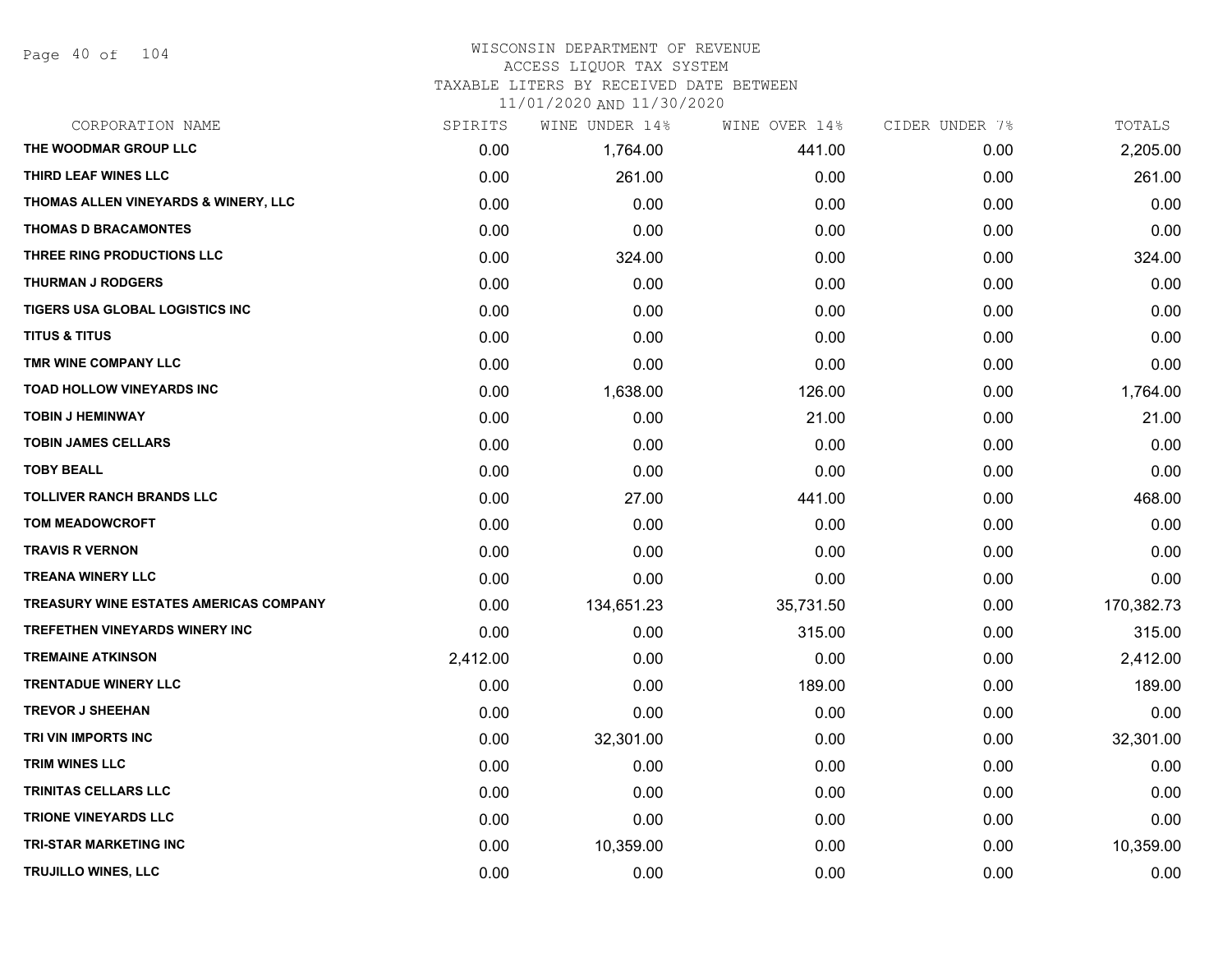#### WISCONSIN DEPARTMENT OF REVENUE ACCESS LIQUOR TAX SYSTEM

TAXABLE LITERS BY RECEIVED DATE BETWEEN

| CORPORATION NAME                       | SPIRITS  | WINE UNDER 14% | WINE OVER 14% | CIDER UNDER 7% | TOTALS     |
|----------------------------------------|----------|----------------|---------------|----------------|------------|
| THE WOODMAR GROUP LLC                  | 0.00     | 1,764.00       | 441.00        | 0.00           | 2,205.00   |
| THIRD LEAF WINES LLC                   | 0.00     | 261.00         | 0.00          | 0.00           | 261.00     |
| THOMAS ALLEN VINEYARDS & WINERY, LLC   | 0.00     | 0.00           | 0.00          | 0.00           | 0.00       |
| <b>THOMAS D BRACAMONTES</b>            | 0.00     | 0.00           | 0.00          | 0.00           | 0.00       |
| THREE RING PRODUCTIONS LLC             | 0.00     | 324.00         | 0.00          | 0.00           | 324.00     |
| <b>THURMAN J RODGERS</b>               | 0.00     | 0.00           | 0.00          | 0.00           | 0.00       |
| TIGERS USA GLOBAL LOGISTICS INC        | 0.00     | 0.00           | 0.00          | 0.00           | 0.00       |
| <b>TITUS &amp; TITUS</b>               | 0.00     | 0.00           | 0.00          | 0.00           | 0.00       |
| TMR WINE COMPANY LLC                   | 0.00     | 0.00           | 0.00          | 0.00           | 0.00       |
| TOAD HOLLOW VINEYARDS INC              | 0.00     | 1,638.00       | 126.00        | 0.00           | 1,764.00   |
| <b>TOBIN J HEMINWAY</b>                | 0.00     | 0.00           | 21.00         | 0.00           | 21.00      |
| <b>TOBIN JAMES CELLARS</b>             | 0.00     | 0.00           | 0.00          | 0.00           | 0.00       |
| <b>TOBY BEALL</b>                      | 0.00     | 0.00           | 0.00          | 0.00           | 0.00       |
| <b>TOLLIVER RANCH BRANDS LLC</b>       | 0.00     | 27.00          | 441.00        | 0.00           | 468.00     |
| <b>TOM MEADOWCROFT</b>                 | 0.00     | 0.00           | 0.00          | 0.00           | 0.00       |
| <b>TRAVIS R VERNON</b>                 | 0.00     | 0.00           | 0.00          | 0.00           | 0.00       |
| <b>TREANA WINERY LLC</b>               | 0.00     | 0.00           | 0.00          | 0.00           | 0.00       |
| TREASURY WINE ESTATES AMERICAS COMPANY | 0.00     | 134,651.23     | 35,731.50     | 0.00           | 170,382.73 |
| <b>TREFETHEN VINEYARDS WINERY INC</b>  | 0.00     | 0.00           | 315.00        | 0.00           | 315.00     |
| <b>TREMAINE ATKINSON</b>               | 2,412.00 | 0.00           | 0.00          | 0.00           | 2,412.00   |
| <b>TRENTADUE WINERY LLC</b>            | 0.00     | 0.00           | 189.00        | 0.00           | 189.00     |
| <b>TREVOR J SHEEHAN</b>                | 0.00     | 0.00           | 0.00          | 0.00           | 0.00       |
| TRI VIN IMPORTS INC                    | 0.00     | 32,301.00      | 0.00          | 0.00           | 32,301.00  |
| <b>TRIM WINES LLC</b>                  | 0.00     | 0.00           | 0.00          | 0.00           | 0.00       |
| <b>TRINITAS CELLARS LLC</b>            | 0.00     | 0.00           | 0.00          | 0.00           | 0.00       |
| <b>TRIONE VINEYARDS LLC</b>            | 0.00     | 0.00           | 0.00          | 0.00           | 0.00       |
| <b>TRI-STAR MARKETING INC</b>          | 0.00     | 10,359.00      | 0.00          | 0.00           | 10,359.00  |
| TRUJILLO WINES, LLC                    | 0.00     | 0.00           | 0.00          | 0.00           | 0.00       |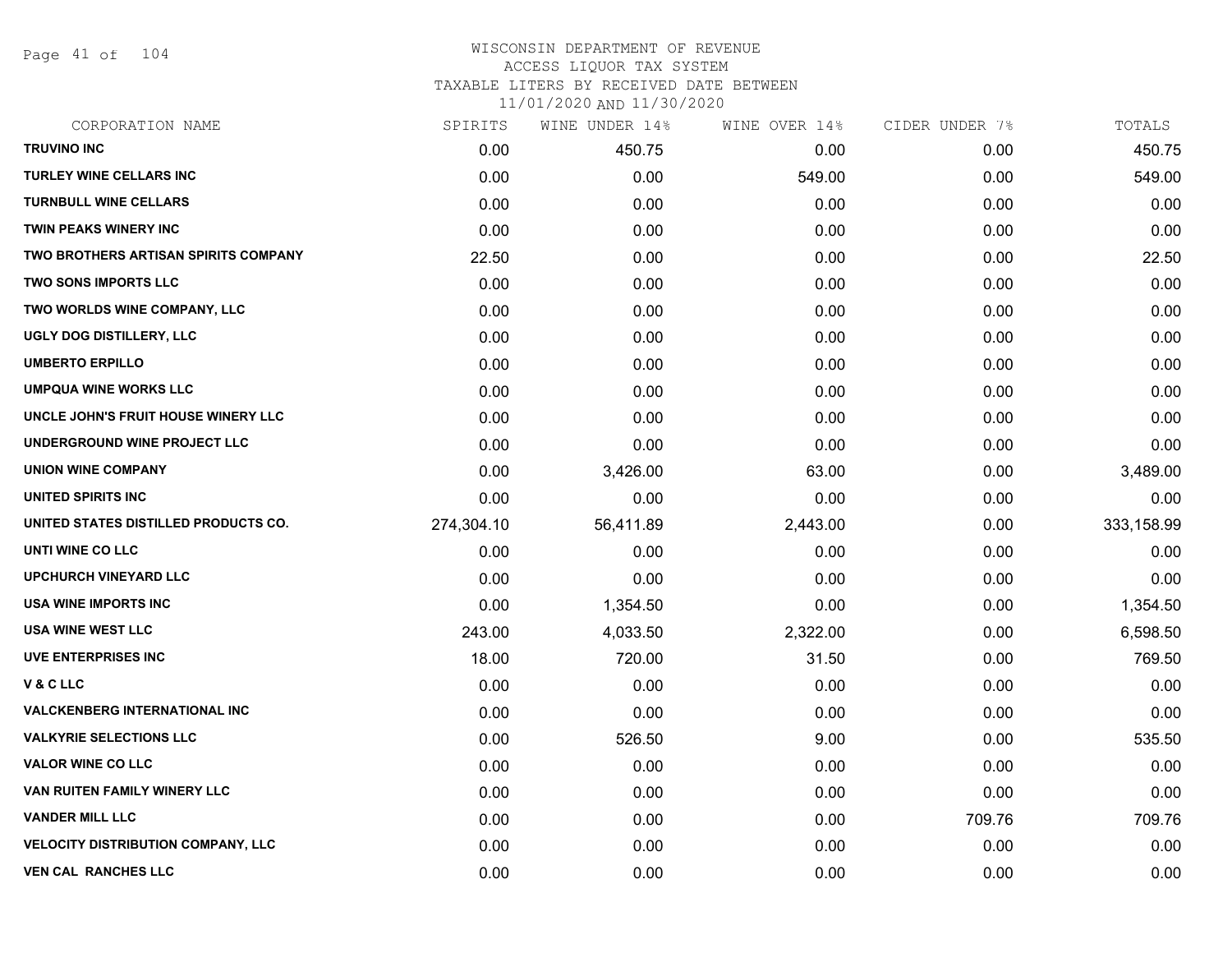Page 41 of 104

# WISCONSIN DEPARTMENT OF REVENUE ACCESS LIQUOR TAX SYSTEM

TAXABLE LITERS BY RECEIVED DATE BETWEEN

| CORPORATION NAME                            | SPIRITS    | WINE UNDER 14% | WINE OVER 14% | CIDER UNDER 7% | TOTALS     |
|---------------------------------------------|------------|----------------|---------------|----------------|------------|
| <b>TRUVINO INC</b>                          | 0.00       | 450.75         | 0.00          | 0.00           | 450.75     |
| <b>TURLEY WINE CELLARS INC</b>              | 0.00       | 0.00           | 549.00        | 0.00           | 549.00     |
| <b>TURNBULL WINE CELLARS</b>                | 0.00       | 0.00           | 0.00          | 0.00           | 0.00       |
| <b>TWIN PEAKS WINERY INC</b>                | 0.00       | 0.00           | 0.00          | 0.00           | 0.00       |
| <b>TWO BROTHERS ARTISAN SPIRITS COMPANY</b> | 22.50      | 0.00           | 0.00          | 0.00           | 22.50      |
| <b>TWO SONS IMPORTS LLC</b>                 | 0.00       | 0.00           | 0.00          | 0.00           | 0.00       |
| TWO WORLDS WINE COMPANY, LLC                | 0.00       | 0.00           | 0.00          | 0.00           | 0.00       |
| UGLY DOG DISTILLERY, LLC                    | 0.00       | 0.00           | 0.00          | 0.00           | 0.00       |
| <b>UMBERTO ERPILLO</b>                      | 0.00       | 0.00           | 0.00          | 0.00           | 0.00       |
| <b>UMPQUA WINE WORKS LLC</b>                | 0.00       | 0.00           | 0.00          | 0.00           | 0.00       |
| UNCLE JOHN'S FRUIT HOUSE WINERY LLC         | 0.00       | 0.00           | 0.00          | 0.00           | 0.00       |
| UNDERGROUND WINE PROJECT LLC                | 0.00       | 0.00           | 0.00          | 0.00           | 0.00       |
| <b>UNION WINE COMPANY</b>                   | 0.00       | 3,426.00       | 63.00         | 0.00           | 3,489.00   |
| UNITED SPIRITS INC                          | 0.00       | 0.00           | 0.00          | 0.00           | 0.00       |
| UNITED STATES DISTILLED PRODUCTS CO.        | 274,304.10 | 56,411.89      | 2,443.00      | 0.00           | 333,158.99 |
| UNTI WINE CO LLC                            | 0.00       | 0.00           | 0.00          | 0.00           | 0.00       |
| <b>UPCHURCH VINEYARD LLC</b>                | 0.00       | 0.00           | 0.00          | 0.00           | 0.00       |
| USA WINE IMPORTS INC                        | 0.00       | 1,354.50       | 0.00          | 0.00           | 1,354.50   |
| <b>USA WINE WEST LLC</b>                    | 243.00     | 4,033.50       | 2,322.00      | 0.00           | 6,598.50   |
| UVE ENTERPRISES INC                         | 18.00      | 720.00         | 31.50         | 0.00           | 769.50     |
| V & C LLC                                   | 0.00       | 0.00           | 0.00          | 0.00           | 0.00       |
| <b>VALCKENBERG INTERNATIONAL INC</b>        | 0.00       | 0.00           | 0.00          | 0.00           | 0.00       |
| <b>VALKYRIE SELECTIONS LLC</b>              | 0.00       | 526.50         | 9.00          | 0.00           | 535.50     |
| <b>VALOR WINE CO LLC</b>                    | 0.00       | 0.00           | 0.00          | 0.00           | 0.00       |
| VAN RUITEN FAMILY WINERY LLC                | 0.00       | 0.00           | 0.00          | 0.00           | 0.00       |
| <b>VANDER MILL LLC</b>                      | 0.00       | 0.00           | 0.00          | 709.76         | 709.76     |
| <b>VELOCITY DISTRIBUTION COMPANY, LLC</b>   | 0.00       | 0.00           | 0.00          | 0.00           | 0.00       |
| <b>VEN CAL RANCHES LLC</b>                  | 0.00       | 0.00           | 0.00          | 0.00           | 0.00       |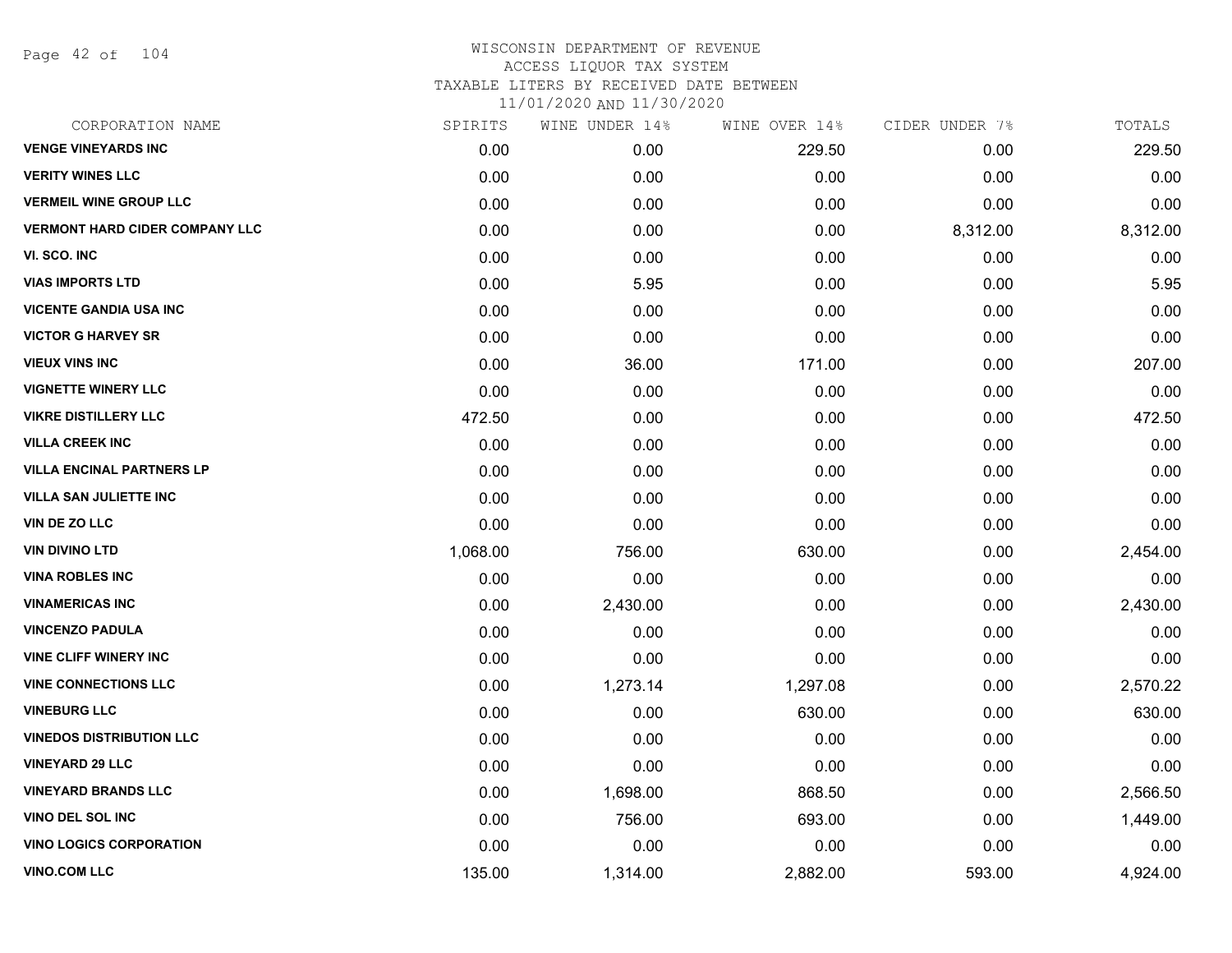Page 42 of 104

| CORPORATION NAME                      | SPIRITS  | WINE UNDER 14% | WINE OVER 14% | CIDER UNDER 7% | TOTALS   |
|---------------------------------------|----------|----------------|---------------|----------------|----------|
| <b>VENGE VINEYARDS INC</b>            | 0.00     | 0.00           | 229.50        | 0.00           | 229.50   |
| <b>VERITY WINES LLC</b>               | 0.00     | 0.00           | 0.00          | 0.00           | 0.00     |
| <b>VERMEIL WINE GROUP LLC</b>         | 0.00     | 0.00           | 0.00          | 0.00           | 0.00     |
| <b>VERMONT HARD CIDER COMPANY LLC</b> | 0.00     | 0.00           | 0.00          | 8,312.00       | 8,312.00 |
| VI. SCO. INC                          | 0.00     | 0.00           | 0.00          | 0.00           | 0.00     |
| <b>VIAS IMPORTS LTD</b>               | 0.00     | 5.95           | 0.00          | 0.00           | 5.95     |
| <b>VICENTE GANDIA USA INC</b>         | 0.00     | 0.00           | 0.00          | 0.00           | 0.00     |
| <b>VICTOR G HARVEY SR</b>             | 0.00     | 0.00           | 0.00          | 0.00           | 0.00     |
| <b>VIEUX VINS INC</b>                 | 0.00     | 36.00          | 171.00        | 0.00           | 207.00   |
| <b>VIGNETTE WINERY LLC</b>            | 0.00     | 0.00           | 0.00          | 0.00           | 0.00     |
| <b>VIKRE DISTILLERY LLC</b>           | 472.50   | 0.00           | 0.00          | 0.00           | 472.50   |
| <b>VILLA CREEK INC</b>                | 0.00     | 0.00           | 0.00          | 0.00           | 0.00     |
| <b>VILLA ENCINAL PARTNERS LP</b>      | 0.00     | 0.00           | 0.00          | 0.00           | 0.00     |
| <b>VILLA SAN JULIETTE INC</b>         | 0.00     | 0.00           | 0.00          | 0.00           | 0.00     |
| <b>VIN DE ZO LLC</b>                  | 0.00     | 0.00           | 0.00          | 0.00           | 0.00     |
| <b>VIN DIVINO LTD</b>                 | 1,068.00 | 756.00         | 630.00        | 0.00           | 2,454.00 |
| <b>VINA ROBLES INC</b>                | 0.00     | 0.00           | 0.00          | 0.00           | 0.00     |
| <b>VINAMERICAS INC</b>                | 0.00     | 2,430.00       | 0.00          | 0.00           | 2,430.00 |
| <b>VINCENZO PADULA</b>                | 0.00     | 0.00           | 0.00          | 0.00           | 0.00     |
| <b>VINE CLIFF WINERY INC</b>          | 0.00     | 0.00           | 0.00          | 0.00           | 0.00     |
| <b>VINE CONNECTIONS LLC</b>           | 0.00     | 1,273.14       | 1,297.08      | 0.00           | 2,570.22 |
| <b>VINEBURG LLC</b>                   | 0.00     | 0.00           | 630.00        | 0.00           | 630.00   |
| <b>VINEDOS DISTRIBUTION LLC</b>       | 0.00     | 0.00           | 0.00          | 0.00           | 0.00     |
| <b>VINEYARD 29 LLC</b>                | 0.00     | 0.00           | 0.00          | 0.00           | 0.00     |
| <b>VINEYARD BRANDS LLC</b>            | 0.00     | 1,698.00       | 868.50        | 0.00           | 2,566.50 |
| <b>VINO DEL SOL INC</b>               | 0.00     | 756.00         | 693.00        | 0.00           | 1,449.00 |
| <b>VINO LOGICS CORPORATION</b>        | 0.00     | 0.00           | 0.00          | 0.00           | 0.00     |
| <b>VINO.COM LLC</b>                   | 135.00   | 1,314.00       | 2,882.00      | 593.00         | 4,924.00 |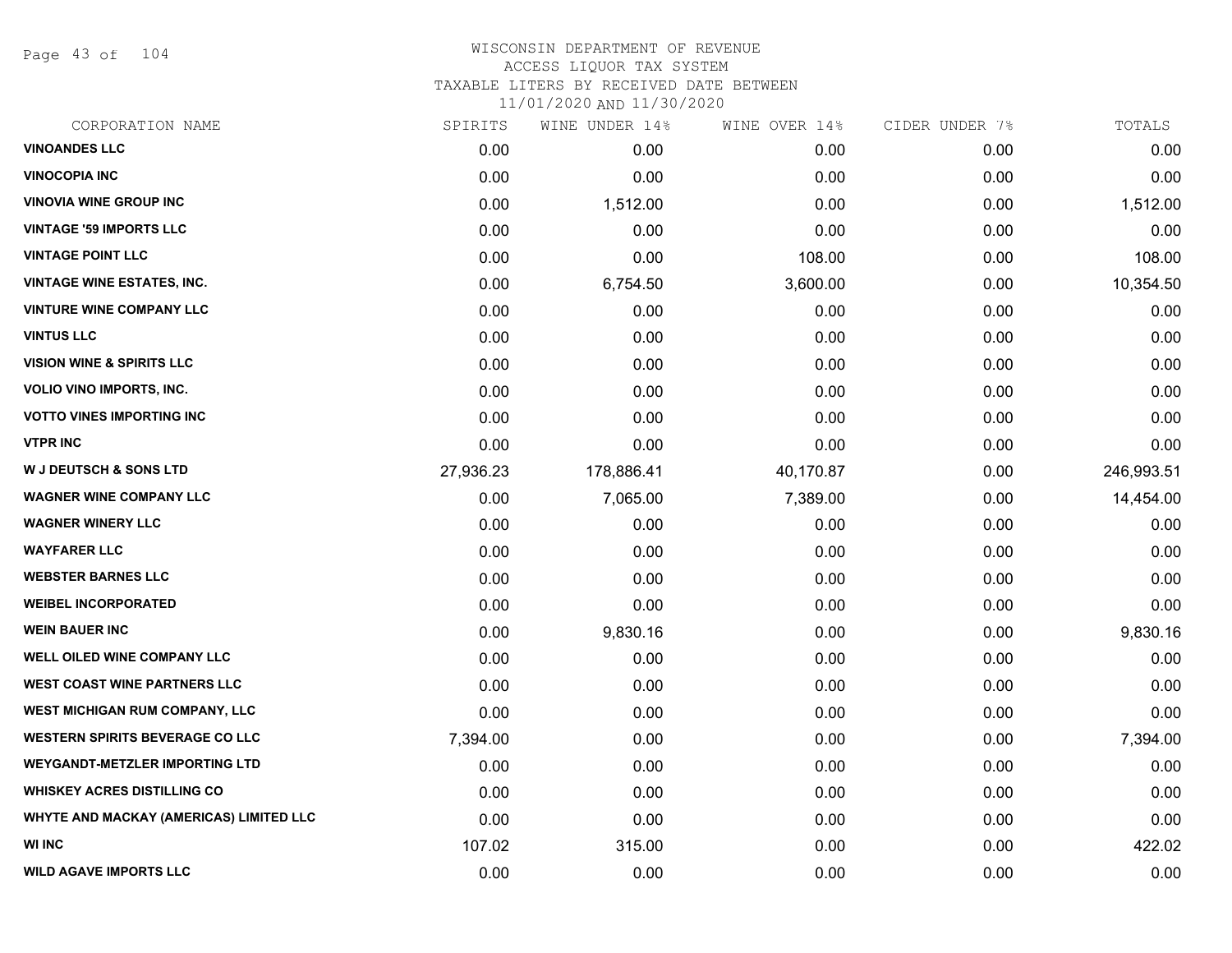Page 43 of 104

# WISCONSIN DEPARTMENT OF REVENUE ACCESS LIQUOR TAX SYSTEM TAXABLE LITERS BY RECEIVED DATE BETWEEN

| CORPORATION NAME                               | SPIRITS   | WINE UNDER 14% | WINE OVER 14% | CIDER UNDER 7% | TOTALS     |
|------------------------------------------------|-----------|----------------|---------------|----------------|------------|
| <b>VINOANDES LLC</b>                           | 0.00      | 0.00           | 0.00          | 0.00           | 0.00       |
| <b>VINOCOPIA INC</b>                           | 0.00      | 0.00           | 0.00          | 0.00           | 0.00       |
| <b>VINOVIA WINE GROUP INC</b>                  | 0.00      | 1,512.00       | 0.00          | 0.00           | 1,512.00   |
| <b>VINTAGE '59 IMPORTS LLC</b>                 | 0.00      | 0.00           | 0.00          | 0.00           | 0.00       |
| <b>VINTAGE POINT LLC</b>                       | 0.00      | 0.00           | 108.00        | 0.00           | 108.00     |
| <b>VINTAGE WINE ESTATES, INC.</b>              | 0.00      | 6,754.50       | 3,600.00      | 0.00           | 10,354.50  |
| <b>VINTURE WINE COMPANY LLC</b>                | 0.00      | 0.00           | 0.00          | 0.00           | 0.00       |
| <b>VINTUS LLC</b>                              | 0.00      | 0.00           | 0.00          | 0.00           | 0.00       |
| <b>VISION WINE &amp; SPIRITS LLC</b>           | 0.00      | 0.00           | 0.00          | 0.00           | 0.00       |
| <b>VOLIO VINO IMPORTS, INC.</b>                | 0.00      | 0.00           | 0.00          | 0.00           | 0.00       |
| <b>VOTTO VINES IMPORTING INC</b>               | 0.00      | 0.00           | 0.00          | 0.00           | 0.00       |
| <b>VTPR INC</b>                                | 0.00      | 0.00           | 0.00          | 0.00           | 0.00       |
| <b>W J DEUTSCH &amp; SONS LTD</b>              | 27,936.23 | 178,886.41     | 40,170.87     | 0.00           | 246,993.51 |
| <b>WAGNER WINE COMPANY LLC</b>                 | 0.00      | 7,065.00       | 7,389.00      | 0.00           | 14,454.00  |
| <b>WAGNER WINERY LLC</b>                       | 0.00      | 0.00           | 0.00          | 0.00           | 0.00       |
| <b>WAYFARER LLC</b>                            | 0.00      | 0.00           | 0.00          | 0.00           | 0.00       |
| <b>WEBSTER BARNES LLC</b>                      | 0.00      | 0.00           | 0.00          | 0.00           | 0.00       |
| <b>WEIBEL INCORPORATED</b>                     | 0.00      | 0.00           | 0.00          | 0.00           | 0.00       |
| <b>WEIN BAUER INC</b>                          | 0.00      | 9,830.16       | 0.00          | 0.00           | 9,830.16   |
| <b>WELL OILED WINE COMPANY LLC</b>             | 0.00      | 0.00           | 0.00          | 0.00           | 0.00       |
| <b>WEST COAST WINE PARTNERS LLC</b>            | 0.00      | 0.00           | 0.00          | 0.00           | 0.00       |
| <b>WEST MICHIGAN RUM COMPANY, LLC</b>          | 0.00      | 0.00           | 0.00          | 0.00           | 0.00       |
| <b>WESTERN SPIRITS BEVERAGE CO LLC</b>         | 7,394.00  | 0.00           | 0.00          | 0.00           | 7,394.00   |
| <b>WEYGANDT-METZLER IMPORTING LTD</b>          | 0.00      | 0.00           | 0.00          | 0.00           | 0.00       |
| <b>WHISKEY ACRES DISTILLING CO</b>             | 0.00      | 0.00           | 0.00          | 0.00           | 0.00       |
| <b>WHYTE AND MACKAY (AMERICAS) LIMITED LLC</b> | 0.00      | 0.00           | 0.00          | 0.00           | 0.00       |
| <b>WI INC</b>                                  | 107.02    | 315.00         | 0.00          | 0.00           | 422.02     |
| <b>WILD AGAVE IMPORTS LLC</b>                  | 0.00      | 0.00           | 0.00          | 0.00           | 0.00       |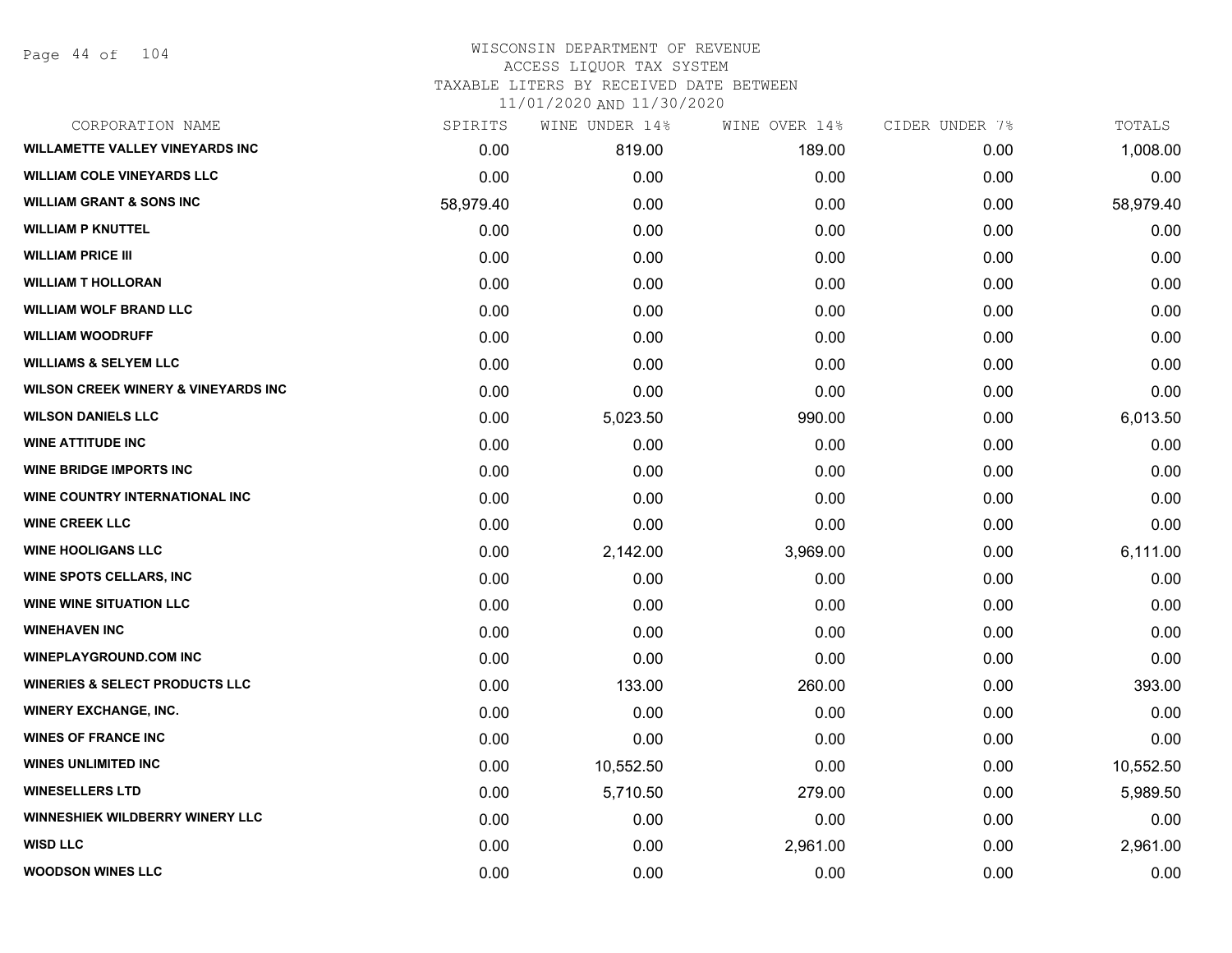Page 44 of 104

# WISCONSIN DEPARTMENT OF REVENUE ACCESS LIQUOR TAX SYSTEM TAXABLE LITERS BY RECEIVED DATE BETWEEN

| CORPORATION NAME                                | SPIRITS   | WINE UNDER 14% | WINE OVER 14% | CIDER UNDER 7% | TOTALS    |
|-------------------------------------------------|-----------|----------------|---------------|----------------|-----------|
| <b>WILLAMETTE VALLEY VINEYARDS INC</b>          | 0.00      | 819.00         | 189.00        | 0.00           | 1,008.00  |
| <b>WILLIAM COLE VINEYARDS LLC</b>               | 0.00      | 0.00           | 0.00          | 0.00           | 0.00      |
| <b>WILLIAM GRANT &amp; SONS INC</b>             | 58,979.40 | 0.00           | 0.00          | 0.00           | 58,979.40 |
| <b>WILLIAM P KNUTTEL</b>                        | 0.00      | 0.00           | 0.00          | 0.00           | 0.00      |
| <b>WILLIAM PRICE III</b>                        | 0.00      | 0.00           | 0.00          | 0.00           | 0.00      |
| <b>WILLIAM T HOLLORAN</b>                       | 0.00      | 0.00           | 0.00          | 0.00           | 0.00      |
| <b>WILLIAM WOLF BRAND LLC</b>                   | 0.00      | 0.00           | 0.00          | 0.00           | 0.00      |
| <b>WILLIAM WOODRUFF</b>                         | 0.00      | 0.00           | 0.00          | 0.00           | 0.00      |
| <b>WILLIAMS &amp; SELYEM LLC</b>                | 0.00      | 0.00           | 0.00          | 0.00           | 0.00      |
| <b>WILSON CREEK WINERY &amp; VINEYARDS INC.</b> | 0.00      | 0.00           | 0.00          | 0.00           | 0.00      |
| <b>WILSON DANIELS LLC</b>                       | 0.00      | 5,023.50       | 990.00        | 0.00           | 6,013.50  |
| <b>WINE ATTITUDE INC</b>                        | 0.00      | 0.00           | 0.00          | 0.00           | 0.00      |
| <b>WINE BRIDGE IMPORTS INC</b>                  | 0.00      | 0.00           | 0.00          | 0.00           | 0.00      |
| WINE COUNTRY INTERNATIONAL INC                  | 0.00      | 0.00           | 0.00          | 0.00           | 0.00      |
| <b>WINE CREEK LLC</b>                           | 0.00      | 0.00           | 0.00          | 0.00           | 0.00      |
| <b>WINE HOOLIGANS LLC</b>                       | 0.00      | 2,142.00       | 3,969.00      | 0.00           | 6,111.00  |
| <b>WINE SPOTS CELLARS, INC.</b>                 | 0.00      | 0.00           | 0.00          | 0.00           | 0.00      |
| <b>WINE WINE SITUATION LLC</b>                  | 0.00      | 0.00           | 0.00          | 0.00           | 0.00      |
| <b>WINEHAVEN INC</b>                            | 0.00      | 0.00           | 0.00          | 0.00           | 0.00      |
| <b>WINEPLAYGROUND.COM INC</b>                   | 0.00      | 0.00           | 0.00          | 0.00           | 0.00      |
| <b>WINERIES &amp; SELECT PRODUCTS LLC</b>       | 0.00      | 133.00         | 260.00        | 0.00           | 393.00    |
| <b>WINERY EXCHANGE, INC.</b>                    | 0.00      | 0.00           | 0.00          | 0.00           | 0.00      |
| <b>WINES OF FRANCE INC</b>                      | 0.00      | 0.00           | 0.00          | 0.00           | 0.00      |
| <b>WINES UNLIMITED INC</b>                      | 0.00      | 10,552.50      | 0.00          | 0.00           | 10,552.50 |
| <b>WINESELLERS LTD</b>                          | 0.00      | 5,710.50       | 279.00        | 0.00           | 5,989.50  |
| <b>WINNESHIEK WILDBERRY WINERY LLC</b>          | 0.00      | 0.00           | 0.00          | 0.00           | 0.00      |
| <b>WISD LLC</b>                                 | 0.00      | 0.00           | 2,961.00      | 0.00           | 2,961.00  |
| <b>WOODSON WINES LLC</b>                        | 0.00      | 0.00           | 0.00          | 0.00           | 0.00      |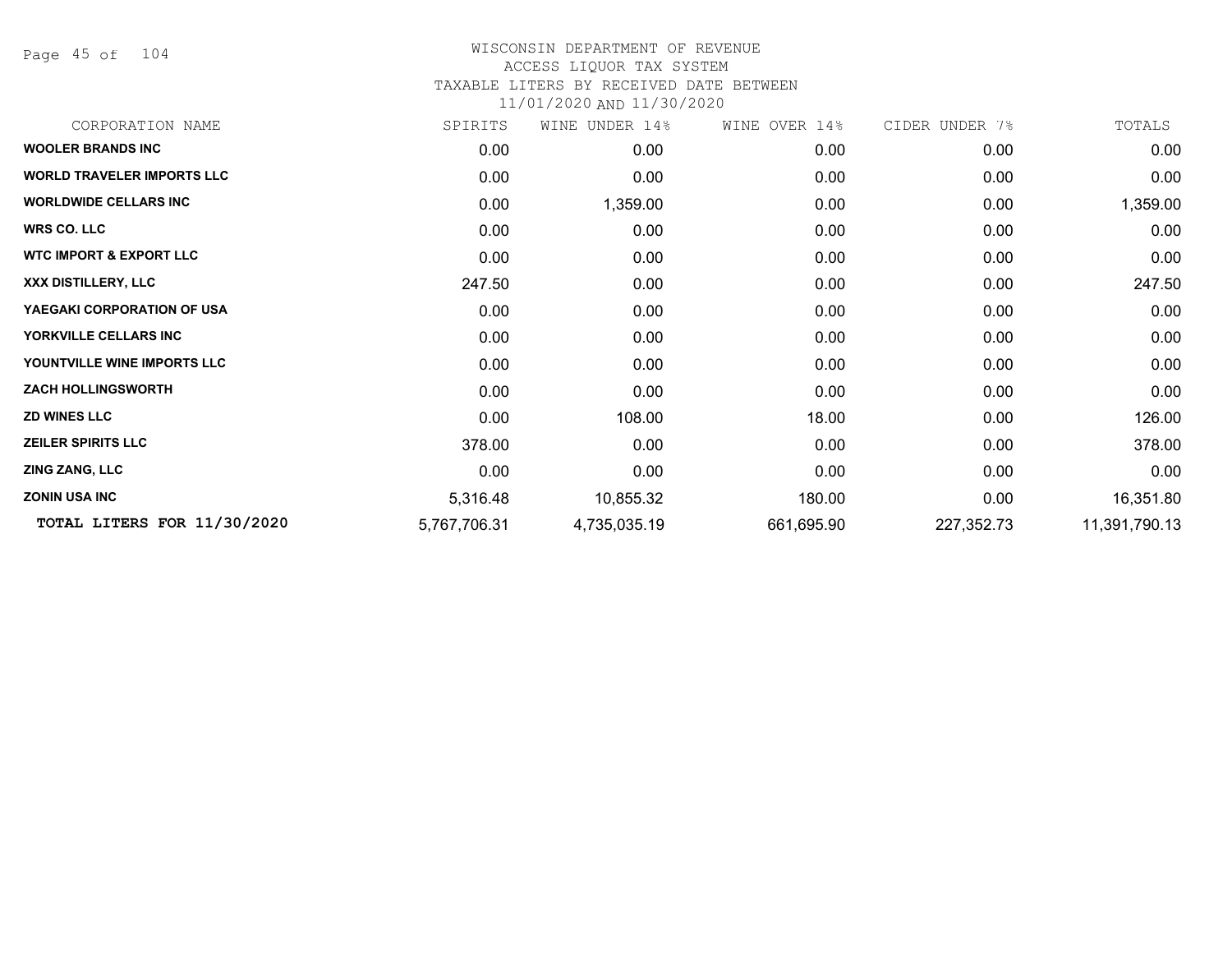Page 45 of 104

### WISCONSIN DEPARTMENT OF REVENUE ACCESS LIQUOR TAX SYSTEM TAXABLE LITERS BY RECEIVED DATE BETWEEN

| CORPORATION NAME                   | SPIRITS      | WINE UNDER 14% | WINE OVER 14% | CIDER UNDER 7% | TOTALS        |
|------------------------------------|--------------|----------------|---------------|----------------|---------------|
| <b>WOOLER BRANDS INC</b>           | 0.00         | 0.00           | 0.00          | 0.00           | 0.00          |
| <b>WORLD TRAVELER IMPORTS LLC</b>  | 0.00         | 0.00           | 0.00          | 0.00           | 0.00          |
| <b>WORLDWIDE CELLARS INC</b>       | 0.00         | 1,359.00       | 0.00          | 0.00           | 1,359.00      |
| <b>WRS CO. LLC</b>                 | 0.00         | 0.00           | 0.00          | 0.00           | 0.00          |
| <b>WTC IMPORT &amp; EXPORT LLC</b> | 0.00         | 0.00           | 0.00          | 0.00           | 0.00          |
| XXX DISTILLERY, LLC                | 247.50       | 0.00           | 0.00          | 0.00           | 247.50        |
| YAEGAKI CORPORATION OF USA         | 0.00         | 0.00           | 0.00          | 0.00           | 0.00          |
| YORKVILLE CELLARS INC              | 0.00         | 0.00           | 0.00          | 0.00           | 0.00          |
| YOUNTVILLE WINE IMPORTS LLC        | 0.00         | 0.00           | 0.00          | 0.00           | 0.00          |
| <b>ZACH HOLLINGSWORTH</b>          | 0.00         | 0.00           | 0.00          | 0.00           | 0.00          |
| <b>ZD WINES LLC</b>                | 0.00         | 108.00         | 18.00         | 0.00           | 126.00        |
| <b>ZEILER SPIRITS LLC</b>          | 378.00       | 0.00           | 0.00          | 0.00           | 378.00        |
| <b>ZING ZANG, LLC</b>              | 0.00         | 0.00           | 0.00          | 0.00           | 0.00          |
| <b>ZONIN USA INC</b>               | 5,316.48     | 10,855.32      | 180.00        | 0.00           | 16,351.80     |
| TOTAL LITERS FOR 11/30/2020        | 5,767,706.31 | 4,735,035.19   | 661,695.90    | 227,352.73     | 11,391,790.13 |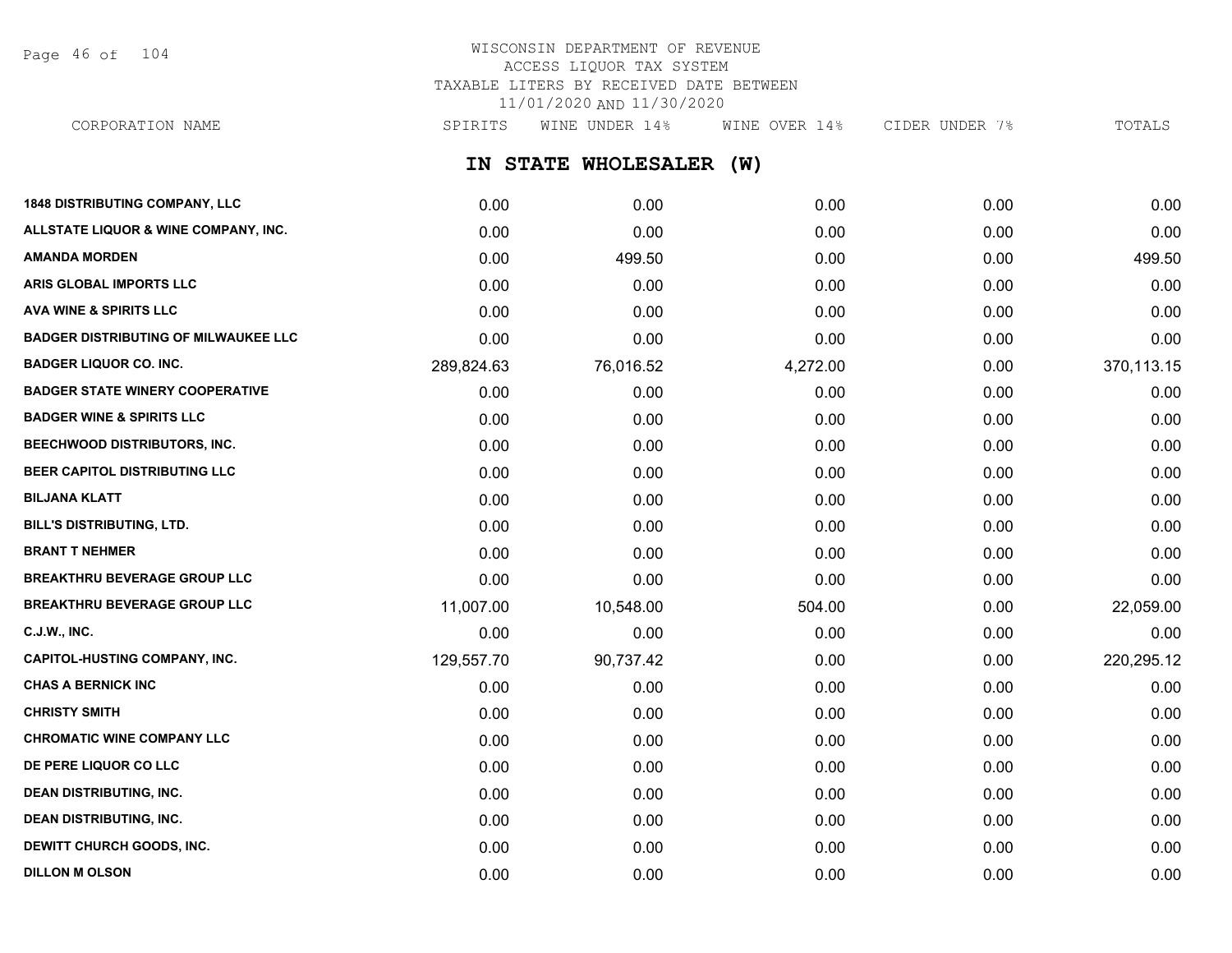Page 46 of 104

# WISCONSIN DEPARTMENT OF REVENUE ACCESS LIQUOR TAX SYSTEM TAXABLE LITERS BY RECEIVED DATE BETWEEN 11/01/2020 AND 11/30/2020

CORPORATION NAME SPIRITS WINE UNDER 14% WINE OVER 14% CIDER UNDER 7% TOTALS

**IN STATE WHOLESALER (W)**

| <b>1848 DISTRIBUTING COMPANY, LLC</b>       | 0.00       | 0.00      | 0.00     | 0.00 | 0.00       |
|---------------------------------------------|------------|-----------|----------|------|------------|
| ALLSTATE LIQUOR & WINE COMPANY, INC.        | 0.00       | 0.00      | 0.00     | 0.00 | 0.00       |
| <b>AMANDA MORDEN</b>                        | 0.00       | 499.50    | 0.00     | 0.00 | 499.50     |
| ARIS GLOBAL IMPORTS LLC                     | 0.00       | 0.00      | 0.00     | 0.00 | 0.00       |
| <b>AVA WINE &amp; SPIRITS LLC</b>           | 0.00       | 0.00      | 0.00     | 0.00 | 0.00       |
| <b>BADGER DISTRIBUTING OF MILWAUKEE LLC</b> | 0.00       | 0.00      | 0.00     | 0.00 | 0.00       |
| <b>BADGER LIQUOR CO. INC.</b>               | 289,824.63 | 76,016.52 | 4,272.00 | 0.00 | 370,113.15 |
| <b>BADGER STATE WINERY COOPERATIVE</b>      | 0.00       | 0.00      | 0.00     | 0.00 | 0.00       |
| <b>BADGER WINE &amp; SPIRITS LLC</b>        | 0.00       | 0.00      | 0.00     | 0.00 | 0.00       |
| BEECHWOOD DISTRIBUTORS, INC.                | 0.00       | 0.00      | 0.00     | 0.00 | 0.00       |
| BEER CAPITOL DISTRIBUTING LLC               | 0.00       | 0.00      | 0.00     | 0.00 | 0.00       |
| <b>BILJANA KLATT</b>                        | 0.00       | 0.00      | 0.00     | 0.00 | 0.00       |
| BILL'S DISTRIBUTING, LTD.                   | 0.00       | 0.00      | 0.00     | 0.00 | 0.00       |
| <b>BRANT T NEHMER</b>                       | 0.00       | 0.00      | 0.00     | 0.00 | 0.00       |
| <b>BREAKTHRU BEVERAGE GROUP LLC</b>         | 0.00       | 0.00      | 0.00     | 0.00 | 0.00       |
| <b>BREAKTHRU BEVERAGE GROUP LLC</b>         | 11,007.00  | 10,548.00 | 504.00   | 0.00 | 22,059.00  |
| <b>C.J.W., INC.</b>                         | 0.00       | 0.00      | 0.00     | 0.00 | 0.00       |
| <b>CAPITOL-HUSTING COMPANY, INC.</b>        | 129,557.70 | 90,737.42 | 0.00     | 0.00 | 220,295.12 |
| <b>CHAS A BERNICK INC</b>                   | 0.00       | 0.00      | 0.00     | 0.00 | 0.00       |
| <b>CHRISTY SMITH</b>                        | 0.00       | 0.00      | 0.00     | 0.00 | 0.00       |
| <b>CHROMATIC WINE COMPANY LLC</b>           | 0.00       | 0.00      | 0.00     | 0.00 | 0.00       |
| DE PERE LIQUOR CO LLC                       | 0.00       | 0.00      | 0.00     | 0.00 | 0.00       |
| <b>DEAN DISTRIBUTING, INC.</b>              | 0.00       | 0.00      | 0.00     | 0.00 | 0.00       |
| <b>DEAN DISTRIBUTING, INC.</b>              | 0.00       | 0.00      | 0.00     | 0.00 | 0.00       |
| DEWITT CHURCH GOODS, INC.                   | 0.00       | 0.00      | 0.00     | 0.00 | 0.00       |
| <b>DILLON M OLSON</b>                       | 0.00       | 0.00      | 0.00     | 0.00 | 0.00       |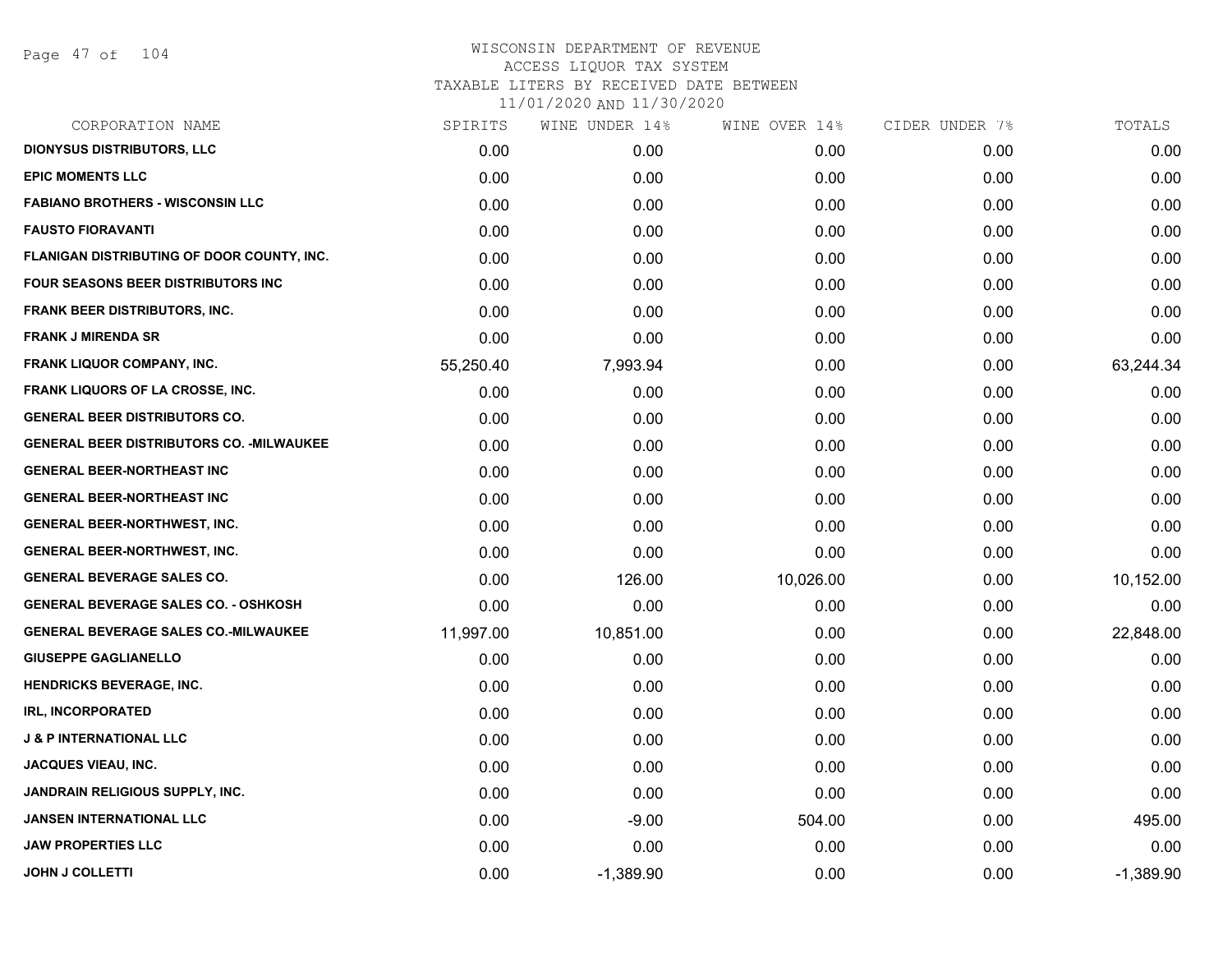| CORPORATION NAME                                 | SPIRITS   | WINE UNDER 14% | WINE OVER 14% | CIDER UNDER 7% | TOTALS      |
|--------------------------------------------------|-----------|----------------|---------------|----------------|-------------|
| <b>DIONYSUS DISTRIBUTORS, LLC</b>                | 0.00      | 0.00           | 0.00          | 0.00           | 0.00        |
| <b>EPIC MOMENTS LLC</b>                          | 0.00      | 0.00           | 0.00          | 0.00           | 0.00        |
| <b>FABIANO BROTHERS - WISCONSIN LLC</b>          | 0.00      | 0.00           | 0.00          | 0.00           | 0.00        |
| <b>FAUSTO FIORAVANTI</b>                         | 0.00      | 0.00           | 0.00          | 0.00           | 0.00        |
| FLANIGAN DISTRIBUTING OF DOOR COUNTY, INC.       | 0.00      | 0.00           | 0.00          | 0.00           | 0.00        |
| <b>FOUR SEASONS BEER DISTRIBUTORS INC</b>        | 0.00      | 0.00           | 0.00          | 0.00           | 0.00        |
| <b>FRANK BEER DISTRIBUTORS, INC.</b>             | 0.00      | 0.00           | 0.00          | 0.00           | 0.00        |
| <b>FRANK J MIRENDA SR</b>                        | 0.00      | 0.00           | 0.00          | 0.00           | 0.00        |
| <b>FRANK LIQUOR COMPANY, INC.</b>                | 55,250.40 | 7,993.94       | 0.00          | 0.00           | 63,244.34   |
| FRANK LIQUORS OF LA CROSSE, INC.                 | 0.00      | 0.00           | 0.00          | 0.00           | 0.00        |
| <b>GENERAL BEER DISTRIBUTORS CO.</b>             | 0.00      | 0.00           | 0.00          | 0.00           | 0.00        |
| <b>GENERAL BEER DISTRIBUTORS CO. - MILWAUKEE</b> | 0.00      | 0.00           | 0.00          | 0.00           | 0.00        |
| <b>GENERAL BEER-NORTHEAST INC</b>                | 0.00      | 0.00           | 0.00          | 0.00           | 0.00        |
| <b>GENERAL BEER-NORTHEAST INC</b>                | 0.00      | 0.00           | 0.00          | 0.00           | 0.00        |
| <b>GENERAL BEER-NORTHWEST, INC.</b>              | 0.00      | 0.00           | 0.00          | 0.00           | 0.00        |
| <b>GENERAL BEER-NORTHWEST, INC.</b>              | 0.00      | 0.00           | 0.00          | 0.00           | 0.00        |
| <b>GENERAL BEVERAGE SALES CO.</b>                | 0.00      | 126.00         | 10,026.00     | 0.00           | 10,152.00   |
| <b>GENERAL BEVERAGE SALES CO. - OSHKOSH</b>      | 0.00      | 0.00           | 0.00          | 0.00           | 0.00        |
| <b>GENERAL BEVERAGE SALES CO.-MILWAUKEE</b>      | 11,997.00 | 10,851.00      | 0.00          | 0.00           | 22,848.00   |
| <b>GIUSEPPE GAGLIANELLO</b>                      | 0.00      | 0.00           | 0.00          | 0.00           | 0.00        |
| <b>HENDRICKS BEVERAGE, INC.</b>                  | 0.00      | 0.00           | 0.00          | 0.00           | 0.00        |
| <b>IRL, INCORPORATED</b>                         | 0.00      | 0.00           | 0.00          | 0.00           | 0.00        |
| <b>J &amp; P INTERNATIONAL LLC</b>               | 0.00      | 0.00           | 0.00          | 0.00           | 0.00        |
| <b>JACQUES VIEAU, INC.</b>                       | 0.00      | 0.00           | 0.00          | 0.00           | 0.00        |
| JANDRAIN RELIGIOUS SUPPLY, INC.                  | 0.00      | 0.00           | 0.00          | 0.00           | 0.00        |
| JANSEN INTERNATIONAL LLC                         | 0.00      | $-9.00$        | 504.00        | 0.00           | 495.00      |
| <b>JAW PROPERTIES LLC</b>                        | 0.00      | 0.00           | 0.00          | 0.00           | 0.00        |
| <b>JOHN J COLLETTI</b>                           | 0.00      | $-1,389.90$    | 0.00          | 0.00           | $-1,389.90$ |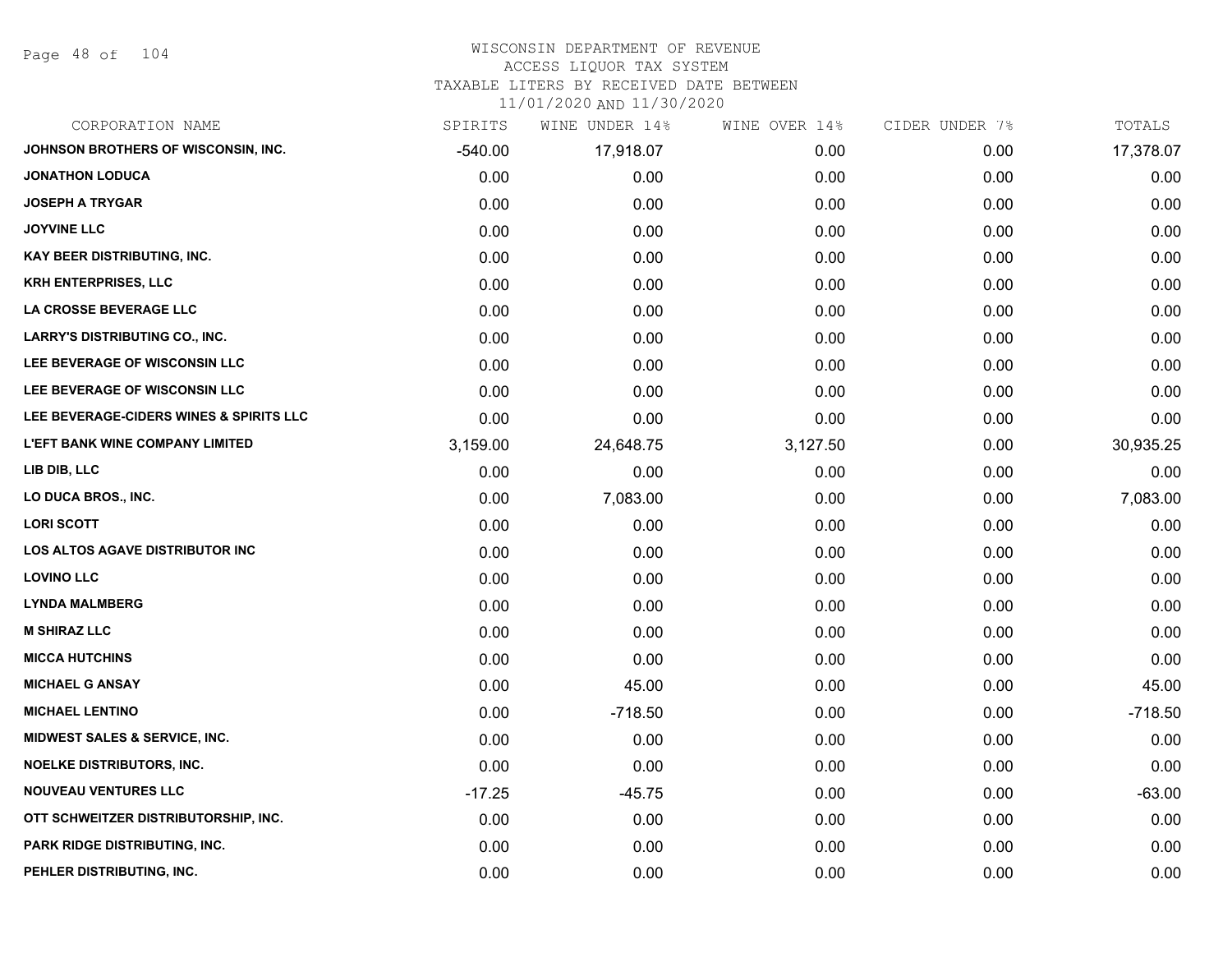Page 48 of 104

#### WISCONSIN DEPARTMENT OF REVENUE ACCESS LIQUOR TAX SYSTEM

TAXABLE LITERS BY RECEIVED DATE BETWEEN

| CORPORATION NAME                         | SPIRITS   | WINE UNDER 14% | WINE OVER 14% | CIDER UNDER 7% | TOTALS    |
|------------------------------------------|-----------|----------------|---------------|----------------|-----------|
| JOHNSON BROTHERS OF WISCONSIN, INC.      | $-540.00$ | 17,918.07      | 0.00          | 0.00           | 17,378.07 |
| <b>JONATHON LODUCA</b>                   | 0.00      | 0.00           | 0.00          | 0.00           | 0.00      |
| <b>JOSEPH A TRYGAR</b>                   | 0.00      | 0.00           | 0.00          | 0.00           | 0.00      |
| <b>JOYVINE LLC</b>                       | 0.00      | 0.00           | 0.00          | 0.00           | 0.00      |
| <b>KAY BEER DISTRIBUTING, INC.</b>       | 0.00      | 0.00           | 0.00          | 0.00           | 0.00      |
| <b>KRH ENTERPRISES, LLC</b>              | 0.00      | 0.00           | 0.00          | 0.00           | 0.00      |
| LA CROSSE BEVERAGE LLC                   | 0.00      | 0.00           | 0.00          | 0.00           | 0.00      |
| <b>LARRY'S DISTRIBUTING CO., INC.</b>    | 0.00      | 0.00           | 0.00          | 0.00           | 0.00      |
| LEE BEVERAGE OF WISCONSIN LLC            | 0.00      | 0.00           | 0.00          | 0.00           | 0.00      |
| LEE BEVERAGE OF WISCONSIN LLC            | 0.00      | 0.00           | 0.00          | 0.00           | 0.00      |
| LEE BEVERAGE-CIDERS WINES & SPIRITS LLC  | 0.00      | 0.00           | 0.00          | 0.00           | 0.00      |
| <b>L'EFT BANK WINE COMPANY LIMITED</b>   | 3,159.00  | 24,648.75      | 3,127.50      | 0.00           | 30,935.25 |
| LIB DIB, LLC                             | 0.00      | 0.00           | 0.00          | 0.00           | 0.00      |
| LO DUCA BROS., INC.                      | 0.00      | 7,083.00       | 0.00          | 0.00           | 7,083.00  |
| <b>LORI SCOTT</b>                        | 0.00      | 0.00           | 0.00          | 0.00           | 0.00      |
| LOS ALTOS AGAVE DISTRIBUTOR INC          | 0.00      | 0.00           | 0.00          | 0.00           | 0.00      |
| <b>LOVINO LLC</b>                        | 0.00      | 0.00           | 0.00          | 0.00           | 0.00      |
| <b>LYNDA MALMBERG</b>                    | 0.00      | 0.00           | 0.00          | 0.00           | 0.00      |
| <b>M SHIRAZ LLC</b>                      | 0.00      | 0.00           | 0.00          | 0.00           | 0.00      |
| <b>MICCA HUTCHINS</b>                    | 0.00      | 0.00           | 0.00          | 0.00           | 0.00      |
| <b>MICHAEL G ANSAY</b>                   | 0.00      | 45.00          | 0.00          | 0.00           | 45.00     |
| <b>MICHAEL LENTINO</b>                   | 0.00      | $-718.50$      | 0.00          | 0.00           | $-718.50$ |
| <b>MIDWEST SALES &amp; SERVICE, INC.</b> | 0.00      | 0.00           | 0.00          | 0.00           | 0.00      |
| NOELKE DISTRIBUTORS, INC.                | 0.00      | 0.00           | 0.00          | 0.00           | 0.00      |
| <b>NOUVEAU VENTURES LLC</b>              | $-17.25$  | $-45.75$       | 0.00          | 0.00           | $-63.00$  |
| OTT SCHWEITZER DISTRIBUTORSHIP, INC.     | 0.00      | 0.00           | 0.00          | 0.00           | 0.00      |
| <b>PARK RIDGE DISTRIBUTING, INC.</b>     | 0.00      | 0.00           | 0.00          | 0.00           | 0.00      |
| PEHLER DISTRIBUTING, INC.                | 0.00      | 0.00           | 0.00          | 0.00           | 0.00      |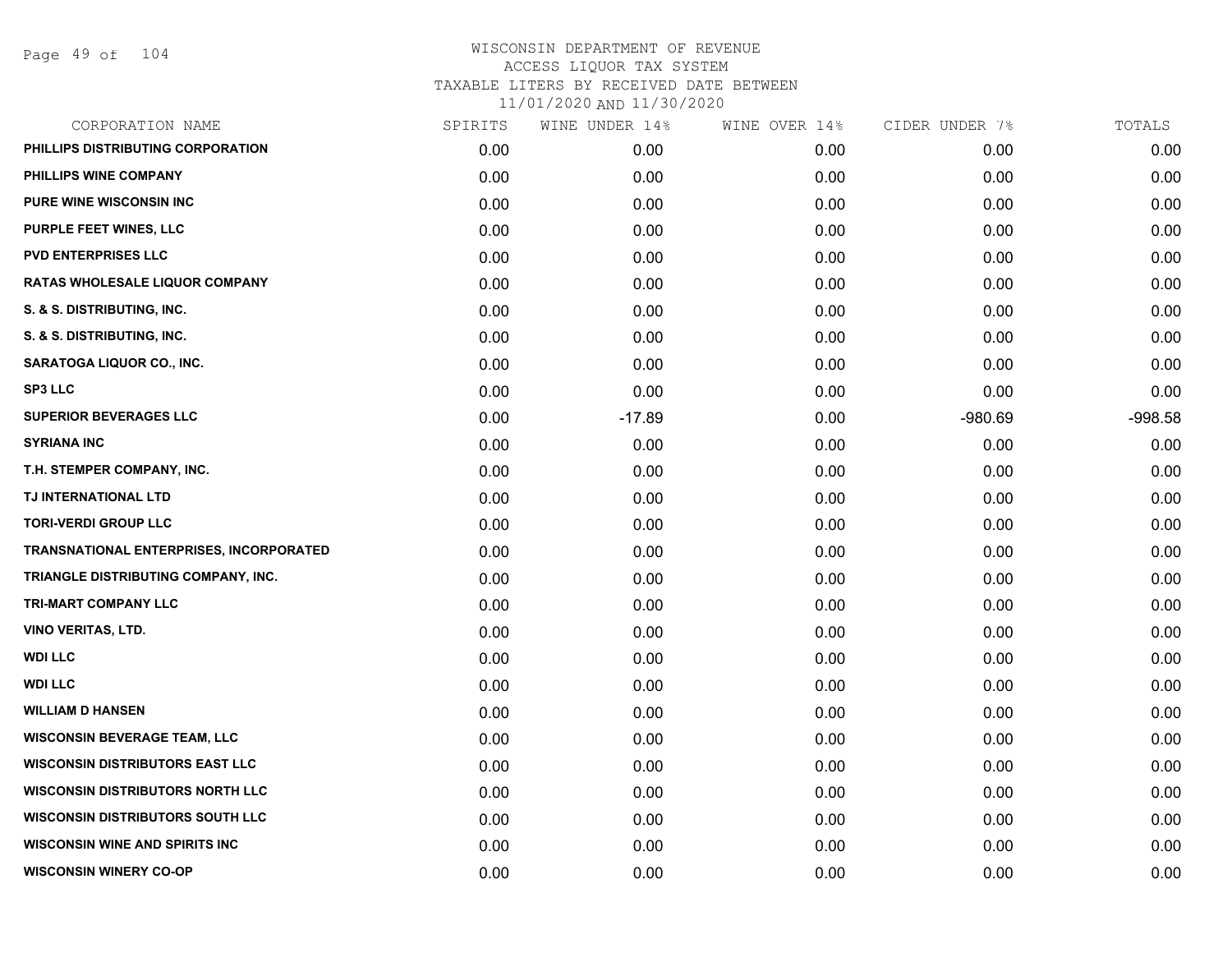Page 49 of 104

| CORPORATION NAME                        | SPIRITS | WINE UNDER 14% | WINE OVER 14% | CIDER UNDER 7% | TOTALS    |
|-----------------------------------------|---------|----------------|---------------|----------------|-----------|
| PHILLIPS DISTRIBUTING CORPORATION       | 0.00    | 0.00           | 0.00          | 0.00           | 0.00      |
| PHILLIPS WINE COMPANY                   | 0.00    | 0.00           | 0.00          | 0.00           | 0.00      |
| <b>PURE WINE WISCONSIN INC</b>          | 0.00    | 0.00           | 0.00          | 0.00           | 0.00      |
| PURPLE FEET WINES, LLC                  | 0.00    | 0.00           | 0.00          | 0.00           | 0.00      |
| <b>PVD ENTERPRISES LLC</b>              | 0.00    | 0.00           | 0.00          | 0.00           | 0.00      |
| RATAS WHOLESALE LIQUOR COMPANY          | 0.00    | 0.00           | 0.00          | 0.00           | 0.00      |
| S. & S. DISTRIBUTING, INC.              | 0.00    | 0.00           | 0.00          | 0.00           | 0.00      |
| S. & S. DISTRIBUTING, INC.              | 0.00    | 0.00           | 0.00          | 0.00           | 0.00      |
| <b>SARATOGA LIQUOR CO., INC.</b>        | 0.00    | 0.00           | 0.00          | 0.00           | 0.00      |
| <b>SP3 LLC</b>                          | 0.00    | 0.00           | 0.00          | 0.00           | 0.00      |
| <b>SUPERIOR BEVERAGES LLC</b>           | 0.00    | $-17.89$       | 0.00          | $-980.69$      | $-998.58$ |
| <b>SYRIANA INC</b>                      | 0.00    | 0.00           | 0.00          | 0.00           | 0.00      |
| T.H. STEMPER COMPANY, INC.              | 0.00    | 0.00           | 0.00          | 0.00           | 0.00      |
| TJ INTERNATIONAL LTD                    | 0.00    | 0.00           | 0.00          | 0.00           | 0.00      |
| <b>TORI-VERDI GROUP LLC</b>             | 0.00    | 0.00           | 0.00          | 0.00           | 0.00      |
| TRANSNATIONAL ENTERPRISES, INCORPORATED | 0.00    | 0.00           | 0.00          | 0.00           | 0.00      |
| TRIANGLE DISTRIBUTING COMPANY, INC.     | 0.00    | 0.00           | 0.00          | 0.00           | 0.00      |
| TRI-MART COMPANY LLC                    | 0.00    | 0.00           | 0.00          | 0.00           | 0.00      |
| <b>VINO VERITAS, LTD.</b>               | 0.00    | 0.00           | 0.00          | 0.00           | 0.00      |
| <b>WDI LLC</b>                          | 0.00    | 0.00           | 0.00          | 0.00           | 0.00      |
| <b>WDI LLC</b>                          | 0.00    | 0.00           | 0.00          | 0.00           | 0.00      |
| <b>WILLIAM D HANSEN</b>                 | 0.00    | 0.00           | 0.00          | 0.00           | 0.00      |
| <b>WISCONSIN BEVERAGE TEAM, LLC</b>     | 0.00    | 0.00           | 0.00          | 0.00           | 0.00      |
| <b>WISCONSIN DISTRIBUTORS EAST LLC</b>  | 0.00    | 0.00           | 0.00          | 0.00           | 0.00      |
| <b>WISCONSIN DISTRIBUTORS NORTH LLC</b> | 0.00    | 0.00           | 0.00          | 0.00           | 0.00      |
| <b>WISCONSIN DISTRIBUTORS SOUTH LLC</b> | 0.00    | 0.00           | 0.00          | 0.00           | 0.00      |
| <b>WISCONSIN WINE AND SPIRITS INC</b>   | 0.00    | 0.00           | 0.00          | 0.00           | 0.00      |
| <b>WISCONSIN WINERY CO-OP</b>           | 0.00    | 0.00           | 0.00          | 0.00           | 0.00      |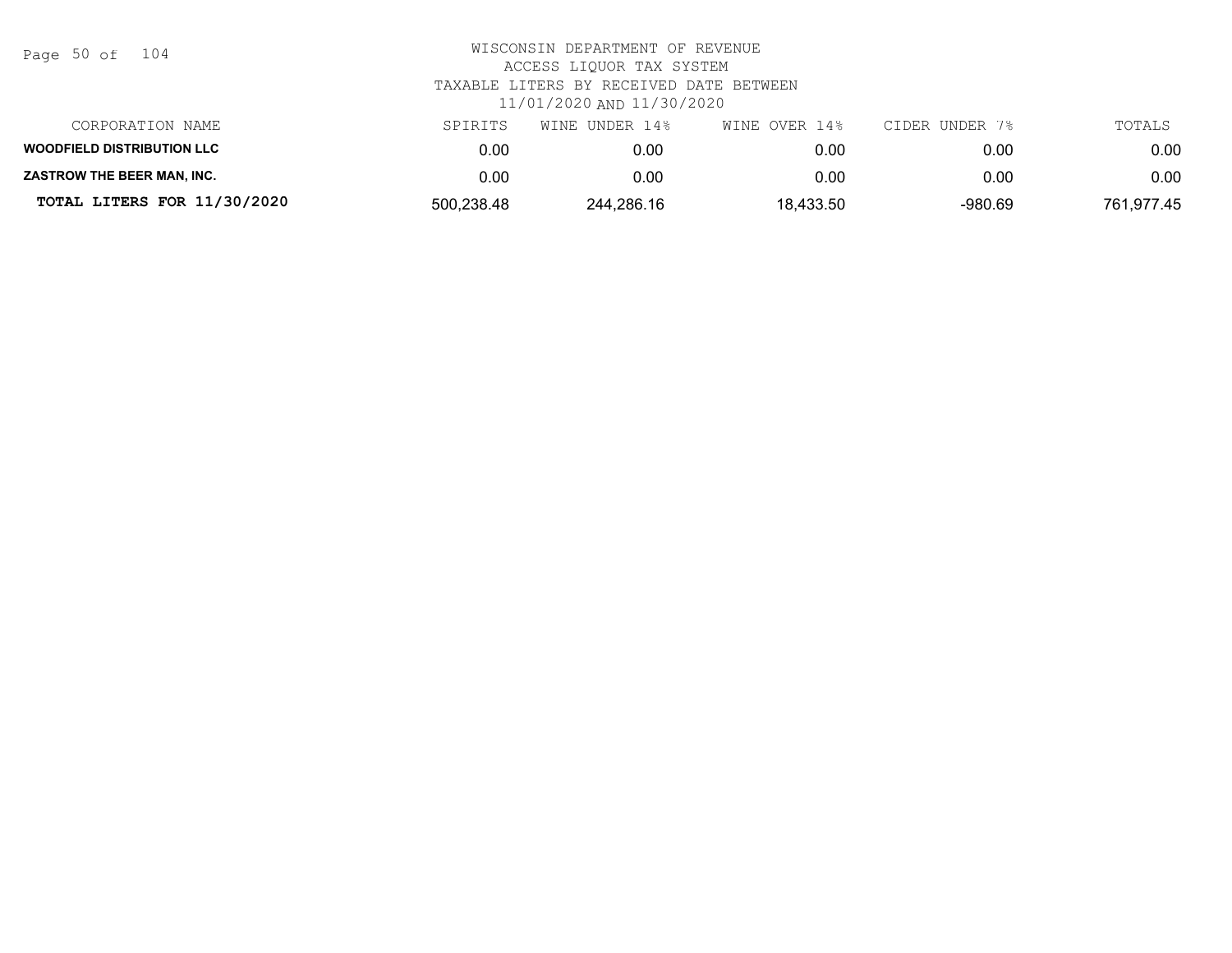| Page 50 of |  |  | 104 |
|------------|--|--|-----|
|------------|--|--|-----|

| CORPORATION NAME                  | SPIRITS    | WINE UNDER 14% | WINE OVER 14% | CIDER UNDER 7% | TOTALS     |
|-----------------------------------|------------|----------------|---------------|----------------|------------|
| <b>WOODFIELD DISTRIBUTION LLC</b> | 0.00       | 0.00           | 0.00          | 0.00           | 0.00       |
| <b>ZASTROW THE BEER MAN. INC.</b> | 0.00       | 0.00           | 0.00          | 0.00           | 0.00       |
| TOTAL LITERS FOR 11/30/2020       | 500,238.48 | 244,286.16     | 18,433.50     | $-980.69$      | 761,977.45 |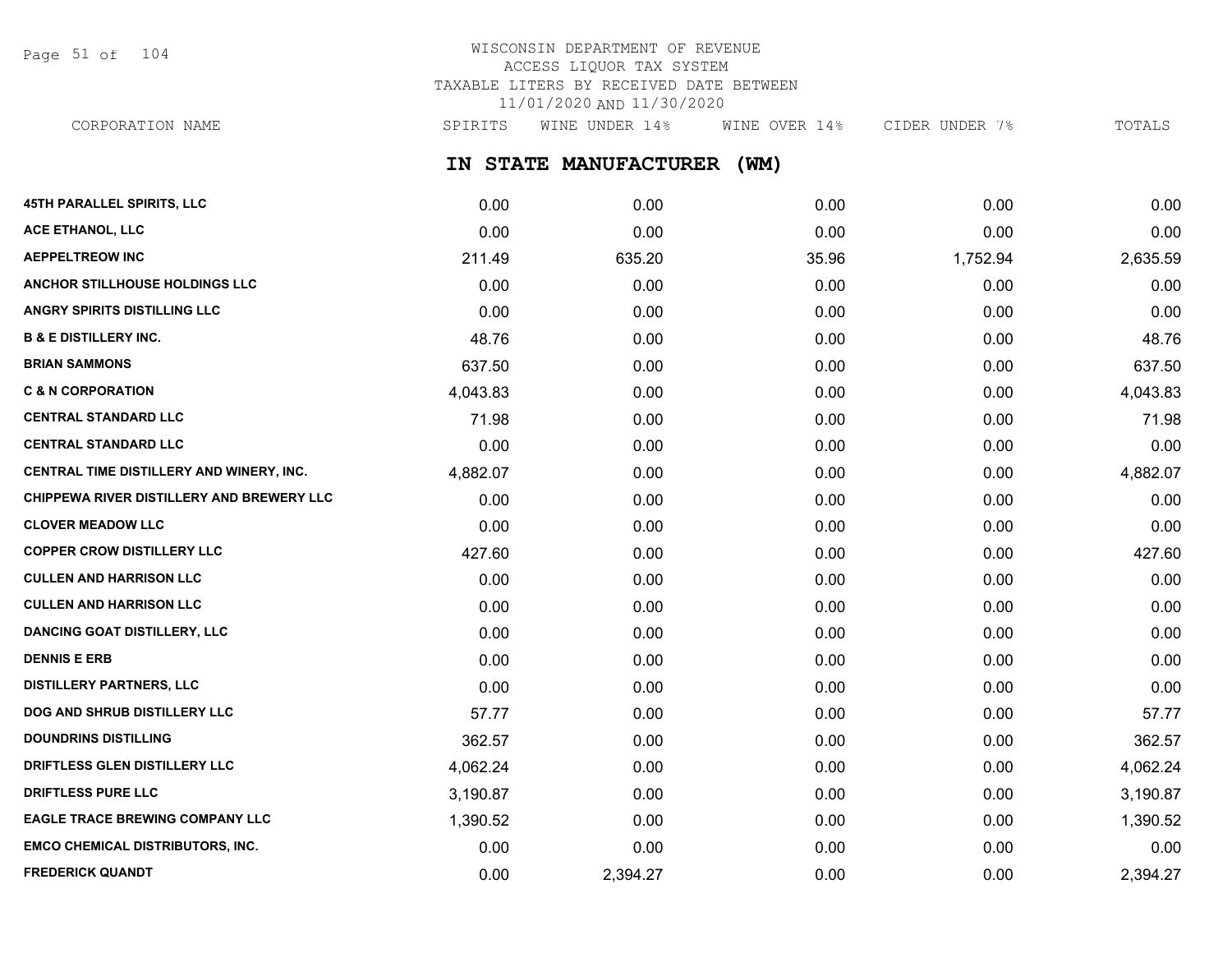Page 51 of 104

# WISCONSIN DEPARTMENT OF REVENUE ACCESS LIQUOR TAX SYSTEM TAXABLE LITERS BY RECEIVED DATE BETWEEN 11/01/2020 AND 11/30/2020

**IN STATE MANUFACTURER (WM)** CORPORATION NAME SPIRITS WINE UNDER 14% WINE OVER 14% CIDER UNDER 7% TOTALS

| <b>45TH PARALLEL SPIRITS, LLC</b>         | 0.00     | 0.00     | 0.00  | 0.00     | 0.00     |
|-------------------------------------------|----------|----------|-------|----------|----------|
| <b>ACE ETHANOL, LLC</b>                   | 0.00     | 0.00     | 0.00  | 0.00     | 0.00     |
| <b>AEPPELTREOW INC</b>                    | 211.49   | 635.20   | 35.96 | 1,752.94 | 2,635.59 |
| ANCHOR STILLHOUSE HOLDINGS LLC            | 0.00     | 0.00     | 0.00  | 0.00     | 0.00     |
| ANGRY SPIRITS DISTILLING LLC              | 0.00     | 0.00     | 0.00  | 0.00     | 0.00     |
| <b>B &amp; E DISTILLERY INC.</b>          | 48.76    | 0.00     | 0.00  | 0.00     | 48.76    |
| <b>BRIAN SAMMONS</b>                      | 637.50   | 0.00     | 0.00  | 0.00     | 637.50   |
| <b>C &amp; N CORPORATION</b>              | 4,043.83 | 0.00     | 0.00  | 0.00     | 4,043.83 |
| <b>CENTRAL STANDARD LLC</b>               | 71.98    | 0.00     | 0.00  | 0.00     | 71.98    |
| <b>CENTRAL STANDARD LLC</b>               | 0.00     | 0.00     | 0.00  | 0.00     | 0.00     |
| CENTRAL TIME DISTILLERY AND WINERY, INC.  | 4,882.07 | 0.00     | 0.00  | 0.00     | 4,882.07 |
| CHIPPEWA RIVER DISTILLERY AND BREWERY LLC | 0.00     | 0.00     | 0.00  | 0.00     | 0.00     |
| <b>CLOVER MEADOW LLC</b>                  | 0.00     | 0.00     | 0.00  | 0.00     | 0.00     |
| <b>COPPER CROW DISTILLERY LLC</b>         | 427.60   | 0.00     | 0.00  | 0.00     | 427.60   |
| <b>CULLEN AND HARRISON LLC</b>            | 0.00     | 0.00     | 0.00  | 0.00     | 0.00     |
| <b>CULLEN AND HARRISON LLC</b>            | 0.00     | 0.00     | 0.00  | 0.00     | 0.00     |
| <b>DANCING GOAT DISTILLERY, LLC</b>       | 0.00     | 0.00     | 0.00  | 0.00     | 0.00     |
| <b>DENNIS E ERB</b>                       | 0.00     | 0.00     | 0.00  | 0.00     | 0.00     |
| <b>DISTILLERY PARTNERS, LLC</b>           | 0.00     | 0.00     | 0.00  | 0.00     | 0.00     |
| DOG AND SHRUB DISTILLERY LLC              | 57.77    | 0.00     | 0.00  | 0.00     | 57.77    |
| <b>DOUNDRINS DISTILLING</b>               | 362.57   | 0.00     | 0.00  | 0.00     | 362.57   |
| DRIFTLESS GLEN DISTILLERY LLC             | 4,062.24 | 0.00     | 0.00  | 0.00     | 4,062.24 |
| <b>DRIFTLESS PURE LLC</b>                 | 3,190.87 | 0.00     | 0.00  | 0.00     | 3,190.87 |
| <b>EAGLE TRACE BREWING COMPANY LLC</b>    | 1,390.52 | 0.00     | 0.00  | 0.00     | 1,390.52 |
| <b>EMCO CHEMICAL DISTRIBUTORS, INC.</b>   | 0.00     | 0.00     | 0.00  | 0.00     | 0.00     |
| <b>FREDERICK QUANDT</b>                   | 0.00     | 2,394.27 | 0.00  | 0.00     | 2,394.27 |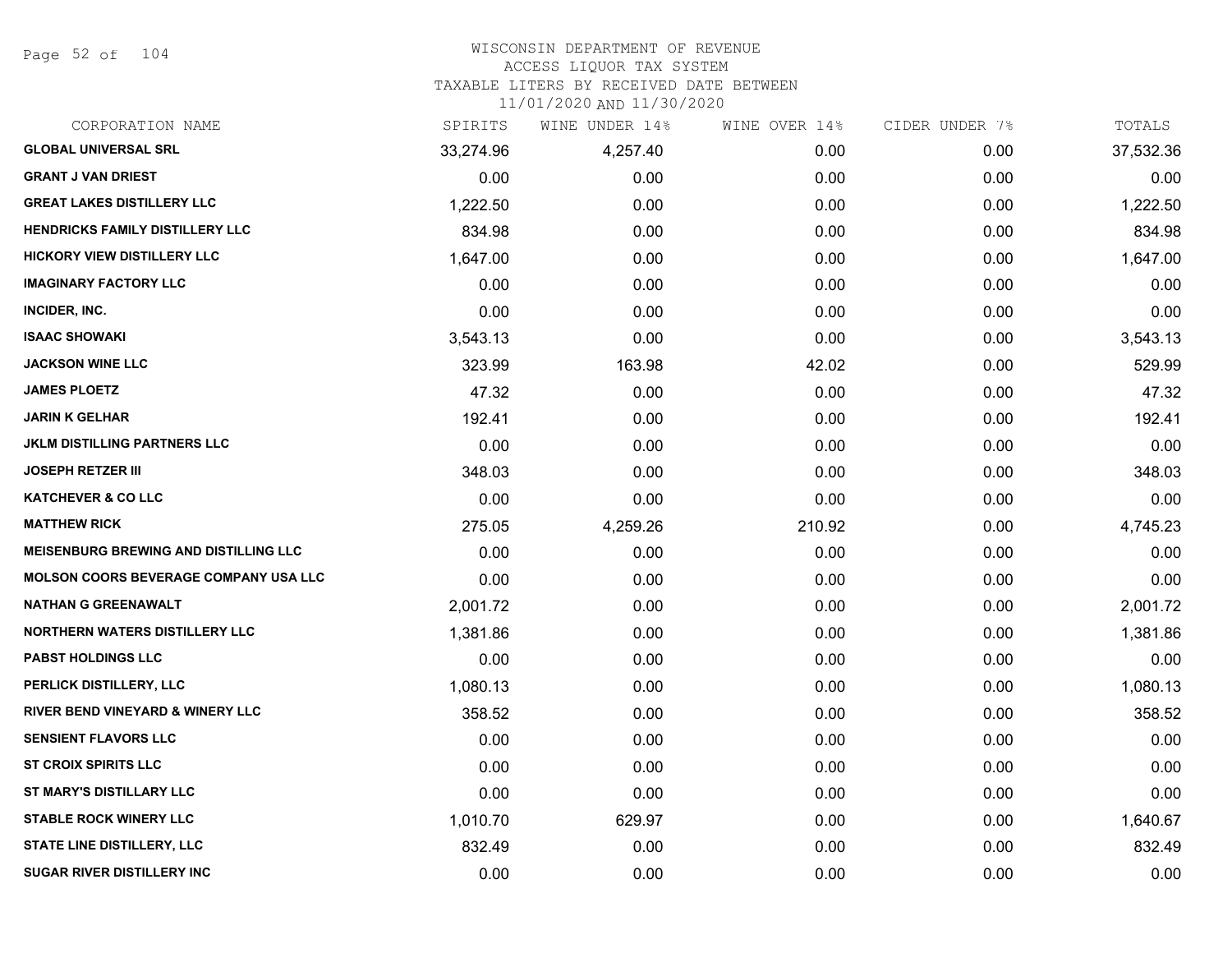Page 52 of 104

### WISCONSIN DEPARTMENT OF REVENUE ACCESS LIQUOR TAX SYSTEM TAXABLE LITERS BY RECEIVED DATE BETWEEN

| CORPORATION NAME                             | SPIRITS   | WINE UNDER 14% | WINE OVER 14% | CIDER UNDER 7% | TOTALS    |
|----------------------------------------------|-----------|----------------|---------------|----------------|-----------|
| <b>GLOBAL UNIVERSAL SRL</b>                  | 33,274.96 | 4,257.40       | 0.00          | 0.00           | 37,532.36 |
| <b>GRANT J VAN DRIEST</b>                    | 0.00      | 0.00           | 0.00          | 0.00           | 0.00      |
| <b>GREAT LAKES DISTILLERY LLC</b>            | 1,222.50  | 0.00           | 0.00          | 0.00           | 1,222.50  |
| <b>HENDRICKS FAMILY DISTILLERY LLC</b>       | 834.98    | 0.00           | 0.00          | 0.00           | 834.98    |
| <b>HICKORY VIEW DISTILLERY LLC</b>           | 1,647.00  | 0.00           | 0.00          | 0.00           | 1,647.00  |
| <b>IMAGINARY FACTORY LLC</b>                 | 0.00      | 0.00           | 0.00          | 0.00           | 0.00      |
| INCIDER, INC.                                | 0.00      | 0.00           | 0.00          | 0.00           | 0.00      |
| <b>ISAAC SHOWAKI</b>                         | 3,543.13  | 0.00           | 0.00          | 0.00           | 3,543.13  |
| <b>JACKSON WINE LLC</b>                      | 323.99    | 163.98         | 42.02         | 0.00           | 529.99    |
| <b>JAMES PLOETZ</b>                          | 47.32     | 0.00           | 0.00          | 0.00           | 47.32     |
| <b>JARIN K GELHAR</b>                        | 192.41    | 0.00           | 0.00          | 0.00           | 192.41    |
| <b>JKLM DISTILLING PARTNERS LLC</b>          | 0.00      | 0.00           | 0.00          | 0.00           | 0.00      |
| <b>JOSEPH RETZER III</b>                     | 348.03    | 0.00           | 0.00          | 0.00           | 348.03    |
| <b>KATCHEVER &amp; CO LLC</b>                | 0.00      | 0.00           | 0.00          | 0.00           | 0.00      |
| <b>MATTHEW RICK</b>                          | 275.05    | 4,259.26       | 210.92        | 0.00           | 4,745.23  |
| <b>MEISENBURG BREWING AND DISTILLING LLC</b> | 0.00      | 0.00           | 0.00          | 0.00           | 0.00      |
| <b>MOLSON COORS BEVERAGE COMPANY USA LLC</b> | 0.00      | 0.00           | 0.00          | 0.00           | 0.00      |
| <b>NATHAN G GREENAWALT</b>                   | 2,001.72  | 0.00           | 0.00          | 0.00           | 2,001.72  |
| <b>NORTHERN WATERS DISTILLERY LLC</b>        | 1,381.86  | 0.00           | 0.00          | 0.00           | 1,381.86  |
| <b>PABST HOLDINGS LLC</b>                    | 0.00      | 0.00           | 0.00          | 0.00           | 0.00      |
| PERLICK DISTILLERY, LLC                      | 1,080.13  | 0.00           | 0.00          | 0.00           | 1,080.13  |
| <b>RIVER BEND VINEYARD &amp; WINERY LLC</b>  | 358.52    | 0.00           | 0.00          | 0.00           | 358.52    |
| <b>SENSIENT FLAVORS LLC</b>                  | 0.00      | 0.00           | 0.00          | 0.00           | 0.00      |
| <b>ST CROIX SPIRITS LLC</b>                  | 0.00      | 0.00           | 0.00          | 0.00           | 0.00      |
| ST MARY'S DISTILLARY LLC                     | 0.00      | 0.00           | 0.00          | 0.00           | 0.00      |
| <b>STABLE ROCK WINERY LLC</b>                | 1,010.70  | 629.97         | 0.00          | 0.00           | 1,640.67  |
| <b>STATE LINE DISTILLERY, LLC</b>            | 832.49    | 0.00           | 0.00          | 0.00           | 832.49    |
| <b>SUGAR RIVER DISTILLERY INC</b>            | 0.00      | 0.00           | 0.00          | 0.00           | 0.00      |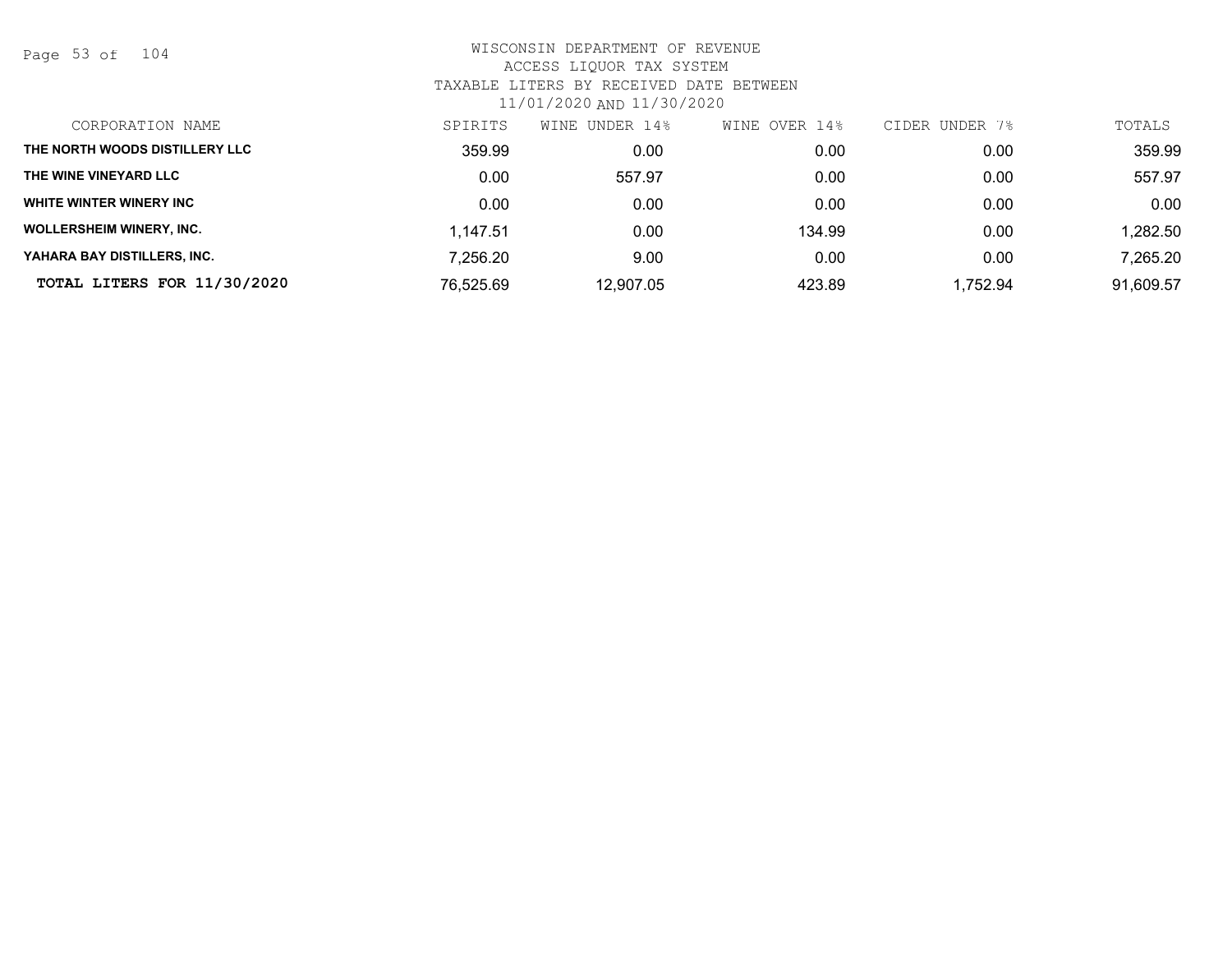Page 53 of 104

| CORPORATION NAME                | SPIRITS   | WINE<br>UNDER 14% | OVER 14%<br>WINE | CIDER UNDER 7% | TOTALS    |
|---------------------------------|-----------|-------------------|------------------|----------------|-----------|
| THE NORTH WOODS DISTILLERY LLC  | 359.99    | 0.00              | 0.00             | 0.00           | 359.99    |
| THE WINE VINEYARD LLC           | 0.00      | 557.97            | 0.00             | 0.00           | 557.97    |
| WHITE WINTER WINERY INC         | 0.00      | 0.00              | 0.00             | 0.00           | 0.00      |
| <b>WOLLERSHEIM WINERY, INC.</b> | 1,147.51  | 0.00              | 134.99           | 0.00           | 1,282.50  |
| YAHARA BAY DISTILLERS. INC.     | 7,256.20  | 9.00              | 0.00             | 0.00           | 7,265.20  |
| TOTAL LITERS FOR 11/30/2020     | 76,525.69 | 12,907.05         | 423.89           | 1,752.94       | 91,609.57 |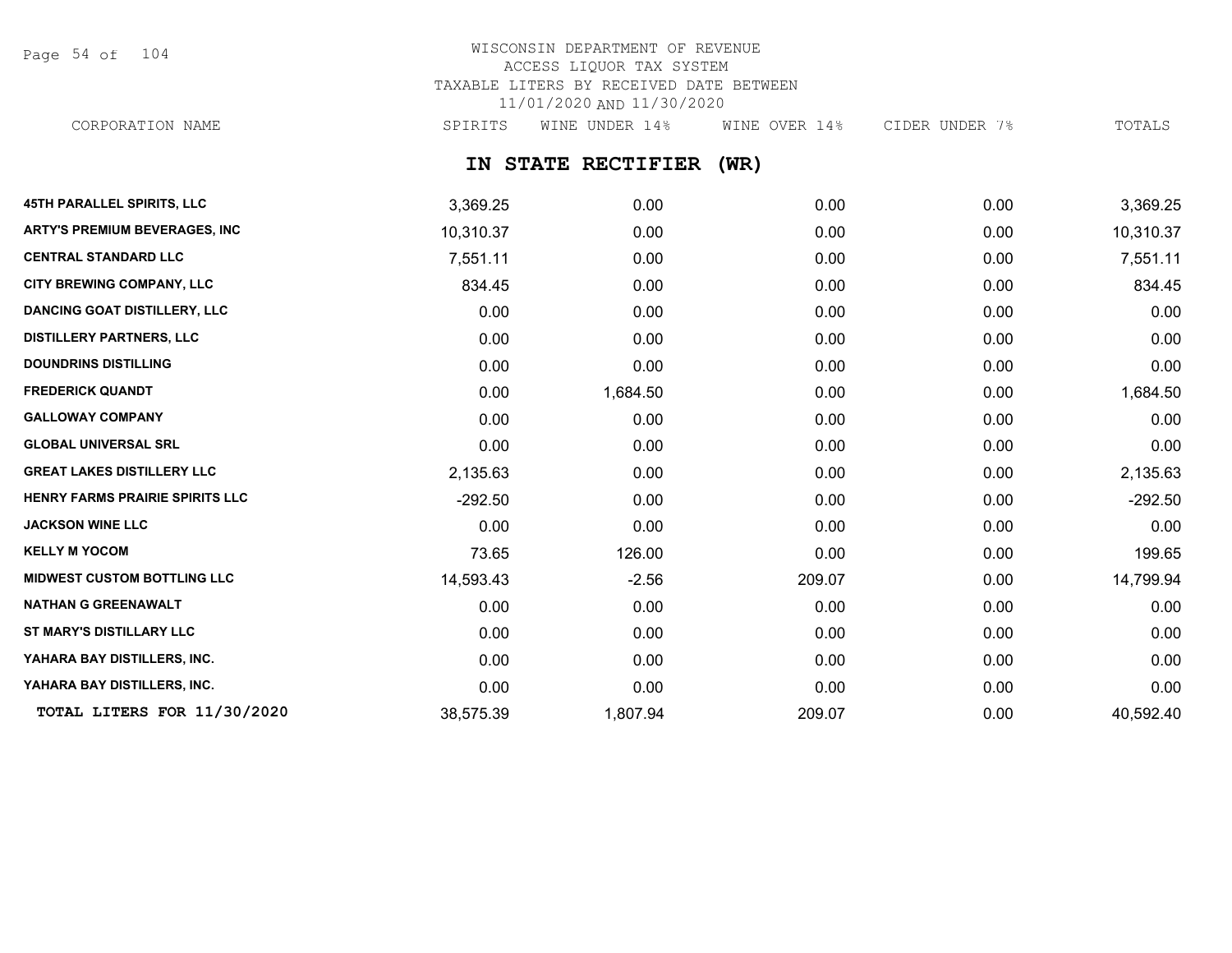Page 54 of 104

## WISCONSIN DEPARTMENT OF REVENUE ACCESS LIQUOR TAX SYSTEM TAXABLE LITERS BY RECEIVED DATE BETWEEN 11/01/2020 AND 11/30/2020 CORPORATION NAME SPIRITS WINE UNDER 14% WINE OVER 14% CIDER UNDER 7% TOTALS

**IN STATE RECTIFIER (WR)**

| <b>45TH PARALLEL SPIRITS, LLC</b>    | 3,369.25  | 0.00     | 0.00   | 0.00 | 3,369.25  |
|--------------------------------------|-----------|----------|--------|------|-----------|
| <b>ARTY'S PREMIUM BEVERAGES, INC</b> | 10,310.37 | 0.00     | 0.00   | 0.00 | 10,310.37 |
| <b>CENTRAL STANDARD LLC</b>          | 7,551.11  | 0.00     | 0.00   | 0.00 | 7,551.11  |
| <b>CITY BREWING COMPANY, LLC</b>     | 834.45    | 0.00     | 0.00   | 0.00 | 834.45    |
| <b>DANCING GOAT DISTILLERY, LLC</b>  | 0.00      | 0.00     | 0.00   | 0.00 | 0.00      |
| <b>DISTILLERY PARTNERS, LLC</b>      | 0.00      | 0.00     | 0.00   | 0.00 | 0.00      |
| <b>DOUNDRINS DISTILLING</b>          | 0.00      | 0.00     | 0.00   | 0.00 | 0.00      |
| <b>FREDERICK QUANDT</b>              | 0.00      | 1,684.50 | 0.00   | 0.00 | 1,684.50  |
| <b>GALLOWAY COMPANY</b>              | 0.00      | 0.00     | 0.00   | 0.00 | 0.00      |
| <b>GLOBAL UNIVERSAL SRL</b>          | 0.00      | 0.00     | 0.00   | 0.00 | 0.00      |
| <b>GREAT LAKES DISTILLERY LLC</b>    | 2,135.63  | 0.00     | 0.00   | 0.00 | 2,135.63  |
| HENRY FARMS PRAIRIE SPIRITS LLC      | $-292.50$ | 0.00     | 0.00   | 0.00 | $-292.50$ |
| <b>JACKSON WINE LLC</b>              | 0.00      | 0.00     | 0.00   | 0.00 | 0.00      |
| <b>KELLY M YOCOM</b>                 | 73.65     | 126.00   | 0.00   | 0.00 | 199.65    |
| <b>MIDWEST CUSTOM BOTTLING LLC</b>   | 14,593.43 | $-2.56$  | 209.07 | 0.00 | 14,799.94 |
| <b>NATHAN G GREENAWALT</b>           | 0.00      | 0.00     | 0.00   | 0.00 | 0.00      |
| ST MARY'S DISTILLARY LLC             | 0.00      | 0.00     | 0.00   | 0.00 | 0.00      |
| YAHARA BAY DISTILLERS, INC.          | 0.00      | 0.00     | 0.00   | 0.00 | 0.00      |
| YAHARA BAY DISTILLERS, INC.          | 0.00      | 0.00     | 0.00   | 0.00 | 0.00      |
| TOTAL LITERS FOR 11/30/2020          | 38,575.39 | 1,807.94 | 209.07 | 0.00 | 40,592.40 |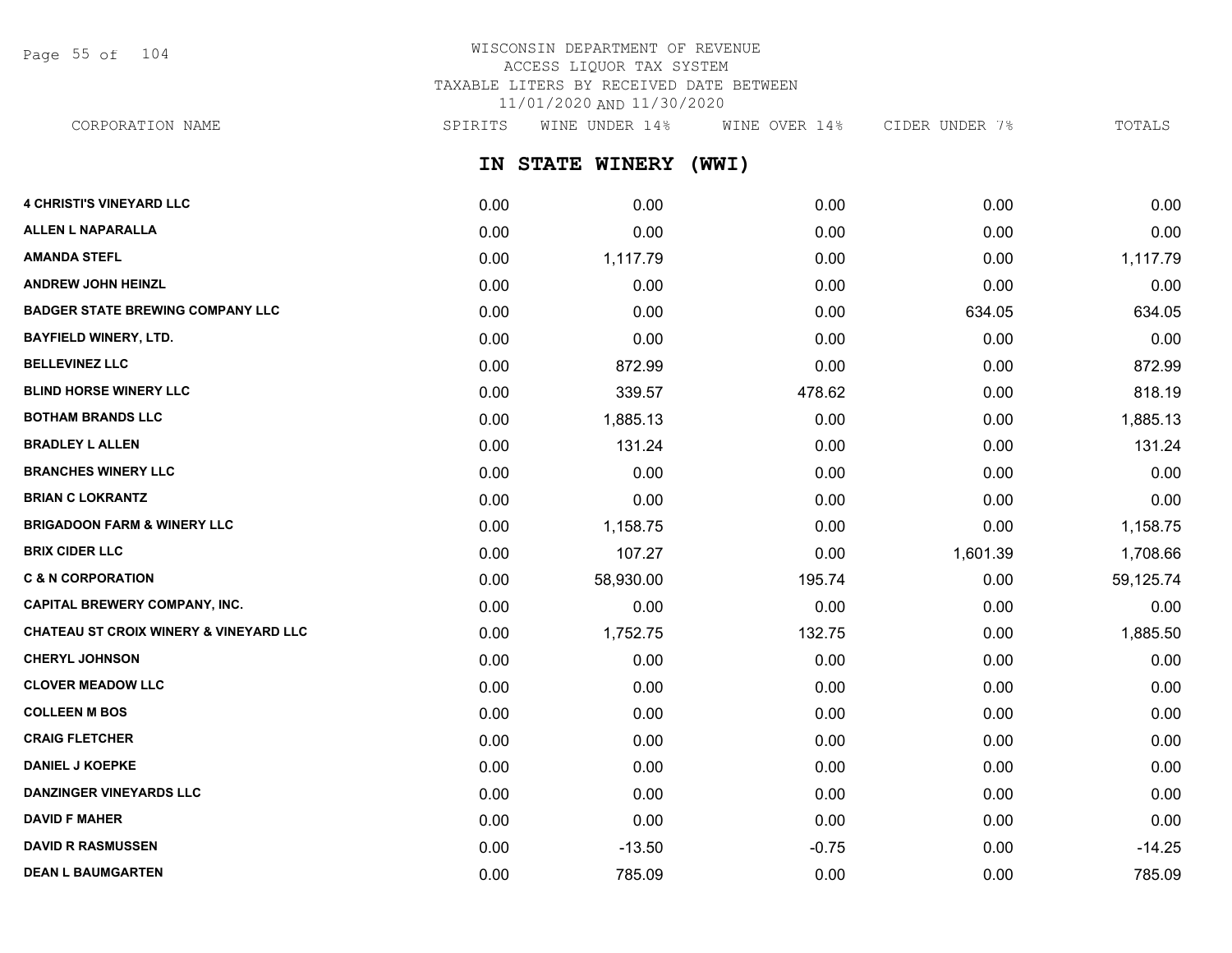Page 55 of 104

# WISCONSIN DEPARTMENT OF REVENUE ACCESS LIQUOR TAX SYSTEM TAXABLE LITERS BY RECEIVED DATE BETWEEN 11/01/2020 AND 11/30/2020

CORPORATION NAME SPIRITS WINE UNDER 14% WINE OVER 14% CIDER UNDER 7% TOTALS

**IN STATE WINERY (WWI)**

| <b>4 CHRISTI'S VINEYARD LLC</b>                   | 0.00 | 0.00      | 0.00    | 0.00     | 0.00      |
|---------------------------------------------------|------|-----------|---------|----------|-----------|
| <b>ALLEN L NAPARALLA</b>                          | 0.00 | 0.00      | 0.00    | 0.00     | 0.00      |
| <b>AMANDA STEFL</b>                               | 0.00 | 1,117.79  | 0.00    | 0.00     | 1,117.79  |
| <b>ANDREW JOHN HEINZL</b>                         | 0.00 | 0.00      | 0.00    | 0.00     | 0.00      |
| <b>BADGER STATE BREWING COMPANY LLC</b>           | 0.00 | 0.00      | 0.00    | 634.05   | 634.05    |
| <b>BAYFIELD WINERY, LTD.</b>                      | 0.00 | 0.00      | 0.00    | 0.00     | 0.00      |
| <b>BELLEVINEZ LLC</b>                             | 0.00 | 872.99    | 0.00    | 0.00     | 872.99    |
| <b>BLIND HORSE WINERY LLC</b>                     | 0.00 | 339.57    | 478.62  | 0.00     | 818.19    |
| <b>BOTHAM BRANDS LLC</b>                          | 0.00 | 1,885.13  | 0.00    | 0.00     | 1,885.13  |
| <b>BRADLEY L ALLEN</b>                            | 0.00 | 131.24    | 0.00    | 0.00     | 131.24    |
| <b>BRANCHES WINERY LLC</b>                        | 0.00 | 0.00      | 0.00    | 0.00     | 0.00      |
| <b>BRIAN C LOKRANTZ</b>                           | 0.00 | 0.00      | 0.00    | 0.00     | 0.00      |
| <b>BRIGADOON FARM &amp; WINERY LLC</b>            | 0.00 | 1,158.75  | 0.00    | 0.00     | 1,158.75  |
| <b>BRIX CIDER LLC</b>                             | 0.00 | 107.27    | 0.00    | 1,601.39 | 1,708.66  |
| <b>C &amp; N CORPORATION</b>                      | 0.00 | 58,930.00 | 195.74  | 0.00     | 59,125.74 |
| <b>CAPITAL BREWERY COMPANY, INC.</b>              | 0.00 | 0.00      | 0.00    | 0.00     | 0.00      |
| <b>CHATEAU ST CROIX WINERY &amp; VINEYARD LLC</b> | 0.00 | 1,752.75  | 132.75  | 0.00     | 1,885.50  |
| <b>CHERYL JOHNSON</b>                             | 0.00 | 0.00      | 0.00    | 0.00     | 0.00      |
| <b>CLOVER MEADOW LLC</b>                          | 0.00 | 0.00      | 0.00    | 0.00     | 0.00      |
| <b>COLLEEN M BOS</b>                              | 0.00 | 0.00      | 0.00    | 0.00     | 0.00      |
| <b>CRAIG FLETCHER</b>                             | 0.00 | 0.00      | 0.00    | 0.00     | 0.00      |
| <b>DANIEL J KOEPKE</b>                            | 0.00 | 0.00      | 0.00    | 0.00     | 0.00      |
| <b>DANZINGER VINEYARDS LLC</b>                    | 0.00 | 0.00      | 0.00    | 0.00     | 0.00      |
| <b>DAVID F MAHER</b>                              | 0.00 | 0.00      | 0.00    | 0.00     | 0.00      |
| <b>DAVID R RASMUSSEN</b>                          | 0.00 | $-13.50$  | $-0.75$ | 0.00     | $-14.25$  |
| <b>DEAN L BAUMGARTEN</b>                          | 0.00 | 785.09    | 0.00    | 0.00     | 785.09    |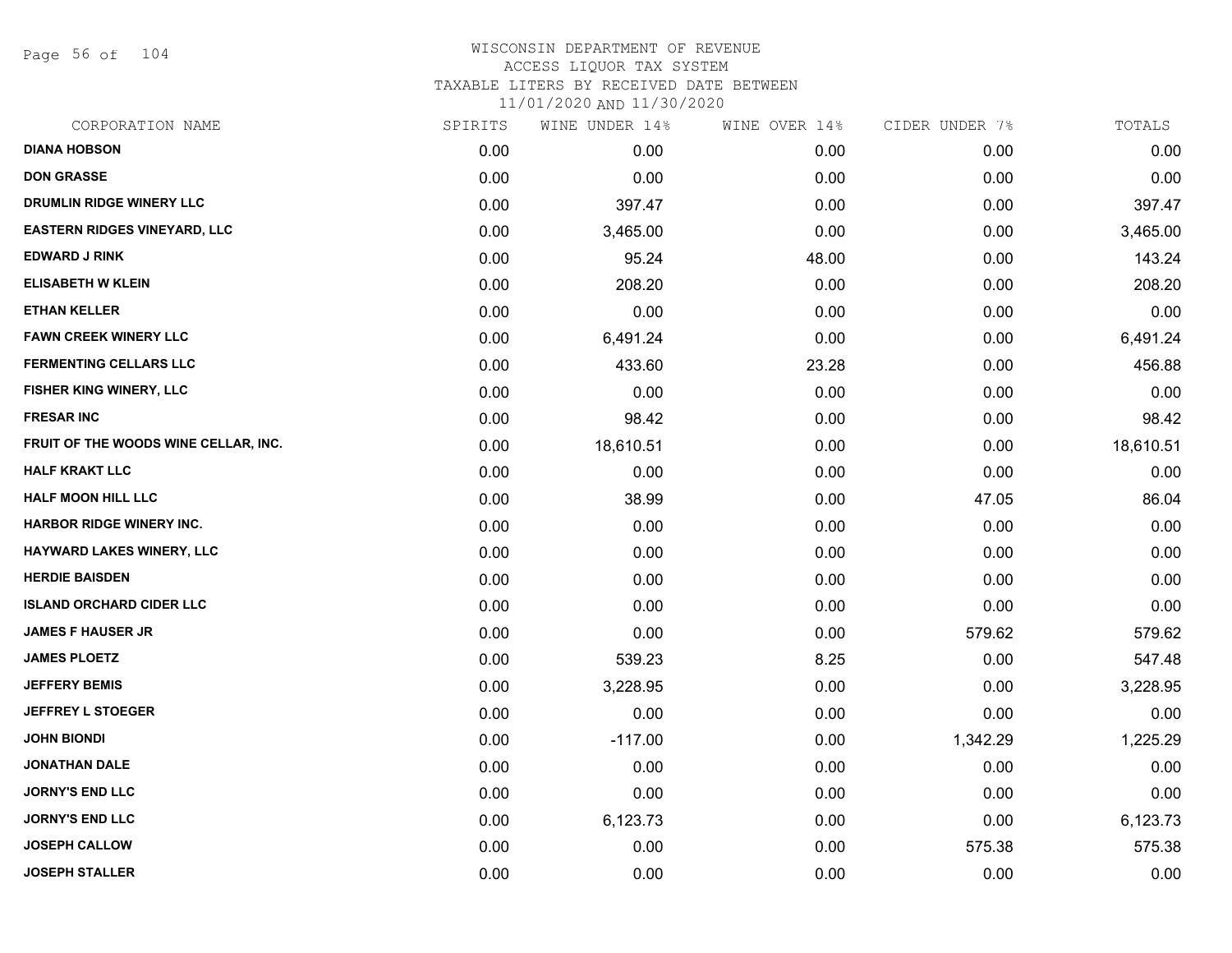Page 56 of 104

| CORPORATION NAME                     | SPIRITS | WINE UNDER 14% | WINE OVER 14% | CIDER UNDER 7% | TOTALS    |
|--------------------------------------|---------|----------------|---------------|----------------|-----------|
| <b>DIANA HOBSON</b>                  | 0.00    | 0.00           | 0.00          | 0.00           | 0.00      |
| <b>DON GRASSE</b>                    | 0.00    | 0.00           | 0.00          | 0.00           | 0.00      |
| DRUMLIN RIDGE WINERY LLC             | 0.00    | 397.47         | 0.00          | 0.00           | 397.47    |
| <b>EASTERN RIDGES VINEYARD, LLC</b>  | 0.00    | 3,465.00       | 0.00          | 0.00           | 3,465.00  |
| <b>EDWARD J RINK</b>                 | 0.00    | 95.24          | 48.00         | 0.00           | 143.24    |
| <b>ELISABETH W KLEIN</b>             | 0.00    | 208.20         | 0.00          | 0.00           | 208.20    |
| <b>ETHAN KELLER</b>                  | 0.00    | 0.00           | 0.00          | 0.00           | 0.00      |
| <b>FAWN CREEK WINERY LLC</b>         | 0.00    | 6,491.24       | 0.00          | 0.00           | 6,491.24  |
| <b>FERMENTING CELLARS LLC</b>        | 0.00    | 433.60         | 23.28         | 0.00           | 456.88    |
| FISHER KING WINERY, LLC              | 0.00    | 0.00           | 0.00          | 0.00           | 0.00      |
| <b>FRESAR INC</b>                    | 0.00    | 98.42          | 0.00          | 0.00           | 98.42     |
| FRUIT OF THE WOODS WINE CELLAR, INC. | 0.00    | 18,610.51      | 0.00          | 0.00           | 18,610.51 |
| <b>HALF KRAKT LLC</b>                | 0.00    | 0.00           | 0.00          | 0.00           | 0.00      |
| <b>HALF MOON HILL LLC</b>            | 0.00    | 38.99          | 0.00          | 47.05          | 86.04     |
| <b>HARBOR RIDGE WINERY INC.</b>      | 0.00    | 0.00           | 0.00          | 0.00           | 0.00      |
| HAYWARD LAKES WINERY, LLC            | 0.00    | 0.00           | 0.00          | 0.00           | 0.00      |
| <b>HERDIE BAISDEN</b>                | 0.00    | 0.00           | 0.00          | 0.00           | 0.00      |
| <b>ISLAND ORCHARD CIDER LLC</b>      | 0.00    | 0.00           | 0.00          | 0.00           | 0.00      |
| <b>JAMES F HAUSER JR</b>             | 0.00    | 0.00           | 0.00          | 579.62         | 579.62    |
| <b>JAMES PLOETZ</b>                  | 0.00    | 539.23         | 8.25          | 0.00           | 547.48    |
| <b>JEFFERY BEMIS</b>                 | 0.00    | 3,228.95       | 0.00          | 0.00           | 3,228.95  |
| <b>JEFFREY L STOEGER</b>             | 0.00    | 0.00           | 0.00          | 0.00           | 0.00      |
| <b>JOHN BIONDI</b>                   | 0.00    | $-117.00$      | 0.00          | 1,342.29       | 1,225.29  |
| <b>JONATHAN DALE</b>                 | 0.00    | 0.00           | 0.00          | 0.00           | 0.00      |
| <b>JORNY'S END LLC</b>               | 0.00    | 0.00           | 0.00          | 0.00           | 0.00      |
| <b>JORNY'S END LLC</b>               | 0.00    | 6,123.73       | 0.00          | 0.00           | 6,123.73  |
| <b>JOSEPH CALLOW</b>                 | 0.00    | 0.00           | 0.00          | 575.38         | 575.38    |
| <b>JOSEPH STALLER</b>                | 0.00    | 0.00           | 0.00          | 0.00           | 0.00      |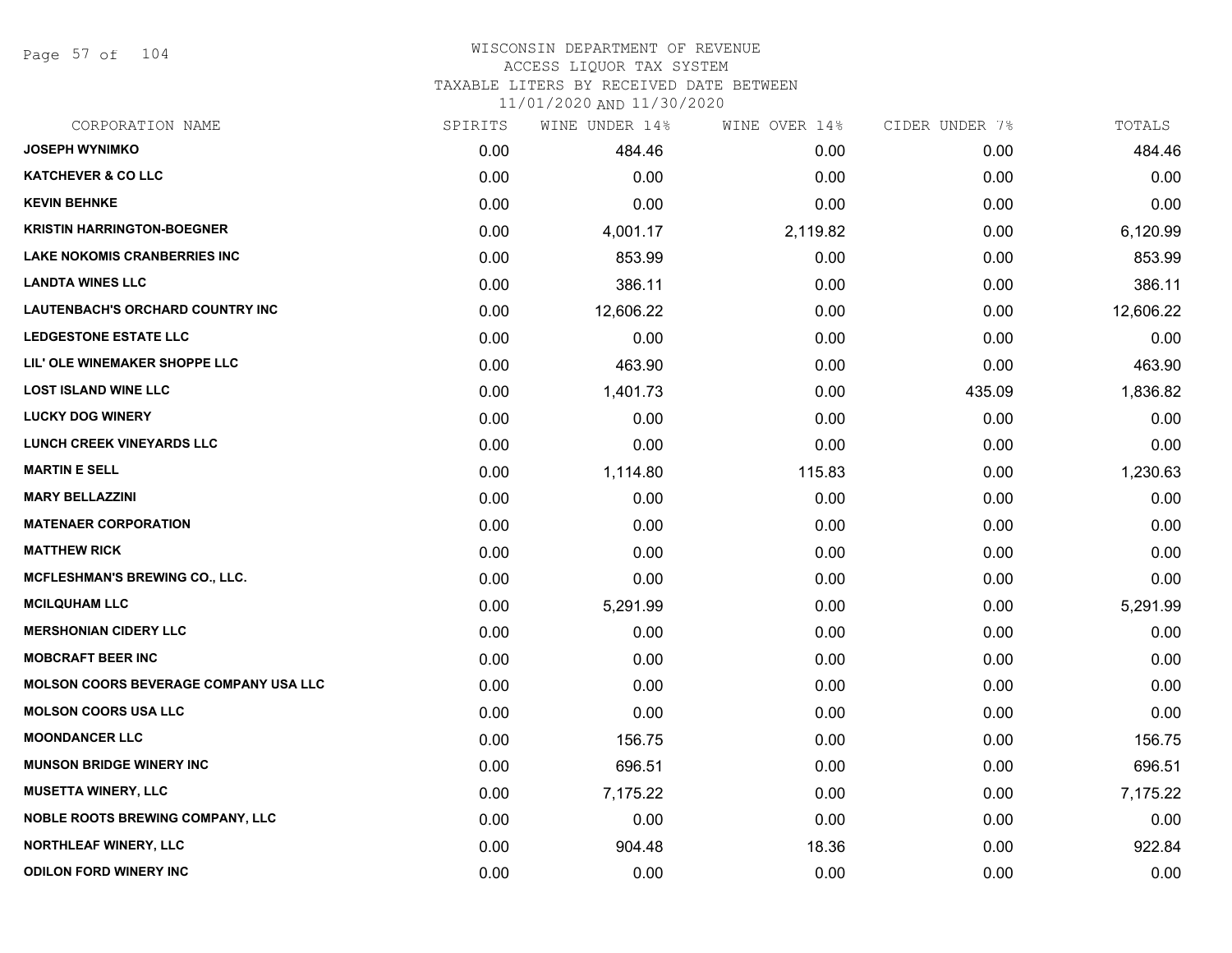Page 57 of 104

#### WISCONSIN DEPARTMENT OF REVENUE ACCESS LIQUOR TAX SYSTEM TAXABLE LITERS BY RECEIVED DATE BETWEEN

| CORPORATION NAME                             | SPIRITS | WINE UNDER 14% | WINE OVER 14% | CIDER UNDER 7% | TOTALS    |
|----------------------------------------------|---------|----------------|---------------|----------------|-----------|
| <b>JOSEPH WYNIMKO</b>                        | 0.00    | 484.46         | 0.00          | 0.00           | 484.46    |
| <b>KATCHEVER &amp; CO LLC</b>                | 0.00    | 0.00           | 0.00          | 0.00           | 0.00      |
| <b>KEVIN BEHNKE</b>                          | 0.00    | 0.00           | 0.00          | 0.00           | 0.00      |
| <b>KRISTIN HARRINGTON-BOEGNER</b>            | 0.00    | 4,001.17       | 2,119.82      | 0.00           | 6,120.99  |
| <b>LAKE NOKOMIS CRANBERRIES INC</b>          | 0.00    | 853.99         | 0.00          | 0.00           | 853.99    |
| <b>LANDTA WINES LLC</b>                      | 0.00    | 386.11         | 0.00          | 0.00           | 386.11    |
| <b>LAUTENBACH'S ORCHARD COUNTRY INC</b>      | 0.00    | 12,606.22      | 0.00          | 0.00           | 12,606.22 |
| <b>LEDGESTONE ESTATE LLC</b>                 | 0.00    | 0.00           | 0.00          | 0.00           | 0.00      |
| LIL' OLE WINEMAKER SHOPPE LLC                | 0.00    | 463.90         | 0.00          | 0.00           | 463.90    |
| <b>LOST ISLAND WINE LLC</b>                  | 0.00    | 1,401.73       | 0.00          | 435.09         | 1,836.82  |
| <b>LUCKY DOG WINERY</b>                      | 0.00    | 0.00           | 0.00          | 0.00           | 0.00      |
| <b>LUNCH CREEK VINEYARDS LLC</b>             | 0.00    | 0.00           | 0.00          | 0.00           | 0.00      |
| <b>MARTIN E SELL</b>                         | 0.00    | 1,114.80       | 115.83        | 0.00           | 1,230.63  |
| <b>MARY BELLAZZINI</b>                       | 0.00    | 0.00           | 0.00          | 0.00           | 0.00      |
| <b>MATENAER CORPORATION</b>                  | 0.00    | 0.00           | 0.00          | 0.00           | 0.00      |
| <b>MATTHEW RICK</b>                          | 0.00    | 0.00           | 0.00          | 0.00           | 0.00      |
| <b>MCFLESHMAN'S BREWING CO., LLC.</b>        | 0.00    | 0.00           | 0.00          | 0.00           | 0.00      |
| <b>MCILQUHAM LLC</b>                         | 0.00    | 5,291.99       | 0.00          | 0.00           | 5,291.99  |
| <b>MERSHONIAN CIDERY LLC</b>                 | 0.00    | 0.00           | 0.00          | 0.00           | 0.00      |
| <b>MOBCRAFT BEER INC</b>                     | 0.00    | 0.00           | 0.00          | 0.00           | 0.00      |
| <b>MOLSON COORS BEVERAGE COMPANY USA LLC</b> | 0.00    | 0.00           | 0.00          | 0.00           | 0.00      |
| <b>MOLSON COORS USA LLC</b>                  | 0.00    | 0.00           | 0.00          | 0.00           | 0.00      |
| <b>MOONDANCER LLC</b>                        | 0.00    | 156.75         | 0.00          | 0.00           | 156.75    |
| <b>MUNSON BRIDGE WINERY INC</b>              | 0.00    | 696.51         | 0.00          | 0.00           | 696.51    |
| <b>MUSETTA WINERY, LLC</b>                   | 0.00    | 7,175.22       | 0.00          | 0.00           | 7,175.22  |
| <b>NOBLE ROOTS BREWING COMPANY, LLC</b>      | 0.00    | 0.00           | 0.00          | 0.00           | 0.00      |
| <b>NORTHLEAF WINERY, LLC</b>                 | 0.00    | 904.48         | 18.36         | 0.00           | 922.84    |
| <b>ODILON FORD WINERY INC</b>                | 0.00    | 0.00           | 0.00          | 0.00           | 0.00      |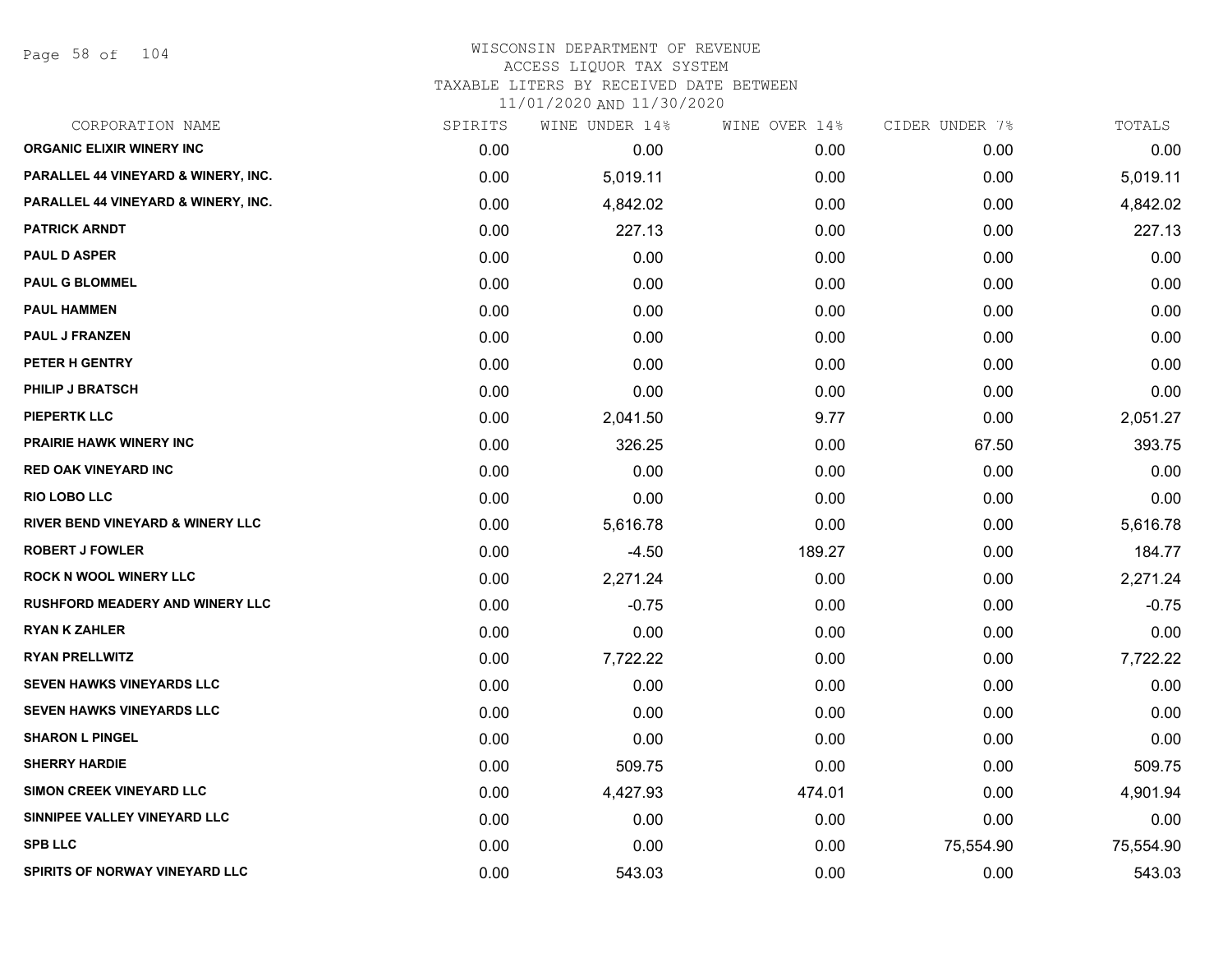Page 58 of 104

| CORPORATION NAME                            | SPIRITS | WINE UNDER 14% | WINE OVER 14% | CIDER UNDER 7% | TOTALS    |
|---------------------------------------------|---------|----------------|---------------|----------------|-----------|
| <b>ORGANIC ELIXIR WINERY INC</b>            | 0.00    | 0.00           | 0.00          | 0.00           | 0.00      |
| PARALLEL 44 VINEYARD & WINERY, INC.         | 0.00    | 5,019.11       | 0.00          | 0.00           | 5,019.11  |
| PARALLEL 44 VINEYARD & WINERY, INC.         | 0.00    | 4,842.02       | 0.00          | 0.00           | 4,842.02  |
| <b>PATRICK ARNDT</b>                        | 0.00    | 227.13         | 0.00          | 0.00           | 227.13    |
| <b>PAUL D ASPER</b>                         | 0.00    | 0.00           | 0.00          | 0.00           | 0.00      |
| <b>PAUL G BLOMMEL</b>                       | 0.00    | 0.00           | 0.00          | 0.00           | 0.00      |
| <b>PAUL HAMMEN</b>                          | 0.00    | 0.00           | 0.00          | 0.00           | 0.00      |
| <b>PAUL J FRANZEN</b>                       | 0.00    | 0.00           | 0.00          | 0.00           | 0.00      |
| PETER H GENTRY                              | 0.00    | 0.00           | 0.00          | 0.00           | 0.00      |
| <b>PHILIP J BRATSCH</b>                     | 0.00    | 0.00           | 0.00          | 0.00           | 0.00      |
| <b>PIEPERTK LLC</b>                         | 0.00    | 2,041.50       | 9.77          | 0.00           | 2,051.27  |
| <b>PRAIRIE HAWK WINERY INC</b>              | 0.00    | 326.25         | 0.00          | 67.50          | 393.75    |
| <b>RED OAK VINEYARD INC</b>                 | 0.00    | 0.00           | 0.00          | 0.00           | 0.00      |
| <b>RIO LOBO LLC</b>                         | 0.00    | 0.00           | 0.00          | 0.00           | 0.00      |
| <b>RIVER BEND VINEYARD &amp; WINERY LLC</b> | 0.00    | 5,616.78       | 0.00          | 0.00           | 5,616.78  |
| <b>ROBERT J FOWLER</b>                      | 0.00    | $-4.50$        | 189.27        | 0.00           | 184.77    |
| <b>ROCK N WOOL WINERY LLC</b>               | 0.00    | 2,271.24       | 0.00          | 0.00           | 2,271.24  |
| <b>RUSHFORD MEADERY AND WINERY LLC</b>      | 0.00    | $-0.75$        | 0.00          | 0.00           | $-0.75$   |
| <b>RYAN K ZAHLER</b>                        | 0.00    | 0.00           | 0.00          | 0.00           | 0.00      |
| <b>RYAN PRELLWITZ</b>                       | 0.00    | 7,722.22       | 0.00          | 0.00           | 7,722.22  |
| <b>SEVEN HAWKS VINEYARDS LLC</b>            | 0.00    | 0.00           | 0.00          | 0.00           | 0.00      |
| <b>SEVEN HAWKS VINEYARDS LLC</b>            | 0.00    | 0.00           | 0.00          | 0.00           | 0.00      |
| <b>SHARON L PINGEL</b>                      | 0.00    | 0.00           | 0.00          | 0.00           | 0.00      |
| <b>SHERRY HARDIE</b>                        | 0.00    | 509.75         | 0.00          | 0.00           | 509.75    |
| SIMON CREEK VINEYARD LLC                    | 0.00    | 4,427.93       | 474.01        | 0.00           | 4,901.94  |
| SINNIPEE VALLEY VINEYARD LLC                | 0.00    | 0.00           | 0.00          | 0.00           | 0.00      |
| <b>SPB LLC</b>                              | 0.00    | 0.00           | 0.00          | 75,554.90      | 75,554.90 |
| SPIRITS OF NORWAY VINEYARD LLC              | 0.00    | 543.03         | 0.00          | 0.00           | 543.03    |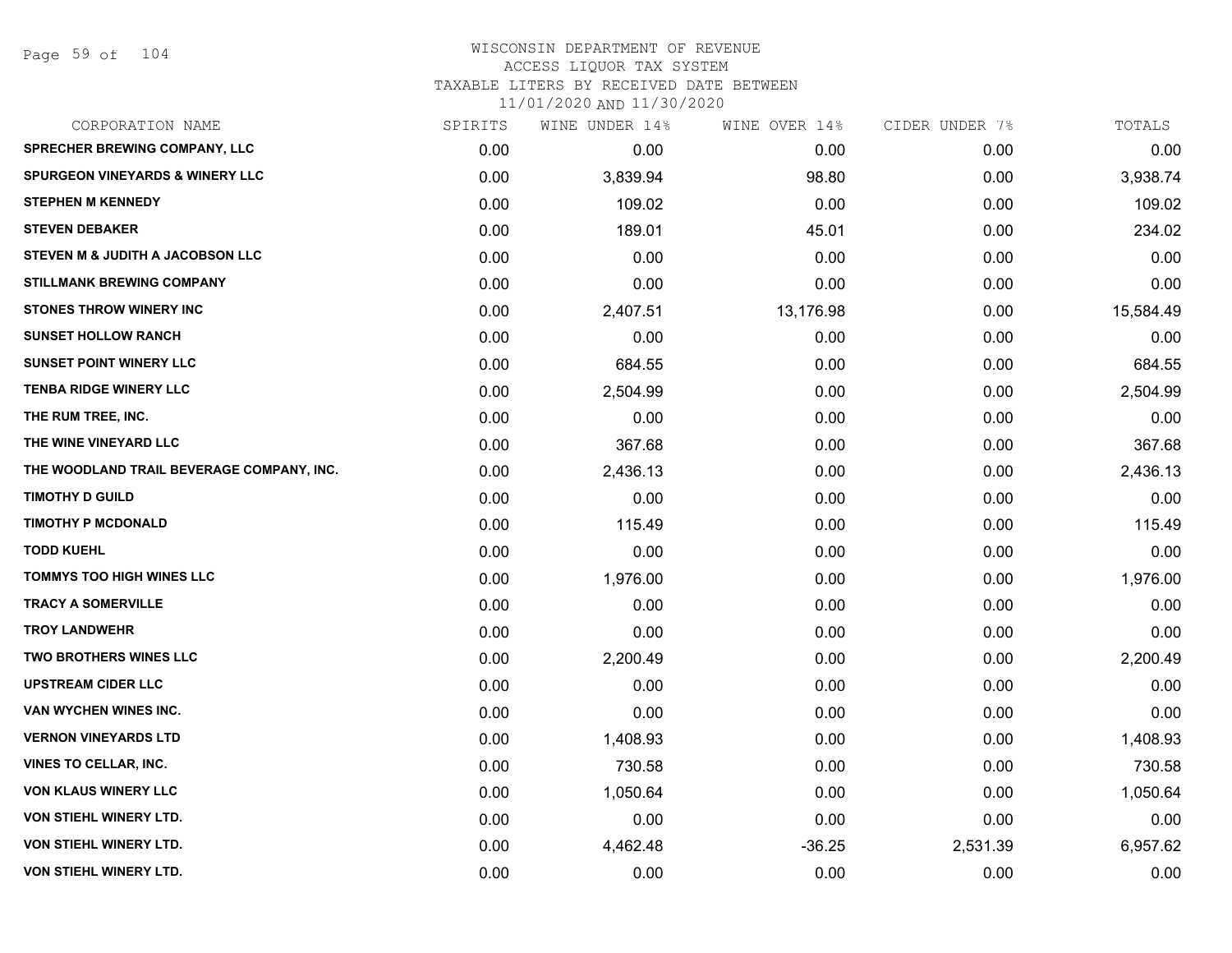## WISCONSIN DEPARTMENT OF REVENUE ACCESS LIQUOR TAX SYSTEM TAXABLE LITERS BY RECEIVED DATE BETWEEN

| CORPORATION NAME                           | SPIRITS | WINE UNDER 14% | WINE OVER 14% | CIDER UNDER 7% | TOTALS    |
|--------------------------------------------|---------|----------------|---------------|----------------|-----------|
| <b>SPRECHER BREWING COMPANY, LLC</b>       | 0.00    | 0.00           | 0.00          | 0.00           | 0.00      |
| <b>SPURGEON VINEYARDS &amp; WINERY LLC</b> | 0.00    | 3,839.94       | 98.80         | 0.00           | 3,938.74  |
| <b>STEPHEN M KENNEDY</b>                   | 0.00    | 109.02         | 0.00          | 0.00           | 109.02    |
| <b>STEVEN DEBAKER</b>                      | 0.00    | 189.01         | 45.01         | 0.00           | 234.02    |
| STEVEN M & JUDITH A JACOBSON LLC           | 0.00    | 0.00           | 0.00          | 0.00           | 0.00      |
| <b>STILLMANK BREWING COMPANY</b>           | 0.00    | 0.00           | 0.00          | 0.00           | 0.00      |
| <b>STONES THROW WINERY INC</b>             | 0.00    | 2,407.51       | 13,176.98     | 0.00           | 15,584.49 |
| <b>SUNSET HOLLOW RANCH</b>                 | 0.00    | 0.00           | 0.00          | 0.00           | 0.00      |
| <b>SUNSET POINT WINERY LLC</b>             | 0.00    | 684.55         | 0.00          | 0.00           | 684.55    |
| <b>TENBA RIDGE WINERY LLC</b>              | 0.00    | 2,504.99       | 0.00          | 0.00           | 2,504.99  |
| THE RUM TREE, INC.                         | 0.00    | 0.00           | 0.00          | 0.00           | 0.00      |
| THE WINE VINEYARD LLC                      | 0.00    | 367.68         | 0.00          | 0.00           | 367.68    |
| THE WOODLAND TRAIL BEVERAGE COMPANY, INC.  | 0.00    | 2,436.13       | 0.00          | 0.00           | 2,436.13  |
| <b>TIMOTHY D GUILD</b>                     | 0.00    | 0.00           | 0.00          | 0.00           | 0.00      |
| <b>TIMOTHY P MCDONALD</b>                  | 0.00    | 115.49         | 0.00          | 0.00           | 115.49    |
| <b>TODD KUEHL</b>                          | 0.00    | 0.00           | 0.00          | 0.00           | 0.00      |
| <b>TOMMYS TOO HIGH WINES LLC</b>           | 0.00    | 1,976.00       | 0.00          | 0.00           | 1,976.00  |
| <b>TRACY A SOMERVILLE</b>                  | 0.00    | 0.00           | 0.00          | 0.00           | 0.00      |
| <b>TROY LANDWEHR</b>                       | 0.00    | 0.00           | 0.00          | 0.00           | 0.00      |
| <b>TWO BROTHERS WINES LLC</b>              | 0.00    | 2,200.49       | 0.00          | 0.00           | 2,200.49  |
| <b>UPSTREAM CIDER LLC</b>                  | 0.00    | 0.00           | 0.00          | 0.00           | 0.00      |
| VAN WYCHEN WINES INC.                      | 0.00    | 0.00           | 0.00          | 0.00           | 0.00      |
| <b>VERNON VINEYARDS LTD</b>                | 0.00    | 1,408.93       | 0.00          | 0.00           | 1,408.93  |
| <b>VINES TO CELLAR, INC.</b>               | 0.00    | 730.58         | 0.00          | 0.00           | 730.58    |
| <b>VON KLAUS WINERY LLC</b>                | 0.00    | 1,050.64       | 0.00          | 0.00           | 1,050.64  |
| <b>VON STIEHL WINERY LTD.</b>              | 0.00    | 0.00           | 0.00          | 0.00           | 0.00      |
| VON STIEHL WINERY LTD.                     | 0.00    | 4,462.48       | $-36.25$      | 2,531.39       | 6,957.62  |
| <b>VON STIEHL WINERY LTD.</b>              | 0.00    | 0.00           | 0.00          | 0.00           | 0.00      |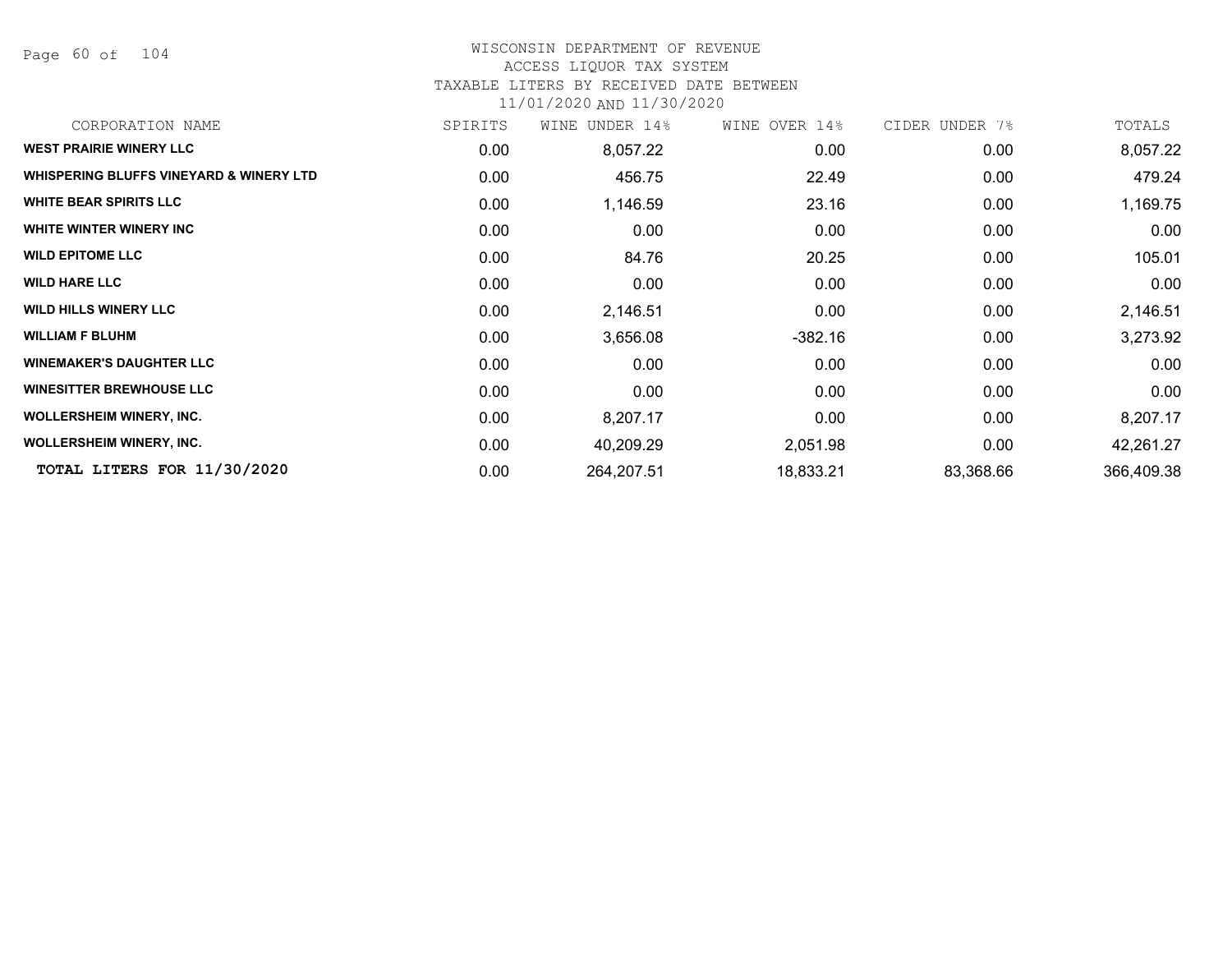Page 60 of 104

## WISCONSIN DEPARTMENT OF REVENUE

#### ACCESS LIQUOR TAX SYSTEM

#### TAXABLE LITERS BY RECEIVED DATE BETWEEN

| CORPORATION NAME                        | SPIRITS           | WINE UNDER 14% | WINE OVER 14% | CIDER UNDER 7% | TOTALS     |
|-----------------------------------------|-------------------|----------------|---------------|----------------|------------|
| <b>WEST PRAIRIE WINERY LLC</b>          | 0.00              | 8,057.22       | 0.00          | 0.00           | 8,057.22   |
| WHISPERING BLUFFS VINEYARD & WINERY LTD | 0.00              | 456.75         | 22.49         | 0.00           | 479.24     |
| <b>WHITE BEAR SPIRITS LLC</b>           | 0.00              | 1,146.59       | 23.16         | 0.00           | 1,169.75   |
| WHITE WINTER WINERY INC                 | 0.00              | 0.00           | 0.00          | 0.00           | 0.00       |
| <b>WILD EPITOME LLC</b>                 | 0.00 <sub>1</sub> | 84.76          | 20.25         | 0.00           | 105.01     |
| <b>WILD HARE LLC</b>                    | 0.00              | 0.00           | 0.00          | 0.00           | 0.00       |
| <b>WILD HILLS WINERY LLC</b>            | 0.00              | 2,146.51       | 0.00          | 0.00           | 2,146.51   |
| <b>WILLIAM F BLUHM</b>                  | 0.00              | 3,656.08       | -382.16       | 0.00           | 3,273.92   |
| <b>WINEMAKER'S DAUGHTER LLC</b>         | 0.00              | 0.00           | 0.00          | 0.00           | 0.00       |
| <b>WINESITTER BREWHOUSE LLC</b>         | 0.00              | 0.00           | 0.00          | 0.00           | 0.00       |
| <b>WOLLERSHEIM WINERY, INC.</b>         | 0.00              | 8,207.17       | 0.00          | 0.00           | 8,207.17   |
| <b>WOLLERSHEIM WINERY, INC.</b>         | 0.00              | 40,209.29      | 2,051.98      | 0.00           | 42,261.27  |
| TOTAL LITERS FOR 11/30/2020             | 0.00              | 264,207.51     | 18,833.21     | 83,368.66      | 366,409.38 |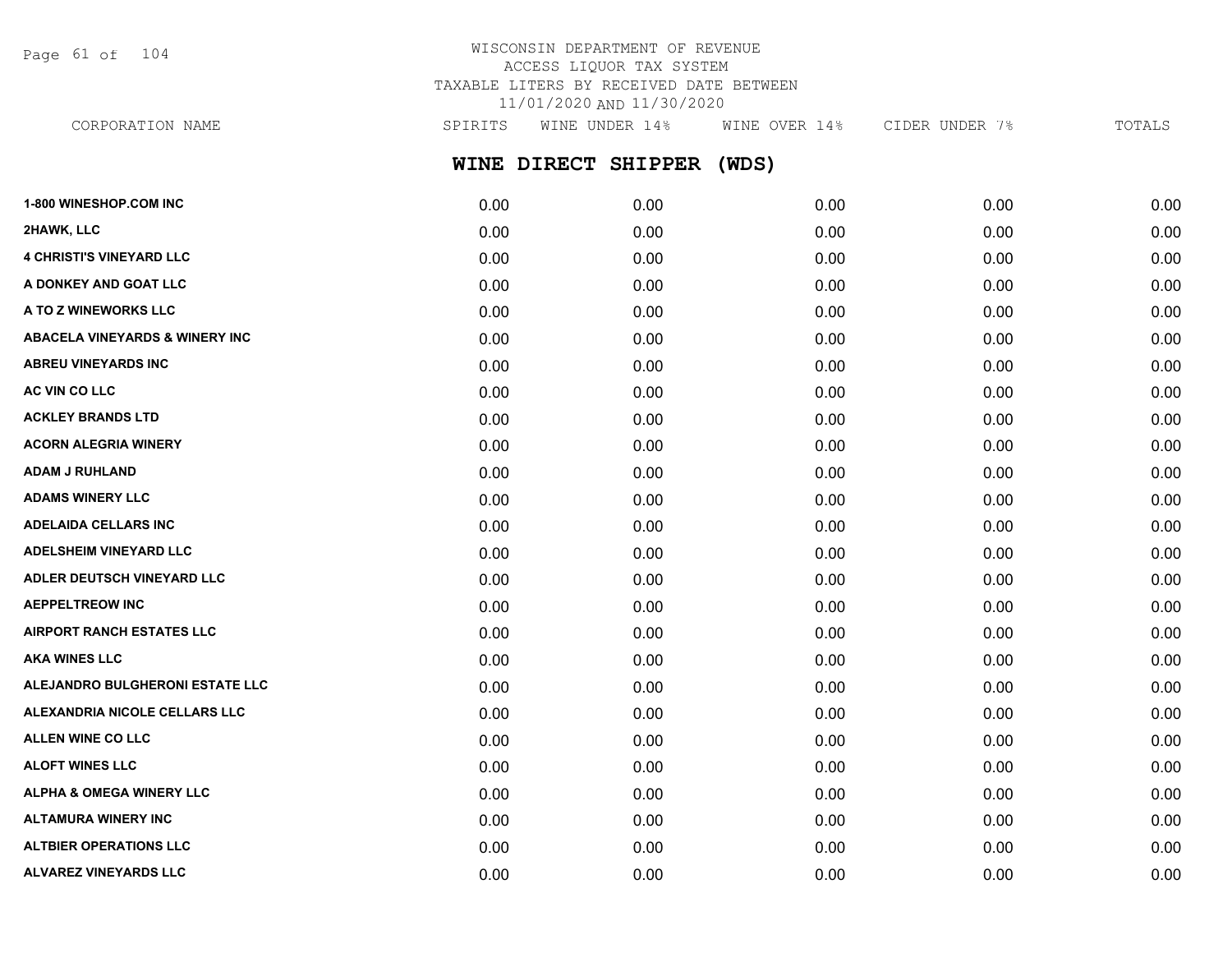Page 61 of 104

# WISCONSIN DEPARTMENT OF REVENUE ACCESS LIQUOR TAX SYSTEM TAXABLE LITERS BY RECEIVED DATE BETWEEN 11/01/2020 AND 11/30/2020

CORPORATION NAME SPIRITS WINE UNDER 14% WINE OVER 14% CIDER UNDER 7% TOTALS

**WINE DIRECT SHIPPER (WDS)**

| 1-800 WINESHOP.COM INC                    | 0.00 | 0.00 | 0.00 | 0.00 | 0.00 |
|-------------------------------------------|------|------|------|------|------|
| 2HAWK, LLC                                | 0.00 | 0.00 | 0.00 | 0.00 | 0.00 |
| <b>4 CHRISTI'S VINEYARD LLC</b>           | 0.00 | 0.00 | 0.00 | 0.00 | 0.00 |
| A DONKEY AND GOAT LLC                     | 0.00 | 0.00 | 0.00 | 0.00 | 0.00 |
| A TO Z WINEWORKS LLC                      | 0.00 | 0.00 | 0.00 | 0.00 | 0.00 |
| <b>ABACELA VINEYARDS &amp; WINERY INC</b> | 0.00 | 0.00 | 0.00 | 0.00 | 0.00 |
| <b>ABREU VINEYARDS INC</b>                | 0.00 | 0.00 | 0.00 | 0.00 | 0.00 |
| AC VIN CO LLC                             | 0.00 | 0.00 | 0.00 | 0.00 | 0.00 |
| <b>ACKLEY BRANDS LTD</b>                  | 0.00 | 0.00 | 0.00 | 0.00 | 0.00 |
| <b>ACORN ALEGRIA WINERY</b>               | 0.00 | 0.00 | 0.00 | 0.00 | 0.00 |
| <b>ADAM J RUHLAND</b>                     | 0.00 | 0.00 | 0.00 | 0.00 | 0.00 |
| <b>ADAMS WINERY LLC</b>                   | 0.00 | 0.00 | 0.00 | 0.00 | 0.00 |
| <b>ADELAIDA CELLARS INC</b>               | 0.00 | 0.00 | 0.00 | 0.00 | 0.00 |
| <b>ADELSHEIM VINEYARD LLC</b>             | 0.00 | 0.00 | 0.00 | 0.00 | 0.00 |
| ADLER DEUTSCH VINEYARD LLC                | 0.00 | 0.00 | 0.00 | 0.00 | 0.00 |
| <b>AEPPELTREOW INC</b>                    | 0.00 | 0.00 | 0.00 | 0.00 | 0.00 |
| <b>AIRPORT RANCH ESTATES LLC</b>          | 0.00 | 0.00 | 0.00 | 0.00 | 0.00 |
| <b>AKA WINES LLC</b>                      | 0.00 | 0.00 | 0.00 | 0.00 | 0.00 |
| ALEJANDRO BULGHERONI ESTATE LLC           | 0.00 | 0.00 | 0.00 | 0.00 | 0.00 |
| ALEXANDRIA NICOLE CELLARS LLC             | 0.00 | 0.00 | 0.00 | 0.00 | 0.00 |
| <b>ALLEN WINE CO LLC</b>                  | 0.00 | 0.00 | 0.00 | 0.00 | 0.00 |
| <b>ALOFT WINES LLC</b>                    | 0.00 | 0.00 | 0.00 | 0.00 | 0.00 |
| <b>ALPHA &amp; OMEGA WINERY LLC</b>       | 0.00 | 0.00 | 0.00 | 0.00 | 0.00 |
| <b>ALTAMURA WINERY INC</b>                | 0.00 | 0.00 | 0.00 | 0.00 | 0.00 |
| <b>ALTBIER OPERATIONS LLC</b>             | 0.00 | 0.00 | 0.00 | 0.00 | 0.00 |
| <b>ALVAREZ VINEYARDS LLC</b>              | 0.00 | 0.00 | 0.00 | 0.00 | 0.00 |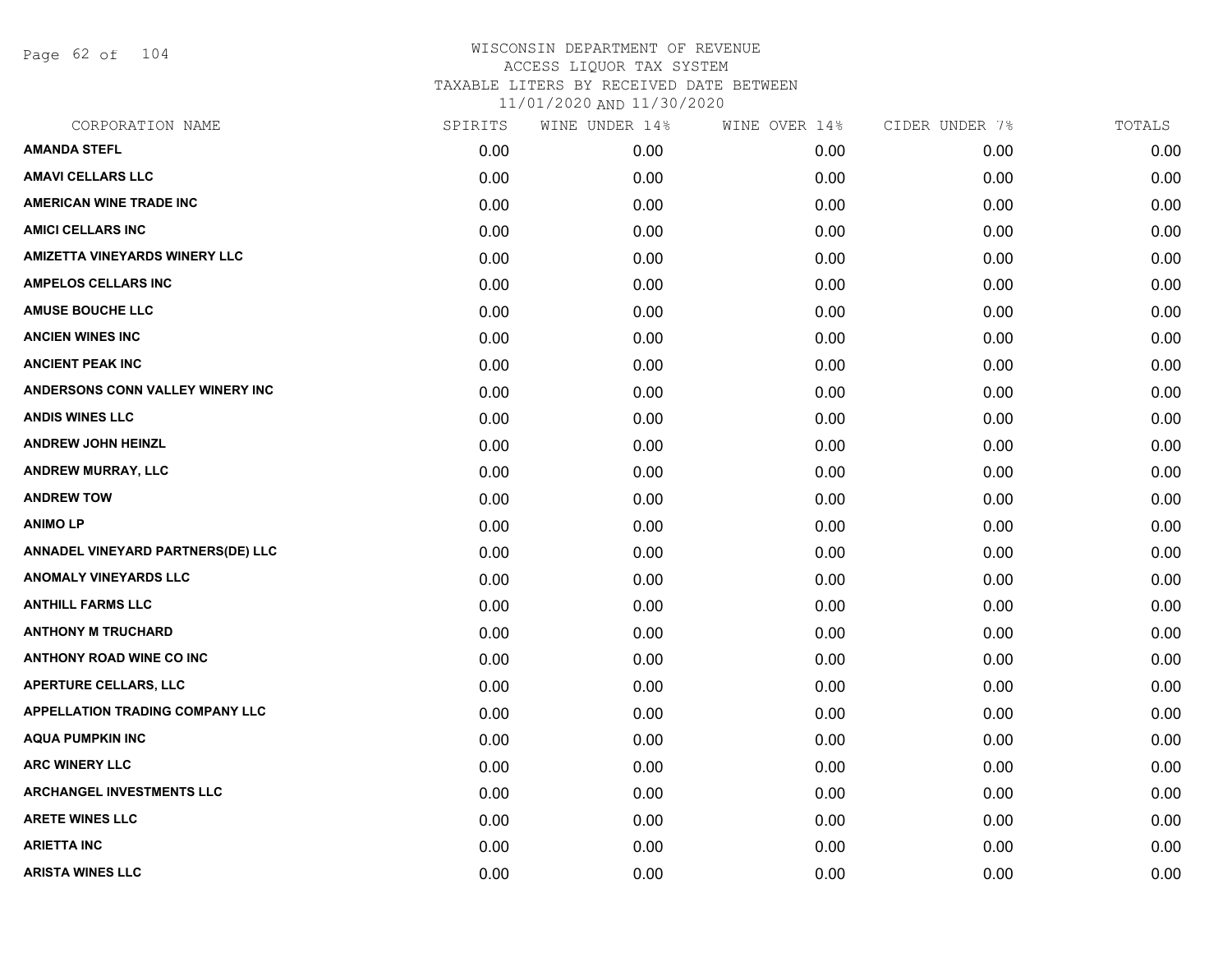Page 62 of 104

| CORPORATION NAME                         | SPIRITS | WINE UNDER 14% | WINE OVER 14% | CIDER UNDER 7% | TOTALS |
|------------------------------------------|---------|----------------|---------------|----------------|--------|
| <b>AMANDA STEFL</b>                      | 0.00    | 0.00           | 0.00          | 0.00           | 0.00   |
| <b>AMAVI CELLARS LLC</b>                 | 0.00    | 0.00           | 0.00          | 0.00           | 0.00   |
| <b>AMERICAN WINE TRADE INC</b>           | 0.00    | 0.00           | 0.00          | 0.00           | 0.00   |
| <b>AMICI CELLARS INC</b>                 | 0.00    | 0.00           | 0.00          | 0.00           | 0.00   |
| <b>AMIZETTA VINEYARDS WINERY LLC</b>     | 0.00    | 0.00           | 0.00          | 0.00           | 0.00   |
| <b>AMPELOS CELLARS INC</b>               | 0.00    | 0.00           | 0.00          | 0.00           | 0.00   |
| <b>AMUSE BOUCHE LLC</b>                  | 0.00    | 0.00           | 0.00          | 0.00           | 0.00   |
| <b>ANCIEN WINES INC</b>                  | 0.00    | 0.00           | 0.00          | 0.00           | 0.00   |
| <b>ANCIENT PEAK INC</b>                  | 0.00    | 0.00           | 0.00          | 0.00           | 0.00   |
| ANDERSONS CONN VALLEY WINERY INC         | 0.00    | 0.00           | 0.00          | 0.00           | 0.00   |
| <b>ANDIS WINES LLC</b>                   | 0.00    | 0.00           | 0.00          | 0.00           | 0.00   |
| <b>ANDREW JOHN HEINZL</b>                | 0.00    | 0.00           | 0.00          | 0.00           | 0.00   |
| <b>ANDREW MURRAY, LLC</b>                | 0.00    | 0.00           | 0.00          | 0.00           | 0.00   |
| <b>ANDREW TOW</b>                        | 0.00    | 0.00           | 0.00          | 0.00           | 0.00   |
| <b>ANIMOLP</b>                           | 0.00    | 0.00           | 0.00          | 0.00           | 0.00   |
| <b>ANNADEL VINEYARD PARTNERS(DE) LLC</b> | 0.00    | 0.00           | 0.00          | 0.00           | 0.00   |
| <b>ANOMALY VINEYARDS LLC</b>             | 0.00    | 0.00           | 0.00          | 0.00           | 0.00   |
| <b>ANTHILL FARMS LLC</b>                 | 0.00    | 0.00           | 0.00          | 0.00           | 0.00   |
| <b>ANTHONY M TRUCHARD</b>                | 0.00    | 0.00           | 0.00          | 0.00           | 0.00   |
| <b>ANTHONY ROAD WINE CO INC</b>          | 0.00    | 0.00           | 0.00          | 0.00           | 0.00   |
| <b>APERTURE CELLARS, LLC</b>             | 0.00    | 0.00           | 0.00          | 0.00           | 0.00   |
| <b>APPELLATION TRADING COMPANY LLC</b>   | 0.00    | 0.00           | 0.00          | 0.00           | 0.00   |
| <b>AQUA PUMPKIN INC</b>                  | 0.00    | 0.00           | 0.00          | 0.00           | 0.00   |
| <b>ARC WINERY LLC</b>                    | 0.00    | 0.00           | 0.00          | 0.00           | 0.00   |
| <b>ARCHANGEL INVESTMENTS LLC</b>         | 0.00    | 0.00           | 0.00          | 0.00           | 0.00   |
| <b>ARETE WINES LLC</b>                   | 0.00    | 0.00           | 0.00          | 0.00           | 0.00   |
| <b>ARIETTA INC</b>                       | 0.00    | 0.00           | 0.00          | 0.00           | 0.00   |
| <b>ARISTA WINES LLC</b>                  | 0.00    | 0.00           | 0.00          | 0.00           | 0.00   |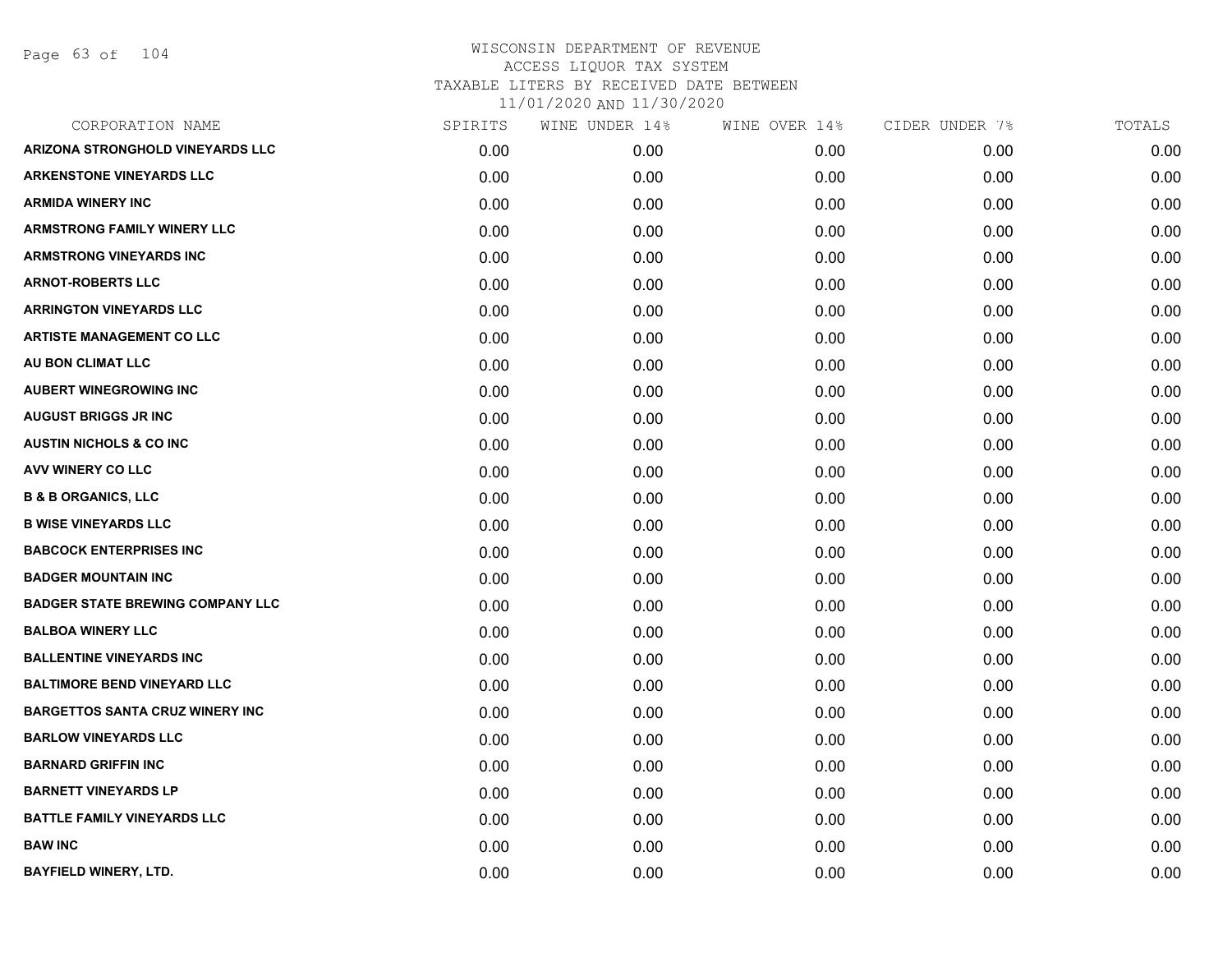Page 63 of 104

| CORPORATION NAME                        | SPIRITS | WINE UNDER 14% | WINE OVER 14% | CIDER UNDER 7% | TOTALS |
|-----------------------------------------|---------|----------------|---------------|----------------|--------|
| <b>ARIZONA STRONGHOLD VINEYARDS LLC</b> | 0.00    | 0.00           | 0.00          | 0.00           | 0.00   |
| <b>ARKENSTONE VINEYARDS LLC</b>         | 0.00    | 0.00           | 0.00          | 0.00           | 0.00   |
| <b>ARMIDA WINERY INC</b>                | 0.00    | 0.00           | 0.00          | 0.00           | 0.00   |
| <b>ARMSTRONG FAMILY WINERY LLC</b>      | 0.00    | 0.00           | 0.00          | 0.00           | 0.00   |
| <b>ARMSTRONG VINEYARDS INC</b>          | 0.00    | 0.00           | 0.00          | 0.00           | 0.00   |
| <b>ARNOT-ROBERTS LLC</b>                | 0.00    | 0.00           | 0.00          | 0.00           | 0.00   |
| <b>ARRINGTON VINEYARDS LLC</b>          | 0.00    | 0.00           | 0.00          | 0.00           | 0.00   |
| <b>ARTISTE MANAGEMENT CO LLC</b>        | 0.00    | 0.00           | 0.00          | 0.00           | 0.00   |
| AU BON CLIMAT LLC                       | 0.00    | 0.00           | 0.00          | 0.00           | 0.00   |
| <b>AUBERT WINEGROWING INC</b>           | 0.00    | 0.00           | 0.00          | 0.00           | 0.00   |
| <b>AUGUST BRIGGS JR INC</b>             | 0.00    | 0.00           | 0.00          | 0.00           | 0.00   |
| <b>AUSTIN NICHOLS &amp; CO INC</b>      | 0.00    | 0.00           | 0.00          | 0.00           | 0.00   |
| AVV WINERY CO LLC                       | 0.00    | 0.00           | 0.00          | 0.00           | 0.00   |
| <b>B &amp; B ORGANICS, LLC</b>          | 0.00    | 0.00           | 0.00          | 0.00           | 0.00   |
| <b>B WISE VINEYARDS LLC</b>             | 0.00    | 0.00           | 0.00          | 0.00           | 0.00   |
| <b>BABCOCK ENTERPRISES INC</b>          | 0.00    | 0.00           | 0.00          | 0.00           | 0.00   |
| <b>BADGER MOUNTAIN INC</b>              | 0.00    | 0.00           | 0.00          | 0.00           | 0.00   |
| <b>BADGER STATE BREWING COMPANY LLC</b> | 0.00    | 0.00           | 0.00          | 0.00           | 0.00   |
| <b>BALBOA WINERY LLC</b>                | 0.00    | 0.00           | 0.00          | 0.00           | 0.00   |
| <b>BALLENTINE VINEYARDS INC</b>         | 0.00    | 0.00           | 0.00          | 0.00           | 0.00   |
| <b>BALTIMORE BEND VINEYARD LLC</b>      | 0.00    | 0.00           | 0.00          | 0.00           | 0.00   |
| <b>BARGETTOS SANTA CRUZ WINERY INC</b>  | 0.00    | 0.00           | 0.00          | 0.00           | 0.00   |
| <b>BARLOW VINEYARDS LLC</b>             | 0.00    | 0.00           | 0.00          | 0.00           | 0.00   |
| <b>BARNARD GRIFFIN INC</b>              | 0.00    | 0.00           | 0.00          | 0.00           | 0.00   |
| <b>BARNETT VINEYARDS LP</b>             | 0.00    | 0.00           | 0.00          | 0.00           | 0.00   |
| <b>BATTLE FAMILY VINEYARDS LLC</b>      | 0.00    | 0.00           | 0.00          | 0.00           | 0.00   |
| <b>BAW INC</b>                          | 0.00    | 0.00           | 0.00          | 0.00           | 0.00   |
| <b>BAYFIELD WINERY, LTD.</b>            | 0.00    | 0.00           | 0.00          | 0.00           | 0.00   |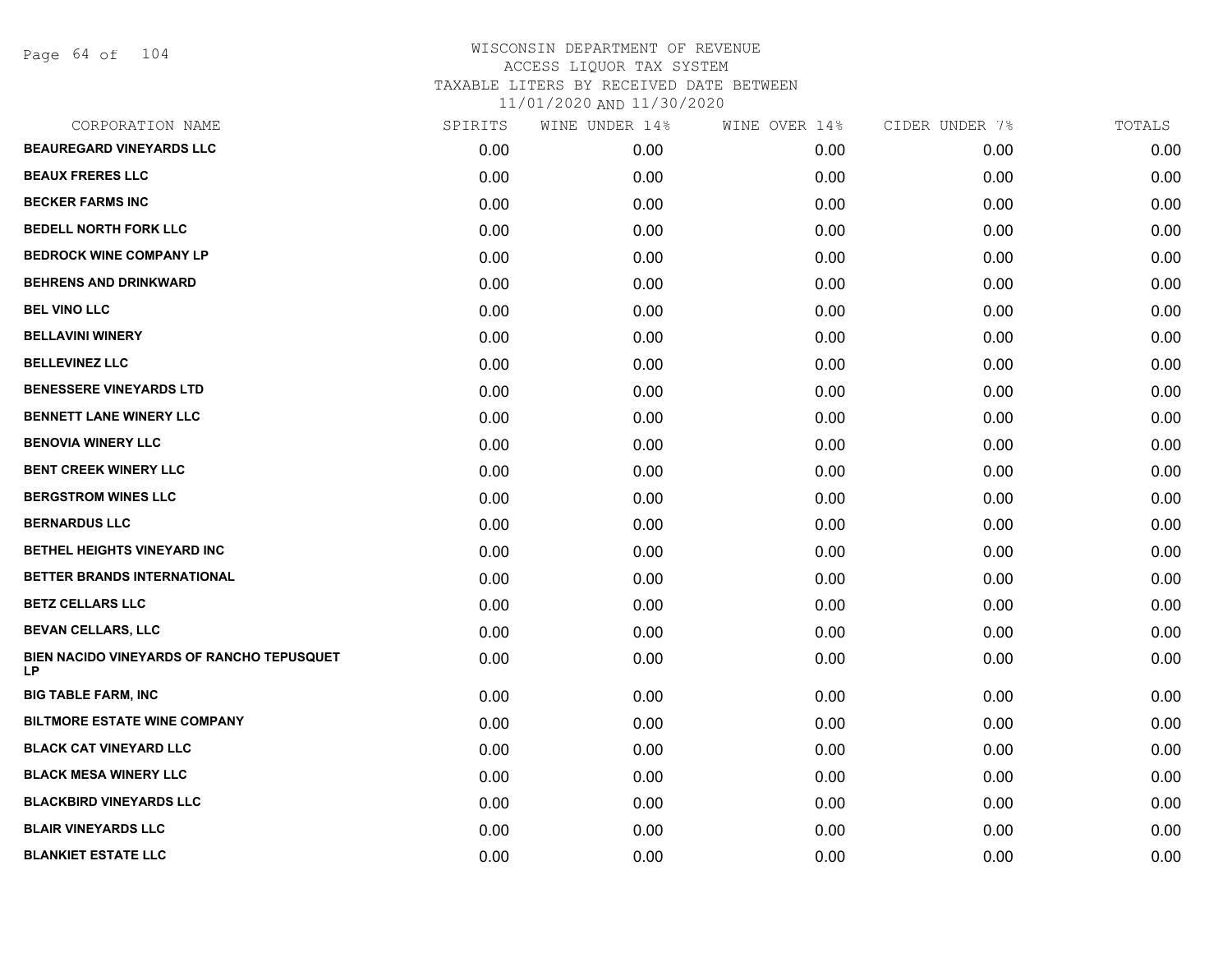Page 64 of 104

| CORPORATION NAME                                | SPIRITS | WINE UNDER 14% | WINE OVER 14% | CIDER UNDER 7% | TOTALS |
|-------------------------------------------------|---------|----------------|---------------|----------------|--------|
| <b>BEAUREGARD VINEYARDS LLC</b>                 | 0.00    | 0.00           | 0.00          | 0.00           | 0.00   |
| <b>BEAUX FRERES LLC</b>                         | 0.00    | 0.00           | 0.00          | 0.00           | 0.00   |
| <b>BECKER FARMS INC</b>                         | 0.00    | 0.00           | 0.00          | 0.00           | 0.00   |
| <b>BEDELL NORTH FORK LLC</b>                    | 0.00    | 0.00           | 0.00          | 0.00           | 0.00   |
| <b>BEDROCK WINE COMPANY LP</b>                  | 0.00    | 0.00           | 0.00          | 0.00           | 0.00   |
| <b>BEHRENS AND DRINKWARD</b>                    | 0.00    | 0.00           | 0.00          | 0.00           | 0.00   |
| <b>BEL VINO LLC</b>                             | 0.00    | 0.00           | 0.00          | 0.00           | 0.00   |
| <b>BELLAVINI WINERY</b>                         | 0.00    | 0.00           | 0.00          | 0.00           | 0.00   |
| <b>BELLEVINEZ LLC</b>                           | 0.00    | 0.00           | 0.00          | 0.00           | 0.00   |
| <b>BENESSERE VINEYARDS LTD</b>                  | 0.00    | 0.00           | 0.00          | 0.00           | 0.00   |
| <b>BENNETT LANE WINERY LLC</b>                  | 0.00    | 0.00           | 0.00          | 0.00           | 0.00   |
| <b>BENOVIA WINERY LLC</b>                       | 0.00    | 0.00           | 0.00          | 0.00           | 0.00   |
| <b>BENT CREEK WINERY LLC</b>                    | 0.00    | 0.00           | 0.00          | 0.00           | 0.00   |
| <b>BERGSTROM WINES LLC</b>                      | 0.00    | 0.00           | 0.00          | 0.00           | 0.00   |
| <b>BERNARDUS LLC</b>                            | 0.00    | 0.00           | 0.00          | 0.00           | 0.00   |
| BETHEL HEIGHTS VINEYARD INC                     | 0.00    | 0.00           | 0.00          | 0.00           | 0.00   |
| BETTER BRANDS INTERNATIONAL                     | 0.00    | 0.00           | 0.00          | 0.00           | 0.00   |
| <b>BETZ CELLARS LLC</b>                         | 0.00    | 0.00           | 0.00          | 0.00           | 0.00   |
| <b>BEVAN CELLARS, LLC</b>                       | 0.00    | 0.00           | 0.00          | 0.00           | 0.00   |
| BIEN NACIDO VINEYARDS OF RANCHO TEPUSQUET<br>LP | 0.00    | 0.00           | 0.00          | 0.00           | 0.00   |
| <b>BIG TABLE FARM, INC</b>                      | 0.00    | 0.00           | 0.00          | 0.00           | 0.00   |
| <b>BILTMORE ESTATE WINE COMPANY</b>             | 0.00    | 0.00           | 0.00          | 0.00           | 0.00   |
| <b>BLACK CAT VINEYARD LLC</b>                   | 0.00    | 0.00           | 0.00          | 0.00           | 0.00   |
| <b>BLACK MESA WINERY LLC</b>                    | 0.00    | 0.00           | 0.00          | 0.00           | 0.00   |
| <b>BLACKBIRD VINEYARDS LLC</b>                  | 0.00    | 0.00           | 0.00          | 0.00           | 0.00   |
| <b>BLAIR VINEYARDS LLC</b>                      | 0.00    | 0.00           | 0.00          | 0.00           | 0.00   |
| <b>BLANKIET ESTATE LLC</b>                      | 0.00    | 0.00           | 0.00          | 0.00           | 0.00   |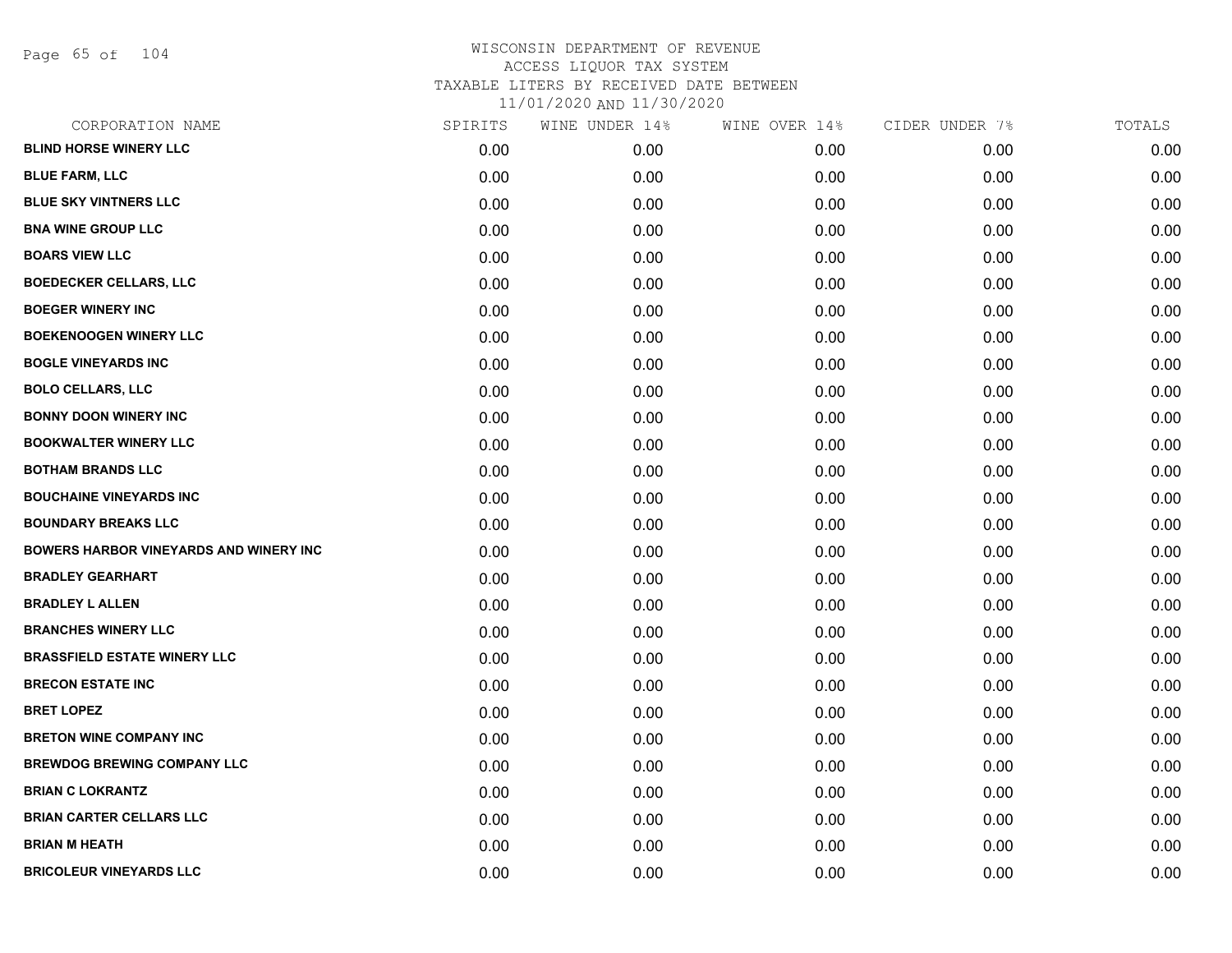Page 65 of 104

| CORPORATION NAME                              | SPIRITS | WINE UNDER 14% | WINE OVER 14% | CIDER UNDER 7% | TOTALS |
|-----------------------------------------------|---------|----------------|---------------|----------------|--------|
| <b>BLIND HORSE WINERY LLC</b>                 | 0.00    | 0.00           | 0.00          | 0.00           | 0.00   |
| <b>BLUE FARM, LLC</b>                         | 0.00    | 0.00           | 0.00          | 0.00           | 0.00   |
| <b>BLUE SKY VINTNERS LLC</b>                  | 0.00    | 0.00           | 0.00          | 0.00           | 0.00   |
| <b>BNA WINE GROUP LLC</b>                     | 0.00    | 0.00           | 0.00          | 0.00           | 0.00   |
| <b>BOARS VIEW LLC</b>                         | 0.00    | 0.00           | 0.00          | 0.00           | 0.00   |
| <b>BOEDECKER CELLARS, LLC</b>                 | 0.00    | 0.00           | 0.00          | 0.00           | 0.00   |
| <b>BOEGER WINERY INC</b>                      | 0.00    | 0.00           | 0.00          | 0.00           | 0.00   |
| <b>BOEKENOOGEN WINERY LLC</b>                 | 0.00    | 0.00           | 0.00          | 0.00           | 0.00   |
| <b>BOGLE VINEYARDS INC</b>                    | 0.00    | 0.00           | 0.00          | 0.00           | 0.00   |
| <b>BOLO CELLARS, LLC</b>                      | 0.00    | 0.00           | 0.00          | 0.00           | 0.00   |
| <b>BONNY DOON WINERY INC</b>                  | 0.00    | 0.00           | 0.00          | 0.00           | 0.00   |
| <b>BOOKWALTER WINERY LLC</b>                  | 0.00    | 0.00           | 0.00          | 0.00           | 0.00   |
| <b>BOTHAM BRANDS LLC</b>                      | 0.00    | 0.00           | 0.00          | 0.00           | 0.00   |
| <b>BOUCHAINE VINEYARDS INC</b>                | 0.00    | 0.00           | 0.00          | 0.00           | 0.00   |
| <b>BOUNDARY BREAKS LLC</b>                    | 0.00    | 0.00           | 0.00          | 0.00           | 0.00   |
| <b>BOWERS HARBOR VINEYARDS AND WINERY INC</b> | 0.00    | 0.00           | 0.00          | 0.00           | 0.00   |
| <b>BRADLEY GEARHART</b>                       | 0.00    | 0.00           | 0.00          | 0.00           | 0.00   |
| <b>BRADLEY L ALLEN</b>                        | 0.00    | 0.00           | 0.00          | 0.00           | 0.00   |
| <b>BRANCHES WINERY LLC</b>                    | 0.00    | 0.00           | 0.00          | 0.00           | 0.00   |
| <b>BRASSFIELD ESTATE WINERY LLC</b>           | 0.00    | 0.00           | 0.00          | 0.00           | 0.00   |
| <b>BRECON ESTATE INC</b>                      | 0.00    | 0.00           | 0.00          | 0.00           | 0.00   |
| <b>BRET LOPEZ</b>                             | 0.00    | 0.00           | 0.00          | 0.00           | 0.00   |
| <b>BRETON WINE COMPANY INC</b>                | 0.00    | 0.00           | 0.00          | 0.00           | 0.00   |
| <b>BREWDOG BREWING COMPANY LLC</b>            | 0.00    | 0.00           | 0.00          | 0.00           | 0.00   |
| <b>BRIAN C LOKRANTZ</b>                       | 0.00    | 0.00           | 0.00          | 0.00           | 0.00   |
| <b>BRIAN CARTER CELLARS LLC</b>               | 0.00    | 0.00           | 0.00          | 0.00           | 0.00   |
| <b>BRIAN M HEATH</b>                          | 0.00    | 0.00           | 0.00          | 0.00           | 0.00   |
| <b>BRICOLEUR VINEYARDS LLC</b>                | 0.00    | 0.00           | 0.00          | 0.00           | 0.00   |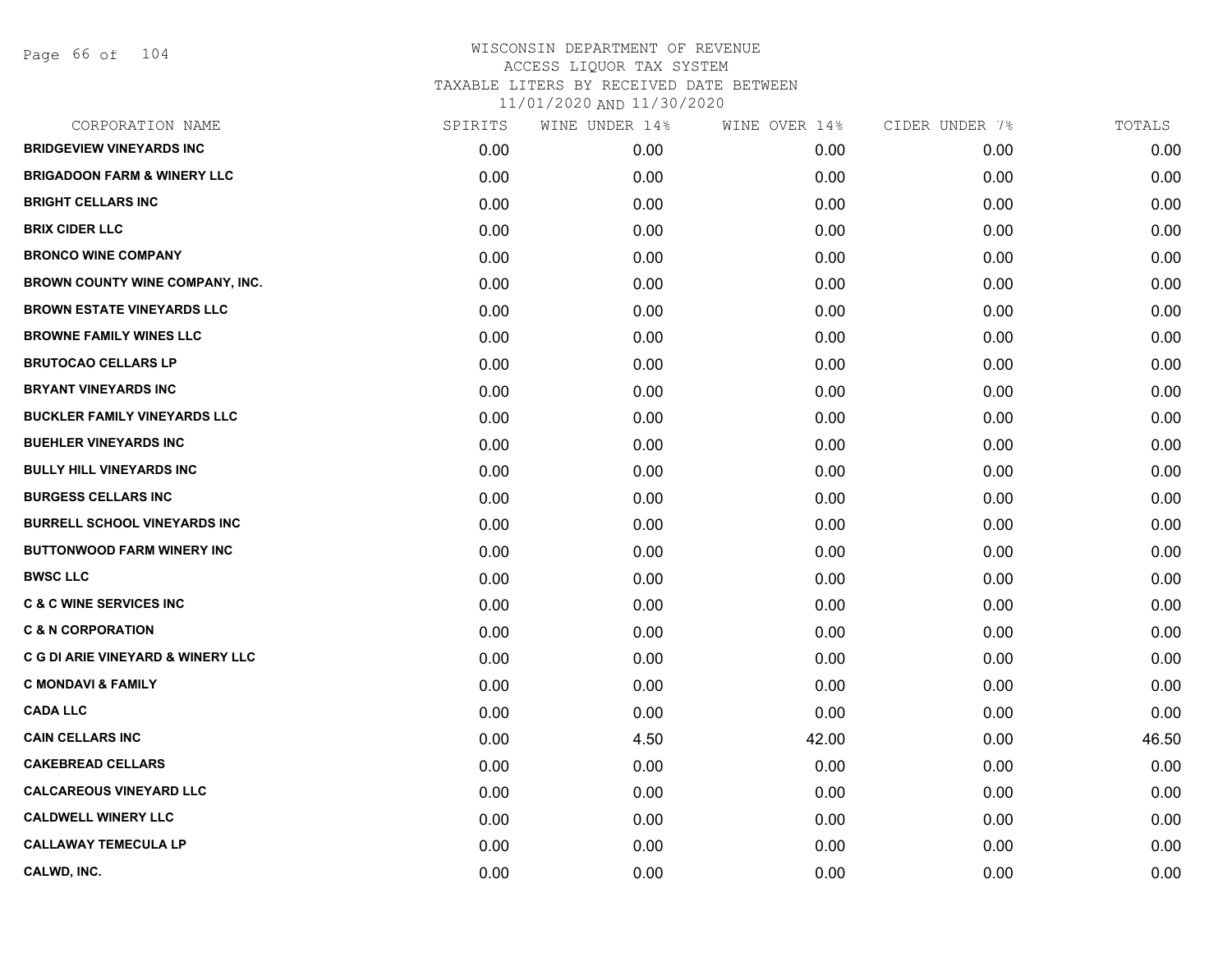| CORPORATION NAME                             | SPIRITS | WINE UNDER 14% | WINE OVER 14% | CIDER UNDER 7% | TOTALS |
|----------------------------------------------|---------|----------------|---------------|----------------|--------|
| <b>BRIDGEVIEW VINEYARDS INC</b>              | 0.00    | 0.00           | 0.00          | 0.00           | 0.00   |
| <b>BRIGADOON FARM &amp; WINERY LLC</b>       | 0.00    | 0.00           | 0.00          | 0.00           | 0.00   |
| <b>BRIGHT CELLARS INC</b>                    | 0.00    | 0.00           | 0.00          | 0.00           | 0.00   |
| <b>BRIX CIDER LLC</b>                        | 0.00    | 0.00           | 0.00          | 0.00           | 0.00   |
| <b>BRONCO WINE COMPANY</b>                   | 0.00    | 0.00           | 0.00          | 0.00           | 0.00   |
| <b>BROWN COUNTY WINE COMPANY, INC.</b>       | 0.00    | 0.00           | 0.00          | 0.00           | 0.00   |
| <b>BROWN ESTATE VINEYARDS LLC</b>            | 0.00    | 0.00           | 0.00          | 0.00           | 0.00   |
| <b>BROWNE FAMILY WINES LLC</b>               | 0.00    | 0.00           | 0.00          | 0.00           | 0.00   |
| <b>BRUTOCAO CELLARS LP</b>                   | 0.00    | 0.00           | 0.00          | 0.00           | 0.00   |
| <b>BRYANT VINEYARDS INC</b>                  | 0.00    | 0.00           | 0.00          | 0.00           | 0.00   |
| BUCKLER FAMILY VINEYARDS LLC                 | 0.00    | 0.00           | 0.00          | 0.00           | 0.00   |
| <b>BUEHLER VINEYARDS INC</b>                 | 0.00    | 0.00           | 0.00          | 0.00           | 0.00   |
| <b>BULLY HILL VINEYARDS INC</b>              | 0.00    | 0.00           | 0.00          | 0.00           | 0.00   |
| <b>BURGESS CELLARS INC</b>                   | 0.00    | 0.00           | 0.00          | 0.00           | 0.00   |
| <b>BURRELL SCHOOL VINEYARDS INC</b>          | 0.00    | 0.00           | 0.00          | 0.00           | 0.00   |
| <b>BUTTONWOOD FARM WINERY INC</b>            | 0.00    | 0.00           | 0.00          | 0.00           | 0.00   |
| <b>BWSC LLC</b>                              | 0.00    | 0.00           | 0.00          | 0.00           | 0.00   |
| <b>C &amp; C WINE SERVICES INC</b>           | 0.00    | 0.00           | 0.00          | 0.00           | 0.00   |
| <b>C &amp; N CORPORATION</b>                 | 0.00    | 0.00           | 0.00          | 0.00           | 0.00   |
| <b>C G DI ARIE VINEYARD &amp; WINERY LLC</b> | 0.00    | 0.00           | 0.00          | 0.00           | 0.00   |
| <b>C MONDAVI &amp; FAMILY</b>                | 0.00    | 0.00           | 0.00          | 0.00           | 0.00   |
| <b>CADA LLC</b>                              | 0.00    | 0.00           | 0.00          | 0.00           | 0.00   |
| <b>CAIN CELLARS INC</b>                      | 0.00    | 4.50           | 42.00         | 0.00           | 46.50  |
| <b>CAKEBREAD CELLARS</b>                     | 0.00    | 0.00           | 0.00          | 0.00           | 0.00   |
| <b>CALCAREOUS VINEYARD LLC</b>               | 0.00    | 0.00           | 0.00          | 0.00           | 0.00   |
| <b>CALDWELL WINERY LLC</b>                   | 0.00    | 0.00           | 0.00          | 0.00           | 0.00   |
| <b>CALLAWAY TEMECULA LP</b>                  | 0.00    | 0.00           | 0.00          | 0.00           | 0.00   |
| CALWD, INC.                                  | 0.00    | 0.00           | 0.00          | 0.00           | 0.00   |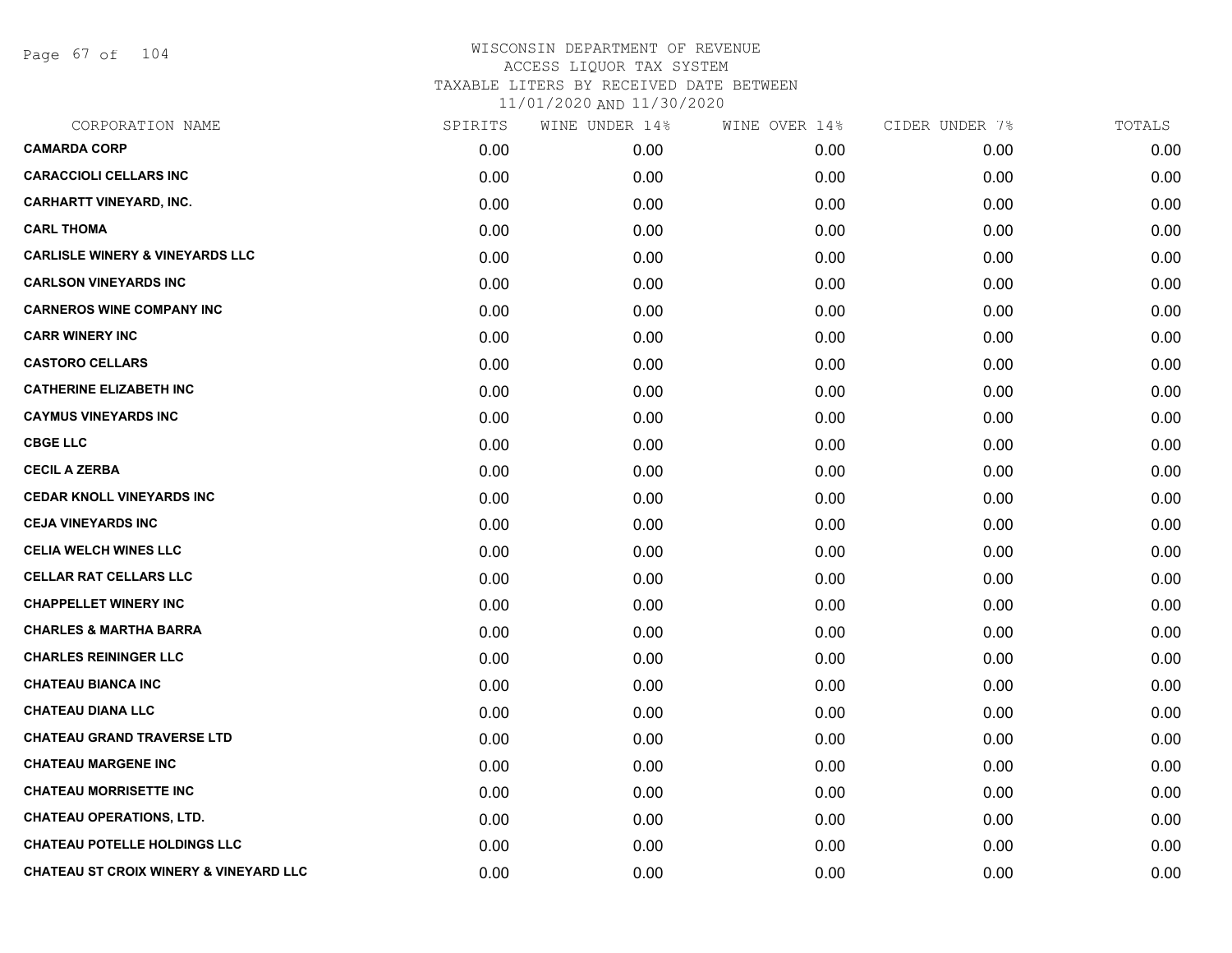Page 67 of 104

| CORPORATION NAME                           | SPIRITS | WINE UNDER 14% | WINE OVER 14% | CIDER UNDER 7% | TOTALS |
|--------------------------------------------|---------|----------------|---------------|----------------|--------|
| <b>CAMARDA CORP</b>                        | 0.00    | 0.00           | 0.00          | 0.00           | 0.00   |
| <b>CARACCIOLI CELLARS INC</b>              | 0.00    | 0.00           | 0.00          | 0.00           | 0.00   |
| <b>CARHARTT VINEYARD, INC.</b>             | 0.00    | 0.00           | 0.00          | 0.00           | 0.00   |
| <b>CARL THOMA</b>                          | 0.00    | 0.00           | 0.00          | 0.00           | 0.00   |
| <b>CARLISLE WINERY &amp; VINEYARDS LLC</b> | 0.00    | 0.00           | 0.00          | 0.00           | 0.00   |
| <b>CARLSON VINEYARDS INC</b>               | 0.00    | 0.00           | 0.00          | 0.00           | 0.00   |
| <b>CARNEROS WINE COMPANY INC</b>           | 0.00    | 0.00           | 0.00          | 0.00           | 0.00   |
| <b>CARR WINERY INC</b>                     | 0.00    | 0.00           | 0.00          | 0.00           | 0.00   |
| <b>CASTORO CELLARS</b>                     | 0.00    | 0.00           | 0.00          | 0.00           | 0.00   |
| <b>CATHERINE ELIZABETH INC</b>             | 0.00    | 0.00           | 0.00          | 0.00           | 0.00   |
| <b>CAYMUS VINEYARDS INC</b>                | 0.00    | 0.00           | 0.00          | 0.00           | 0.00   |
| <b>CBGE LLC</b>                            | 0.00    | 0.00           | 0.00          | 0.00           | 0.00   |
| <b>CECIL A ZERBA</b>                       | 0.00    | 0.00           | 0.00          | 0.00           | 0.00   |
| <b>CEDAR KNOLL VINEYARDS INC</b>           | 0.00    | 0.00           | 0.00          | 0.00           | 0.00   |
| <b>CEJA VINEYARDS INC</b>                  | 0.00    | 0.00           | 0.00          | 0.00           | 0.00   |
| <b>CELIA WELCH WINES LLC</b>               | 0.00    | 0.00           | 0.00          | 0.00           | 0.00   |
| <b>CELLAR RAT CELLARS LLC</b>              | 0.00    | 0.00           | 0.00          | 0.00           | 0.00   |
| <b>CHAPPELLET WINERY INC</b>               | 0.00    | 0.00           | 0.00          | 0.00           | 0.00   |
| <b>CHARLES &amp; MARTHA BARRA</b>          | 0.00    | 0.00           | 0.00          | 0.00           | 0.00   |
| <b>CHARLES REININGER LLC</b>               | 0.00    | 0.00           | 0.00          | 0.00           | 0.00   |
| <b>CHATEAU BIANCA INC</b>                  | 0.00    | 0.00           | 0.00          | 0.00           | 0.00   |
| <b>CHATEAU DIANA LLC</b>                   | 0.00    | 0.00           | 0.00          | 0.00           | 0.00   |
| <b>CHATEAU GRAND TRAVERSE LTD</b>          | 0.00    | 0.00           | 0.00          | 0.00           | 0.00   |
| <b>CHATEAU MARGENE INC</b>                 | 0.00    | 0.00           | 0.00          | 0.00           | 0.00   |
| <b>CHATEAU MORRISETTE INC</b>              | 0.00    | 0.00           | 0.00          | 0.00           | 0.00   |
| <b>CHATEAU OPERATIONS, LTD.</b>            | 0.00    | 0.00           | 0.00          | 0.00           | 0.00   |
| <b>CHATEAU POTELLE HOLDINGS LLC</b>        | 0.00    | 0.00           | 0.00          | 0.00           | 0.00   |
| CHATEAU ST CROIX WINERY & VINEYARD LLC     | 0.00    | 0.00           | 0.00          | 0.00           | 0.00   |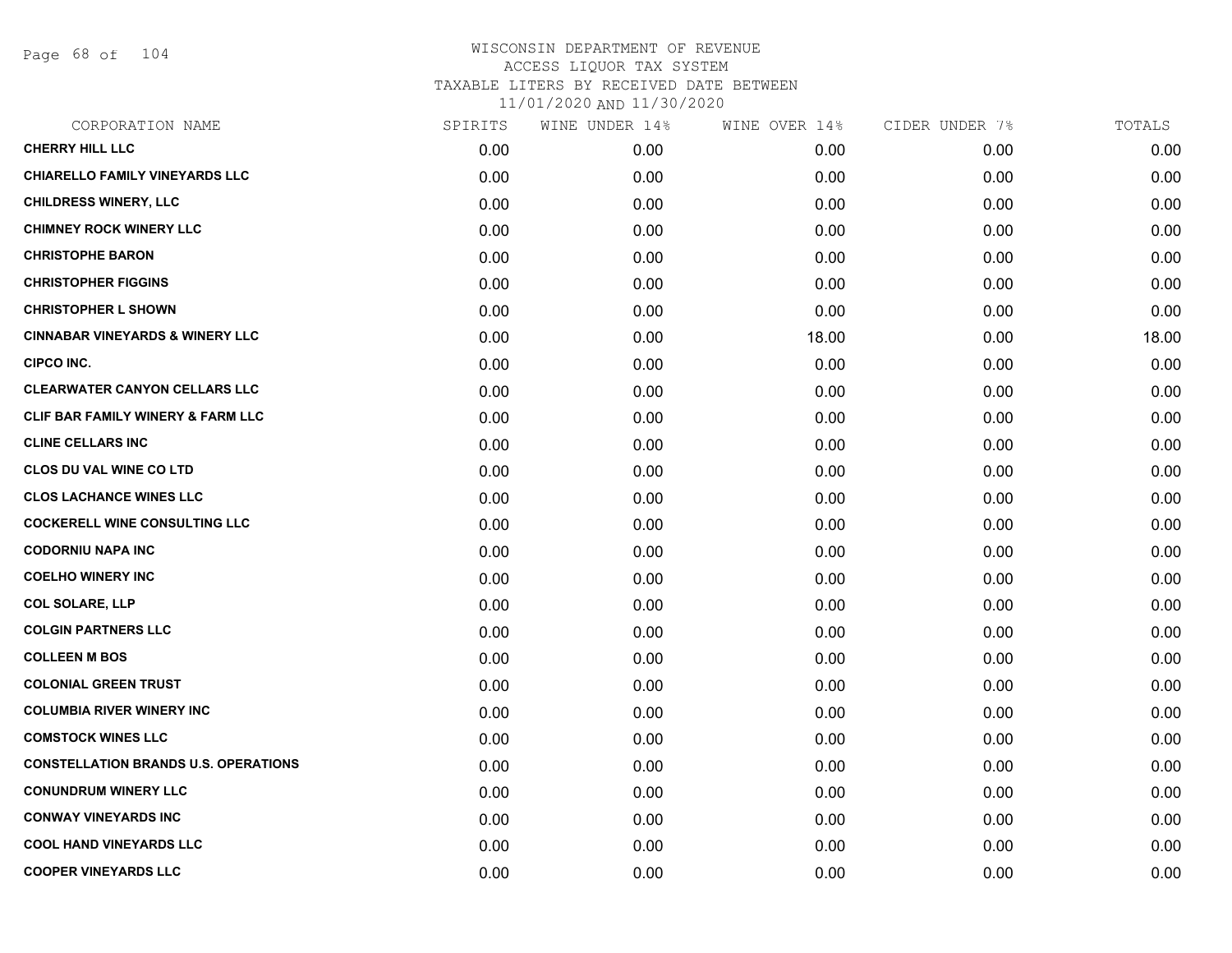Page 68 of 104

| CORPORATION NAME                             | SPIRITS | WINE UNDER 14% | WINE OVER 14% | CIDER UNDER 7% | TOTALS |
|----------------------------------------------|---------|----------------|---------------|----------------|--------|
| <b>CHERRY HILL LLC</b>                       | 0.00    | 0.00           | 0.00          | 0.00           | 0.00   |
| <b>CHIARELLO FAMILY VINEYARDS LLC</b>        | 0.00    | 0.00           | 0.00          | 0.00           | 0.00   |
| <b>CHILDRESS WINERY, LLC</b>                 | 0.00    | 0.00           | 0.00          | 0.00           | 0.00   |
| <b>CHIMNEY ROCK WINERY LLC</b>               | 0.00    | 0.00           | 0.00          | 0.00           | 0.00   |
| <b>CHRISTOPHE BARON</b>                      | 0.00    | 0.00           | 0.00          | 0.00           | 0.00   |
| <b>CHRISTOPHER FIGGINS</b>                   | 0.00    | 0.00           | 0.00          | 0.00           | 0.00   |
| <b>CHRISTOPHER L SHOWN</b>                   | 0.00    | 0.00           | 0.00          | 0.00           | 0.00   |
| <b>CINNABAR VINEYARDS &amp; WINERY LLC</b>   | 0.00    | 0.00           | 18.00         | 0.00           | 18.00  |
| <b>CIPCO INC.</b>                            | 0.00    | 0.00           | 0.00          | 0.00           | 0.00   |
| <b>CLEARWATER CANYON CELLARS LLC</b>         | 0.00    | 0.00           | 0.00          | 0.00           | 0.00   |
| <b>CLIF BAR FAMILY WINERY &amp; FARM LLC</b> | 0.00    | 0.00           | 0.00          | 0.00           | 0.00   |
| <b>CLINE CELLARS INC</b>                     | 0.00    | 0.00           | 0.00          | 0.00           | 0.00   |
| <b>CLOS DU VAL WINE CO LTD</b>               | 0.00    | 0.00           | 0.00          | 0.00           | 0.00   |
| <b>CLOS LACHANCE WINES LLC</b>               | 0.00    | 0.00           | 0.00          | 0.00           | 0.00   |
| <b>COCKERELL WINE CONSULTING LLC</b>         | 0.00    | 0.00           | 0.00          | 0.00           | 0.00   |
| <b>CODORNIU NAPA INC</b>                     | 0.00    | 0.00           | 0.00          | 0.00           | 0.00   |
| <b>COELHO WINERY INC</b>                     | 0.00    | 0.00           | 0.00          | 0.00           | 0.00   |
| <b>COL SOLARE, LLP</b>                       | 0.00    | 0.00           | 0.00          | 0.00           | 0.00   |
| <b>COLGIN PARTNERS LLC</b>                   | 0.00    | 0.00           | 0.00          | 0.00           | 0.00   |
| <b>COLLEEN M BOS</b>                         | 0.00    | 0.00           | 0.00          | 0.00           | 0.00   |
| <b>COLONIAL GREEN TRUST</b>                  | 0.00    | 0.00           | 0.00          | 0.00           | 0.00   |
| <b>COLUMBIA RIVER WINERY INC</b>             | 0.00    | 0.00           | 0.00          | 0.00           | 0.00   |
| <b>COMSTOCK WINES LLC</b>                    | 0.00    | 0.00           | 0.00          | 0.00           | 0.00   |
| <b>CONSTELLATION BRANDS U.S. OPERATIONS</b>  | 0.00    | 0.00           | 0.00          | 0.00           | 0.00   |
| <b>CONUNDRUM WINERY LLC</b>                  | 0.00    | 0.00           | 0.00          | 0.00           | 0.00   |
| <b>CONWAY VINEYARDS INC</b>                  | 0.00    | 0.00           | 0.00          | 0.00           | 0.00   |
| <b>COOL HAND VINEYARDS LLC</b>               | 0.00    | 0.00           | 0.00          | 0.00           | 0.00   |
| <b>COOPER VINEYARDS LLC</b>                  | 0.00    | 0.00           | 0.00          | 0.00           | 0.00   |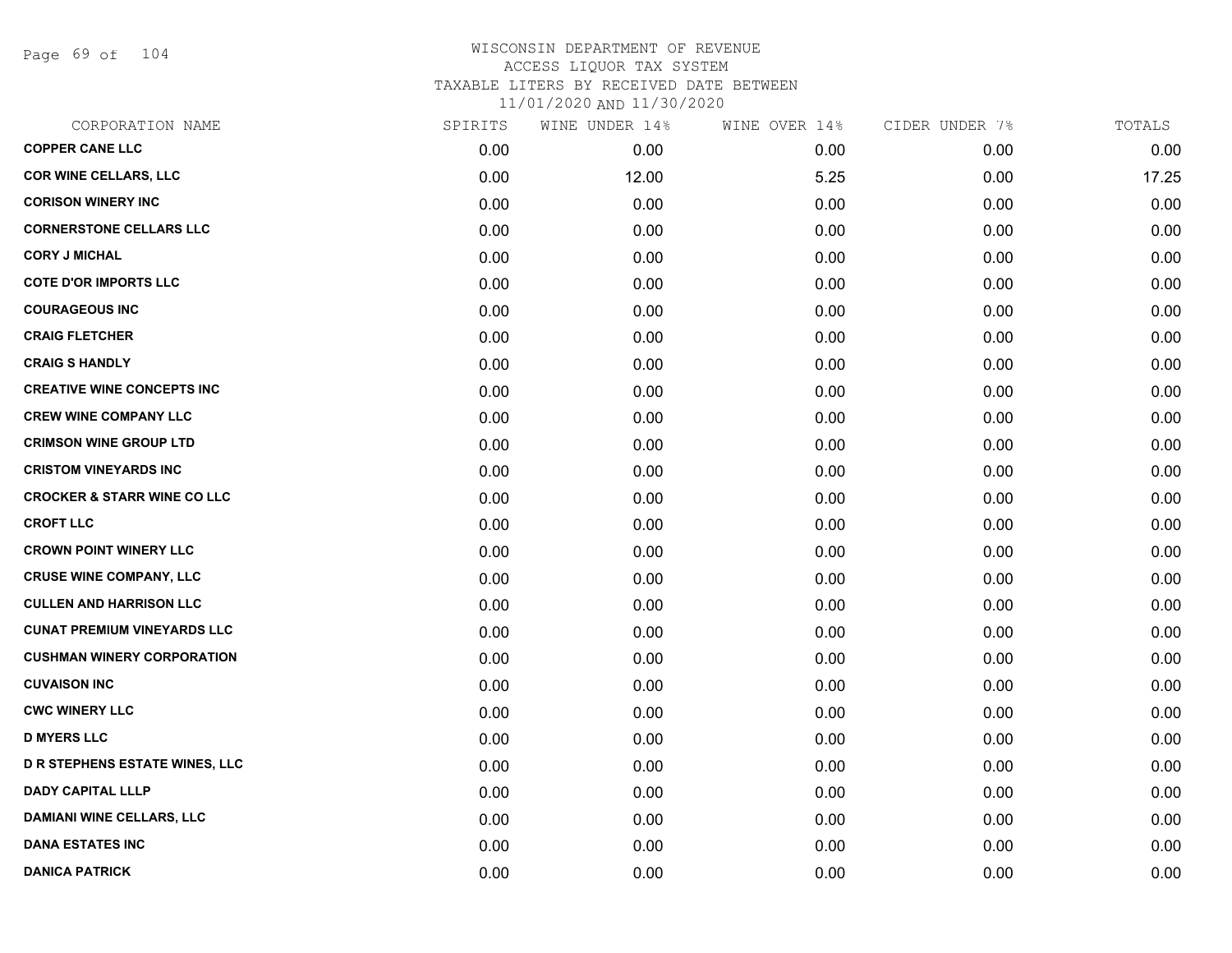Page 69 of 104

| CORPORATION NAME                       | SPIRITS | WINE UNDER 14% | WINE OVER 14% | CIDER UNDER 7% | TOTALS |
|----------------------------------------|---------|----------------|---------------|----------------|--------|
| <b>COPPER CANE LLC</b>                 | 0.00    | 0.00           | 0.00          | 0.00           | 0.00   |
| <b>COR WINE CELLARS, LLC</b>           | 0.00    | 12.00          | 5.25          | 0.00           | 17.25  |
| <b>CORISON WINERY INC</b>              | 0.00    | 0.00           | 0.00          | 0.00           | 0.00   |
| <b>CORNERSTONE CELLARS LLC</b>         | 0.00    | 0.00           | 0.00          | 0.00           | 0.00   |
| <b>CORY J MICHAL</b>                   | 0.00    | 0.00           | 0.00          | 0.00           | 0.00   |
| <b>COTE D'OR IMPORTS LLC</b>           | 0.00    | 0.00           | 0.00          | 0.00           | 0.00   |
| <b>COURAGEOUS INC</b>                  | 0.00    | 0.00           | 0.00          | 0.00           | 0.00   |
| <b>CRAIG FLETCHER</b>                  | 0.00    | 0.00           | 0.00          | 0.00           | 0.00   |
| <b>CRAIG S HANDLY</b>                  | 0.00    | 0.00           | 0.00          | 0.00           | 0.00   |
| <b>CREATIVE WINE CONCEPTS INC</b>      | 0.00    | 0.00           | 0.00          | 0.00           | 0.00   |
| <b>CREW WINE COMPANY LLC</b>           | 0.00    | 0.00           | 0.00          | 0.00           | 0.00   |
| <b>CRIMSON WINE GROUP LTD</b>          | 0.00    | 0.00           | 0.00          | 0.00           | 0.00   |
| <b>CRISTOM VINEYARDS INC</b>           | 0.00    | 0.00           | 0.00          | 0.00           | 0.00   |
| <b>CROCKER &amp; STARR WINE CO LLC</b> | 0.00    | 0.00           | 0.00          | 0.00           | 0.00   |
| <b>CROFT LLC</b>                       | 0.00    | 0.00           | 0.00          | 0.00           | 0.00   |
| <b>CROWN POINT WINERY LLC</b>          | 0.00    | 0.00           | 0.00          | 0.00           | 0.00   |
| <b>CRUSE WINE COMPANY, LLC</b>         | 0.00    | 0.00           | 0.00          | 0.00           | 0.00   |
| <b>CULLEN AND HARRISON LLC</b>         | 0.00    | 0.00           | 0.00          | 0.00           | 0.00   |
| <b>CUNAT PREMIUM VINEYARDS LLC</b>     | 0.00    | 0.00           | 0.00          | 0.00           | 0.00   |
| <b>CUSHMAN WINERY CORPORATION</b>      | 0.00    | 0.00           | 0.00          | 0.00           | 0.00   |
| <b>CUVAISON INC</b>                    | 0.00    | 0.00           | 0.00          | 0.00           | 0.00   |
| <b>CWC WINERY LLC</b>                  | 0.00    | 0.00           | 0.00          | 0.00           | 0.00   |
| <b>D MYERS LLC</b>                     | 0.00    | 0.00           | 0.00          | 0.00           | 0.00   |
| <b>D R STEPHENS ESTATE WINES, LLC</b>  | 0.00    | 0.00           | 0.00          | 0.00           | 0.00   |
| <b>DADY CAPITAL LLLP</b>               | 0.00    | 0.00           | 0.00          | 0.00           | 0.00   |
| <b>DAMIANI WINE CELLARS, LLC</b>       | 0.00    | 0.00           | 0.00          | 0.00           | 0.00   |
| <b>DANA ESTATES INC</b>                | 0.00    | 0.00           | 0.00          | 0.00           | 0.00   |
| <b>DANICA PATRICK</b>                  | 0.00    | 0.00           | 0.00          | 0.00           | 0.00   |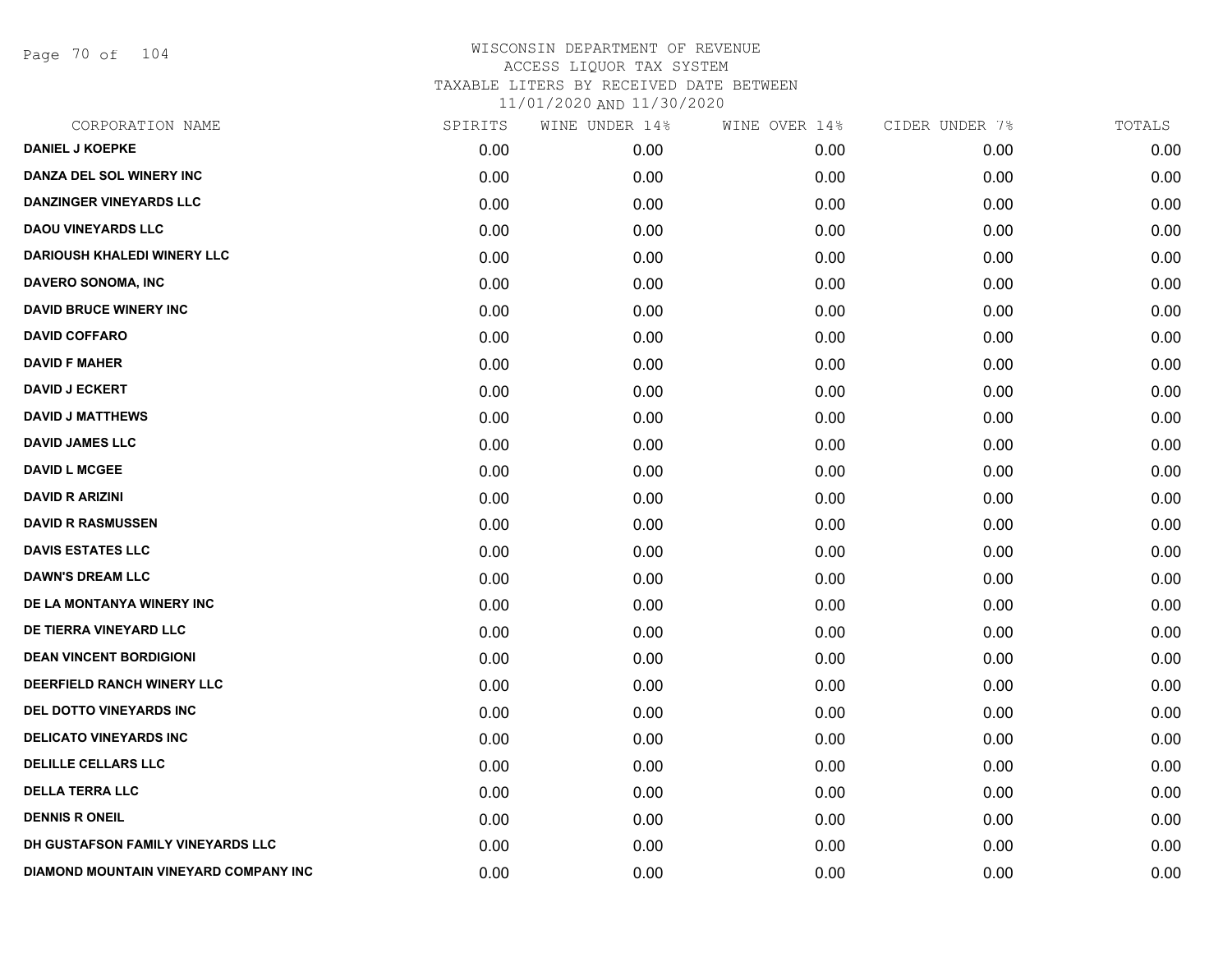Page 70 of 104

| CORPORATION NAME                      | SPIRITS | WINE UNDER 14% | WINE OVER 14% | CIDER UNDER 7% | TOTALS |
|---------------------------------------|---------|----------------|---------------|----------------|--------|
| <b>DANIEL J KOEPKE</b>                | 0.00    | 0.00           | 0.00          | 0.00           | 0.00   |
| DANZA DEL SOL WINERY INC              | 0.00    | 0.00           | 0.00          | 0.00           | 0.00   |
| <b>DANZINGER VINEYARDS LLC</b>        | 0.00    | 0.00           | 0.00          | 0.00           | 0.00   |
| <b>DAOU VINEYARDS LLC</b>             | 0.00    | 0.00           | 0.00          | 0.00           | 0.00   |
| <b>DARIOUSH KHALEDI WINERY LLC</b>    | 0.00    | 0.00           | 0.00          | 0.00           | 0.00   |
| <b>DAVERO SONOMA, INC</b>             | 0.00    | 0.00           | 0.00          | 0.00           | 0.00   |
| <b>DAVID BRUCE WINERY INC</b>         | 0.00    | 0.00           | 0.00          | 0.00           | 0.00   |
| <b>DAVID COFFARO</b>                  | 0.00    | 0.00           | 0.00          | 0.00           | 0.00   |
| <b>DAVID F MAHER</b>                  | 0.00    | 0.00           | 0.00          | 0.00           | 0.00   |
| <b>DAVID J ECKERT</b>                 | 0.00    | 0.00           | 0.00          | 0.00           | 0.00   |
| <b>DAVID J MATTHEWS</b>               | 0.00    | 0.00           | 0.00          | 0.00           | 0.00   |
| <b>DAVID JAMES LLC</b>                | 0.00    | 0.00           | 0.00          | 0.00           | 0.00   |
| <b>DAVID L MCGEE</b>                  | 0.00    | 0.00           | 0.00          | 0.00           | 0.00   |
| <b>DAVID R ARIZINI</b>                | 0.00    | 0.00           | 0.00          | 0.00           | 0.00   |
| <b>DAVID R RASMUSSEN</b>              | 0.00    | 0.00           | 0.00          | 0.00           | 0.00   |
| <b>DAVIS ESTATES LLC</b>              | 0.00    | 0.00           | 0.00          | 0.00           | 0.00   |
| <b>DAWN'S DREAM LLC</b>               | 0.00    | 0.00           | 0.00          | 0.00           | 0.00   |
| DE LA MONTANYA WINERY INC             | 0.00    | 0.00           | 0.00          | 0.00           | 0.00   |
| DE TIERRA VINEYARD LLC                | 0.00    | 0.00           | 0.00          | 0.00           | 0.00   |
| <b>DEAN VINCENT BORDIGIONI</b>        | 0.00    | 0.00           | 0.00          | 0.00           | 0.00   |
| DEERFIELD RANCH WINERY LLC            | 0.00    | 0.00           | 0.00          | 0.00           | 0.00   |
| DEL DOTTO VINEYARDS INC               | 0.00    | 0.00           | 0.00          | 0.00           | 0.00   |
| <b>DELICATO VINEYARDS INC</b>         | 0.00    | 0.00           | 0.00          | 0.00           | 0.00   |
| <b>DELILLE CELLARS LLC</b>            | 0.00    | 0.00           | 0.00          | 0.00           | 0.00   |
| <b>DELLA TERRA LLC</b>                | 0.00    | 0.00           | 0.00          | 0.00           | 0.00   |
| <b>DENNIS R ONEIL</b>                 | 0.00    | 0.00           | 0.00          | 0.00           | 0.00   |
| DH GUSTAFSON FAMILY VINEYARDS LLC     | 0.00    | 0.00           | 0.00          | 0.00           | 0.00   |
| DIAMOND MOUNTAIN VINEYARD COMPANY INC | 0.00    | 0.00           | 0.00          | 0.00           | 0.00   |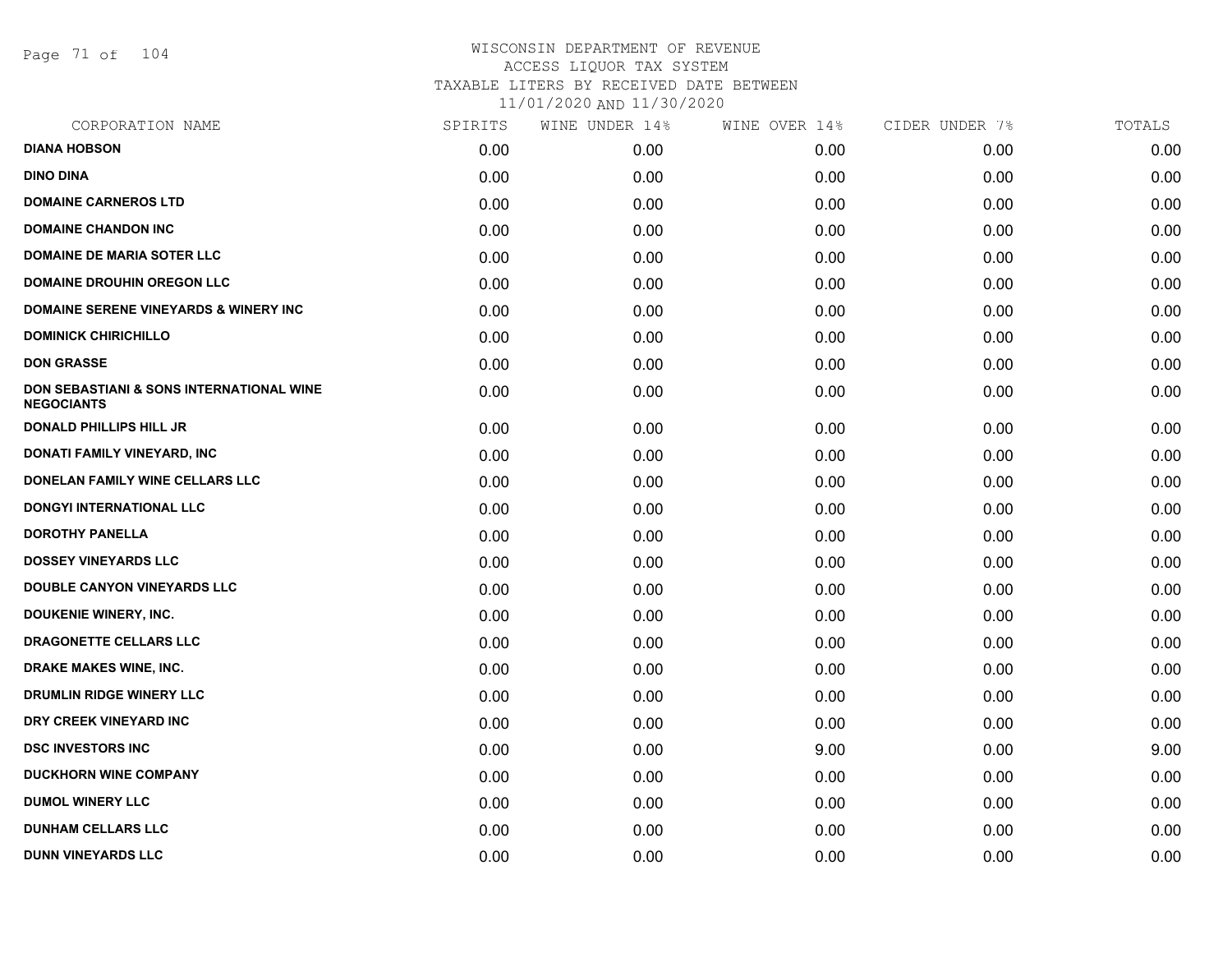Page 71 of 104

| CORPORATION NAME                                              | SPIRITS | WINE UNDER 14% | WINE OVER 14% | CIDER UNDER 7% | TOTALS |
|---------------------------------------------------------------|---------|----------------|---------------|----------------|--------|
| <b>DIANA HOBSON</b>                                           | 0.00    | 0.00           | 0.00          | 0.00           | 0.00   |
| <b>DINO DINA</b>                                              | 0.00    | 0.00           | 0.00          | 0.00           | 0.00   |
| <b>DOMAINE CARNEROS LTD</b>                                   | 0.00    | 0.00           | 0.00          | 0.00           | 0.00   |
| <b>DOMAINE CHANDON INC</b>                                    | 0.00    | 0.00           | 0.00          | 0.00           | 0.00   |
| <b>DOMAINE DE MARIA SOTER LLC</b>                             | 0.00    | 0.00           | 0.00          | 0.00           | 0.00   |
| <b>DOMAINE DROUHIN OREGON LLC</b>                             | 0.00    | 0.00           | 0.00          | 0.00           | 0.00   |
| <b>DOMAINE SERENE VINEYARDS &amp; WINERY INC</b>              | 0.00    | 0.00           | 0.00          | 0.00           | 0.00   |
| <b>DOMINICK CHIRICHILLO</b>                                   | 0.00    | 0.00           | 0.00          | 0.00           | 0.00   |
| <b>DON GRASSE</b>                                             | 0.00    | 0.00           | 0.00          | 0.00           | 0.00   |
| DON SEBASTIANI & SONS INTERNATIONAL WINE<br><b>NEGOCIANTS</b> | 0.00    | 0.00           | 0.00          | 0.00           | 0.00   |
| <b>DONALD PHILLIPS HILL JR</b>                                | 0.00    | 0.00           | 0.00          | 0.00           | 0.00   |
| DONATI FAMILY VINEYARD, INC                                   | 0.00    | 0.00           | 0.00          | 0.00           | 0.00   |
| DONELAN FAMILY WINE CELLARS LLC                               | 0.00    | 0.00           | 0.00          | 0.00           | 0.00   |
| DONGYI INTERNATIONAL LLC                                      | 0.00    | 0.00           | 0.00          | 0.00           | 0.00   |
| <b>DOROTHY PANELLA</b>                                        | 0.00    | 0.00           | 0.00          | 0.00           | 0.00   |
| <b>DOSSEY VINEYARDS LLC</b>                                   | 0.00    | 0.00           | 0.00          | 0.00           | 0.00   |
| <b>DOUBLE CANYON VINEYARDS LLC</b>                            | 0.00    | 0.00           | 0.00          | 0.00           | 0.00   |
| <b>DOUKENIE WINERY, INC.</b>                                  | 0.00    | 0.00           | 0.00          | 0.00           | 0.00   |
| <b>DRAGONETTE CELLARS LLC</b>                                 | 0.00    | 0.00           | 0.00          | 0.00           | 0.00   |
| <b>DRAKE MAKES WINE, INC.</b>                                 | 0.00    | 0.00           | 0.00          | 0.00           | 0.00   |
| <b>DRUMLIN RIDGE WINERY LLC</b>                               | 0.00    | 0.00           | 0.00          | 0.00           | 0.00   |
| DRY CREEK VINEYARD INC                                        | 0.00    | 0.00           | 0.00          | 0.00           | 0.00   |
| <b>DSC INVESTORS INC</b>                                      | 0.00    | 0.00           | 9.00          | 0.00           | 9.00   |
| <b>DUCKHORN WINE COMPANY</b>                                  | 0.00    | 0.00           | 0.00          | 0.00           | 0.00   |
| <b>DUMOL WINERY LLC</b>                                       | 0.00    | 0.00           | 0.00          | 0.00           | 0.00   |
| <b>DUNHAM CELLARS LLC</b>                                     | 0.00    | 0.00           | 0.00          | 0.00           | 0.00   |
| <b>DUNN VINEYARDS LLC</b>                                     | 0.00    | 0.00           | 0.00          | 0.00           | 0.00   |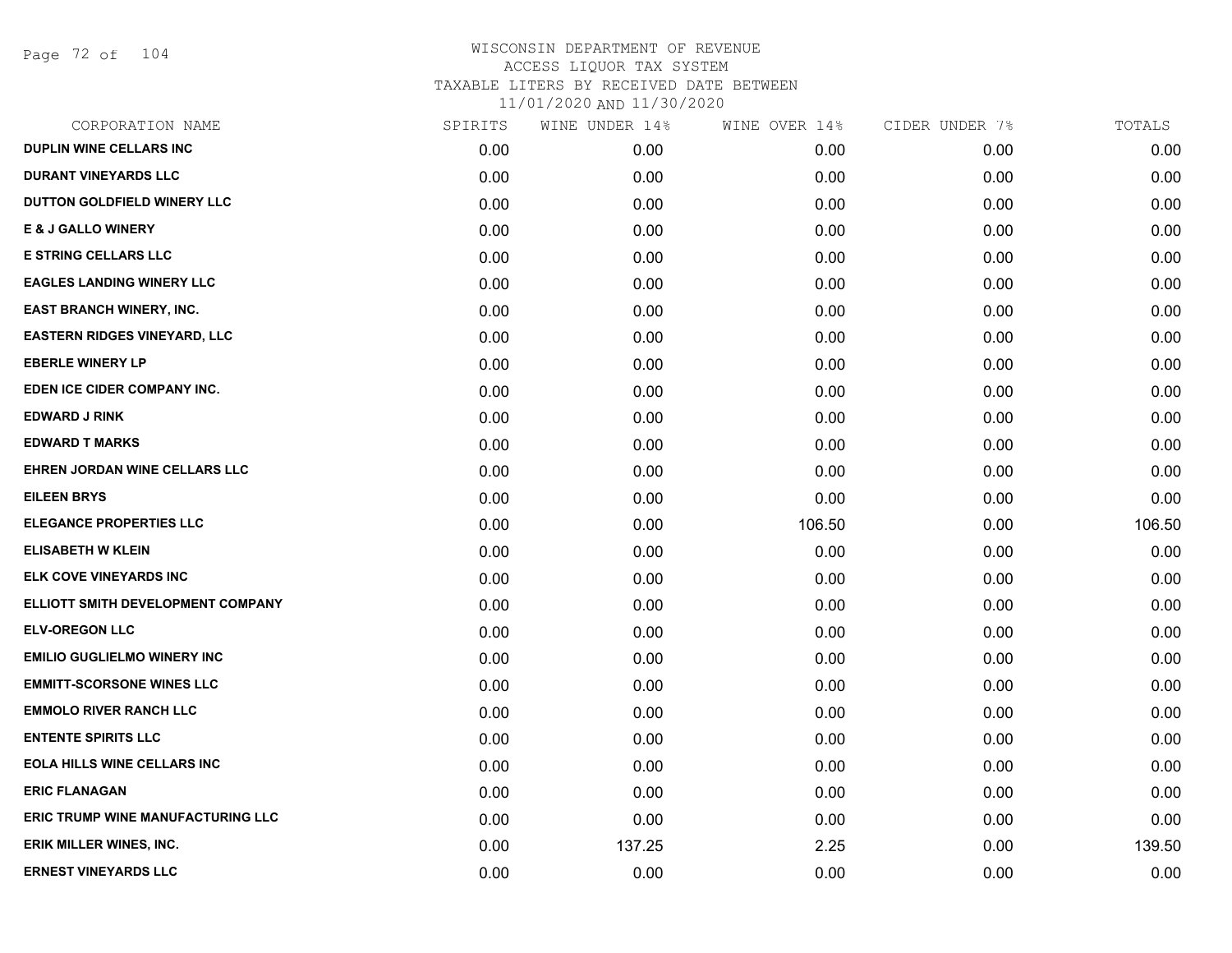Page 72 of 104

| CORPORATION NAME                         | SPIRITS | WINE UNDER 14% | WINE OVER 14% | CIDER UNDER 7% | TOTALS |
|------------------------------------------|---------|----------------|---------------|----------------|--------|
| <b>DUPLIN WINE CELLARS INC</b>           | 0.00    | 0.00           | 0.00          | 0.00           | 0.00   |
| <b>DURANT VINEYARDS LLC</b>              | 0.00    | 0.00           | 0.00          | 0.00           | 0.00   |
| DUTTON GOLDFIELD WINERY LLC              | 0.00    | 0.00           | 0.00          | 0.00           | 0.00   |
| <b>E &amp; J GALLO WINERY</b>            | 0.00    | 0.00           | 0.00          | 0.00           | 0.00   |
| <b>E STRING CELLARS LLC</b>              | 0.00    | 0.00           | 0.00          | 0.00           | 0.00   |
| <b>EAGLES LANDING WINERY LLC</b>         | 0.00    | 0.00           | 0.00          | 0.00           | 0.00   |
| <b>EAST BRANCH WINERY, INC.</b>          | 0.00    | 0.00           | 0.00          | 0.00           | 0.00   |
| <b>EASTERN RIDGES VINEYARD, LLC</b>      | 0.00    | 0.00           | 0.00          | 0.00           | 0.00   |
| <b>EBERLE WINERY LP</b>                  | 0.00    | 0.00           | 0.00          | 0.00           | 0.00   |
| EDEN ICE CIDER COMPANY INC.              | 0.00    | 0.00           | 0.00          | 0.00           | 0.00   |
| <b>EDWARD J RINK</b>                     | 0.00    | 0.00           | 0.00          | 0.00           | 0.00   |
| <b>EDWARD T MARKS</b>                    | 0.00    | 0.00           | 0.00          | 0.00           | 0.00   |
| EHREN JORDAN WINE CELLARS LLC            | 0.00    | 0.00           | 0.00          | 0.00           | 0.00   |
| <b>EILEEN BRYS</b>                       | 0.00    | 0.00           | 0.00          | 0.00           | 0.00   |
| <b>ELEGANCE PROPERTIES LLC</b>           | 0.00    | 0.00           | 106.50        | 0.00           | 106.50 |
| <b>ELISABETH W KLEIN</b>                 | 0.00    | 0.00           | 0.00          | 0.00           | 0.00   |
| ELK COVE VINEYARDS INC                   | 0.00    | 0.00           | 0.00          | 0.00           | 0.00   |
| ELLIOTT SMITH DEVELOPMENT COMPANY        | 0.00    | 0.00           | 0.00          | 0.00           | 0.00   |
| <b>ELV-OREGON LLC</b>                    | 0.00    | 0.00           | 0.00          | 0.00           | 0.00   |
| <b>EMILIO GUGLIELMO WINERY INC</b>       | 0.00    | 0.00           | 0.00          | 0.00           | 0.00   |
| <b>EMMITT-SCORSONE WINES LLC</b>         | 0.00    | 0.00           | 0.00          | 0.00           | 0.00   |
| <b>EMMOLO RIVER RANCH LLC</b>            | 0.00    | 0.00           | 0.00          | 0.00           | 0.00   |
| <b>ENTENTE SPIRITS LLC</b>               | 0.00    | 0.00           | 0.00          | 0.00           | 0.00   |
| <b>EOLA HILLS WINE CELLARS INC</b>       | 0.00    | 0.00           | 0.00          | 0.00           | 0.00   |
| <b>ERIC FLANAGAN</b>                     | 0.00    | 0.00           | 0.00          | 0.00           | 0.00   |
| <b>ERIC TRUMP WINE MANUFACTURING LLC</b> | 0.00    | 0.00           | 0.00          | 0.00           | 0.00   |
| <b>ERIK MILLER WINES, INC.</b>           | 0.00    | 137.25         | 2.25          | 0.00           | 139.50 |
| <b>ERNEST VINEYARDS LLC</b>              | 0.00    | 0.00           | 0.00          | 0.00           | 0.00   |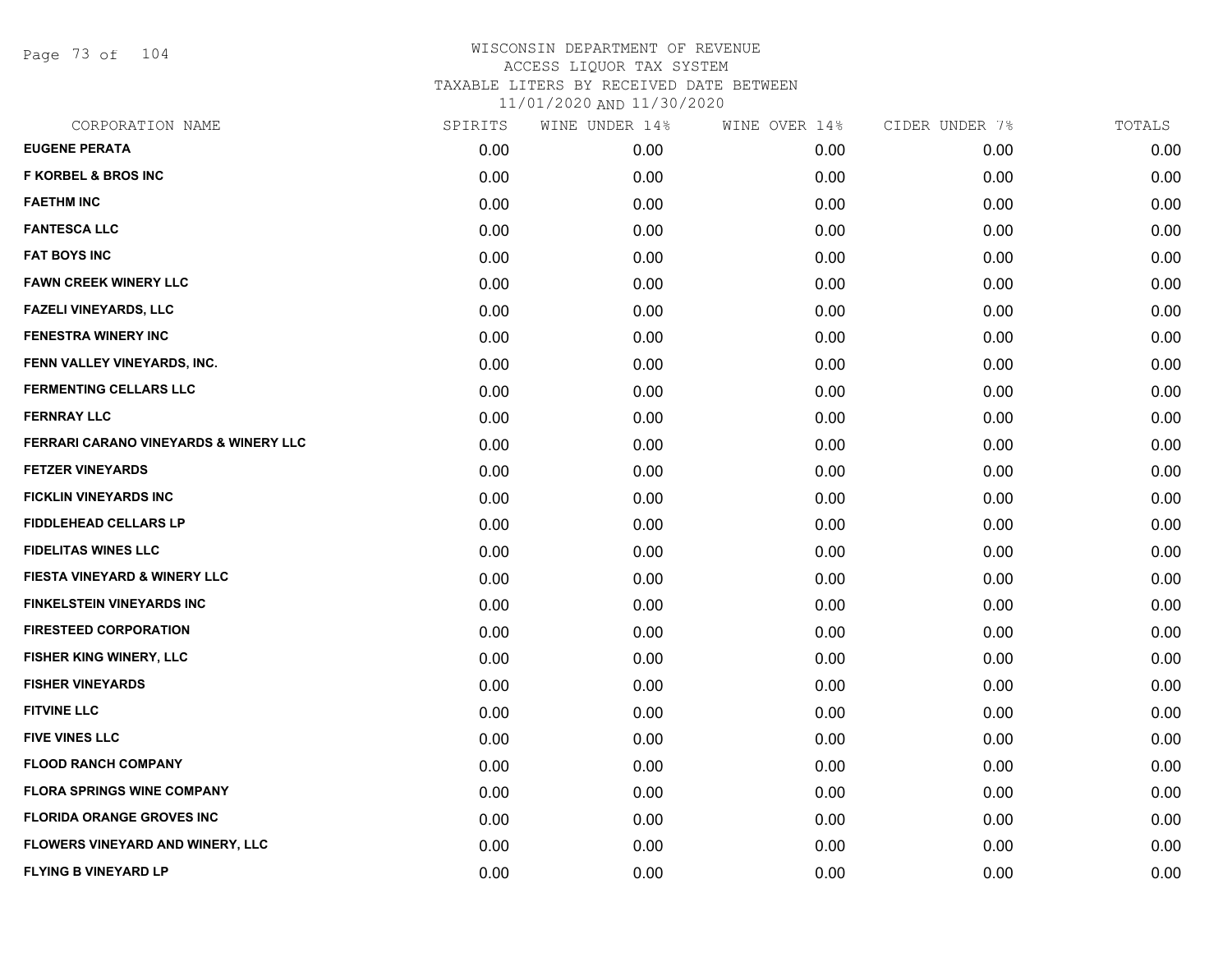Page 73 of 104

| CORPORATION NAME                      | SPIRITS | WINE UNDER 14% | WINE OVER 14% | CIDER UNDER 7% | TOTALS |
|---------------------------------------|---------|----------------|---------------|----------------|--------|
| <b>EUGENE PERATA</b>                  | 0.00    | 0.00           | 0.00          | 0.00           | 0.00   |
| <b>F KORBEL &amp; BROS INC</b>        | 0.00    | 0.00           | 0.00          | 0.00           | 0.00   |
| <b>FAETHM INC</b>                     | 0.00    | 0.00           | 0.00          | 0.00           | 0.00   |
| <b>FANTESCA LLC</b>                   | 0.00    | 0.00           | 0.00          | 0.00           | 0.00   |
| <b>FAT BOYS INC</b>                   | 0.00    | 0.00           | 0.00          | 0.00           | 0.00   |
| <b>FAWN CREEK WINERY LLC</b>          | 0.00    | 0.00           | 0.00          | 0.00           | 0.00   |
| <b>FAZELI VINEYARDS, LLC</b>          | 0.00    | 0.00           | 0.00          | 0.00           | 0.00   |
| <b>FENESTRA WINERY INC</b>            | 0.00    | 0.00           | 0.00          | 0.00           | 0.00   |
| FENN VALLEY VINEYARDS, INC.           | 0.00    | 0.00           | 0.00          | 0.00           | 0.00   |
| <b>FERMENTING CELLARS LLC</b>         | 0.00    | 0.00           | 0.00          | 0.00           | 0.00   |
| <b>FERNRAY LLC</b>                    | 0.00    | 0.00           | 0.00          | 0.00           | 0.00   |
| FERRARI CARANO VINEYARDS & WINERY LLC | 0.00    | 0.00           | 0.00          | 0.00           | 0.00   |
| <b>FETZER VINEYARDS</b>               | 0.00    | 0.00           | 0.00          | 0.00           | 0.00   |
| <b>FICKLIN VINEYARDS INC</b>          | 0.00    | 0.00           | 0.00          | 0.00           | 0.00   |
| <b>FIDDLEHEAD CELLARS LP</b>          | 0.00    | 0.00           | 0.00          | 0.00           | 0.00   |
| <b>FIDELITAS WINES LLC</b>            | 0.00    | 0.00           | 0.00          | 0.00           | 0.00   |
| FIESTA VINEYARD & WINERY LLC          | 0.00    | 0.00           | 0.00          | 0.00           | 0.00   |
| <b>FINKELSTEIN VINEYARDS INC</b>      | 0.00    | 0.00           | 0.00          | 0.00           | 0.00   |
| <b>FIRESTEED CORPORATION</b>          | 0.00    | 0.00           | 0.00          | 0.00           | 0.00   |
| FISHER KING WINERY, LLC               | 0.00    | 0.00           | 0.00          | 0.00           | 0.00   |
| <b>FISHER VINEYARDS</b>               | 0.00    | 0.00           | 0.00          | 0.00           | 0.00   |
| <b>FITVINE LLC</b>                    | 0.00    | 0.00           | 0.00          | 0.00           | 0.00   |
| <b>FIVE VINES LLC</b>                 | 0.00    | 0.00           | 0.00          | 0.00           | 0.00   |
| <b>FLOOD RANCH COMPANY</b>            | 0.00    | 0.00           | 0.00          | 0.00           | 0.00   |
| <b>FLORA SPRINGS WINE COMPANY</b>     | 0.00    | 0.00           | 0.00          | 0.00           | 0.00   |
| <b>FLORIDA ORANGE GROVES INC</b>      | 0.00    | 0.00           | 0.00          | 0.00           | 0.00   |
| FLOWERS VINEYARD AND WINERY, LLC      | 0.00    | 0.00           | 0.00          | 0.00           | 0.00   |
| <b>FLYING B VINEYARD LP</b>           | 0.00    | 0.00           | 0.00          | 0.00           | 0.00   |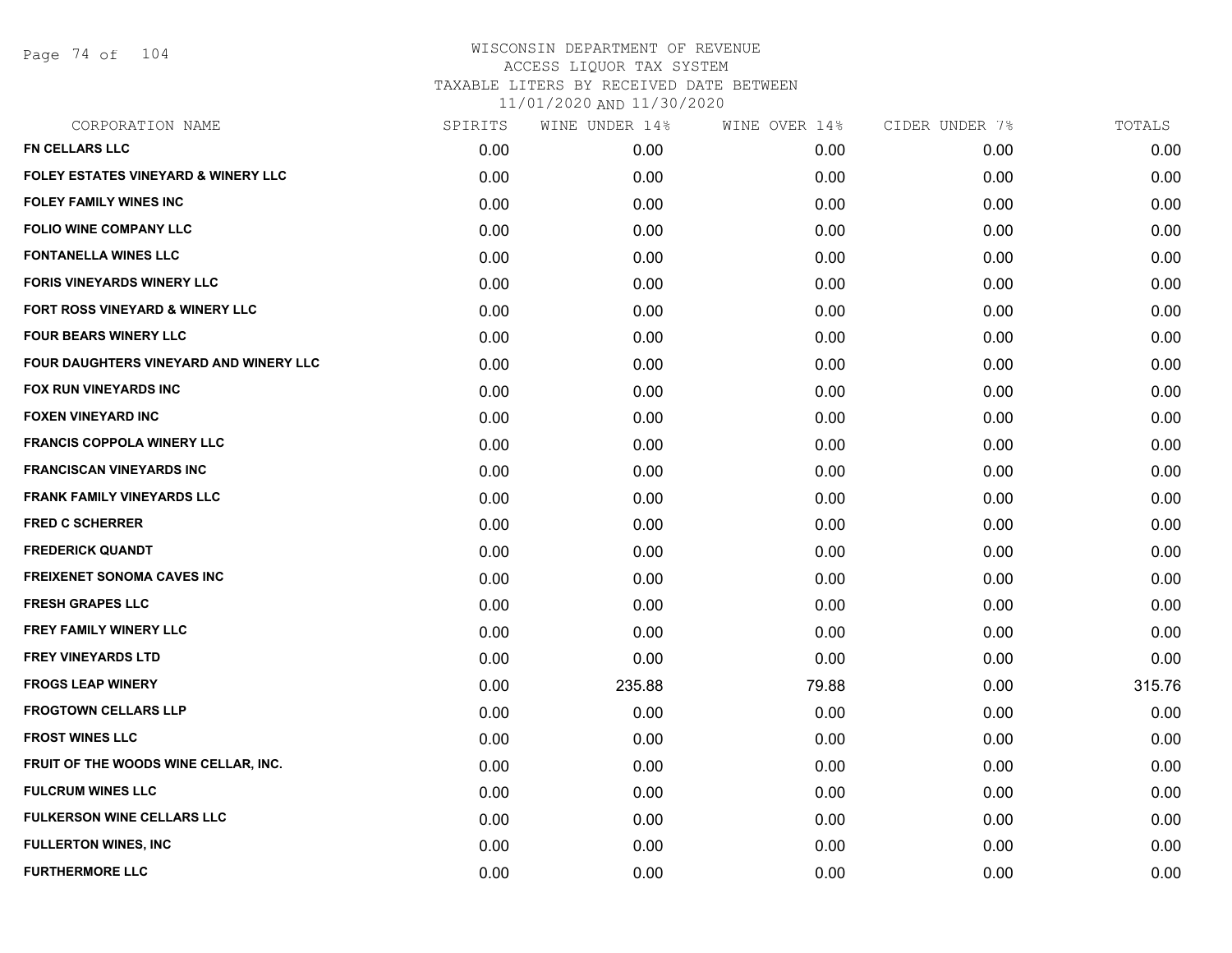Page 74 of 104

| CORPORATION NAME                       | SPIRITS | WINE UNDER 14% | WINE OVER 14% | CIDER UNDER 7% | TOTALS |
|----------------------------------------|---------|----------------|---------------|----------------|--------|
| <b>FN CELLARS LLC</b>                  | 0.00    | 0.00           | 0.00          | 0.00           | 0.00   |
| FOLEY ESTATES VINEYARD & WINERY LLC    | 0.00    | 0.00           | 0.00          | 0.00           | 0.00   |
| <b>FOLEY FAMILY WINES INC</b>          | 0.00    | 0.00           | 0.00          | 0.00           | 0.00   |
| <b>FOLIO WINE COMPANY LLC</b>          | 0.00    | 0.00           | 0.00          | 0.00           | 0.00   |
| <b>FONTANELLA WINES LLC</b>            | 0.00    | 0.00           | 0.00          | 0.00           | 0.00   |
| <b>FORIS VINEYARDS WINERY LLC</b>      | 0.00    | 0.00           | 0.00          | 0.00           | 0.00   |
| FORT ROSS VINEYARD & WINERY LLC        | 0.00    | 0.00           | 0.00          | 0.00           | 0.00   |
| <b>FOUR BEARS WINERY LLC</b>           | 0.00    | 0.00           | 0.00          | 0.00           | 0.00   |
| FOUR DAUGHTERS VINEYARD AND WINERY LLC | 0.00    | 0.00           | 0.00          | 0.00           | 0.00   |
| <b>FOX RUN VINEYARDS INC</b>           | 0.00    | 0.00           | 0.00          | 0.00           | 0.00   |
| <b>FOXEN VINEYARD INC</b>              | 0.00    | 0.00           | 0.00          | 0.00           | 0.00   |
| <b>FRANCIS COPPOLA WINERY LLC</b>      | 0.00    | 0.00           | 0.00          | 0.00           | 0.00   |
| <b>FRANCISCAN VINEYARDS INC</b>        | 0.00    | 0.00           | 0.00          | 0.00           | 0.00   |
| <b>FRANK FAMILY VINEYARDS LLC</b>      | 0.00    | 0.00           | 0.00          | 0.00           | 0.00   |
| <b>FRED C SCHERRER</b>                 | 0.00    | 0.00           | 0.00          | 0.00           | 0.00   |
| <b>FREDERICK QUANDT</b>                | 0.00    | 0.00           | 0.00          | 0.00           | 0.00   |
| <b>FREIXENET SONOMA CAVES INC</b>      | 0.00    | 0.00           | 0.00          | 0.00           | 0.00   |
| <b>FRESH GRAPES LLC</b>                | 0.00    | 0.00           | 0.00          | 0.00           | 0.00   |
| <b>FREY FAMILY WINERY LLC</b>          | 0.00    | 0.00           | 0.00          | 0.00           | 0.00   |
| <b>FREY VINEYARDS LTD</b>              | 0.00    | 0.00           | 0.00          | 0.00           | 0.00   |
| <b>FROGS LEAP WINERY</b>               | 0.00    | 235.88         | 79.88         | 0.00           | 315.76 |
| <b>FROGTOWN CELLARS LLP</b>            | 0.00    | 0.00           | 0.00          | 0.00           | 0.00   |
| <b>FROST WINES LLC</b>                 | 0.00    | 0.00           | 0.00          | 0.00           | 0.00   |
| FRUIT OF THE WOODS WINE CELLAR, INC.   | 0.00    | 0.00           | 0.00          | 0.00           | 0.00   |
| <b>FULCRUM WINES LLC</b>               | 0.00    | 0.00           | 0.00          | 0.00           | 0.00   |
| <b>FULKERSON WINE CELLARS LLC</b>      | 0.00    | 0.00           | 0.00          | 0.00           | 0.00   |
| <b>FULLERTON WINES, INC</b>            | 0.00    | 0.00           | 0.00          | 0.00           | 0.00   |
| <b>FURTHERMORE LLC</b>                 | 0.00    | 0.00           | 0.00          | 0.00           | 0.00   |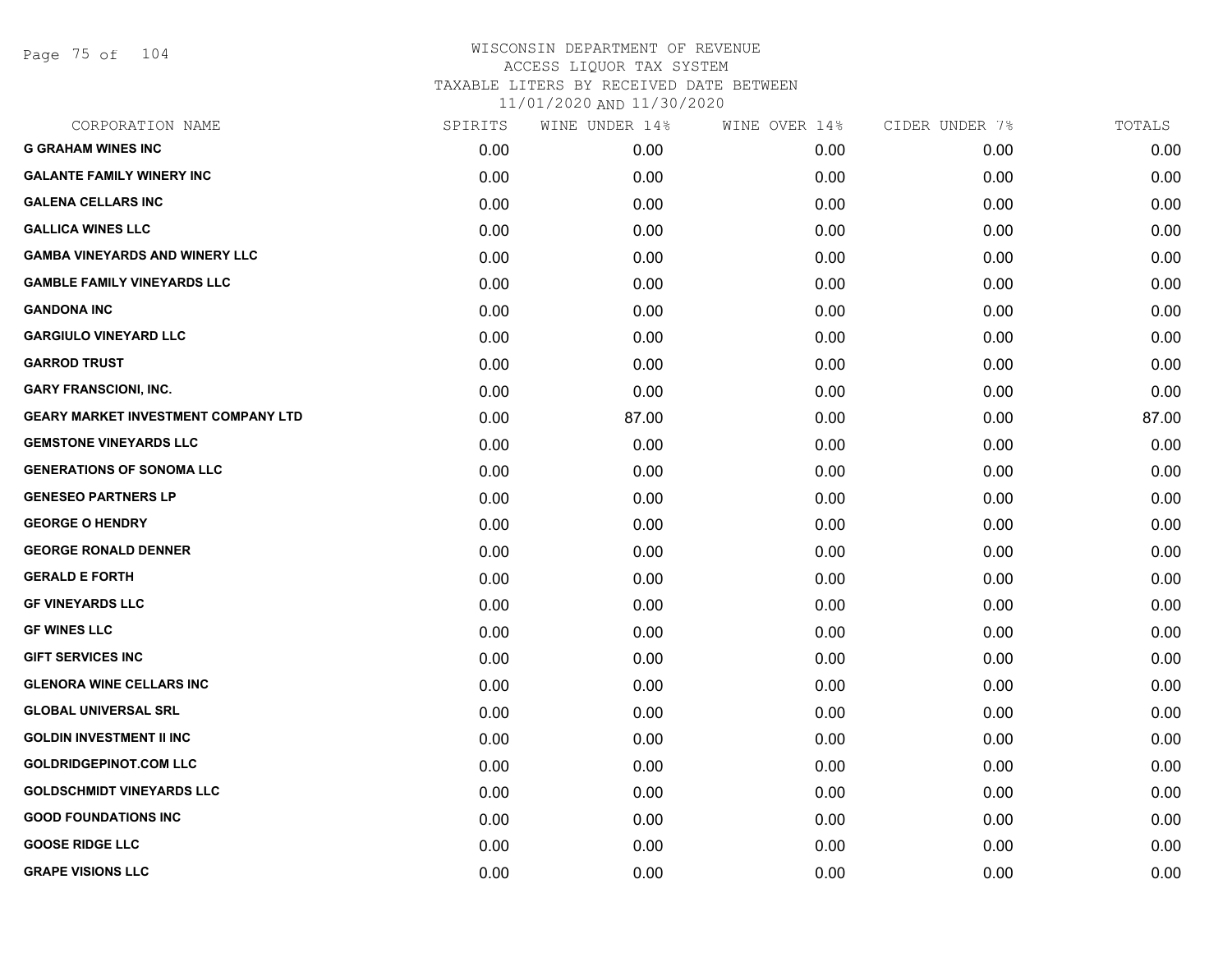Page 75 of 104

| CORPORATION NAME                      | SPIRITS | WINE UNDER 14% | WINE OVER 14% | CIDER UNDER 7% | TOTALS |
|---------------------------------------|---------|----------------|---------------|----------------|--------|
| <b>G GRAHAM WINES INC</b>             | 0.00    | 0.00           | 0.00          | 0.00           | 0.00   |
| <b>GALANTE FAMILY WINERY INC</b>      | 0.00    | 0.00           | 0.00          | 0.00           | 0.00   |
| <b>GALENA CELLARS INC</b>             | 0.00    | 0.00           | 0.00          | 0.00           | 0.00   |
| <b>GALLICA WINES LLC</b>              | 0.00    | 0.00           | 0.00          | 0.00           | 0.00   |
| <b>GAMBA VINEYARDS AND WINERY LLC</b> | 0.00    | 0.00           | 0.00          | 0.00           | 0.00   |
| <b>GAMBLE FAMILY VINEYARDS LLC</b>    | 0.00    | 0.00           | 0.00          | 0.00           | 0.00   |
| <b>GANDONA INC</b>                    | 0.00    | 0.00           | 0.00          | 0.00           | 0.00   |
| <b>GARGIULO VINEYARD LLC</b>          | 0.00    | 0.00           | 0.00          | 0.00           | 0.00   |
| <b>GARROD TRUST</b>                   | 0.00    | 0.00           | 0.00          | 0.00           | 0.00   |
| <b>GARY FRANSCIONI, INC.</b>          | 0.00    | 0.00           | 0.00          | 0.00           | 0.00   |
| GEARY MARKET INVESTMENT COMPANY LTD   | 0.00    | 87.00          | 0.00          | 0.00           | 87.00  |
| <b>GEMSTONE VINEYARDS LLC</b>         | 0.00    | 0.00           | 0.00          | 0.00           | 0.00   |
| <b>GENERATIONS OF SONOMA LLC</b>      | 0.00    | 0.00           | 0.00          | 0.00           | 0.00   |
| <b>GENESEO PARTNERS LP</b>            | 0.00    | 0.00           | 0.00          | 0.00           | 0.00   |
| <b>GEORGE O HENDRY</b>                | 0.00    | 0.00           | 0.00          | 0.00           | 0.00   |
| <b>GEORGE RONALD DENNER</b>           | 0.00    | 0.00           | 0.00          | 0.00           | 0.00   |
| <b>GERALD E FORTH</b>                 | 0.00    | 0.00           | 0.00          | 0.00           | 0.00   |
| <b>GF VINEYARDS LLC</b>               | 0.00    | 0.00           | 0.00          | 0.00           | 0.00   |
| <b>GF WINES LLC</b>                   | 0.00    | 0.00           | 0.00          | 0.00           | 0.00   |
| <b>GIFT SERVICES INC</b>              | 0.00    | 0.00           | 0.00          | 0.00           | 0.00   |
| <b>GLENORA WINE CELLARS INC</b>       | 0.00    | 0.00           | 0.00          | 0.00           | 0.00   |
| <b>GLOBAL UNIVERSAL SRL</b>           | 0.00    | 0.00           | 0.00          | 0.00           | 0.00   |
| <b>GOLDIN INVESTMENT II INC</b>       | 0.00    | 0.00           | 0.00          | 0.00           | 0.00   |
| <b>GOLDRIDGEPINOT.COM LLC</b>         | 0.00    | 0.00           | 0.00          | 0.00           | 0.00   |
| <b>GOLDSCHMIDT VINEYARDS LLC</b>      | 0.00    | 0.00           | 0.00          | 0.00           | 0.00   |
| <b>GOOD FOUNDATIONS INC</b>           | 0.00    | 0.00           | 0.00          | 0.00           | 0.00   |
| <b>GOOSE RIDGE LLC</b>                | 0.00    | 0.00           | 0.00          | 0.00           | 0.00   |
| <b>GRAPE VISIONS LLC</b>              | 0.00    | 0.00           | 0.00          | 0.00           | 0.00   |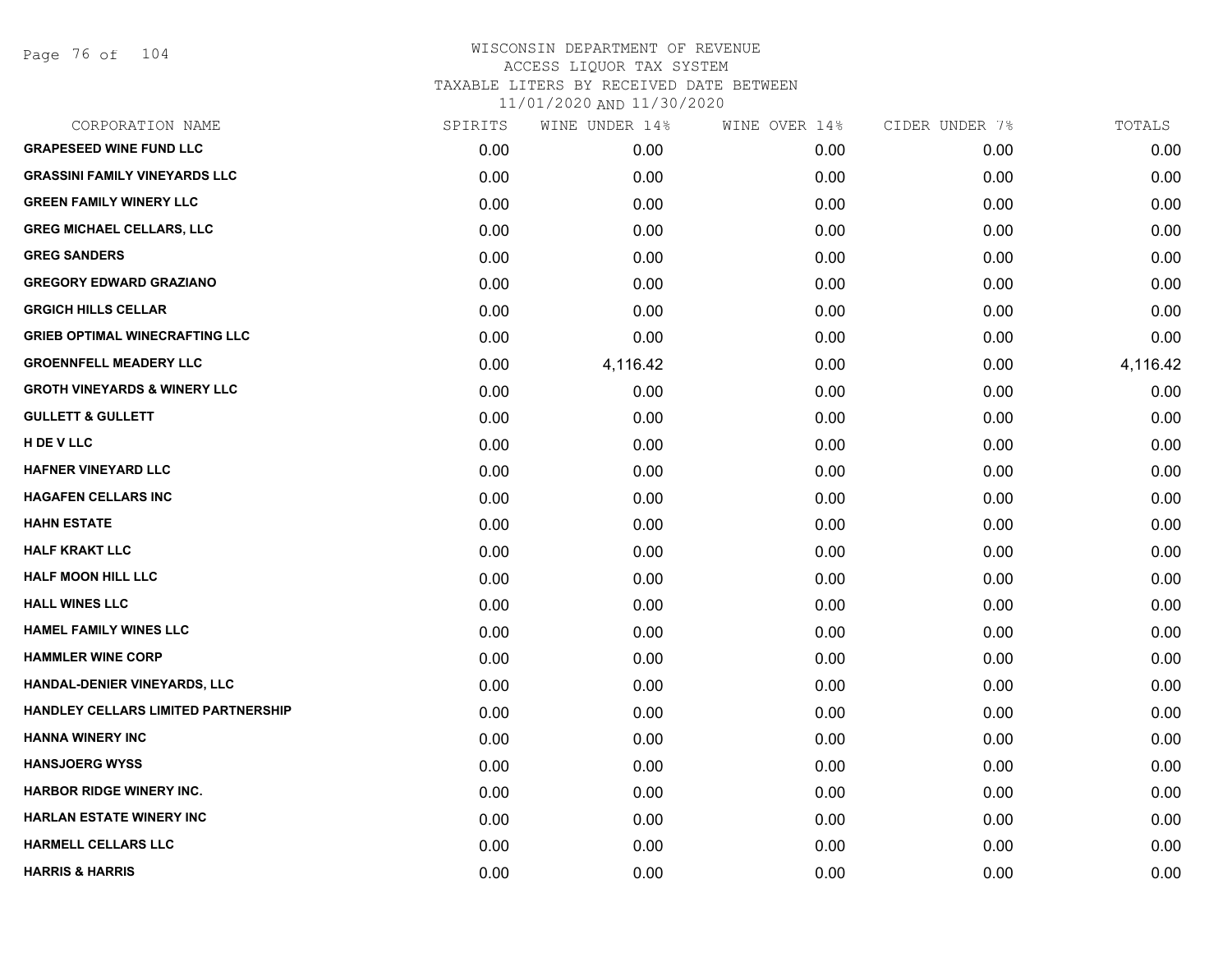Page 76 of 104

| CORPORATION NAME                        | SPIRITS | WINE UNDER 14% | WINE OVER 14% | CIDER UNDER 7% | TOTALS   |
|-----------------------------------------|---------|----------------|---------------|----------------|----------|
| <b>GRAPESEED WINE FUND LLC</b>          | 0.00    | 0.00           | 0.00          | 0.00           | 0.00     |
| <b>GRASSINI FAMILY VINEYARDS LLC</b>    | 0.00    | 0.00           | 0.00          | 0.00           | 0.00     |
| <b>GREEN FAMILY WINERY LLC</b>          | 0.00    | 0.00           | 0.00          | 0.00           | 0.00     |
| <b>GREG MICHAEL CELLARS, LLC</b>        | 0.00    | 0.00           | 0.00          | 0.00           | 0.00     |
| <b>GREG SANDERS</b>                     | 0.00    | 0.00           | 0.00          | 0.00           | 0.00     |
| <b>GREGORY EDWARD GRAZIANO</b>          | 0.00    | 0.00           | 0.00          | 0.00           | 0.00     |
| <b>GRGICH HILLS CELLAR</b>              | 0.00    | 0.00           | 0.00          | 0.00           | 0.00     |
| <b>GRIEB OPTIMAL WINECRAFTING LLC</b>   | 0.00    | 0.00           | 0.00          | 0.00           | 0.00     |
| <b>GROENNFELL MEADERY LLC</b>           | 0.00    | 4,116.42       | 0.00          | 0.00           | 4,116.42 |
| <b>GROTH VINEYARDS &amp; WINERY LLC</b> | 0.00    | 0.00           | 0.00          | 0.00           | 0.00     |
| <b>GULLETT &amp; GULLETT</b>            | 0.00    | 0.00           | 0.00          | 0.00           | 0.00     |
| H DE V LLC                              | 0.00    | 0.00           | 0.00          | 0.00           | 0.00     |
| HAFNER VINEYARD LLC                     | 0.00    | 0.00           | 0.00          | 0.00           | 0.00     |
| <b>HAGAFEN CELLARS INC</b>              | 0.00    | 0.00           | 0.00          | 0.00           | 0.00     |
| <b>HAHN ESTATE</b>                      | 0.00    | 0.00           | 0.00          | 0.00           | 0.00     |
| <b>HALF KRAKT LLC</b>                   | 0.00    | 0.00           | 0.00          | 0.00           | 0.00     |
| <b>HALF MOON HILL LLC</b>               | 0.00    | 0.00           | 0.00          | 0.00           | 0.00     |
| <b>HALL WINES LLC</b>                   | 0.00    | 0.00           | 0.00          | 0.00           | 0.00     |
| <b>HAMEL FAMILY WINES LLC</b>           | 0.00    | 0.00           | 0.00          | 0.00           | 0.00     |
| <b>HAMMLER WINE CORP</b>                | 0.00    | 0.00           | 0.00          | 0.00           | 0.00     |
| HANDAL-DENIER VINEYARDS, LLC            | 0.00    | 0.00           | 0.00          | 0.00           | 0.00     |
| HANDLEY CELLARS LIMITED PARTNERSHIP     | 0.00    | 0.00           | 0.00          | 0.00           | 0.00     |
| <b>HANNA WINERY INC</b>                 | 0.00    | 0.00           | 0.00          | 0.00           | 0.00     |
| <b>HANSJOERG WYSS</b>                   | 0.00    | 0.00           | 0.00          | 0.00           | 0.00     |
| <b>HARBOR RIDGE WINERY INC.</b>         | 0.00    | 0.00           | 0.00          | 0.00           | 0.00     |
| <b>HARLAN ESTATE WINERY INC</b>         | 0.00    | 0.00           | 0.00          | 0.00           | 0.00     |
| HARMELL CELLARS LLC                     | 0.00    | 0.00           | 0.00          | 0.00           | 0.00     |
| <b>HARRIS &amp; HARRIS</b>              | 0.00    | 0.00           | 0.00          | 0.00           | 0.00     |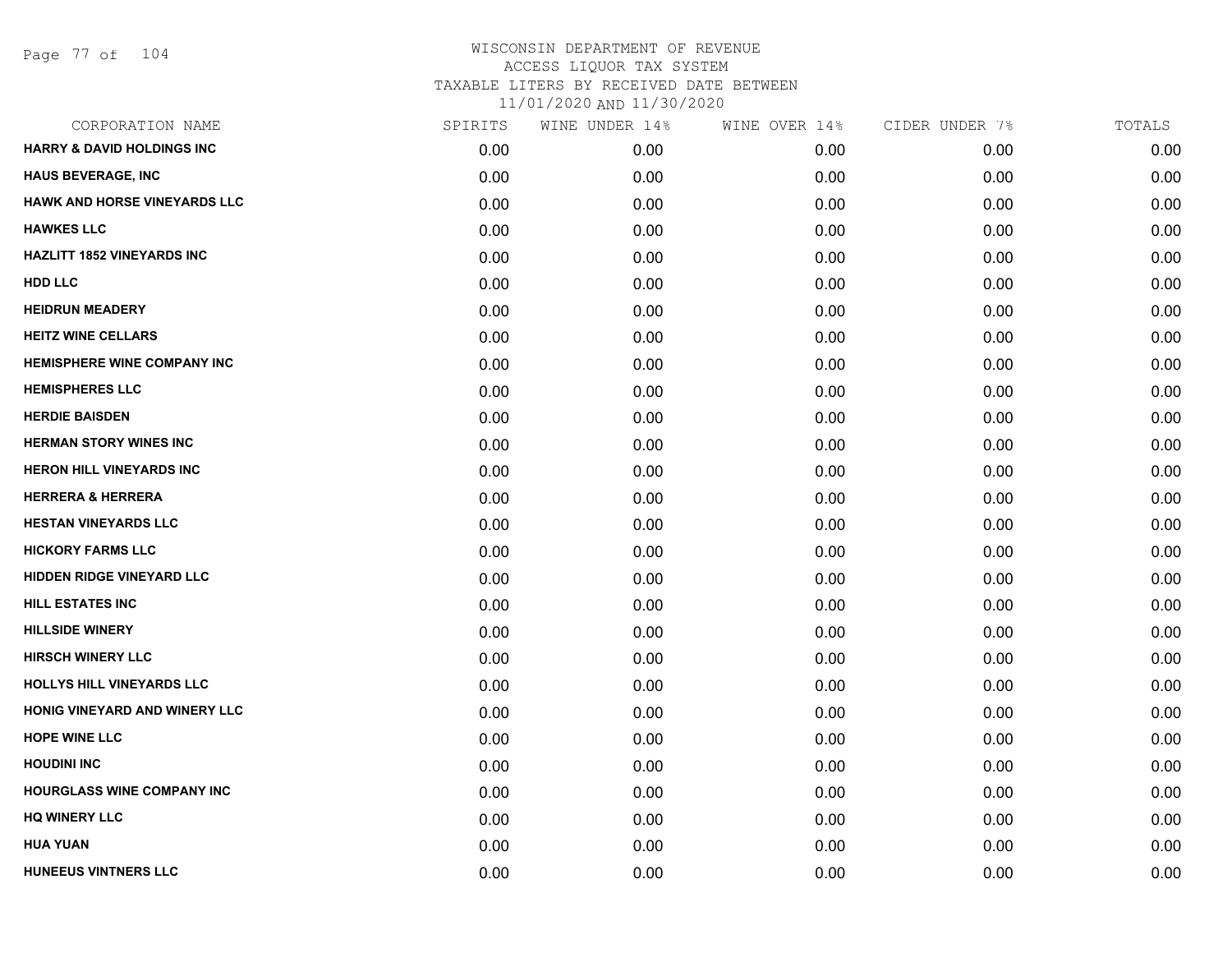Page 77 of 104

| CORPORATION NAME                      | SPIRITS | WINE UNDER 14% | WINE OVER 14% | CIDER UNDER 7% | TOTALS |
|---------------------------------------|---------|----------------|---------------|----------------|--------|
| <b>HARRY &amp; DAVID HOLDINGS INC</b> | 0.00    | 0.00           | 0.00          | 0.00           | 0.00   |
| <b>HAUS BEVERAGE, INC</b>             | 0.00    | 0.00           | 0.00          | 0.00           | 0.00   |
| HAWK AND HORSE VINEYARDS LLC          | 0.00    | 0.00           | 0.00          | 0.00           | 0.00   |
| <b>HAWKES LLC</b>                     | 0.00    | 0.00           | 0.00          | 0.00           | 0.00   |
| <b>HAZLITT 1852 VINEYARDS INC</b>     | 0.00    | 0.00           | 0.00          | 0.00           | 0.00   |
| <b>HDD LLC</b>                        | 0.00    | 0.00           | 0.00          | 0.00           | 0.00   |
| <b>HEIDRUN MEADERY</b>                | 0.00    | 0.00           | 0.00          | 0.00           | 0.00   |
| <b>HEITZ WINE CELLARS</b>             | 0.00    | 0.00           | 0.00          | 0.00           | 0.00   |
| <b>HEMISPHERE WINE COMPANY INC</b>    | 0.00    | 0.00           | 0.00          | 0.00           | 0.00   |
| <b>HEMISPHERES LLC</b>                | 0.00    | 0.00           | 0.00          | 0.00           | 0.00   |
| <b>HERDIE BAISDEN</b>                 | 0.00    | 0.00           | 0.00          | 0.00           | 0.00   |
| <b>HERMAN STORY WINES INC</b>         | 0.00    | 0.00           | 0.00          | 0.00           | 0.00   |
| <b>HERON HILL VINEYARDS INC</b>       | 0.00    | 0.00           | 0.00          | 0.00           | 0.00   |
| <b>HERRERA &amp; HERRERA</b>          | 0.00    | 0.00           | 0.00          | 0.00           | 0.00   |
| <b>HESTAN VINEYARDS LLC</b>           | 0.00    | 0.00           | 0.00          | 0.00           | 0.00   |
| <b>HICKORY FARMS LLC</b>              | 0.00    | 0.00           | 0.00          | 0.00           | 0.00   |
| HIDDEN RIDGE VINEYARD LLC             | 0.00    | 0.00           | 0.00          | 0.00           | 0.00   |
| <b>HILL ESTATES INC</b>               | 0.00    | 0.00           | 0.00          | 0.00           | 0.00   |
| <b>HILLSIDE WINERY</b>                | 0.00    | 0.00           | 0.00          | 0.00           | 0.00   |
| <b>HIRSCH WINERY LLC</b>              | 0.00    | 0.00           | 0.00          | 0.00           | 0.00   |
| <b>HOLLYS HILL VINEYARDS LLC</b>      | 0.00    | 0.00           | 0.00          | 0.00           | 0.00   |
| <b>HONIG VINEYARD AND WINERY LLC</b>  | 0.00    | 0.00           | 0.00          | 0.00           | 0.00   |
| <b>HOPE WINE LLC</b>                  | 0.00    | 0.00           | 0.00          | 0.00           | 0.00   |
| <b>HOUDINI INC</b>                    | 0.00    | 0.00           | 0.00          | 0.00           | 0.00   |
| <b>HOURGLASS WINE COMPANY INC</b>     | 0.00    | 0.00           | 0.00          | 0.00           | 0.00   |
| <b>HQ WINERY LLC</b>                  | 0.00    | 0.00           | 0.00          | 0.00           | 0.00   |
| <b>HUA YUAN</b>                       | 0.00    | 0.00           | 0.00          | 0.00           | 0.00   |
| HUNEEUS VINTNERS LLC                  | 0.00    | 0.00           | 0.00          | 0.00           | 0.00   |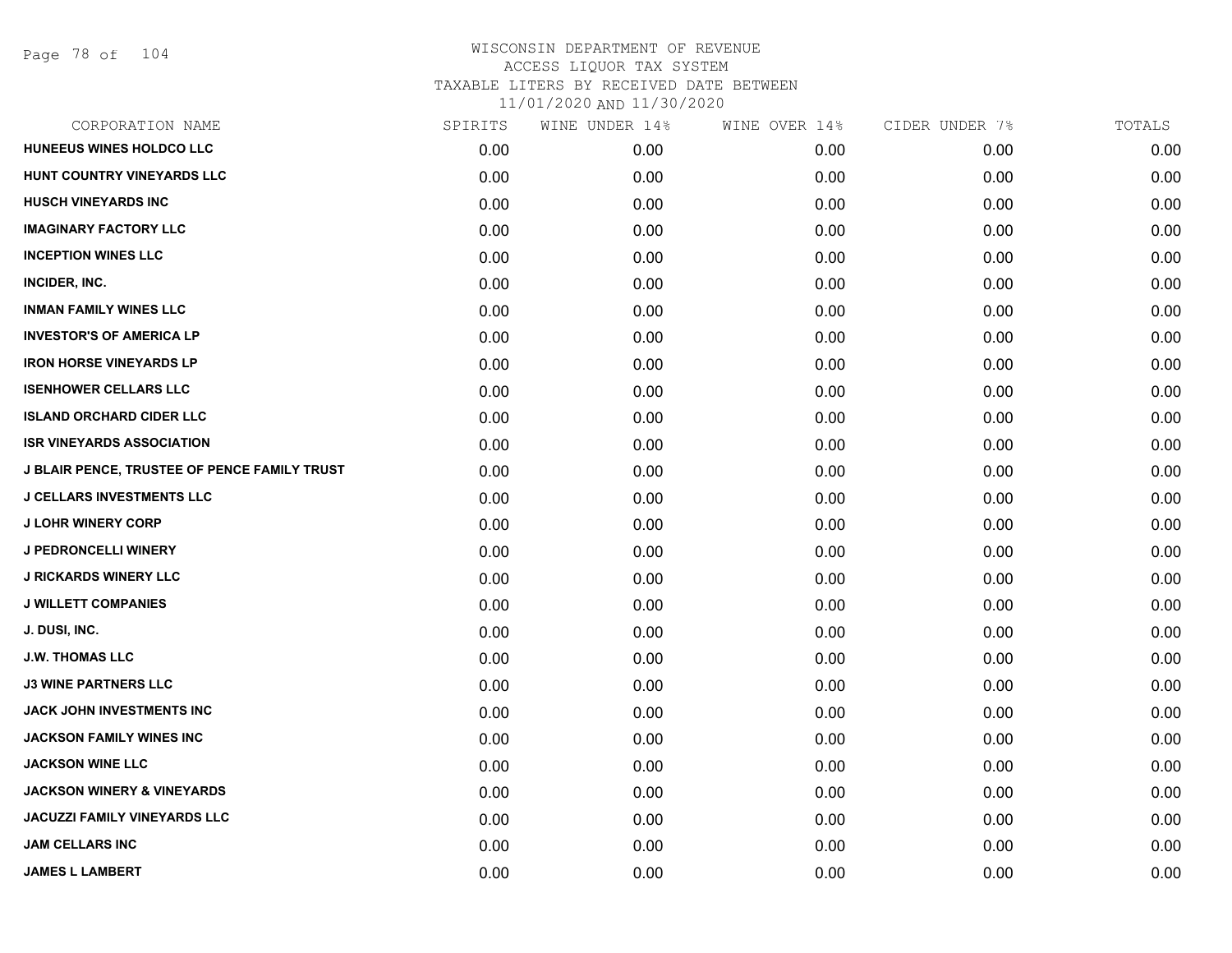Page 78 of 104

| CORPORATION NAME                                    | SPIRITS | WINE UNDER 14% | WINE OVER 14% | CIDER UNDER 7% | TOTALS |
|-----------------------------------------------------|---------|----------------|---------------|----------------|--------|
| HUNEEUS WINES HOLDCO LLC                            | 0.00    | 0.00           | 0.00          | 0.00           | 0.00   |
| HUNT COUNTRY VINEYARDS LLC                          | 0.00    | 0.00           | 0.00          | 0.00           | 0.00   |
| <b>HUSCH VINEYARDS INC</b>                          | 0.00    | 0.00           | 0.00          | 0.00           | 0.00   |
| <b>IMAGINARY FACTORY LLC</b>                        | 0.00    | 0.00           | 0.00          | 0.00           | 0.00   |
| <b>INCEPTION WINES LLC</b>                          | 0.00    | 0.00           | 0.00          | 0.00           | 0.00   |
| INCIDER, INC.                                       | 0.00    | 0.00           | 0.00          | 0.00           | 0.00   |
| <b>INMAN FAMILY WINES LLC</b>                       | 0.00    | 0.00           | 0.00          | 0.00           | 0.00   |
| <b>INVESTOR'S OF AMERICA LP</b>                     | 0.00    | 0.00           | 0.00          | 0.00           | 0.00   |
| <b>IRON HORSE VINEYARDS LP</b>                      | 0.00    | 0.00           | 0.00          | 0.00           | 0.00   |
| <b>ISENHOWER CELLARS LLC</b>                        | 0.00    | 0.00           | 0.00          | 0.00           | 0.00   |
| <b>ISLAND ORCHARD CIDER LLC</b>                     | 0.00    | 0.00           | 0.00          | 0.00           | 0.00   |
| <b>ISR VINEYARDS ASSOCIATION</b>                    | 0.00    | 0.00           | 0.00          | 0.00           | 0.00   |
| <b>J BLAIR PENCE, TRUSTEE OF PENCE FAMILY TRUST</b> | 0.00    | 0.00           | 0.00          | 0.00           | 0.00   |
| <b>J CELLARS INVESTMENTS LLC</b>                    | 0.00    | 0.00           | 0.00          | 0.00           | 0.00   |
| <b>J LOHR WINERY CORP</b>                           | 0.00    | 0.00           | 0.00          | 0.00           | 0.00   |
| <b>J PEDRONCELLI WINERY</b>                         | 0.00    | 0.00           | 0.00          | 0.00           | 0.00   |
| <b>J RICKARDS WINERY LLC</b>                        | 0.00    | 0.00           | 0.00          | 0.00           | 0.00   |
| <b>J WILLETT COMPANIES</b>                          | 0.00    | 0.00           | 0.00          | 0.00           | 0.00   |
| J. DUSI, INC.                                       | 0.00    | 0.00           | 0.00          | 0.00           | 0.00   |
| <b>J.W. THOMAS LLC</b>                              | 0.00    | 0.00           | 0.00          | 0.00           | 0.00   |
| <b>J3 WINE PARTNERS LLC</b>                         | 0.00    | 0.00           | 0.00          | 0.00           | 0.00   |
| JACK JOHN INVESTMENTS INC                           | 0.00    | 0.00           | 0.00          | 0.00           | 0.00   |
| <b>JACKSON FAMILY WINES INC</b>                     | 0.00    | 0.00           | 0.00          | 0.00           | 0.00   |
| <b>JACKSON WINE LLC</b>                             | 0.00    | 0.00           | 0.00          | 0.00           | 0.00   |
| <b>JACKSON WINERY &amp; VINEYARDS</b>               | 0.00    | 0.00           | 0.00          | 0.00           | 0.00   |
| <b>JACUZZI FAMILY VINEYARDS LLC</b>                 | 0.00    | 0.00           | 0.00          | 0.00           | 0.00   |
| <b>JAM CELLARS INC</b>                              | 0.00    | 0.00           | 0.00          | 0.00           | 0.00   |
| <b>JAMES L LAMBERT</b>                              | 0.00    | 0.00           | 0.00          | 0.00           | 0.00   |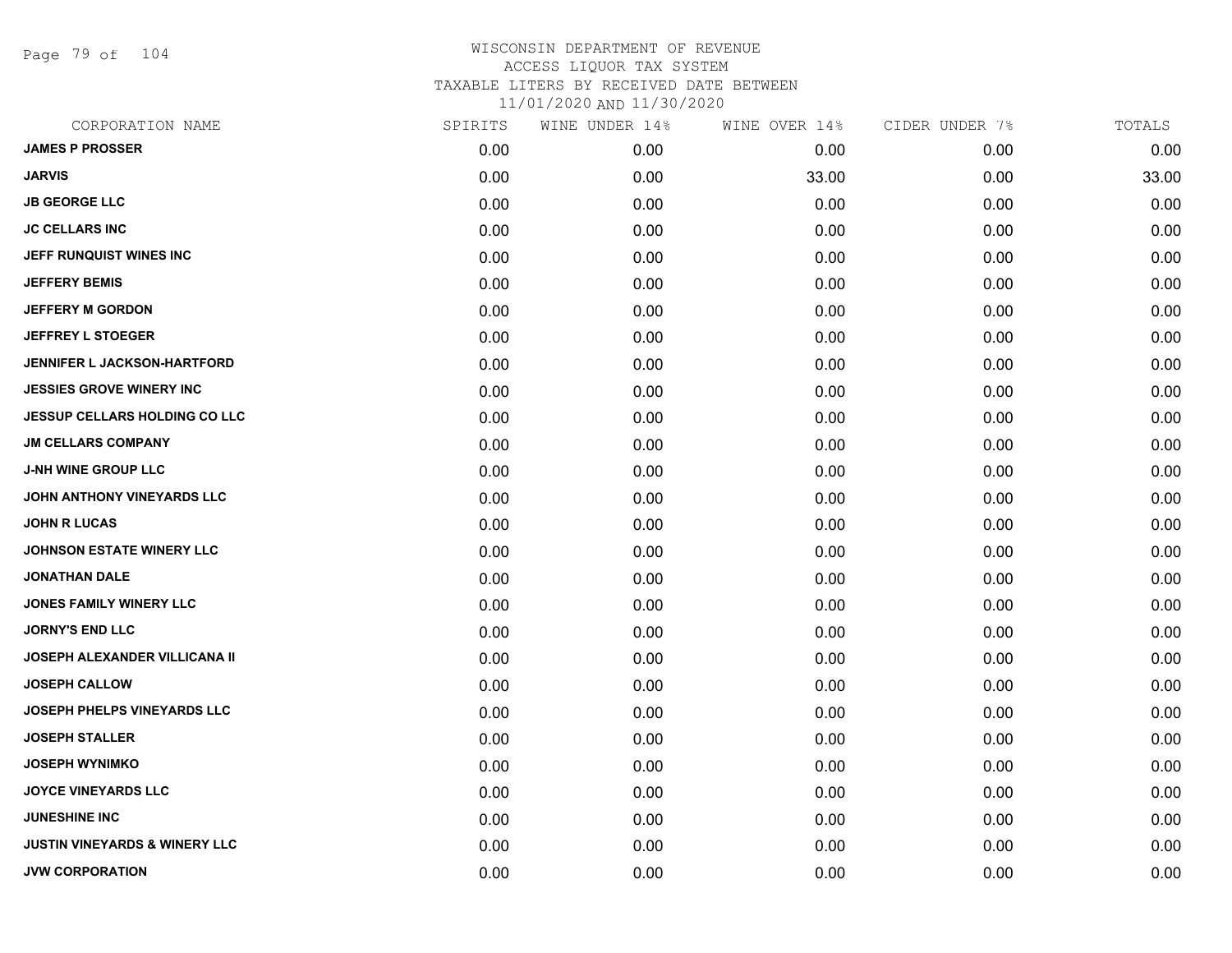Page 79 of 104

| CORPORATION NAME                         | SPIRITS | WINE UNDER 14% | WINE OVER 14% | CIDER UNDER 7% | TOTALS |
|------------------------------------------|---------|----------------|---------------|----------------|--------|
| <b>JAMES P PROSSER</b>                   | 0.00    | 0.00           | 0.00          | 0.00           | 0.00   |
| <b>JARVIS</b>                            | 0.00    | 0.00           | 33.00         | 0.00           | 33.00  |
| <b>JB GEORGE LLC</b>                     | 0.00    | 0.00           | 0.00          | 0.00           | 0.00   |
| <b>JC CELLARS INC</b>                    | 0.00    | 0.00           | 0.00          | 0.00           | 0.00   |
| JEFF RUNQUIST WINES INC                  | 0.00    | 0.00           | 0.00          | 0.00           | 0.00   |
| <b>JEFFERY BEMIS</b>                     | 0.00    | 0.00           | 0.00          | 0.00           | 0.00   |
| <b>JEFFERY M GORDON</b>                  | 0.00    | 0.00           | 0.00          | 0.00           | 0.00   |
| <b>JEFFREY L STOEGER</b>                 | 0.00    | 0.00           | 0.00          | 0.00           | 0.00   |
| <b>JENNIFER L JACKSON-HARTFORD</b>       | 0.00    | 0.00           | 0.00          | 0.00           | 0.00   |
| <b>JESSIES GROVE WINERY INC</b>          | 0.00    | 0.00           | 0.00          | 0.00           | 0.00   |
| <b>JESSUP CELLARS HOLDING CO LLC</b>     | 0.00    | 0.00           | 0.00          | 0.00           | 0.00   |
| <b>JM CELLARS COMPANY</b>                | 0.00    | 0.00           | 0.00          | 0.00           | 0.00   |
| <b>J-NH WINE GROUP LLC</b>               | 0.00    | 0.00           | 0.00          | 0.00           | 0.00   |
| JOHN ANTHONY VINEYARDS LLC               | 0.00    | 0.00           | 0.00          | 0.00           | 0.00   |
| <b>JOHN R LUCAS</b>                      | 0.00    | 0.00           | 0.00          | 0.00           | 0.00   |
| JOHNSON ESTATE WINERY LLC                | 0.00    | 0.00           | 0.00          | 0.00           | 0.00   |
| <b>JONATHAN DALE</b>                     | 0.00    | 0.00           | 0.00          | 0.00           | 0.00   |
| <b>JONES FAMILY WINERY LLC</b>           | 0.00    | 0.00           | 0.00          | 0.00           | 0.00   |
| <b>JORNY'S END LLC</b>                   | 0.00    | 0.00           | 0.00          | 0.00           | 0.00   |
| <b>JOSEPH ALEXANDER VILLICANA II</b>     | 0.00    | 0.00           | 0.00          | 0.00           | 0.00   |
| <b>JOSEPH CALLOW</b>                     | 0.00    | 0.00           | 0.00          | 0.00           | 0.00   |
| JOSEPH PHELPS VINEYARDS LLC              | 0.00    | 0.00           | 0.00          | 0.00           | 0.00   |
| <b>JOSEPH STALLER</b>                    | 0.00    | 0.00           | 0.00          | 0.00           | 0.00   |
| <b>JOSEPH WYNIMKO</b>                    | 0.00    | 0.00           | 0.00          | 0.00           | 0.00   |
| <b>JOYCE VINEYARDS LLC</b>               | 0.00    | 0.00           | 0.00          | 0.00           | 0.00   |
| <b>JUNESHINE INC</b>                     | 0.00    | 0.00           | 0.00          | 0.00           | 0.00   |
| <b>JUSTIN VINEYARDS &amp; WINERY LLC</b> | 0.00    | 0.00           | 0.00          | 0.00           | 0.00   |
| <b>JVW CORPORATION</b>                   | 0.00    | 0.00           | 0.00          | 0.00           | 0.00   |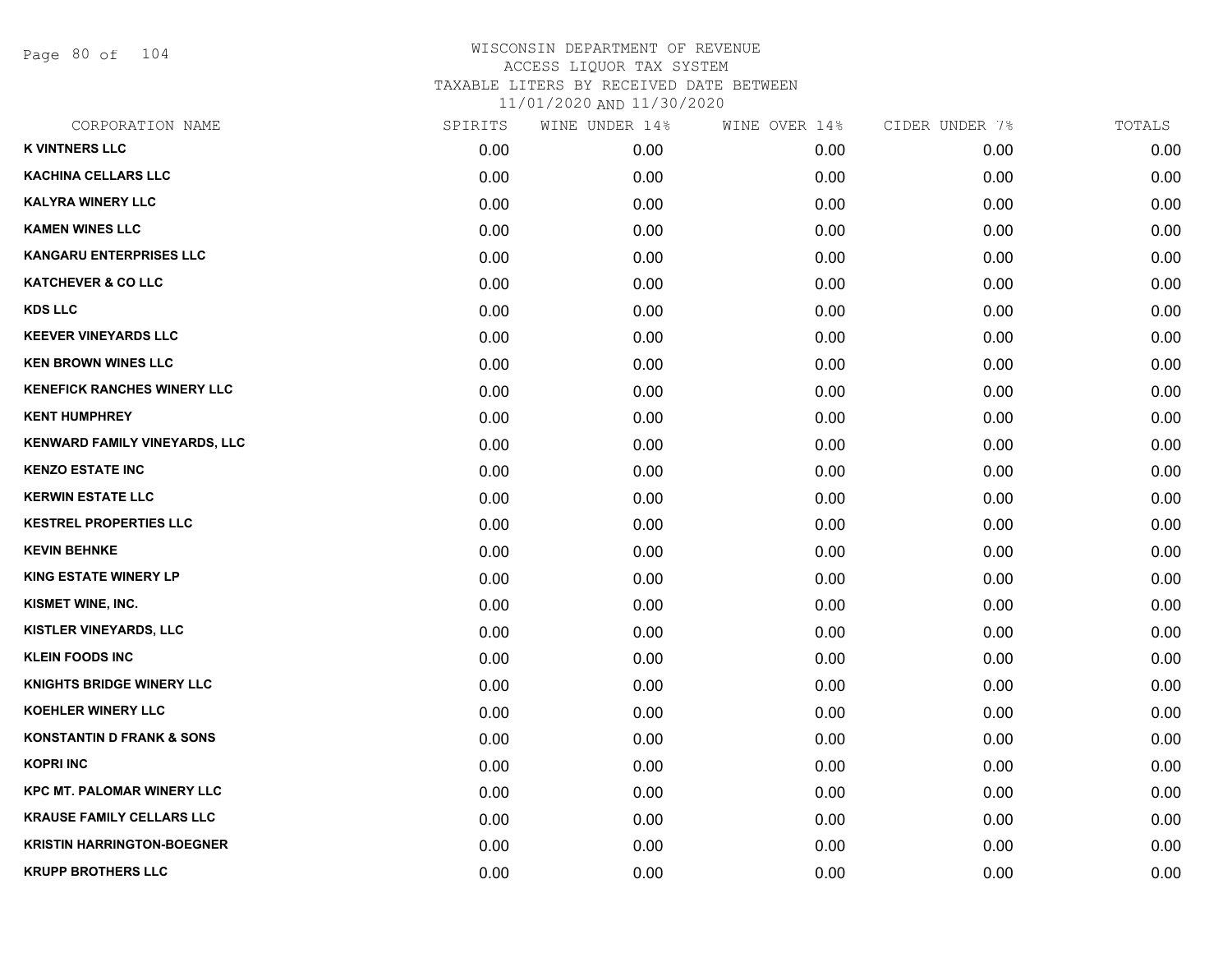Page 80 of 104

| CORPORATION NAME                     | SPIRITS | WINE UNDER 14% | WINE OVER 14% | CIDER UNDER 7% | TOTALS |
|--------------------------------------|---------|----------------|---------------|----------------|--------|
| <b>K VINTNERS LLC</b>                | 0.00    | 0.00           | 0.00          | 0.00           | 0.00   |
| <b>KACHINA CELLARS LLC</b>           | 0.00    | 0.00           | 0.00          | 0.00           | 0.00   |
| <b>KALYRA WINERY LLC</b>             | 0.00    | 0.00           | 0.00          | 0.00           | 0.00   |
| <b>KAMEN WINES LLC</b>               | 0.00    | 0.00           | 0.00          | 0.00           | 0.00   |
| <b>KANGARU ENTERPRISES LLC</b>       | 0.00    | 0.00           | 0.00          | 0.00           | 0.00   |
| <b>KATCHEVER &amp; CO LLC</b>        | 0.00    | 0.00           | 0.00          | 0.00           | 0.00   |
| <b>KDS LLC</b>                       | 0.00    | 0.00           | 0.00          | 0.00           | 0.00   |
| <b>KEEVER VINEYARDS LLC</b>          | 0.00    | 0.00           | 0.00          | 0.00           | 0.00   |
| <b>KEN BROWN WINES LLC</b>           | 0.00    | 0.00           | 0.00          | 0.00           | 0.00   |
| <b>KENEFICK RANCHES WINERY LLC</b>   | 0.00    | 0.00           | 0.00          | 0.00           | 0.00   |
| <b>KENT HUMPHREY</b>                 | 0.00    | 0.00           | 0.00          | 0.00           | 0.00   |
| KENWARD FAMILY VINEYARDS, LLC        | 0.00    | 0.00           | 0.00          | 0.00           | 0.00   |
| <b>KENZO ESTATE INC</b>              | 0.00    | 0.00           | 0.00          | 0.00           | 0.00   |
| <b>KERWIN ESTATE LLC</b>             | 0.00    | 0.00           | 0.00          | 0.00           | 0.00   |
| <b>KESTREL PROPERTIES LLC</b>        | 0.00    | 0.00           | 0.00          | 0.00           | 0.00   |
| <b>KEVIN BEHNKE</b>                  | 0.00    | 0.00           | 0.00          | 0.00           | 0.00   |
| <b>KING ESTATE WINERY LP</b>         | 0.00    | 0.00           | 0.00          | 0.00           | 0.00   |
| KISMET WINE, INC.                    | 0.00    | 0.00           | 0.00          | 0.00           | 0.00   |
| <b>KISTLER VINEYARDS, LLC</b>        | 0.00    | 0.00           | 0.00          | 0.00           | 0.00   |
| <b>KLEIN FOODS INC</b>               | 0.00    | 0.00           | 0.00          | 0.00           | 0.00   |
| <b>KNIGHTS BRIDGE WINERY LLC</b>     | 0.00    | 0.00           | 0.00          | 0.00           | 0.00   |
| <b>KOEHLER WINERY LLC</b>            | 0.00    | 0.00           | 0.00          | 0.00           | 0.00   |
| <b>KONSTANTIN D FRANK &amp; SONS</b> | 0.00    | 0.00           | 0.00          | 0.00           | 0.00   |
| <b>KOPRI INC</b>                     | 0.00    | 0.00           | 0.00          | 0.00           | 0.00   |
| <b>KPC MT. PALOMAR WINERY LLC</b>    | 0.00    | 0.00           | 0.00          | 0.00           | 0.00   |
| <b>KRAUSE FAMILY CELLARS LLC</b>     | 0.00    | 0.00           | 0.00          | 0.00           | 0.00   |
| <b>KRISTIN HARRINGTON-BOEGNER</b>    | 0.00    | 0.00           | 0.00          | 0.00           | 0.00   |
| <b>KRUPP BROTHERS LLC</b>            | 0.00    | 0.00           | 0.00          | 0.00           | 0.00   |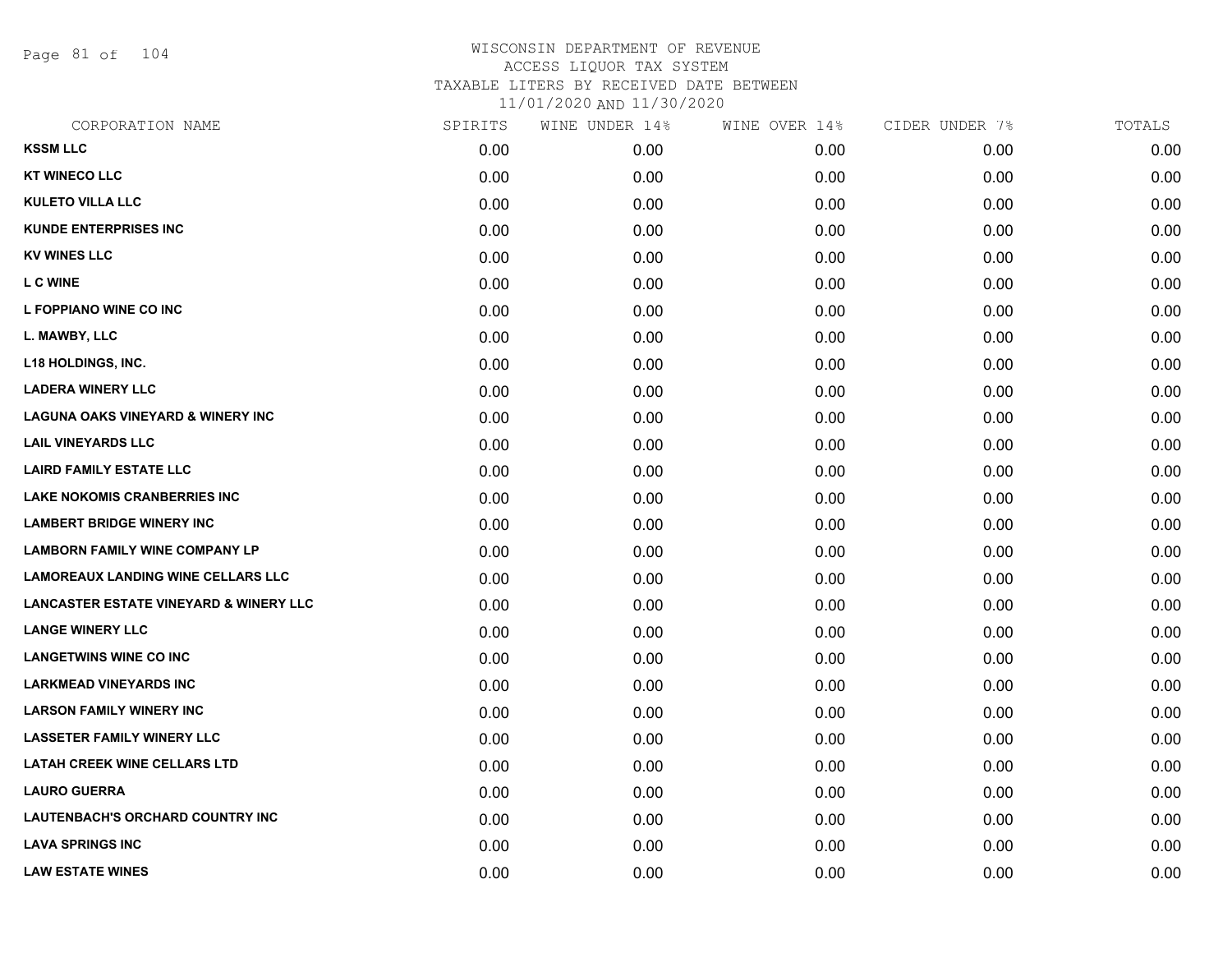Page 81 of 104

## WISCONSIN DEPARTMENT OF REVENUE ACCESS LIQUOR TAX SYSTEM TAXABLE LITERS BY RECEIVED DATE BETWEEN

11/01/2020 AND 11/30/2020

| CORPORATION NAME                                  | SPIRITS | WINE UNDER 14% | WINE OVER 14% | CIDER UNDER 7% | TOTALS |
|---------------------------------------------------|---------|----------------|---------------|----------------|--------|
| <b>KSSM LLC</b>                                   | 0.00    | 0.00           | 0.00          | 0.00           | 0.00   |
| <b>KT WINECO LLC</b>                              | 0.00    | 0.00           | 0.00          | 0.00           | 0.00   |
| <b>KULETO VILLA LLC</b>                           | 0.00    | 0.00           | 0.00          | 0.00           | 0.00   |
| <b>KUNDE ENTERPRISES INC</b>                      | 0.00    | 0.00           | 0.00          | 0.00           | 0.00   |
| <b>KV WINES LLC</b>                               | 0.00    | 0.00           | 0.00          | 0.00           | 0.00   |
| <b>LC WINE</b>                                    | 0.00    | 0.00           | 0.00          | 0.00           | 0.00   |
| L FOPPIANO WINE CO INC                            | 0.00    | 0.00           | 0.00          | 0.00           | 0.00   |
| L. MAWBY, LLC                                     | 0.00    | 0.00           | 0.00          | 0.00           | 0.00   |
| <b>L18 HOLDINGS, INC.</b>                         | 0.00    | 0.00           | 0.00          | 0.00           | 0.00   |
| <b>LADERA WINERY LLC</b>                          | 0.00    | 0.00           | 0.00          | 0.00           | 0.00   |
| <b>LAGUNA OAKS VINEYARD &amp; WINERY INC</b>      | 0.00    | 0.00           | 0.00          | 0.00           | 0.00   |
| <b>LAIL VINEYARDS LLC</b>                         | 0.00    | 0.00           | 0.00          | 0.00           | 0.00   |
| <b>LAIRD FAMILY ESTATE LLC</b>                    | 0.00    | 0.00           | 0.00          | 0.00           | 0.00   |
| <b>LAKE NOKOMIS CRANBERRIES INC</b>               | 0.00    | 0.00           | 0.00          | 0.00           | 0.00   |
| <b>LAMBERT BRIDGE WINERY INC</b>                  | 0.00    | 0.00           | 0.00          | 0.00           | 0.00   |
| <b>LAMBORN FAMILY WINE COMPANY LP</b>             | 0.00    | 0.00           | 0.00          | 0.00           | 0.00   |
| <b>LAMOREAUX LANDING WINE CELLARS LLC</b>         | 0.00    | 0.00           | 0.00          | 0.00           | 0.00   |
| <b>LANCASTER ESTATE VINEYARD &amp; WINERY LLC</b> | 0.00    | 0.00           | 0.00          | 0.00           | 0.00   |
| <b>LANGE WINERY LLC</b>                           | 0.00    | 0.00           | 0.00          | 0.00           | 0.00   |
| <b>LANGETWINS WINE CO INC</b>                     | 0.00    | 0.00           | 0.00          | 0.00           | 0.00   |
| <b>LARKMEAD VINEYARDS INC</b>                     | 0.00    | 0.00           | 0.00          | 0.00           | 0.00   |
| <b>LARSON FAMILY WINERY INC</b>                   | 0.00    | 0.00           | 0.00          | 0.00           | 0.00   |
| <b>LASSETER FAMILY WINERY LLC</b>                 | 0.00    | 0.00           | 0.00          | 0.00           | 0.00   |
| <b>LATAH CREEK WINE CELLARS LTD</b>               | 0.00    | 0.00           | 0.00          | 0.00           | 0.00   |
| <b>LAURO GUERRA</b>                               | 0.00    | 0.00           | 0.00          | 0.00           | 0.00   |
| <b>LAUTENBACH'S ORCHARD COUNTRY INC</b>           | 0.00    | 0.00           | 0.00          | 0.00           | 0.00   |
| <b>LAVA SPRINGS INC</b>                           | 0.00    | 0.00           | 0.00          | 0.00           | 0.00   |
| <b>LAW ESTATE WINES</b>                           | 0.00    | 0.00           | 0.00          | 0.00           | 0.00   |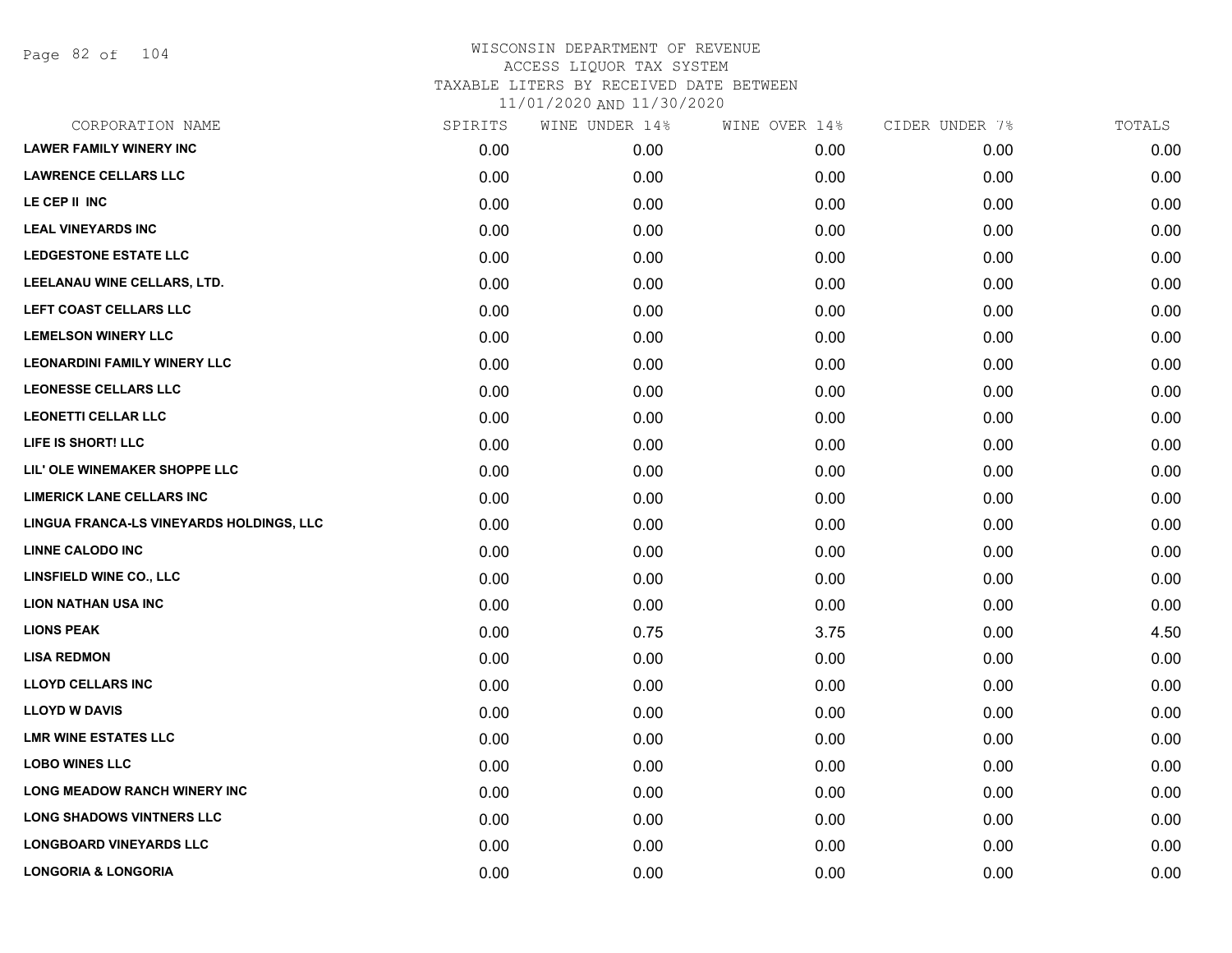Page 82 of 104

| CORPORATION NAME                         | SPIRITS | WINE UNDER 14% | WINE OVER 14% | CIDER UNDER 7% | TOTALS |
|------------------------------------------|---------|----------------|---------------|----------------|--------|
| <b>LAWER FAMILY WINERY INC</b>           | 0.00    | 0.00           | 0.00          | 0.00           | 0.00   |
| <b>LAWRENCE CELLARS LLC</b>              | 0.00    | 0.00           | 0.00          | 0.00           | 0.00   |
| LE CEP II INC                            | 0.00    | 0.00           | 0.00          | 0.00           | 0.00   |
| <b>LEAL VINEYARDS INC</b>                | 0.00    | 0.00           | 0.00          | 0.00           | 0.00   |
| <b>LEDGESTONE ESTATE LLC</b>             | 0.00    | 0.00           | 0.00          | 0.00           | 0.00   |
| LEELANAU WINE CELLARS, LTD.              | 0.00    | 0.00           | 0.00          | 0.00           | 0.00   |
| LEFT COAST CELLARS LLC                   | 0.00    | 0.00           | 0.00          | 0.00           | 0.00   |
| <b>LEMELSON WINERY LLC</b>               | 0.00    | 0.00           | 0.00          | 0.00           | 0.00   |
| <b>LEONARDINI FAMILY WINERY LLC</b>      | 0.00    | 0.00           | 0.00          | 0.00           | 0.00   |
| <b>LEONESSE CELLARS LLC</b>              | 0.00    | 0.00           | 0.00          | 0.00           | 0.00   |
| <b>LEONETTI CELLAR LLC</b>               | 0.00    | 0.00           | 0.00          | 0.00           | 0.00   |
| LIFE IS SHORT! LLC                       | 0.00    | 0.00           | 0.00          | 0.00           | 0.00   |
| LIL' OLE WINEMAKER SHOPPE LLC            | 0.00    | 0.00           | 0.00          | 0.00           | 0.00   |
| <b>LIMERICK LANE CELLARS INC</b>         | 0.00    | 0.00           | 0.00          | 0.00           | 0.00   |
| LINGUA FRANCA-LS VINEYARDS HOLDINGS, LLC | 0.00    | 0.00           | 0.00          | 0.00           | 0.00   |
| <b>LINNE CALODO INC</b>                  | 0.00    | 0.00           | 0.00          | 0.00           | 0.00   |
| <b>LINSFIELD WINE CO., LLC</b>           | 0.00    | 0.00           | 0.00          | 0.00           | 0.00   |
| <b>LION NATHAN USA INC</b>               | 0.00    | 0.00           | 0.00          | 0.00           | 0.00   |
| <b>LIONS PEAK</b>                        | 0.00    | 0.75           | 3.75          | 0.00           | 4.50   |
| <b>LISA REDMON</b>                       | 0.00    | 0.00           | 0.00          | 0.00           | 0.00   |
| <b>LLOYD CELLARS INC</b>                 | 0.00    | 0.00           | 0.00          | 0.00           | 0.00   |
| <b>LLOYD W DAVIS</b>                     | 0.00    | 0.00           | 0.00          | 0.00           | 0.00   |
| <b>LMR WINE ESTATES LLC</b>              | 0.00    | 0.00           | 0.00          | 0.00           | 0.00   |
| <b>LOBO WINES LLC</b>                    | 0.00    | 0.00           | 0.00          | 0.00           | 0.00   |
| <b>LONG MEADOW RANCH WINERY INC</b>      | 0.00    | 0.00           | 0.00          | 0.00           | 0.00   |
| <b>LONG SHADOWS VINTNERS LLC</b>         | 0.00    | 0.00           | 0.00          | 0.00           | 0.00   |
| <b>LONGBOARD VINEYARDS LLC</b>           | 0.00    | 0.00           | 0.00          | 0.00           | 0.00   |
| <b>LONGORIA &amp; LONGORIA</b>           | 0.00    | 0.00           | 0.00          | 0.00           | 0.00   |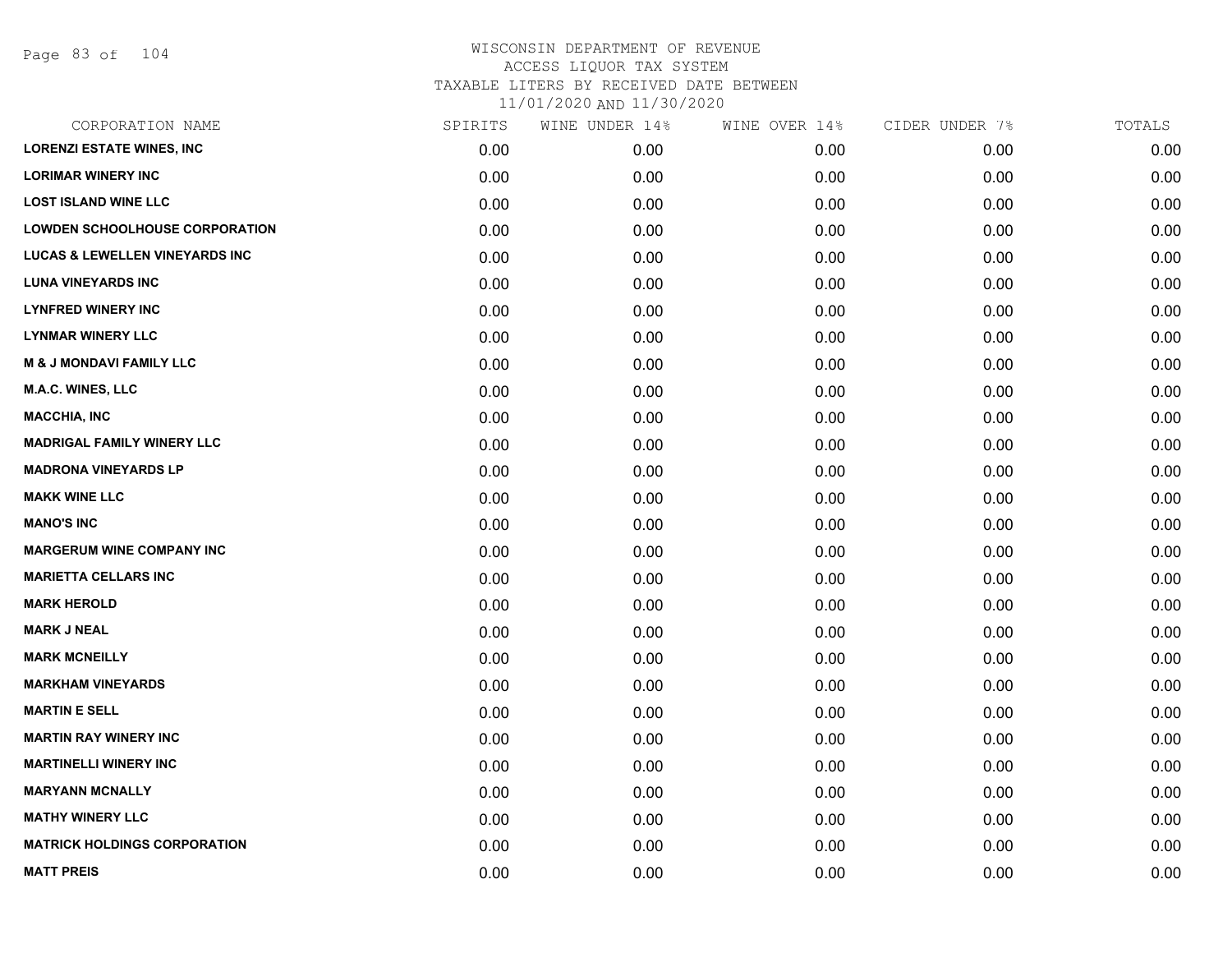| CORPORATION NAME                          | SPIRITS | WINE UNDER 14% | WINE OVER 14% | CIDER UNDER 7% | TOTALS |
|-------------------------------------------|---------|----------------|---------------|----------------|--------|
| <b>LORENZI ESTATE WINES, INC</b>          | 0.00    | 0.00           | 0.00          | 0.00           | 0.00   |
| <b>LORIMAR WINERY INC</b>                 | 0.00    | 0.00           | 0.00          | 0.00           | 0.00   |
| <b>LOST ISLAND WINE LLC</b>               | 0.00    | 0.00           | 0.00          | 0.00           | 0.00   |
| <b>LOWDEN SCHOOLHOUSE CORPORATION</b>     | 0.00    | 0.00           | 0.00          | 0.00           | 0.00   |
| <b>LUCAS &amp; LEWELLEN VINEYARDS INC</b> | 0.00    | 0.00           | 0.00          | 0.00           | 0.00   |
| <b>LUNA VINEYARDS INC</b>                 | 0.00    | 0.00           | 0.00          | 0.00           | 0.00   |
| <b>LYNFRED WINERY INC</b>                 | 0.00    | 0.00           | 0.00          | 0.00           | 0.00   |
| <b>LYNMAR WINERY LLC</b>                  | 0.00    | 0.00           | 0.00          | 0.00           | 0.00   |
| <b>M &amp; J MONDAVI FAMILY LLC</b>       | 0.00    | 0.00           | 0.00          | 0.00           | 0.00   |
| <b>M.A.C. WINES, LLC</b>                  | 0.00    | 0.00           | 0.00          | 0.00           | 0.00   |
| <b>MACCHIA, INC</b>                       | 0.00    | 0.00           | 0.00          | 0.00           | 0.00   |
| <b>MADRIGAL FAMILY WINERY LLC</b>         | 0.00    | 0.00           | 0.00          | 0.00           | 0.00   |
| <b>MADRONA VINEYARDS LP</b>               | 0.00    | 0.00           | 0.00          | 0.00           | 0.00   |
| <b>MAKK WINE LLC</b>                      | 0.00    | 0.00           | 0.00          | 0.00           | 0.00   |
| <b>MANO'S INC</b>                         | 0.00    | 0.00           | 0.00          | 0.00           | 0.00   |
| <b>MARGERUM WINE COMPANY INC</b>          | 0.00    | 0.00           | 0.00          | 0.00           | 0.00   |
| <b>MARIETTA CELLARS INC</b>               | 0.00    | 0.00           | 0.00          | 0.00           | 0.00   |
| <b>MARK HEROLD</b>                        | 0.00    | 0.00           | 0.00          | 0.00           | 0.00   |
| <b>MARK J NEAL</b>                        | 0.00    | 0.00           | 0.00          | 0.00           | 0.00   |
| <b>MARK MCNEILLY</b>                      | 0.00    | 0.00           | 0.00          | 0.00           | 0.00   |
| <b>MARKHAM VINEYARDS</b>                  | 0.00    | 0.00           | 0.00          | 0.00           | 0.00   |
| <b>MARTIN E SELL</b>                      | 0.00    | 0.00           | 0.00          | 0.00           | 0.00   |
| <b>MARTIN RAY WINERY INC</b>              | 0.00    | 0.00           | 0.00          | 0.00           | 0.00   |
| <b>MARTINELLI WINERY INC</b>              | 0.00    | 0.00           | 0.00          | 0.00           | 0.00   |
| <b>MARYANN MCNALLY</b>                    | 0.00    | 0.00           | 0.00          | 0.00           | 0.00   |
| <b>MATHY WINERY LLC</b>                   | 0.00    | 0.00           | 0.00          | 0.00           | 0.00   |
| <b>MATRICK HOLDINGS CORPORATION</b>       | 0.00    | 0.00           | 0.00          | 0.00           | 0.00   |
| <b>MATT PREIS</b>                         | 0.00    | 0.00           | 0.00          | 0.00           | 0.00   |
|                                           |         |                |               |                |        |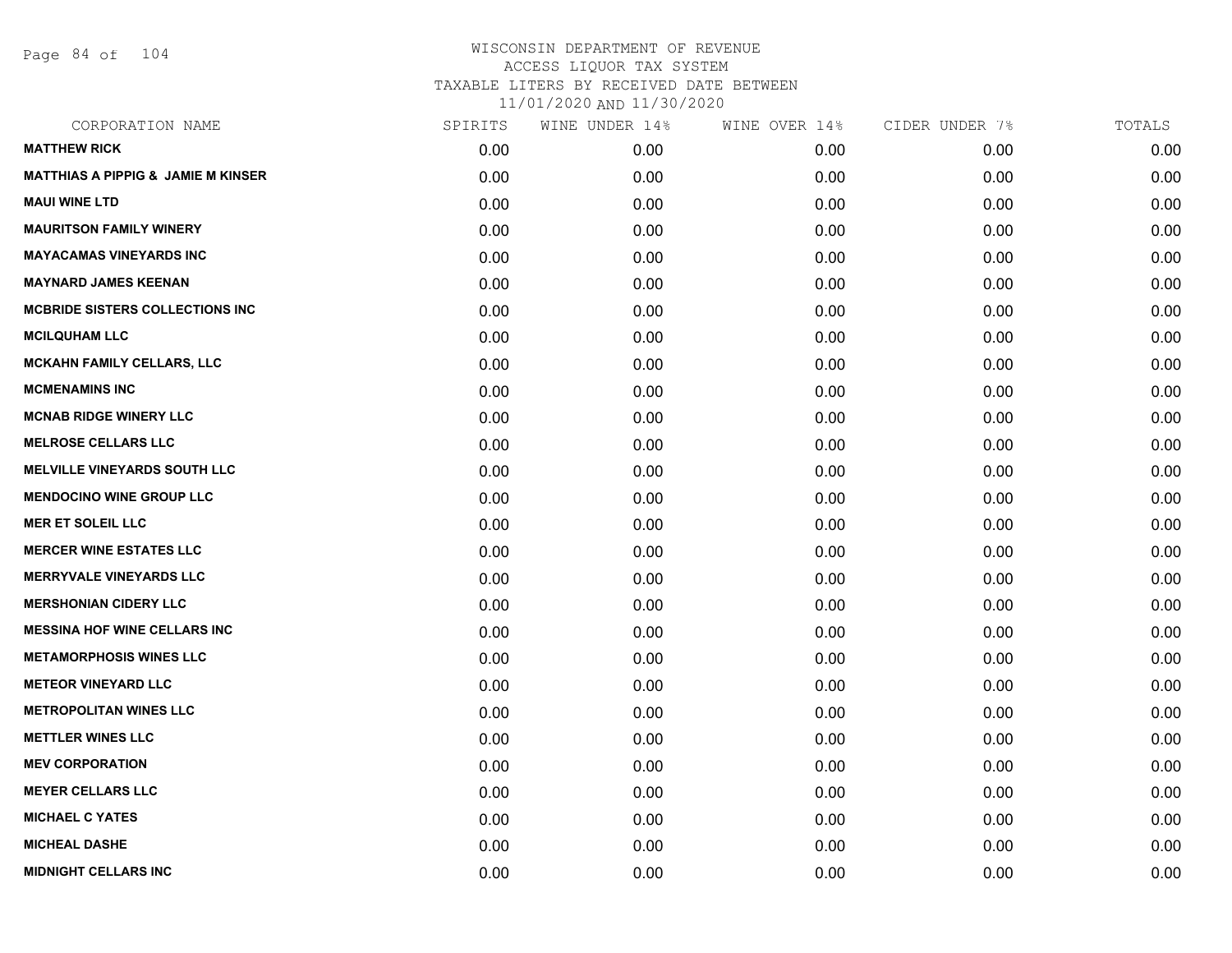Page 84 of 104

| CORPORATION NAME                              | SPIRITS | WINE UNDER 14% | WINE OVER 14% | CIDER UNDER 7% | TOTALS |
|-----------------------------------------------|---------|----------------|---------------|----------------|--------|
| <b>MATTHEW RICK</b>                           | 0.00    | 0.00           | 0.00          | 0.00           | 0.00   |
| <b>MATTHIAS A PIPPIG &amp; JAMIE M KINSER</b> | 0.00    | 0.00           | 0.00          | 0.00           | 0.00   |
| <b>MAUI WINE LTD</b>                          | 0.00    | 0.00           | 0.00          | 0.00           | 0.00   |
| <b>MAURITSON FAMILY WINERY</b>                | 0.00    | 0.00           | 0.00          | 0.00           | 0.00   |
| <b>MAYACAMAS VINEYARDS INC</b>                | 0.00    | 0.00           | 0.00          | 0.00           | 0.00   |
| <b>MAYNARD JAMES KEENAN</b>                   | 0.00    | 0.00           | 0.00          | 0.00           | 0.00   |
| <b>MCBRIDE SISTERS COLLECTIONS INC.</b>       | 0.00    | 0.00           | 0.00          | 0.00           | 0.00   |
| <b>MCILQUHAM LLC</b>                          | 0.00    | 0.00           | 0.00          | 0.00           | 0.00   |
| <b>MCKAHN FAMILY CELLARS, LLC</b>             | 0.00    | 0.00           | 0.00          | 0.00           | 0.00   |
| <b>MCMENAMINS INC</b>                         | 0.00    | 0.00           | 0.00          | 0.00           | 0.00   |
| <b>MCNAB RIDGE WINERY LLC</b>                 | 0.00    | 0.00           | 0.00          | 0.00           | 0.00   |
| <b>MELROSE CELLARS LLC</b>                    | 0.00    | 0.00           | 0.00          | 0.00           | 0.00   |
| <b>MELVILLE VINEYARDS SOUTH LLC</b>           | 0.00    | 0.00           | 0.00          | 0.00           | 0.00   |
| <b>MENDOCINO WINE GROUP LLC</b>               | 0.00    | 0.00           | 0.00          | 0.00           | 0.00   |
| <b>MER ET SOLEIL LLC</b>                      | 0.00    | 0.00           | 0.00          | 0.00           | 0.00   |
| <b>MERCER WINE ESTATES LLC</b>                | 0.00    | 0.00           | 0.00          | 0.00           | 0.00   |
| <b>MERRYVALE VINEYARDS LLC</b>                | 0.00    | 0.00           | 0.00          | 0.00           | 0.00   |
| <b>MERSHONIAN CIDERY LLC</b>                  | 0.00    | 0.00           | 0.00          | 0.00           | 0.00   |
| <b>MESSINA HOF WINE CELLARS INC</b>           | 0.00    | 0.00           | 0.00          | 0.00           | 0.00   |
| <b>METAMORPHOSIS WINES LLC</b>                | 0.00    | 0.00           | 0.00          | 0.00           | 0.00   |
| <b>METEOR VINEYARD LLC</b>                    | 0.00    | 0.00           | 0.00          | 0.00           | 0.00   |
| <b>METROPOLITAN WINES LLC</b>                 | 0.00    | 0.00           | 0.00          | 0.00           | 0.00   |
| <b>METTLER WINES LLC</b>                      | 0.00    | 0.00           | 0.00          | 0.00           | 0.00   |
| <b>MEV CORPORATION</b>                        | 0.00    | 0.00           | 0.00          | 0.00           | 0.00   |
| <b>MEYER CELLARS LLC</b>                      | 0.00    | 0.00           | 0.00          | 0.00           | 0.00   |
| <b>MICHAEL C YATES</b>                        | 0.00    | 0.00           | 0.00          | 0.00           | 0.00   |
| <b>MICHEAL DASHE</b>                          | 0.00    | 0.00           | 0.00          | 0.00           | 0.00   |
| <b>MIDNIGHT CELLARS INC</b>                   | 0.00    | 0.00           | 0.00          | 0.00           | 0.00   |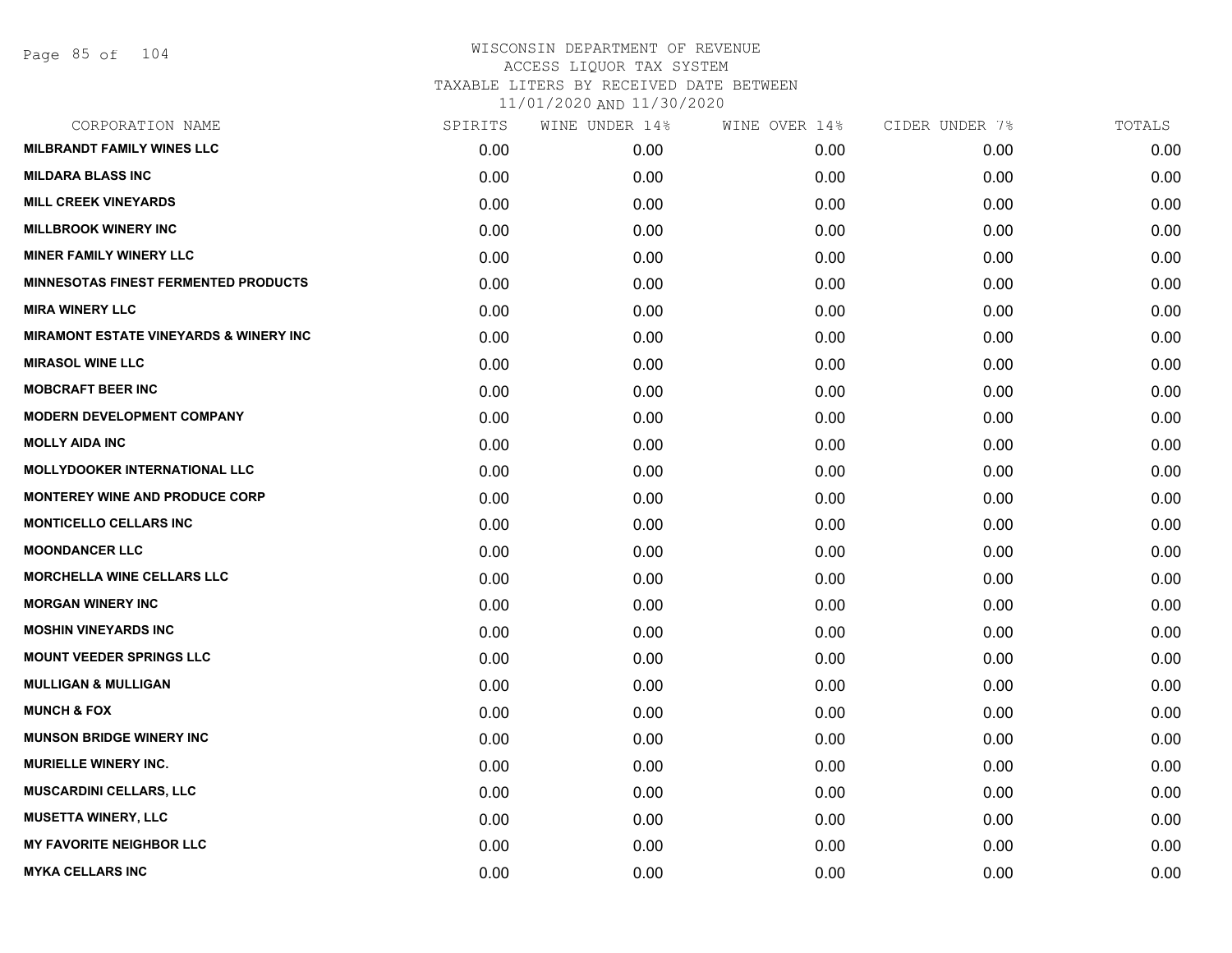| CORPORATION NAME                                  | SPIRITS | WINE UNDER 14% | WINE OVER 14% | CIDER UNDER 7% | TOTALS |
|---------------------------------------------------|---------|----------------|---------------|----------------|--------|
| <b>MILBRANDT FAMILY WINES LLC</b>                 | 0.00    | 0.00           | 0.00          | 0.00           | 0.00   |
| <b>MILDARA BLASS INC</b>                          | 0.00    | 0.00           | 0.00          | 0.00           | 0.00   |
| <b>MILL CREEK VINEYARDS</b>                       | 0.00    | 0.00           | 0.00          | 0.00           | 0.00   |
| <b>MILLBROOK WINERY INC</b>                       | 0.00    | 0.00           | 0.00          | 0.00           | 0.00   |
| <b>MINER FAMILY WINERY LLC</b>                    | 0.00    | 0.00           | 0.00          | 0.00           | 0.00   |
| <b>MINNESOTAS FINEST FERMENTED PRODUCTS</b>       | 0.00    | 0.00           | 0.00          | 0.00           | 0.00   |
| <b>MIRA WINERY LLC</b>                            | 0.00    | 0.00           | 0.00          | 0.00           | 0.00   |
| <b>MIRAMONT ESTATE VINEYARDS &amp; WINERY INC</b> | 0.00    | 0.00           | 0.00          | 0.00           | 0.00   |
| <b>MIRASOL WINE LLC</b>                           | 0.00    | 0.00           | 0.00          | 0.00           | 0.00   |
| <b>MOBCRAFT BEER INC</b>                          | 0.00    | 0.00           | 0.00          | 0.00           | 0.00   |
| <b>MODERN DEVELOPMENT COMPANY</b>                 | 0.00    | 0.00           | 0.00          | 0.00           | 0.00   |
| <b>MOLLY AIDA INC</b>                             | 0.00    | 0.00           | 0.00          | 0.00           | 0.00   |
| <b>MOLLYDOOKER INTERNATIONAL LLC</b>              | 0.00    | 0.00           | 0.00          | 0.00           | 0.00   |
| <b>MONTEREY WINE AND PRODUCE CORP</b>             | 0.00    | 0.00           | 0.00          | 0.00           | 0.00   |
| <b>MONTICELLO CELLARS INC</b>                     | 0.00    | 0.00           | 0.00          | 0.00           | 0.00   |
| <b>MOONDANCER LLC</b>                             | 0.00    | 0.00           | 0.00          | 0.00           | 0.00   |
| <b>MORCHELLA WINE CELLARS LLC</b>                 | 0.00    | 0.00           | 0.00          | 0.00           | 0.00   |
| <b>MORGAN WINERY INC</b>                          | 0.00    | 0.00           | 0.00          | 0.00           | 0.00   |
| <b>MOSHIN VINEYARDS INC</b>                       | 0.00    | 0.00           | 0.00          | 0.00           | 0.00   |
| <b>MOUNT VEEDER SPRINGS LLC</b>                   | 0.00    | 0.00           | 0.00          | 0.00           | 0.00   |
| <b>MULLIGAN &amp; MULLIGAN</b>                    | 0.00    | 0.00           | 0.00          | 0.00           | 0.00   |
| <b>MUNCH &amp; FOX</b>                            | 0.00    | 0.00           | 0.00          | 0.00           | 0.00   |
| <b>MUNSON BRIDGE WINERY INC</b>                   | 0.00    | 0.00           | 0.00          | 0.00           | 0.00   |
| <b>MURIELLE WINERY INC.</b>                       | 0.00    | 0.00           | 0.00          | 0.00           | 0.00   |
| <b>MUSCARDINI CELLARS, LLC</b>                    | 0.00    | 0.00           | 0.00          | 0.00           | 0.00   |
| <b>MUSETTA WINERY, LLC</b>                        | 0.00    | 0.00           | 0.00          | 0.00           | 0.00   |
| <b>MY FAVORITE NEIGHBOR LLC</b>                   | 0.00    | 0.00           | 0.00          | 0.00           | 0.00   |
| <b>MYKA CELLARS INC</b>                           | 0.00    | 0.00           | 0.00          | 0.00           | 0.00   |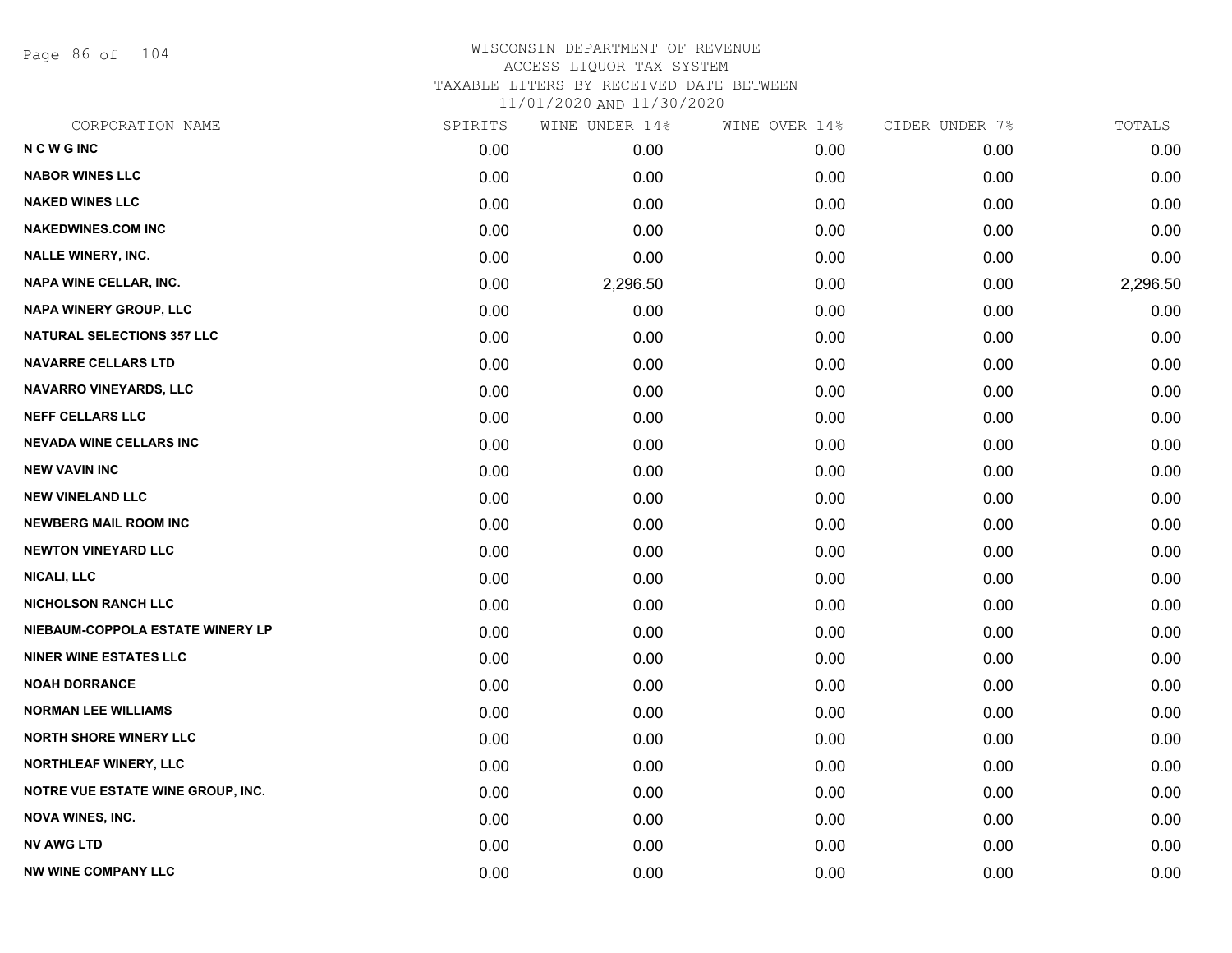Page 86 of 104

| CORPORATION NAME                  | SPIRITS | WINE UNDER 14% | WINE OVER 14% | CIDER UNDER 7% | TOTALS   |
|-----------------------------------|---------|----------------|---------------|----------------|----------|
| <b>NCWGINC</b>                    | 0.00    | 0.00           | 0.00          | 0.00           | 0.00     |
| <b>NABOR WINES LLC</b>            | 0.00    | 0.00           | 0.00          | 0.00           | 0.00     |
| <b>NAKED WINES LLC</b>            | 0.00    | 0.00           | 0.00          | 0.00           | 0.00     |
| <b>NAKEDWINES.COM INC</b>         | 0.00    | 0.00           | 0.00          | 0.00           | 0.00     |
| <b>NALLE WINERY, INC.</b>         | 0.00    | 0.00           | 0.00          | 0.00           | 0.00     |
| <b>NAPA WINE CELLAR, INC.</b>     | 0.00    | 2,296.50       | 0.00          | 0.00           | 2,296.50 |
| <b>NAPA WINERY GROUP, LLC</b>     | 0.00    | 0.00           | 0.00          | 0.00           | 0.00     |
| <b>NATURAL SELECTIONS 357 LLC</b> | 0.00    | 0.00           | 0.00          | 0.00           | 0.00     |
| <b>NAVARRE CELLARS LTD</b>        | 0.00    | 0.00           | 0.00          | 0.00           | 0.00     |
| NAVARRO VINEYARDS, LLC            | 0.00    | 0.00           | 0.00          | 0.00           | 0.00     |
| <b>NEFF CELLARS LLC</b>           | 0.00    | 0.00           | 0.00          | 0.00           | 0.00     |
| <b>NEVADA WINE CELLARS INC</b>    | 0.00    | 0.00           | 0.00          | 0.00           | 0.00     |
| <b>NEW VAVIN INC</b>              | 0.00    | 0.00           | 0.00          | 0.00           | 0.00     |
| <b>NEW VINELAND LLC</b>           | 0.00    | 0.00           | 0.00          | 0.00           | 0.00     |
| <b>NEWBERG MAIL ROOM INC</b>      | 0.00    | 0.00           | 0.00          | 0.00           | 0.00     |
| <b>NEWTON VINEYARD LLC</b>        | 0.00    | 0.00           | 0.00          | 0.00           | 0.00     |
| <b>NICALI, LLC</b>                | 0.00    | 0.00           | 0.00          | 0.00           | 0.00     |
| <b>NICHOLSON RANCH LLC</b>        | 0.00    | 0.00           | 0.00          | 0.00           | 0.00     |
| NIEBAUM-COPPOLA ESTATE WINERY LP  | 0.00    | 0.00           | 0.00          | 0.00           | 0.00     |
| <b>NINER WINE ESTATES LLC</b>     | 0.00    | 0.00           | 0.00          | 0.00           | 0.00     |
| <b>NOAH DORRANCE</b>              | 0.00    | 0.00           | 0.00          | 0.00           | 0.00     |
| <b>NORMAN LEE WILLIAMS</b>        | 0.00    | 0.00           | 0.00          | 0.00           | 0.00     |
| <b>NORTH SHORE WINERY LLC</b>     | 0.00    | 0.00           | 0.00          | 0.00           | 0.00     |
| <b>NORTHLEAF WINERY, LLC</b>      | 0.00    | 0.00           | 0.00          | 0.00           | 0.00     |
| NOTRE VUE ESTATE WINE GROUP, INC. | 0.00    | 0.00           | 0.00          | 0.00           | 0.00     |
| <b>NOVA WINES, INC.</b>           | 0.00    | 0.00           | 0.00          | 0.00           | 0.00     |
| <b>NV AWG LTD</b>                 | 0.00    | 0.00           | 0.00          | 0.00           | 0.00     |
| <b>NW WINE COMPANY LLC</b>        | 0.00    | 0.00           | 0.00          | 0.00           | 0.00     |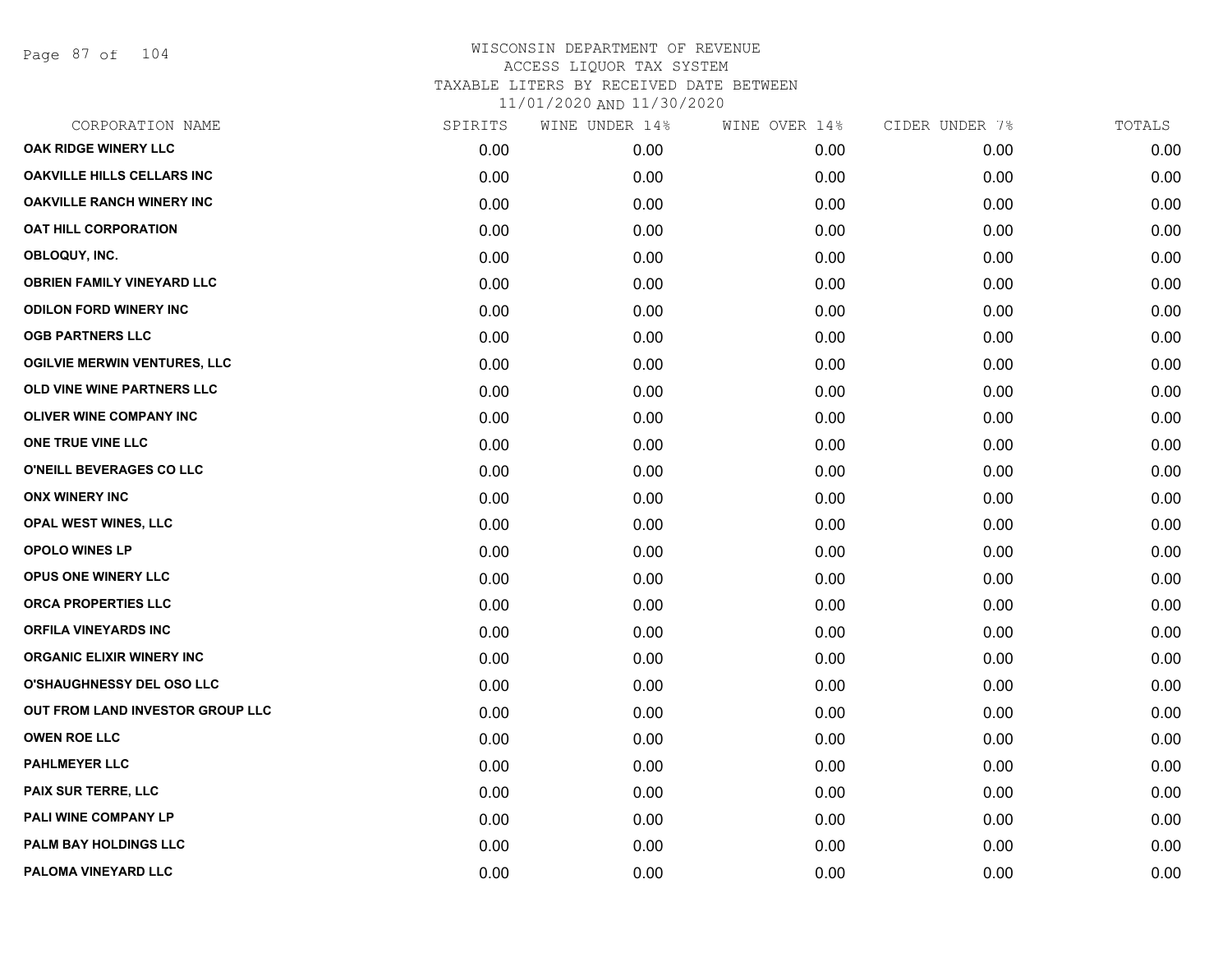Page 87 of 104

| CORPORATION NAME                    | SPIRITS | WINE UNDER 14% | WINE OVER 14% | CIDER UNDER 7% | TOTALS |
|-------------------------------------|---------|----------------|---------------|----------------|--------|
| OAK RIDGE WINERY LLC                | 0.00    | 0.00           | 0.00          | 0.00           | 0.00   |
| <b>OAKVILLE HILLS CELLARS INC</b>   | 0.00    | 0.00           | 0.00          | 0.00           | 0.00   |
| <b>OAKVILLE RANCH WINERY INC</b>    | 0.00    | 0.00           | 0.00          | 0.00           | 0.00   |
| <b>OAT HILL CORPORATION</b>         | 0.00    | 0.00           | 0.00          | 0.00           | 0.00   |
| OBLOQUY, INC.                       | 0.00    | 0.00           | 0.00          | 0.00           | 0.00   |
| <b>OBRIEN FAMILY VINEYARD LLC</b>   | 0.00    | 0.00           | 0.00          | 0.00           | 0.00   |
| <b>ODILON FORD WINERY INC</b>       | 0.00    | 0.00           | 0.00          | 0.00           | 0.00   |
| <b>OGB PARTNERS LLC</b>             | 0.00    | 0.00           | 0.00          | 0.00           | 0.00   |
| <b>OGILVIE MERWIN VENTURES, LLC</b> | 0.00    | 0.00           | 0.00          | 0.00           | 0.00   |
| OLD VINE WINE PARTNERS LLC          | 0.00    | 0.00           | 0.00          | 0.00           | 0.00   |
| <b>OLIVER WINE COMPANY INC</b>      | 0.00    | 0.00           | 0.00          | 0.00           | 0.00   |
| ONE TRUE VINE LLC                   | 0.00    | 0.00           | 0.00          | 0.00           | 0.00   |
| O'NEILL BEVERAGES CO LLC            | 0.00    | 0.00           | 0.00          | 0.00           | 0.00   |
| <b>ONX WINERY INC</b>               | 0.00    | 0.00           | 0.00          | 0.00           | 0.00   |
| OPAL WEST WINES, LLC                | 0.00    | 0.00           | 0.00          | 0.00           | 0.00   |
| OPOLO WINES LP                      | 0.00    | 0.00           | 0.00          | 0.00           | 0.00   |
| OPUS ONE WINERY LLC                 | 0.00    | 0.00           | 0.00          | 0.00           | 0.00   |
| <b>ORCA PROPERTIES LLC</b>          | 0.00    | 0.00           | 0.00          | 0.00           | 0.00   |
| <b>ORFILA VINEYARDS INC</b>         | 0.00    | 0.00           | 0.00          | 0.00           | 0.00   |
| <b>ORGANIC ELIXIR WINERY INC</b>    | 0.00    | 0.00           | 0.00          | 0.00           | 0.00   |
| <b>O'SHAUGHNESSY DEL OSO LLC</b>    | 0.00    | 0.00           | 0.00          | 0.00           | 0.00   |
| OUT FROM LAND INVESTOR GROUP LLC    | 0.00    | 0.00           | 0.00          | 0.00           | 0.00   |
| <b>OWEN ROE LLC</b>                 | 0.00    | 0.00           | 0.00          | 0.00           | 0.00   |
| <b>PAHLMEYER LLC</b>                | 0.00    | 0.00           | 0.00          | 0.00           | 0.00   |
| PAIX SUR TERRE, LLC                 | 0.00    | 0.00           | 0.00          | 0.00           | 0.00   |
| PALI WINE COMPANY LP                | 0.00    | 0.00           | 0.00          | 0.00           | 0.00   |
| PALM BAY HOLDINGS LLC               | 0.00    | 0.00           | 0.00          | 0.00           | 0.00   |
| PALOMA VINEYARD LLC                 | 0.00    | 0.00           | 0.00          | 0.00           | 0.00   |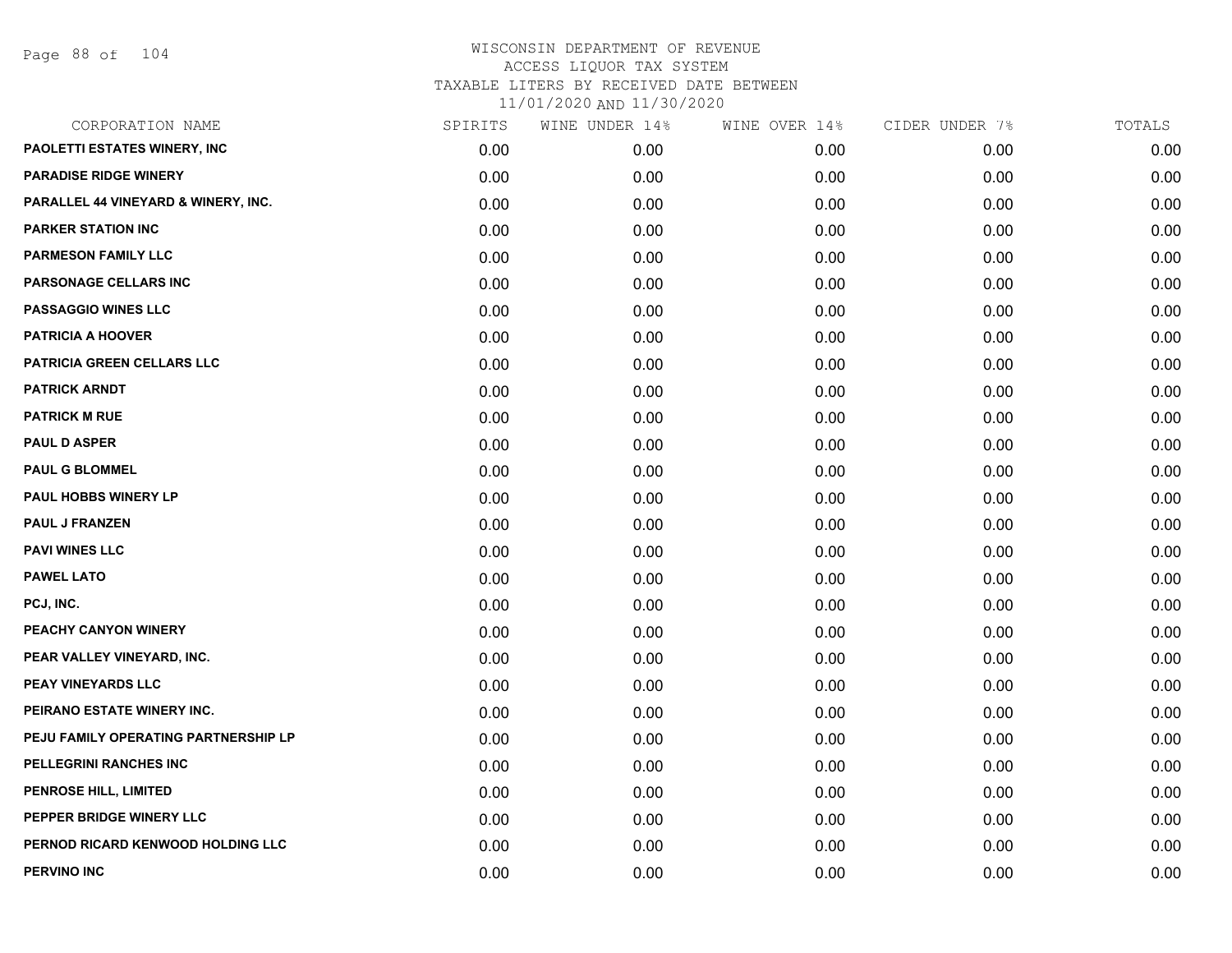| CORPORATION NAME                     | SPIRITS | WINE UNDER 14% | WINE OVER 14% | CIDER UNDER 7% | TOTALS |
|--------------------------------------|---------|----------------|---------------|----------------|--------|
| PAOLETTI ESTATES WINERY, INC         | 0.00    | 0.00           | 0.00          | 0.00           | 0.00   |
| <b>PARADISE RIDGE WINERY</b>         | 0.00    | 0.00           | 0.00          | 0.00           | 0.00   |
| PARALLEL 44 VINEYARD & WINERY, INC.  | 0.00    | 0.00           | 0.00          | 0.00           | 0.00   |
| <b>PARKER STATION INC</b>            | 0.00    | 0.00           | 0.00          | 0.00           | 0.00   |
| <b>PARMESON FAMILY LLC</b>           | 0.00    | 0.00           | 0.00          | 0.00           | 0.00   |
| PARSONAGE CELLARS INC                | 0.00    | 0.00           | 0.00          | 0.00           | 0.00   |
| <b>PASSAGGIO WINES LLC</b>           | 0.00    | 0.00           | 0.00          | 0.00           | 0.00   |
| <b>PATRICIA A HOOVER</b>             | 0.00    | 0.00           | 0.00          | 0.00           | 0.00   |
| PATRICIA GREEN CELLARS LLC           | 0.00    | 0.00           | 0.00          | 0.00           | 0.00   |
| <b>PATRICK ARNDT</b>                 | 0.00    | 0.00           | 0.00          | 0.00           | 0.00   |
| <b>PATRICK M RUE</b>                 | 0.00    | 0.00           | 0.00          | 0.00           | 0.00   |
| <b>PAUL D ASPER</b>                  | 0.00    | 0.00           | 0.00          | 0.00           | 0.00   |
| <b>PAUL G BLOMMEL</b>                | 0.00    | 0.00           | 0.00          | 0.00           | 0.00   |
| PAUL HOBBS WINERY LP                 | 0.00    | 0.00           | 0.00          | 0.00           | 0.00   |
| <b>PAUL J FRANZEN</b>                | 0.00    | 0.00           | 0.00          | 0.00           | 0.00   |
| <b>PAVI WINES LLC</b>                | 0.00    | 0.00           | 0.00          | 0.00           | 0.00   |
| <b>PAWEL LATO</b>                    | 0.00    | 0.00           | 0.00          | 0.00           | 0.00   |
| PCJ, INC.                            | 0.00    | 0.00           | 0.00          | 0.00           | 0.00   |
| PEACHY CANYON WINERY                 | 0.00    | 0.00           | 0.00          | 0.00           | 0.00   |
| PEAR VALLEY VINEYARD, INC.           | 0.00    | 0.00           | 0.00          | 0.00           | 0.00   |
| PEAY VINEYARDS LLC                   | 0.00    | 0.00           | 0.00          | 0.00           | 0.00   |
| PEIRANO ESTATE WINERY INC.           | 0.00    | 0.00           | 0.00          | 0.00           | 0.00   |
| PEJU FAMILY OPERATING PARTNERSHIP LP | 0.00    | 0.00           | 0.00          | 0.00           | 0.00   |
| PELLEGRINI RANCHES INC               | 0.00    | 0.00           | 0.00          | 0.00           | 0.00   |
| PENROSE HILL, LIMITED                | 0.00    | 0.00           | 0.00          | 0.00           | 0.00   |
| PEPPER BRIDGE WINERY LLC             | 0.00    | 0.00           | 0.00          | 0.00           | 0.00   |
| PERNOD RICARD KENWOOD HOLDING LLC    | 0.00    | 0.00           | 0.00          | 0.00           | 0.00   |
| PERVINO INC                          | 0.00    | 0.00           | 0.00          | 0.00           | 0.00   |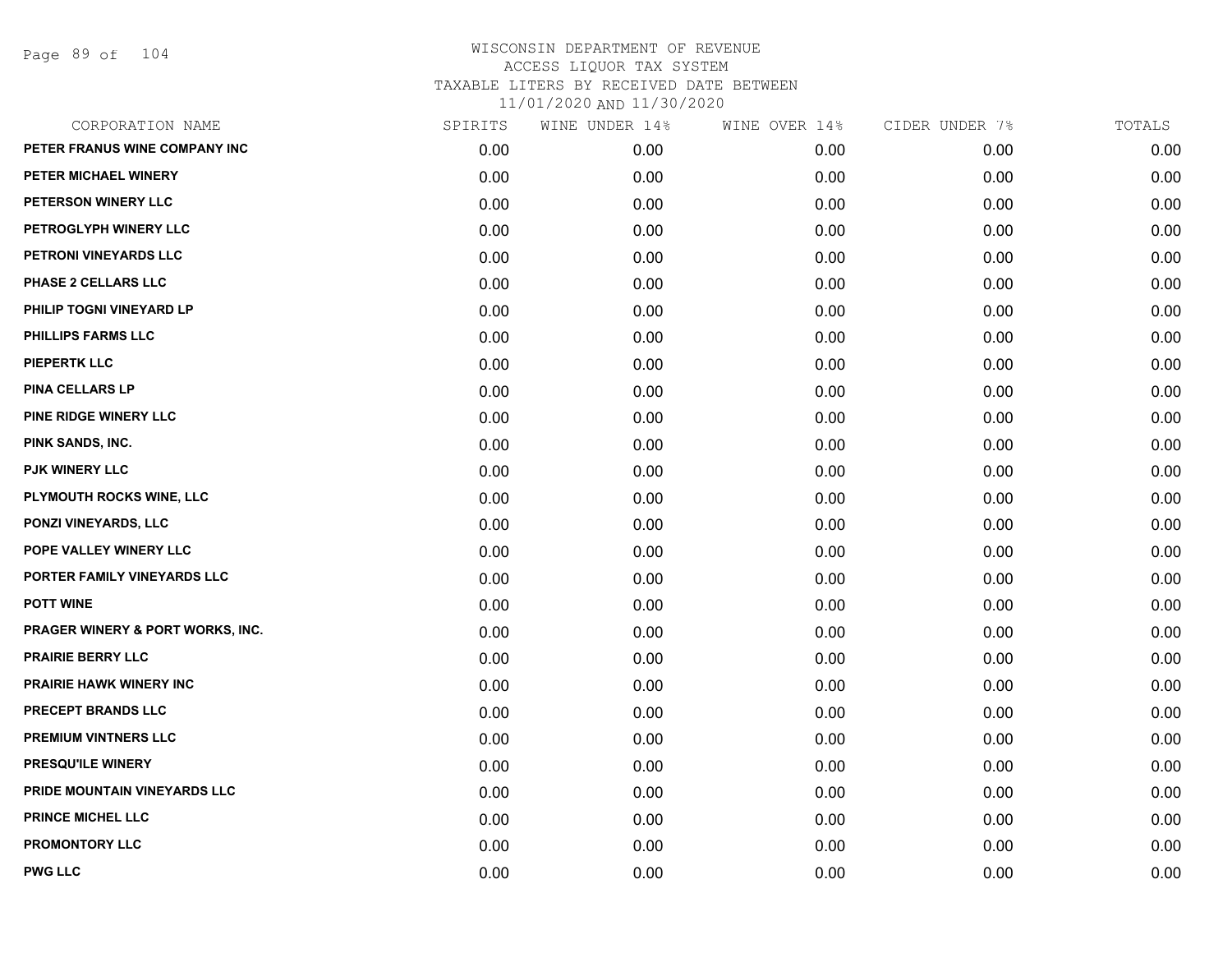Page 89 of 104

| CORPORATION NAME                 | SPIRITS | WINE UNDER 14% | WINE OVER 14% | CIDER UNDER 7% | TOTALS |
|----------------------------------|---------|----------------|---------------|----------------|--------|
| PETER FRANUS WINE COMPANY INC    | 0.00    | 0.00           | 0.00          | 0.00           | 0.00   |
| PETER MICHAEL WINERY             | 0.00    | 0.00           | 0.00          | 0.00           | 0.00   |
| PETERSON WINERY LLC              | 0.00    | 0.00           | 0.00          | 0.00           | 0.00   |
| PETROGLYPH WINERY LLC            | 0.00    | 0.00           | 0.00          | 0.00           | 0.00   |
| PETRONI VINEYARDS LLC            | 0.00    | 0.00           | 0.00          | 0.00           | 0.00   |
| PHASE 2 CELLARS LLC              | 0.00    | 0.00           | 0.00          | 0.00           | 0.00   |
| PHILIP TOGNI VINEYARD LP         | 0.00    | 0.00           | 0.00          | 0.00           | 0.00   |
| PHILLIPS FARMS LLC               | 0.00    | 0.00           | 0.00          | 0.00           | 0.00   |
| <b>PIEPERTK LLC</b>              | 0.00    | 0.00           | 0.00          | 0.00           | 0.00   |
| <b>PINA CELLARS LP</b>           | 0.00    | 0.00           | 0.00          | 0.00           | 0.00   |
| <b>PINE RIDGE WINERY LLC</b>     | 0.00    | 0.00           | 0.00          | 0.00           | 0.00   |
| PINK SANDS, INC.                 | 0.00    | 0.00           | 0.00          | 0.00           | 0.00   |
| <b>PJK WINERY LLC</b>            | 0.00    | 0.00           | 0.00          | 0.00           | 0.00   |
| PLYMOUTH ROCKS WINE, LLC         | 0.00    | 0.00           | 0.00          | 0.00           | 0.00   |
| <b>PONZI VINEYARDS, LLC</b>      | 0.00    | 0.00           | 0.00          | 0.00           | 0.00   |
| POPE VALLEY WINERY LLC           | 0.00    | 0.00           | 0.00          | 0.00           | 0.00   |
| PORTER FAMILY VINEYARDS LLC      | 0.00    | 0.00           | 0.00          | 0.00           | 0.00   |
| <b>POTT WINE</b>                 | 0.00    | 0.00           | 0.00          | 0.00           | 0.00   |
| PRAGER WINERY & PORT WORKS, INC. | 0.00    | 0.00           | 0.00          | 0.00           | 0.00   |
| <b>PRAIRIE BERRY LLC</b>         | 0.00    | 0.00           | 0.00          | 0.00           | 0.00   |
| <b>PRAIRIE HAWK WINERY INC</b>   | 0.00    | 0.00           | 0.00          | 0.00           | 0.00   |
| PRECEPT BRANDS LLC               | 0.00    | 0.00           | 0.00          | 0.00           | 0.00   |
| <b>PREMIUM VINTNERS LLC</b>      | 0.00    | 0.00           | 0.00          | 0.00           | 0.00   |
| <b>PRESQU'ILE WINERY</b>         | 0.00    | 0.00           | 0.00          | 0.00           | 0.00   |
| PRIDE MOUNTAIN VINEYARDS LLC     | 0.00    | 0.00           | 0.00          | 0.00           | 0.00   |
| <b>PRINCE MICHEL LLC</b>         | 0.00    | 0.00           | 0.00          | 0.00           | 0.00   |
| <b>PROMONTORY LLC</b>            | 0.00    | 0.00           | 0.00          | 0.00           | 0.00   |
| <b>PWG LLC</b>                   | 0.00    | 0.00           | 0.00          | 0.00           | 0.00   |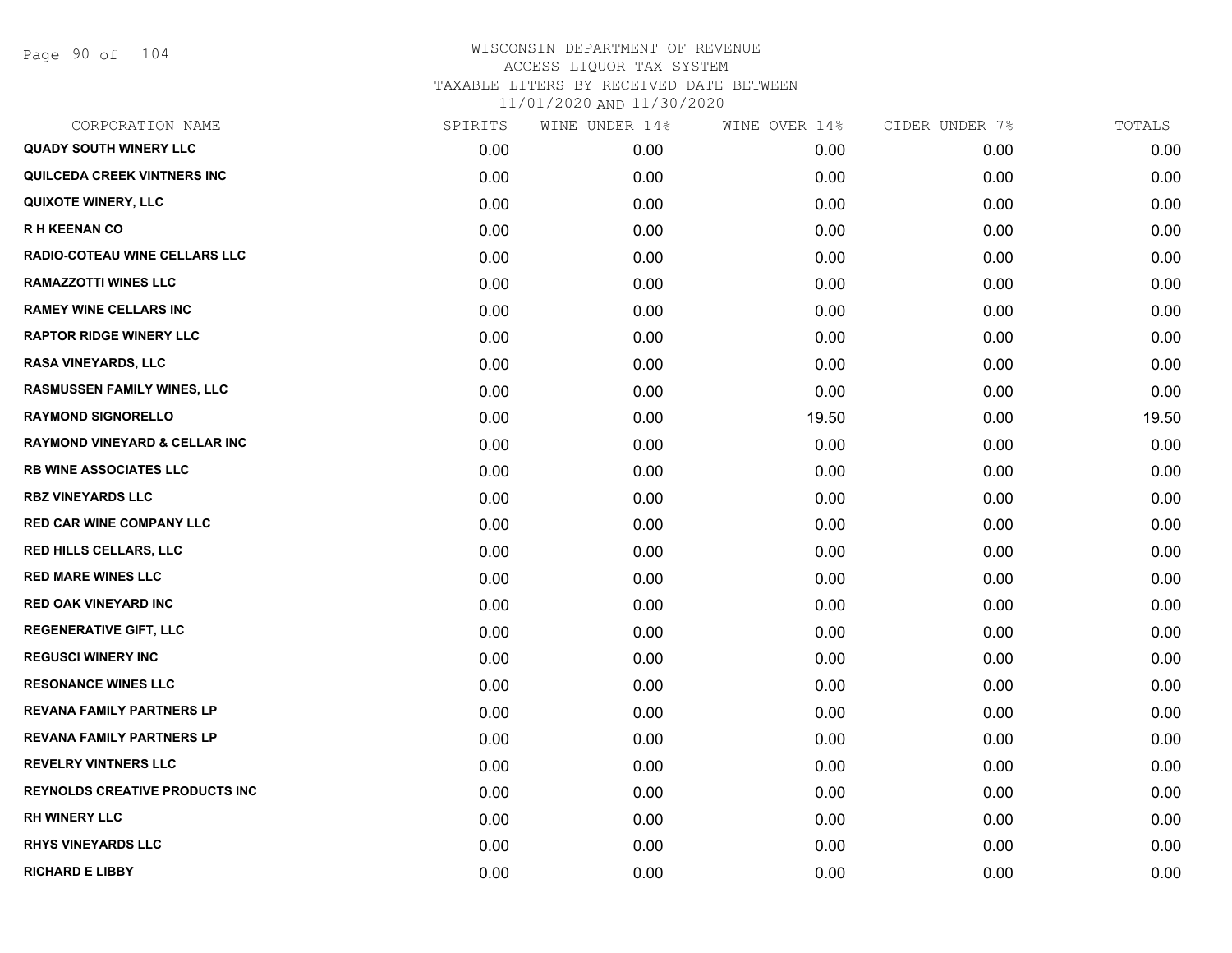Page 90 of 104

| CORPORATION NAME                         | SPIRITS | WINE UNDER 14% | WINE OVER 14% | CIDER UNDER 7% | TOTALS |
|------------------------------------------|---------|----------------|---------------|----------------|--------|
| <b>QUADY SOUTH WINERY LLC</b>            | 0.00    | 0.00           | 0.00          | 0.00           | 0.00   |
| <b>QUILCEDA CREEK VINTNERS INC</b>       | 0.00    | 0.00           | 0.00          | 0.00           | 0.00   |
| <b>QUIXOTE WINERY, LLC</b>               | 0.00    | 0.00           | 0.00          | 0.00           | 0.00   |
| <b>RH KEENAN CO</b>                      | 0.00    | 0.00           | 0.00          | 0.00           | 0.00   |
| RADIO-COTEAU WINE CELLARS LLC            | 0.00    | 0.00           | 0.00          | 0.00           | 0.00   |
| <b>RAMAZZOTTI WINES LLC</b>              | 0.00    | 0.00           | 0.00          | 0.00           | 0.00   |
| <b>RAMEY WINE CELLARS INC</b>            | 0.00    | 0.00           | 0.00          | 0.00           | 0.00   |
| <b>RAPTOR RIDGE WINERY LLC</b>           | 0.00    | 0.00           | 0.00          | 0.00           | 0.00   |
| <b>RASA VINEYARDS, LLC</b>               | 0.00    | 0.00           | 0.00          | 0.00           | 0.00   |
| <b>RASMUSSEN FAMILY WINES, LLC</b>       | 0.00    | 0.00           | 0.00          | 0.00           | 0.00   |
| <b>RAYMOND SIGNORELLO</b>                | 0.00    | 0.00           | 19.50         | 0.00           | 19.50  |
| <b>RAYMOND VINEYARD &amp; CELLAR INC</b> | 0.00    | 0.00           | 0.00          | 0.00           | 0.00   |
| <b>RB WINE ASSOCIATES LLC</b>            | 0.00    | 0.00           | 0.00          | 0.00           | 0.00   |
| <b>RBZ VINEYARDS LLC</b>                 | 0.00    | 0.00           | 0.00          | 0.00           | 0.00   |
| <b>RED CAR WINE COMPANY LLC</b>          | 0.00    | 0.00           | 0.00          | 0.00           | 0.00   |
| <b>RED HILLS CELLARS, LLC</b>            | 0.00    | 0.00           | 0.00          | 0.00           | 0.00   |
| <b>RED MARE WINES LLC</b>                | 0.00    | 0.00           | 0.00          | 0.00           | 0.00   |
| <b>RED OAK VINEYARD INC</b>              | 0.00    | 0.00           | 0.00          | 0.00           | 0.00   |
| <b>REGENERATIVE GIFT, LLC</b>            | 0.00    | 0.00           | 0.00          | 0.00           | 0.00   |
| <b>REGUSCI WINERY INC</b>                | 0.00    | 0.00           | 0.00          | 0.00           | 0.00   |
| <b>RESONANCE WINES LLC</b>               | 0.00    | 0.00           | 0.00          | 0.00           | 0.00   |
| <b>REVANA FAMILY PARTNERS LP</b>         | 0.00    | 0.00           | 0.00          | 0.00           | 0.00   |
| <b>REVANA FAMILY PARTNERS LP</b>         | 0.00    | 0.00           | 0.00          | 0.00           | 0.00   |
| <b>REVELRY VINTNERS LLC</b>              | 0.00    | 0.00           | 0.00          | 0.00           | 0.00   |
| REYNOLDS CREATIVE PRODUCTS INC           | 0.00    | 0.00           | 0.00          | 0.00           | 0.00   |
| <b>RH WINERY LLC</b>                     | 0.00    | 0.00           | 0.00          | 0.00           | 0.00   |
| <b>RHYS VINEYARDS LLC</b>                | 0.00    | 0.00           | 0.00          | 0.00           | 0.00   |
| <b>RICHARD E LIBBY</b>                   | 0.00    | 0.00           | 0.00          | 0.00           | 0.00   |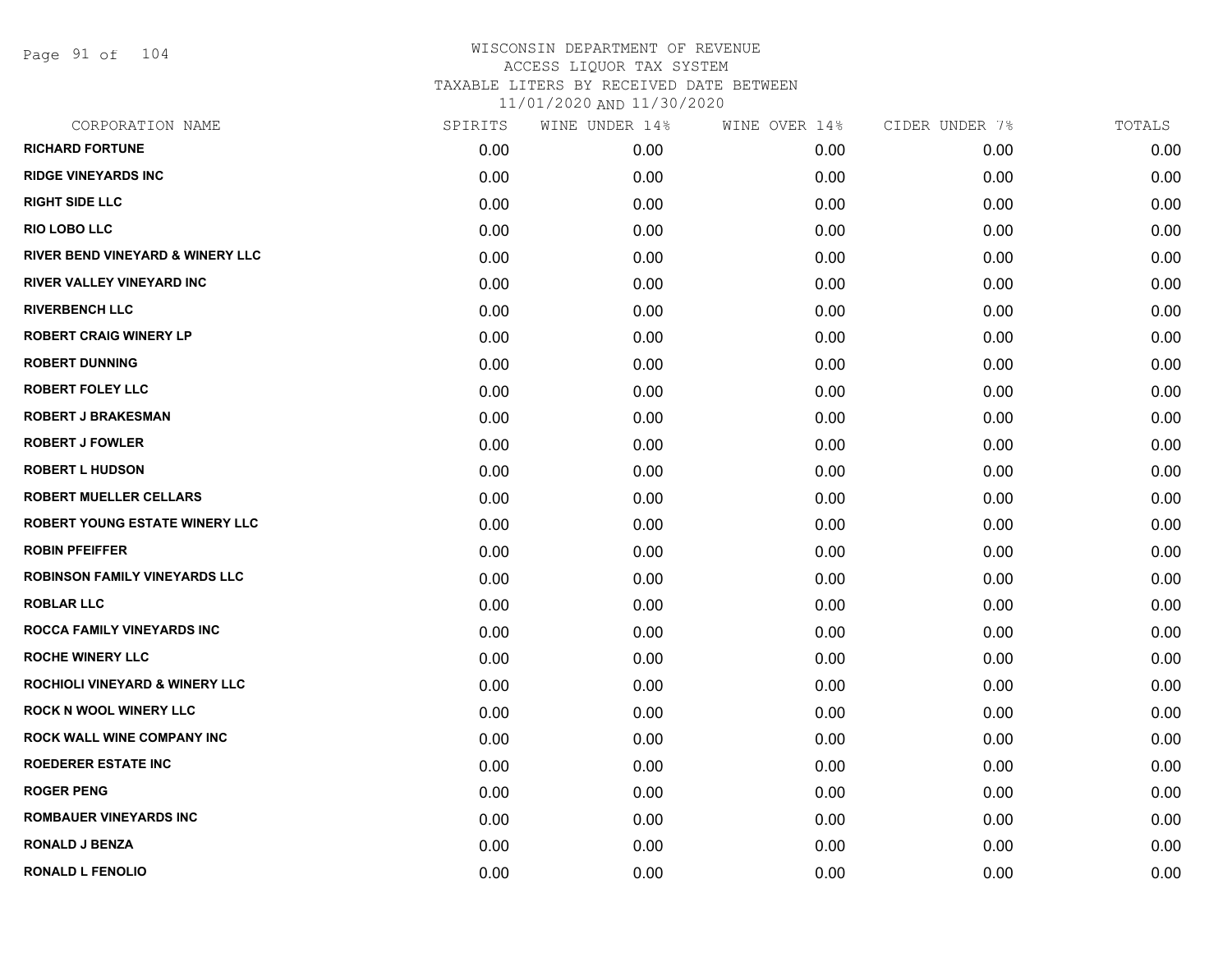Page 91 of 104

| CORPORATION NAME                            | SPIRITS | WINE UNDER 14% | WINE OVER 14% | CIDER UNDER 7% | TOTALS |
|---------------------------------------------|---------|----------------|---------------|----------------|--------|
| <b>RICHARD FORTUNE</b>                      | 0.00    | 0.00           | 0.00          | 0.00           | 0.00   |
| <b>RIDGE VINEYARDS INC</b>                  | 0.00    | 0.00           | 0.00          | 0.00           | 0.00   |
| <b>RIGHT SIDE LLC</b>                       | 0.00    | 0.00           | 0.00          | 0.00           | 0.00   |
| <b>RIO LOBO LLC</b>                         | 0.00    | 0.00           | 0.00          | 0.00           | 0.00   |
| <b>RIVER BEND VINEYARD &amp; WINERY LLC</b> | 0.00    | 0.00           | 0.00          | 0.00           | 0.00   |
| RIVER VALLEY VINEYARD INC                   | 0.00    | 0.00           | 0.00          | 0.00           | 0.00   |
| <b>RIVERBENCH LLC</b>                       | 0.00    | 0.00           | 0.00          | 0.00           | 0.00   |
| <b>ROBERT CRAIG WINERY LP</b>               | 0.00    | 0.00           | 0.00          | 0.00           | 0.00   |
| <b>ROBERT DUNNING</b>                       | 0.00    | 0.00           | 0.00          | 0.00           | 0.00   |
| <b>ROBERT FOLEY LLC</b>                     | 0.00    | 0.00           | 0.00          | 0.00           | 0.00   |
| <b>ROBERT J BRAKESMAN</b>                   | 0.00    | 0.00           | 0.00          | 0.00           | 0.00   |
| <b>ROBERT J FOWLER</b>                      | 0.00    | 0.00           | 0.00          | 0.00           | 0.00   |
| <b>ROBERT L HUDSON</b>                      | 0.00    | 0.00           | 0.00          | 0.00           | 0.00   |
| <b>ROBERT MUELLER CELLARS</b>               | 0.00    | 0.00           | 0.00          | 0.00           | 0.00   |
| ROBERT YOUNG ESTATE WINERY LLC              | 0.00    | 0.00           | 0.00          | 0.00           | 0.00   |
| <b>ROBIN PFEIFFER</b>                       | 0.00    | 0.00           | 0.00          | 0.00           | 0.00   |
| ROBINSON FAMILY VINEYARDS LLC               | 0.00    | 0.00           | 0.00          | 0.00           | 0.00   |
| <b>ROBLAR LLC</b>                           | 0.00    | 0.00           | 0.00          | 0.00           | 0.00   |
| ROCCA FAMILY VINEYARDS INC                  | 0.00    | 0.00           | 0.00          | 0.00           | 0.00   |
| <b>ROCHE WINERY LLC</b>                     | 0.00    | 0.00           | 0.00          | 0.00           | 0.00   |
| <b>ROCHIOLI VINEYARD &amp; WINERY LLC</b>   | 0.00    | 0.00           | 0.00          | 0.00           | 0.00   |
| <b>ROCK N WOOL WINERY LLC</b>               | 0.00    | 0.00           | 0.00          | 0.00           | 0.00   |
| ROCK WALL WINE COMPANY INC                  | 0.00    | 0.00           | 0.00          | 0.00           | 0.00   |
| <b>ROEDERER ESTATE INC</b>                  | 0.00    | 0.00           | 0.00          | 0.00           | 0.00   |
| <b>ROGER PENG</b>                           | 0.00    | 0.00           | 0.00          | 0.00           | 0.00   |
| <b>ROMBAUER VINEYARDS INC</b>               | 0.00    | 0.00           | 0.00          | 0.00           | 0.00   |
| <b>RONALD J BENZA</b>                       | 0.00    | 0.00           | 0.00          | 0.00           | 0.00   |
| <b>RONALD L FENOLIO</b>                     | 0.00    | 0.00           | 0.00          | 0.00           | 0.00   |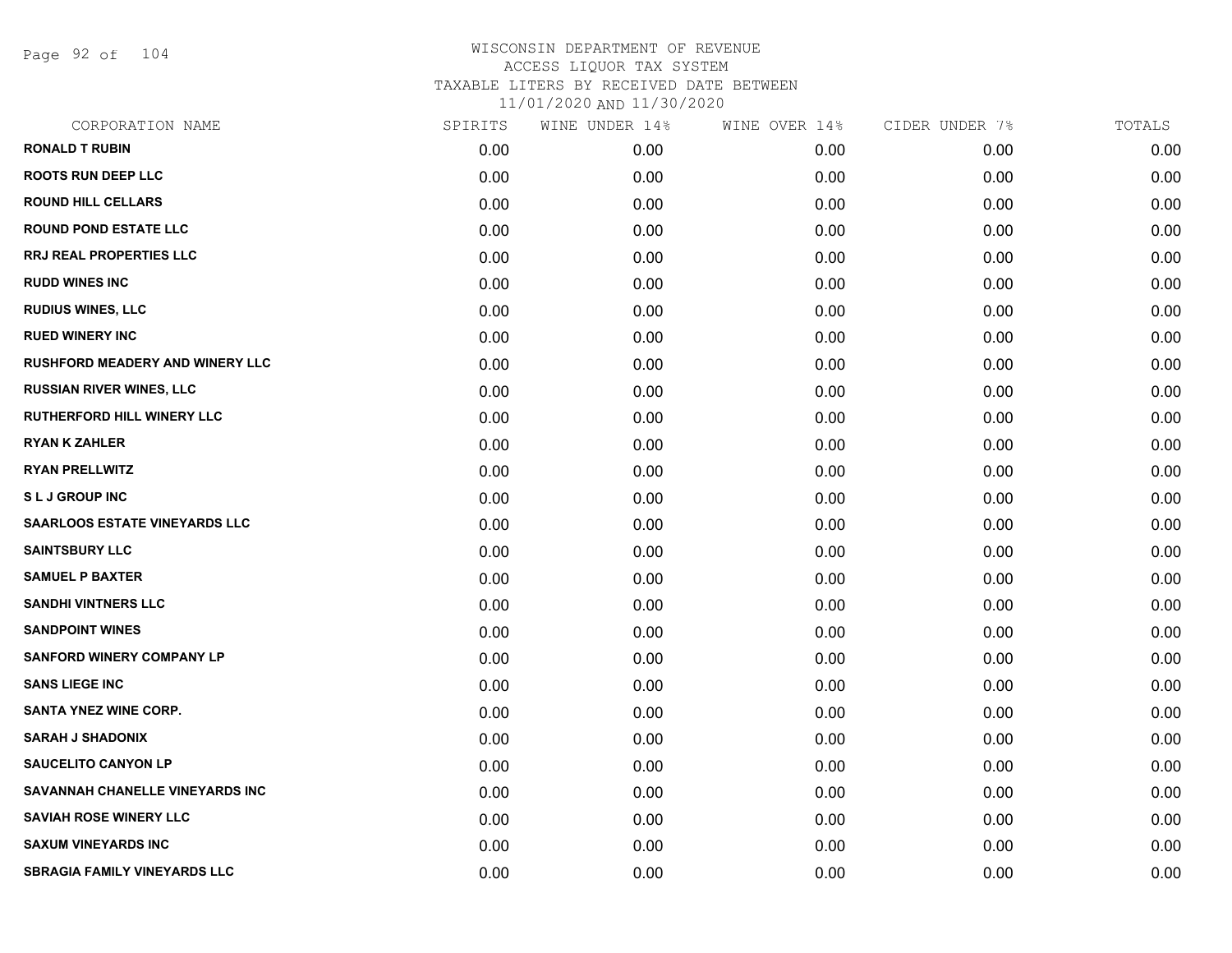Page 92 of 104

| CORPORATION NAME                       | SPIRITS | WINE UNDER 14% | WINE OVER 14% | CIDER UNDER 7% | TOTALS |
|----------------------------------------|---------|----------------|---------------|----------------|--------|
| <b>RONALD T RUBIN</b>                  | 0.00    | 0.00           | 0.00          | 0.00           | 0.00   |
| <b>ROOTS RUN DEEP LLC</b>              | 0.00    | 0.00           | 0.00          | 0.00           | 0.00   |
| <b>ROUND HILL CELLARS</b>              | 0.00    | 0.00           | 0.00          | 0.00           | 0.00   |
| <b>ROUND POND ESTATE LLC</b>           | 0.00    | 0.00           | 0.00          | 0.00           | 0.00   |
| <b>RRJ REAL PROPERTIES LLC</b>         | 0.00    | 0.00           | 0.00          | 0.00           | 0.00   |
| <b>RUDD WINES INC</b>                  | 0.00    | 0.00           | 0.00          | 0.00           | 0.00   |
| <b>RUDIUS WINES, LLC</b>               | 0.00    | 0.00           | 0.00          | 0.00           | 0.00   |
| <b>RUED WINERY INC</b>                 | 0.00    | 0.00           | 0.00          | 0.00           | 0.00   |
| <b>RUSHFORD MEADERY AND WINERY LLC</b> | 0.00    | 0.00           | 0.00          | 0.00           | 0.00   |
| <b>RUSSIAN RIVER WINES, LLC</b>        | 0.00    | 0.00           | 0.00          | 0.00           | 0.00   |
| RUTHERFORD HILL WINERY LLC             | 0.00    | 0.00           | 0.00          | 0.00           | 0.00   |
| <b>RYAN K ZAHLER</b>                   | 0.00    | 0.00           | 0.00          | 0.00           | 0.00   |
| <b>RYAN PRELLWITZ</b>                  | 0.00    | 0.00           | 0.00          | 0.00           | 0.00   |
| <b>SLJ GROUP INC</b>                   | 0.00    | 0.00           | 0.00          | 0.00           | 0.00   |
| <b>SAARLOOS ESTATE VINEYARDS LLC</b>   | 0.00    | 0.00           | 0.00          | 0.00           | 0.00   |
| <b>SAINTSBURY LLC</b>                  | 0.00    | 0.00           | 0.00          | 0.00           | 0.00   |
| <b>SAMUEL P BAXTER</b>                 | 0.00    | 0.00           | 0.00          | 0.00           | 0.00   |
| <b>SANDHI VINTNERS LLC</b>             | 0.00    | 0.00           | 0.00          | 0.00           | 0.00   |
| <b>SANDPOINT WINES</b>                 | 0.00    | 0.00           | 0.00          | 0.00           | 0.00   |
| <b>SANFORD WINERY COMPANY LP</b>       | 0.00    | 0.00           | 0.00          | 0.00           | 0.00   |
| <b>SANS LIEGE INC</b>                  | 0.00    | 0.00           | 0.00          | 0.00           | 0.00   |
| <b>SANTA YNEZ WINE CORP.</b>           | 0.00    | 0.00           | 0.00          | 0.00           | 0.00   |
| <b>SARAH J SHADONIX</b>                | 0.00    | 0.00           | 0.00          | 0.00           | 0.00   |
| <b>SAUCELITO CANYON LP</b>             | 0.00    | 0.00           | 0.00          | 0.00           | 0.00   |
| SAVANNAH CHANELLE VINEYARDS INC        | 0.00    | 0.00           | 0.00          | 0.00           | 0.00   |
| <b>SAVIAH ROSE WINERY LLC</b>          | 0.00    | 0.00           | 0.00          | 0.00           | 0.00   |
| <b>SAXUM VINEYARDS INC</b>             | 0.00    | 0.00           | 0.00          | 0.00           | 0.00   |
| <b>SBRAGIA FAMILY VINEYARDS LLC</b>    | 0.00    | 0.00           | 0.00          | 0.00           | 0.00   |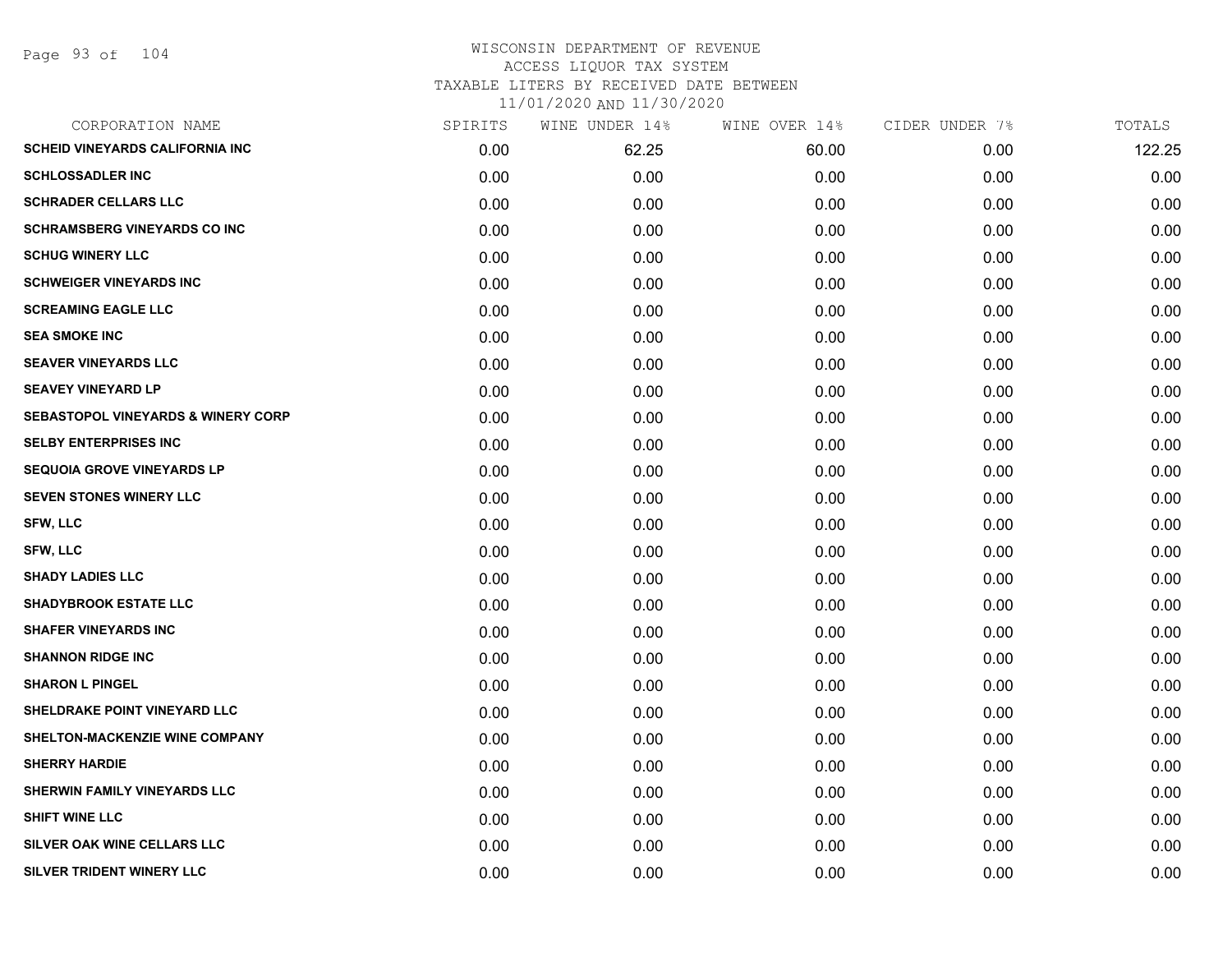| CORPORATION NAME                              | SPIRITS | WINE UNDER 14% | WINE OVER 14% | CIDER UNDER 7% | TOTALS |
|-----------------------------------------------|---------|----------------|---------------|----------------|--------|
| <b>SCHEID VINEYARDS CALIFORNIA INC</b>        | 0.00    | 62.25          | 60.00         | 0.00           | 122.25 |
| <b>SCHLOSSADLER INC</b>                       | 0.00    | 0.00           | 0.00          | 0.00           | 0.00   |
| <b>SCHRADER CELLARS LLC</b>                   | 0.00    | 0.00           | 0.00          | 0.00           | 0.00   |
| <b>SCHRAMSBERG VINEYARDS CO INC</b>           | 0.00    | 0.00           | 0.00          | 0.00           | 0.00   |
| <b>SCHUG WINERY LLC</b>                       | 0.00    | 0.00           | 0.00          | 0.00           | 0.00   |
| <b>SCHWEIGER VINEYARDS INC</b>                | 0.00    | 0.00           | 0.00          | 0.00           | 0.00   |
| <b>SCREAMING EAGLE LLC</b>                    | 0.00    | 0.00           | 0.00          | 0.00           | 0.00   |
| <b>SEA SMOKE INC</b>                          | 0.00    | 0.00           | 0.00          | 0.00           | 0.00   |
| <b>SEAVER VINEYARDS LLC</b>                   | 0.00    | 0.00           | 0.00          | 0.00           | 0.00   |
| <b>SEAVEY VINEYARD LP</b>                     | 0.00    | 0.00           | 0.00          | 0.00           | 0.00   |
| <b>SEBASTOPOL VINEYARDS &amp; WINERY CORP</b> | 0.00    | 0.00           | 0.00          | 0.00           | 0.00   |
| <b>SELBY ENTERPRISES INC</b>                  | 0.00    | 0.00           | 0.00          | 0.00           | 0.00   |
| <b>SEQUOIA GROVE VINEYARDS LP</b>             | 0.00    | 0.00           | 0.00          | 0.00           | 0.00   |
| SEVEN STONES WINERY LLC                       | 0.00    | 0.00           | 0.00          | 0.00           | 0.00   |
| SFW, LLC                                      | 0.00    | 0.00           | 0.00          | 0.00           | 0.00   |
| <b>SFW, LLC</b>                               | 0.00    | 0.00           | 0.00          | 0.00           | 0.00   |
| <b>SHADY LADIES LLC</b>                       | 0.00    | 0.00           | 0.00          | 0.00           | 0.00   |
| <b>SHADYBROOK ESTATE LLC</b>                  | 0.00    | 0.00           | 0.00          | 0.00           | 0.00   |
| <b>SHAFER VINEYARDS INC</b>                   | 0.00    | 0.00           | 0.00          | 0.00           | 0.00   |
| <b>SHANNON RIDGE INC</b>                      | 0.00    | 0.00           | 0.00          | 0.00           | 0.00   |
| <b>SHARON L PINGEL</b>                        | 0.00    | 0.00           | 0.00          | 0.00           | 0.00   |
| SHELDRAKE POINT VINEYARD LLC                  | 0.00    | 0.00           | 0.00          | 0.00           | 0.00   |
| SHELTON-MACKENZIE WINE COMPANY                | 0.00    | 0.00           | 0.00          | 0.00           | 0.00   |
| <b>SHERRY HARDIE</b>                          | 0.00    | 0.00           | 0.00          | 0.00           | 0.00   |
| SHERWIN FAMILY VINEYARDS LLC                  | 0.00    | 0.00           | 0.00          | 0.00           | 0.00   |
| <b>SHIFT WINE LLC</b>                         | 0.00    | 0.00           | 0.00          | 0.00           | 0.00   |
| <b>SILVER OAK WINE CELLARS LLC</b>            | 0.00    | 0.00           | 0.00          | 0.00           | 0.00   |
| SILVER TRIDENT WINERY LLC                     | 0.00    | 0.00           | 0.00          | 0.00           | 0.00   |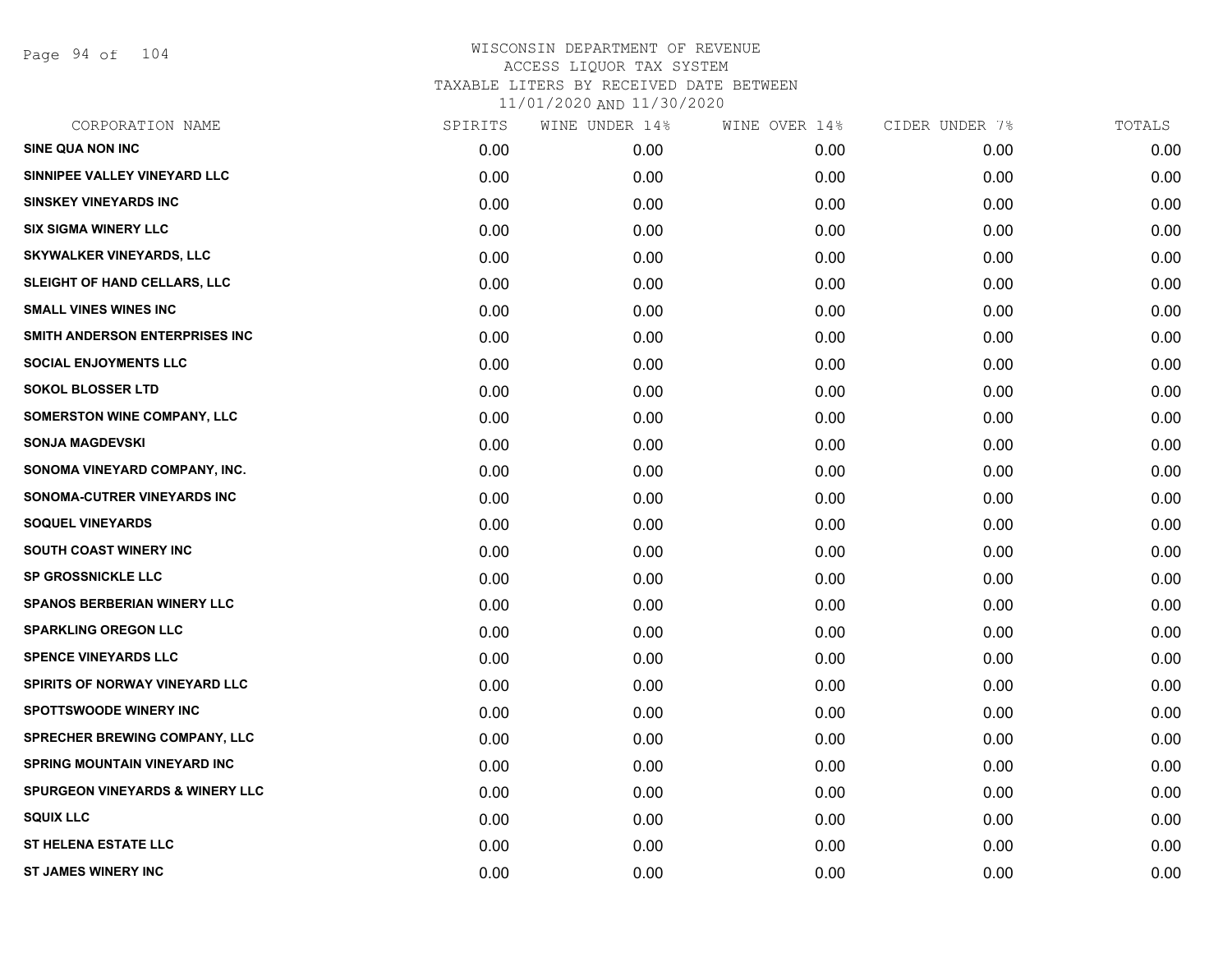Page 94 of 104

| CORPORATION NAME                           | SPIRITS | WINE UNDER 14% | WINE OVER 14% | CIDER UNDER 7% | TOTALS |
|--------------------------------------------|---------|----------------|---------------|----------------|--------|
| <b>SINE QUA NON INC</b>                    | 0.00    | 0.00           | 0.00          | 0.00           | 0.00   |
| SINNIPEE VALLEY VINEYARD LLC               | 0.00    | 0.00           | 0.00          | 0.00           | 0.00   |
| <b>SINSKEY VINEYARDS INC</b>               | 0.00    | 0.00           | 0.00          | 0.00           | 0.00   |
| <b>SIX SIGMA WINERY LLC</b>                | 0.00    | 0.00           | 0.00          | 0.00           | 0.00   |
| <b>SKYWALKER VINEYARDS, LLC</b>            | 0.00    | 0.00           | 0.00          | 0.00           | 0.00   |
| SLEIGHT OF HAND CELLARS, LLC               | 0.00    | 0.00           | 0.00          | 0.00           | 0.00   |
| <b>SMALL VINES WINES INC</b>               | 0.00    | 0.00           | 0.00          | 0.00           | 0.00   |
| SMITH ANDERSON ENTERPRISES INC             | 0.00    | 0.00           | 0.00          | 0.00           | 0.00   |
| <b>SOCIAL ENJOYMENTS LLC</b>               | 0.00    | 0.00           | 0.00          | 0.00           | 0.00   |
| <b>SOKOL BLOSSER LTD</b>                   | 0.00    | 0.00           | 0.00          | 0.00           | 0.00   |
| <b>SOMERSTON WINE COMPANY, LLC</b>         | 0.00    | 0.00           | 0.00          | 0.00           | 0.00   |
| <b>SONJA MAGDEVSKI</b>                     | 0.00    | 0.00           | 0.00          | 0.00           | 0.00   |
| SONOMA VINEYARD COMPANY, INC.              | 0.00    | 0.00           | 0.00          | 0.00           | 0.00   |
| SONOMA-CUTRER VINEYARDS INC                | 0.00    | 0.00           | 0.00          | 0.00           | 0.00   |
| <b>SOQUEL VINEYARDS</b>                    | 0.00    | 0.00           | 0.00          | 0.00           | 0.00   |
| SOUTH COAST WINERY INC                     | 0.00    | 0.00           | 0.00          | 0.00           | 0.00   |
| <b>SP GROSSNICKLE LLC</b>                  | 0.00    | 0.00           | 0.00          | 0.00           | 0.00   |
| <b>SPANOS BERBERIAN WINERY LLC</b>         | 0.00    | 0.00           | 0.00          | 0.00           | 0.00   |
| <b>SPARKLING OREGON LLC</b>                | 0.00    | 0.00           | 0.00          | 0.00           | 0.00   |
| <b>SPENCE VINEYARDS LLC</b>                | 0.00    | 0.00           | 0.00          | 0.00           | 0.00   |
| <b>SPIRITS OF NORWAY VINEYARD LLC</b>      | 0.00    | 0.00           | 0.00          | 0.00           | 0.00   |
| <b>SPOTTSWOODE WINERY INC</b>              | 0.00    | 0.00           | 0.00          | 0.00           | 0.00   |
| SPRECHER BREWING COMPANY, LLC              | 0.00    | 0.00           | 0.00          | 0.00           | 0.00   |
| <b>SPRING MOUNTAIN VINEYARD INC</b>        | 0.00    | 0.00           | 0.00          | 0.00           | 0.00   |
| <b>SPURGEON VINEYARDS &amp; WINERY LLC</b> | 0.00    | 0.00           | 0.00          | 0.00           | 0.00   |
| <b>SQUIX LLC</b>                           | 0.00    | 0.00           | 0.00          | 0.00           | 0.00   |
| <b>ST HELENA ESTATE LLC</b>                | 0.00    | 0.00           | 0.00          | 0.00           | 0.00   |
| <b>ST JAMES WINERY INC</b>                 | 0.00    | 0.00           | 0.00          | 0.00           | 0.00   |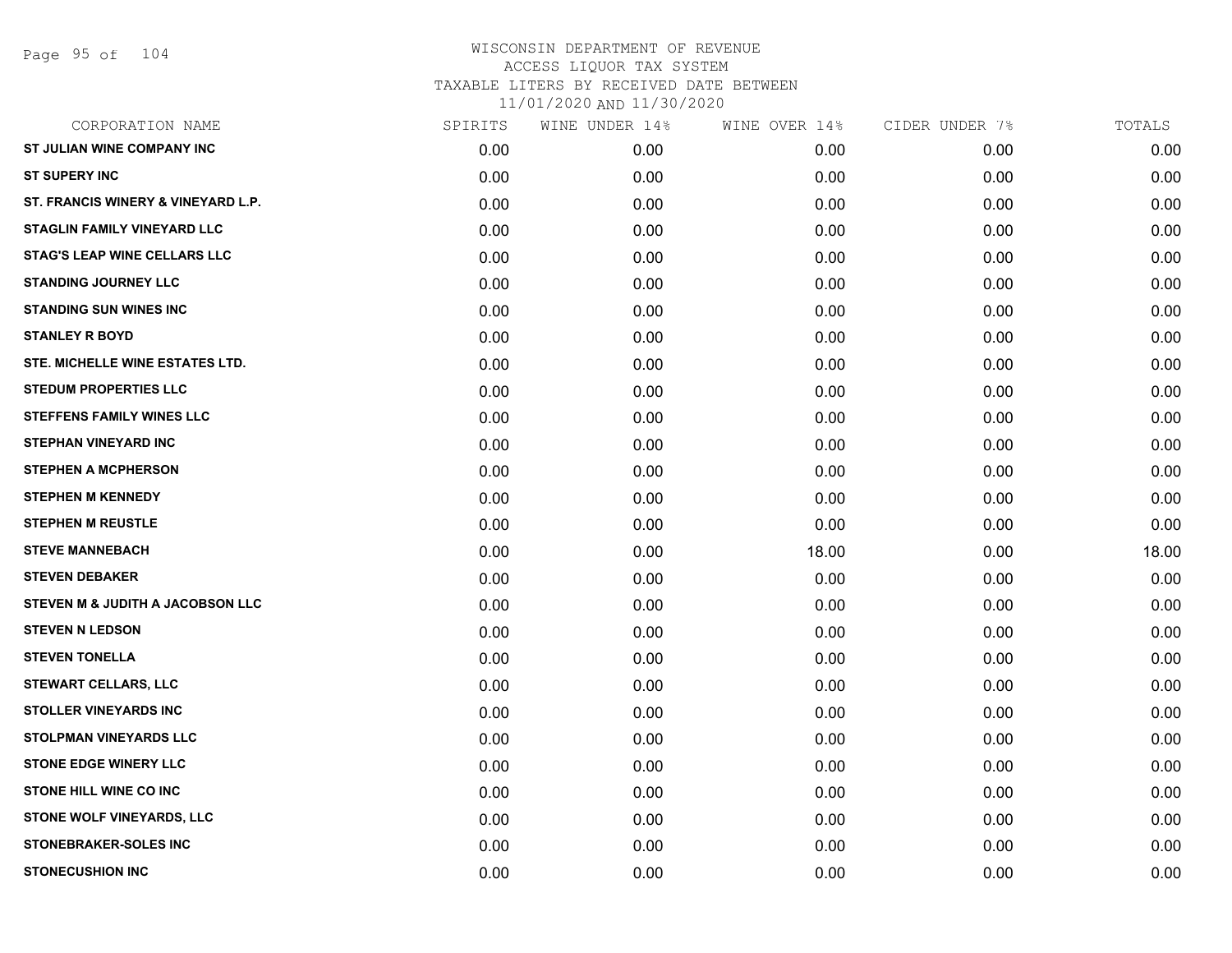| CORPORATION NAME                    | SPIRITS | WINE UNDER 14% | WINE OVER 14% | CIDER UNDER 7% | TOTALS |
|-------------------------------------|---------|----------------|---------------|----------------|--------|
| ST JULIAN WINE COMPANY INC          | 0.00    | 0.00           | 0.00          | 0.00           | 0.00   |
| <b>ST SUPERY INC</b>                | 0.00    | 0.00           | 0.00          | 0.00           | 0.00   |
| ST. FRANCIS WINERY & VINEYARD L.P.  | 0.00    | 0.00           | 0.00          | 0.00           | 0.00   |
| <b>STAGLIN FAMILY VINEYARD LLC</b>  | 0.00    | 0.00           | 0.00          | 0.00           | 0.00   |
| <b>STAG'S LEAP WINE CELLARS LLC</b> | 0.00    | 0.00           | 0.00          | 0.00           | 0.00   |
| <b>STANDING JOURNEY LLC</b>         | 0.00    | 0.00           | 0.00          | 0.00           | 0.00   |
| <b>STANDING SUN WINES INC</b>       | 0.00    | 0.00           | 0.00          | 0.00           | 0.00   |
| <b>STANLEY R BOYD</b>               | 0.00    | 0.00           | 0.00          | 0.00           | 0.00   |
| STE. MICHELLE WINE ESTATES LTD.     | 0.00    | 0.00           | 0.00          | 0.00           | 0.00   |
| <b>STEDUM PROPERTIES LLC</b>        | 0.00    | 0.00           | 0.00          | 0.00           | 0.00   |
| <b>STEFFENS FAMILY WINES LLC</b>    | 0.00    | 0.00           | 0.00          | 0.00           | 0.00   |
| <b>STEPHAN VINEYARD INC</b>         | 0.00    | 0.00           | 0.00          | 0.00           | 0.00   |
| <b>STEPHEN A MCPHERSON</b>          | 0.00    | 0.00           | 0.00          | 0.00           | 0.00   |
| <b>STEPHEN M KENNEDY</b>            | 0.00    | 0.00           | 0.00          | 0.00           | 0.00   |
| <b>STEPHEN M REUSTLE</b>            | 0.00    | 0.00           | 0.00          | 0.00           | 0.00   |
| <b>STEVE MANNEBACH</b>              | 0.00    | 0.00           | 18.00         | 0.00           | 18.00  |
| <b>STEVEN DEBAKER</b>               | 0.00    | 0.00           | 0.00          | 0.00           | 0.00   |
| STEVEN M & JUDITH A JACOBSON LLC    | 0.00    | 0.00           | 0.00          | 0.00           | 0.00   |
| <b>STEVEN N LEDSON</b>              | 0.00    | 0.00           | 0.00          | 0.00           | 0.00   |
| <b>STEVEN TONELLA</b>               | 0.00    | 0.00           | 0.00          | 0.00           | 0.00   |
| <b>STEWART CELLARS, LLC</b>         | 0.00    | 0.00           | 0.00          | 0.00           | 0.00   |
| <b>STOLLER VINEYARDS INC</b>        | 0.00    | 0.00           | 0.00          | 0.00           | 0.00   |
| <b>STOLPMAN VINEYARDS LLC</b>       | 0.00    | 0.00           | 0.00          | 0.00           | 0.00   |
| <b>STONE EDGE WINERY LLC</b>        | 0.00    | 0.00           | 0.00          | 0.00           | 0.00   |
| STONE HILL WINE CO INC              | 0.00    | 0.00           | 0.00          | 0.00           | 0.00   |
| STONE WOLF VINEYARDS, LLC           | 0.00    | 0.00           | 0.00          | 0.00           | 0.00   |
| <b>STONEBRAKER-SOLES INC</b>        | 0.00    | 0.00           | 0.00          | 0.00           | 0.00   |
| <b>STONECUSHION INC</b>             | 0.00    | 0.00           | 0.00          | 0.00           | 0.00   |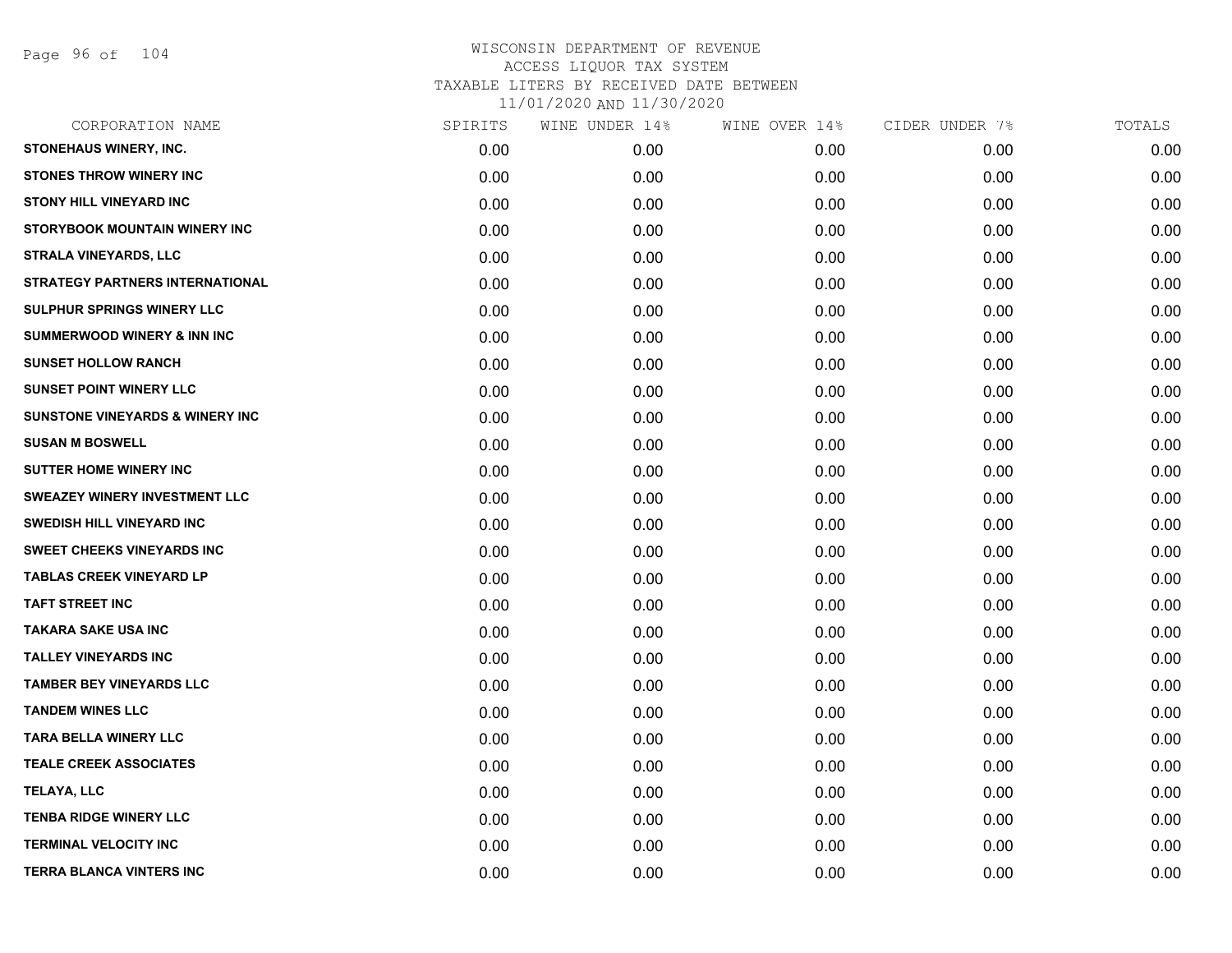Page 96 of 104

| CORPORATION NAME                           | SPIRITS | WINE UNDER 14% | WINE OVER 14% | CIDER UNDER 7% | TOTALS |
|--------------------------------------------|---------|----------------|---------------|----------------|--------|
| <b>STONEHAUS WINERY, INC.</b>              | 0.00    | 0.00           | 0.00          | 0.00           | 0.00   |
| <b>STONES THROW WINERY INC</b>             | 0.00    | 0.00           | 0.00          | 0.00           | 0.00   |
| <b>STONY HILL VINEYARD INC</b>             | 0.00    | 0.00           | 0.00          | 0.00           | 0.00   |
| STORYBOOK MOUNTAIN WINERY INC              | 0.00    | 0.00           | 0.00          | 0.00           | 0.00   |
| <b>STRALA VINEYARDS, LLC</b>               | 0.00    | 0.00           | 0.00          | 0.00           | 0.00   |
| STRATEGY PARTNERS INTERNATIONAL            | 0.00    | 0.00           | 0.00          | 0.00           | 0.00   |
| SULPHUR SPRINGS WINERY LLC                 | 0.00    | 0.00           | 0.00          | 0.00           | 0.00   |
| <b>SUMMERWOOD WINERY &amp; INN INC</b>     | 0.00    | 0.00           | 0.00          | 0.00           | 0.00   |
| <b>SUNSET HOLLOW RANCH</b>                 | 0.00    | 0.00           | 0.00          | 0.00           | 0.00   |
| <b>SUNSET POINT WINERY LLC</b>             | 0.00    | 0.00           | 0.00          | 0.00           | 0.00   |
| <b>SUNSTONE VINEYARDS &amp; WINERY INC</b> | 0.00    | 0.00           | 0.00          | 0.00           | 0.00   |
| <b>SUSAN M BOSWELL</b>                     | 0.00    | 0.00           | 0.00          | 0.00           | 0.00   |
| <b>SUTTER HOME WINERY INC</b>              | 0.00    | 0.00           | 0.00          | 0.00           | 0.00   |
| SWEAZEY WINERY INVESTMENT LLC              | 0.00    | 0.00           | 0.00          | 0.00           | 0.00   |
| <b>SWEDISH HILL VINEYARD INC</b>           | 0.00    | 0.00           | 0.00          | 0.00           | 0.00   |
| SWEET CHEEKS VINEYARDS INC                 | 0.00    | 0.00           | 0.00          | 0.00           | 0.00   |
| <b>TABLAS CREEK VINEYARD LP</b>            | 0.00    | 0.00           | 0.00          | 0.00           | 0.00   |
| <b>TAFT STREET INC</b>                     | 0.00    | 0.00           | 0.00          | 0.00           | 0.00   |
| <b>TAKARA SAKE USA INC</b>                 | 0.00    | 0.00           | 0.00          | 0.00           | 0.00   |
| <b>TALLEY VINEYARDS INC</b>                | 0.00    | 0.00           | 0.00          | 0.00           | 0.00   |
| <b>TAMBER BEY VINEYARDS LLC</b>            | 0.00    | 0.00           | 0.00          | 0.00           | 0.00   |
| <b>TANDEM WINES LLC</b>                    | 0.00    | 0.00           | 0.00          | 0.00           | 0.00   |
| <b>TARA BELLA WINERY LLC</b>               | 0.00    | 0.00           | 0.00          | 0.00           | 0.00   |
| <b>TEALE CREEK ASSOCIATES</b>              | 0.00    | 0.00           | 0.00          | 0.00           | 0.00   |
| TELAYA, LLC                                | 0.00    | 0.00           | 0.00          | 0.00           | 0.00   |
| <b>TENBA RIDGE WINERY LLC</b>              | 0.00    | 0.00           | 0.00          | 0.00           | 0.00   |
| <b>TERMINAL VELOCITY INC</b>               | 0.00    | 0.00           | 0.00          | 0.00           | 0.00   |
| <b>TERRA BLANCA VINTERS INC</b>            | 0.00    | 0.00           | 0.00          | 0.00           | 0.00   |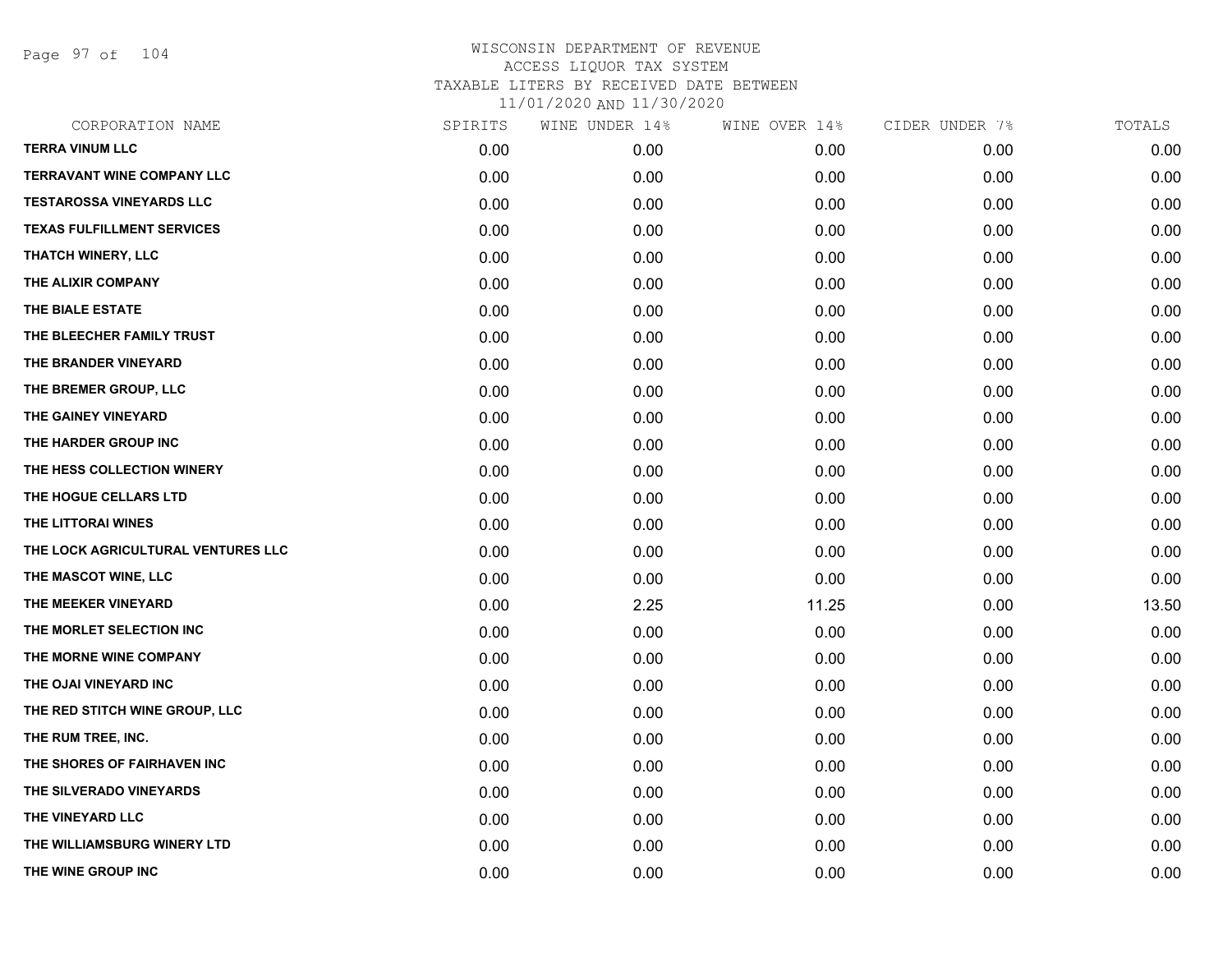Page 97 of 104

| CORPORATION NAME                   | SPIRITS | WINE UNDER 14% | WINE OVER 14% | CIDER UNDER 7% | TOTALS |
|------------------------------------|---------|----------------|---------------|----------------|--------|
| <b>TERRA VINUM LLC</b>             | 0.00    | 0.00           | 0.00          | 0.00           | 0.00   |
| <b>TERRAVANT WINE COMPANY LLC</b>  | 0.00    | 0.00           | 0.00          | 0.00           | 0.00   |
| <b>TESTAROSSA VINEYARDS LLC</b>    | 0.00    | 0.00           | 0.00          | 0.00           | 0.00   |
| <b>TEXAS FULFILLMENT SERVICES</b>  | 0.00    | 0.00           | 0.00          | 0.00           | 0.00   |
| <b>THATCH WINERY, LLC</b>          | 0.00    | 0.00           | 0.00          | 0.00           | 0.00   |
| THE ALIXIR COMPANY                 | 0.00    | 0.00           | 0.00          | 0.00           | 0.00   |
| THE BIALE ESTATE                   | 0.00    | 0.00           | 0.00          | 0.00           | 0.00   |
| THE BLEECHER FAMILY TRUST          | 0.00    | 0.00           | 0.00          | 0.00           | 0.00   |
| THE BRANDER VINEYARD               | 0.00    | 0.00           | 0.00          | 0.00           | 0.00   |
| THE BREMER GROUP, LLC              | 0.00    | 0.00           | 0.00          | 0.00           | 0.00   |
| THE GAINEY VINEYARD                | 0.00    | 0.00           | 0.00          | 0.00           | 0.00   |
| THE HARDER GROUP INC               | 0.00    | 0.00           | 0.00          | 0.00           | 0.00   |
| THE HESS COLLECTION WINERY         | 0.00    | 0.00           | 0.00          | 0.00           | 0.00   |
| THE HOGUE CELLARS LTD              | 0.00    | 0.00           | 0.00          | 0.00           | 0.00   |
| THE LITTORAI WINES                 | 0.00    | 0.00           | 0.00          | 0.00           | 0.00   |
| THE LOCK AGRICULTURAL VENTURES LLC | 0.00    | 0.00           | 0.00          | 0.00           | 0.00   |
| THE MASCOT WINE, LLC               | 0.00    | 0.00           | 0.00          | 0.00           | 0.00   |
| THE MEEKER VINEYARD                | 0.00    | 2.25           | 11.25         | 0.00           | 13.50  |
| THE MORLET SELECTION INC           | 0.00    | 0.00           | 0.00          | 0.00           | 0.00   |
| THE MORNE WINE COMPANY             | 0.00    | 0.00           | 0.00          | 0.00           | 0.00   |
| THE OJAI VINEYARD INC              | 0.00    | 0.00           | 0.00          | 0.00           | 0.00   |
| THE RED STITCH WINE GROUP, LLC     | 0.00    | 0.00           | 0.00          | 0.00           | 0.00   |
| THE RUM TREE, INC.                 | 0.00    | 0.00           | 0.00          | 0.00           | 0.00   |
| THE SHORES OF FAIRHAVEN INC        | 0.00    | 0.00           | 0.00          | 0.00           | 0.00   |
| THE SILVERADO VINEYARDS            | 0.00    | 0.00           | 0.00          | 0.00           | 0.00   |
| THE VINEYARD LLC                   | 0.00    | 0.00           | 0.00          | 0.00           | 0.00   |
| THE WILLIAMSBURG WINERY LTD        | 0.00    | 0.00           | 0.00          | 0.00           | 0.00   |
| THE WINE GROUP INC                 | 0.00    | 0.00           | 0.00          | 0.00           | 0.00   |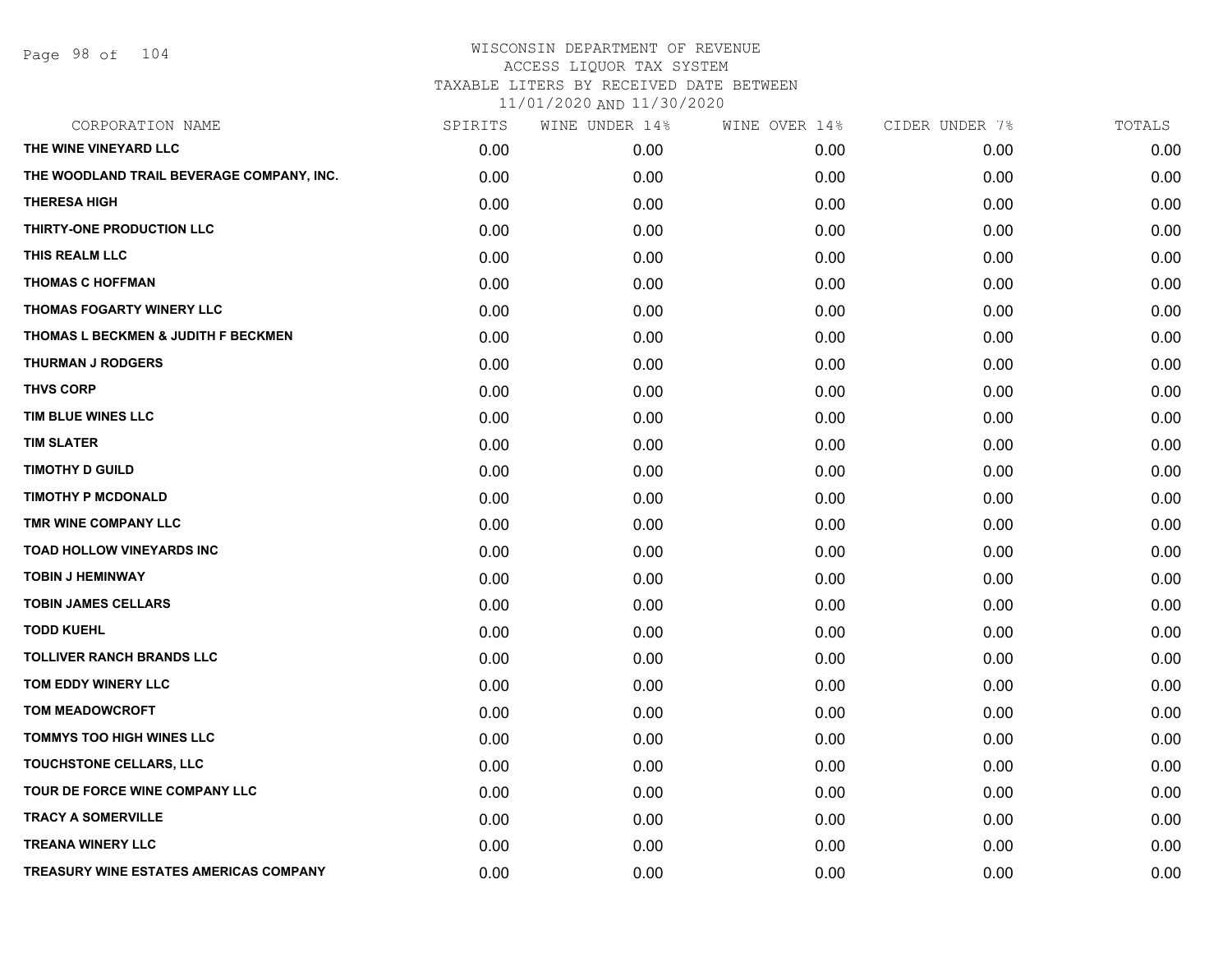Page 98 of 104

| CORPORATION NAME                              | SPIRITS | WINE UNDER 14% | WINE OVER 14% | CIDER UNDER 7% | TOTALS |
|-----------------------------------------------|---------|----------------|---------------|----------------|--------|
| THE WINE VINEYARD LLC                         | 0.00    | 0.00           | 0.00          | 0.00           | 0.00   |
| THE WOODLAND TRAIL BEVERAGE COMPANY, INC.     | 0.00    | 0.00           | 0.00          | 0.00           | 0.00   |
| <b>THERESA HIGH</b>                           | 0.00    | 0.00           | 0.00          | 0.00           | 0.00   |
| THIRTY-ONE PRODUCTION LLC                     | 0.00    | 0.00           | 0.00          | 0.00           | 0.00   |
| THIS REALM LLC                                | 0.00    | 0.00           | 0.00          | 0.00           | 0.00   |
| <b>THOMAS C HOFFMAN</b>                       | 0.00    | 0.00           | 0.00          | 0.00           | 0.00   |
| <b>THOMAS FOGARTY WINERY LLC</b>              | 0.00    | 0.00           | 0.00          | 0.00           | 0.00   |
| THOMAS L BECKMEN & JUDITH F BECKMEN           | 0.00    | 0.00           | 0.00          | 0.00           | 0.00   |
| <b>THURMAN J RODGERS</b>                      | 0.00    | 0.00           | 0.00          | 0.00           | 0.00   |
| <b>THVS CORP</b>                              | 0.00    | 0.00           | 0.00          | 0.00           | 0.00   |
| TIM BLUE WINES LLC                            | 0.00    | 0.00           | 0.00          | 0.00           | 0.00   |
| <b>TIM SLATER</b>                             | 0.00    | 0.00           | 0.00          | 0.00           | 0.00   |
| <b>TIMOTHY D GUILD</b>                        | 0.00    | 0.00           | 0.00          | 0.00           | 0.00   |
| <b>TIMOTHY P MCDONALD</b>                     | 0.00    | 0.00           | 0.00          | 0.00           | 0.00   |
| TMR WINE COMPANY LLC                          | 0.00    | 0.00           | 0.00          | 0.00           | 0.00   |
| <b>TOAD HOLLOW VINEYARDS INC</b>              | 0.00    | 0.00           | 0.00          | 0.00           | 0.00   |
| <b>TOBIN J HEMINWAY</b>                       | 0.00    | 0.00           | 0.00          | 0.00           | 0.00   |
| <b>TOBIN JAMES CELLARS</b>                    | 0.00    | 0.00           | 0.00          | 0.00           | 0.00   |
| <b>TODD KUEHL</b>                             | 0.00    | 0.00           | 0.00          | 0.00           | 0.00   |
| <b>TOLLIVER RANCH BRANDS LLC</b>              | 0.00    | 0.00           | 0.00          | 0.00           | 0.00   |
| TOM EDDY WINERY LLC                           | 0.00    | 0.00           | 0.00          | 0.00           | 0.00   |
| <b>TOM MEADOWCROFT</b>                        | 0.00    | 0.00           | 0.00          | 0.00           | 0.00   |
| TOMMYS TOO HIGH WINES LLC                     | 0.00    | 0.00           | 0.00          | 0.00           | 0.00   |
| TOUCHSTONE CELLARS, LLC                       | 0.00    | 0.00           | 0.00          | 0.00           | 0.00   |
| TOUR DE FORCE WINE COMPANY LLC                | 0.00    | 0.00           | 0.00          | 0.00           | 0.00   |
| <b>TRACY A SOMERVILLE</b>                     | 0.00    | 0.00           | 0.00          | 0.00           | 0.00   |
| <b>TREANA WINERY LLC</b>                      | 0.00    | 0.00           | 0.00          | 0.00           | 0.00   |
| <b>TREASURY WINE ESTATES AMERICAS COMPANY</b> | 0.00    | 0.00           | 0.00          | 0.00           | 0.00   |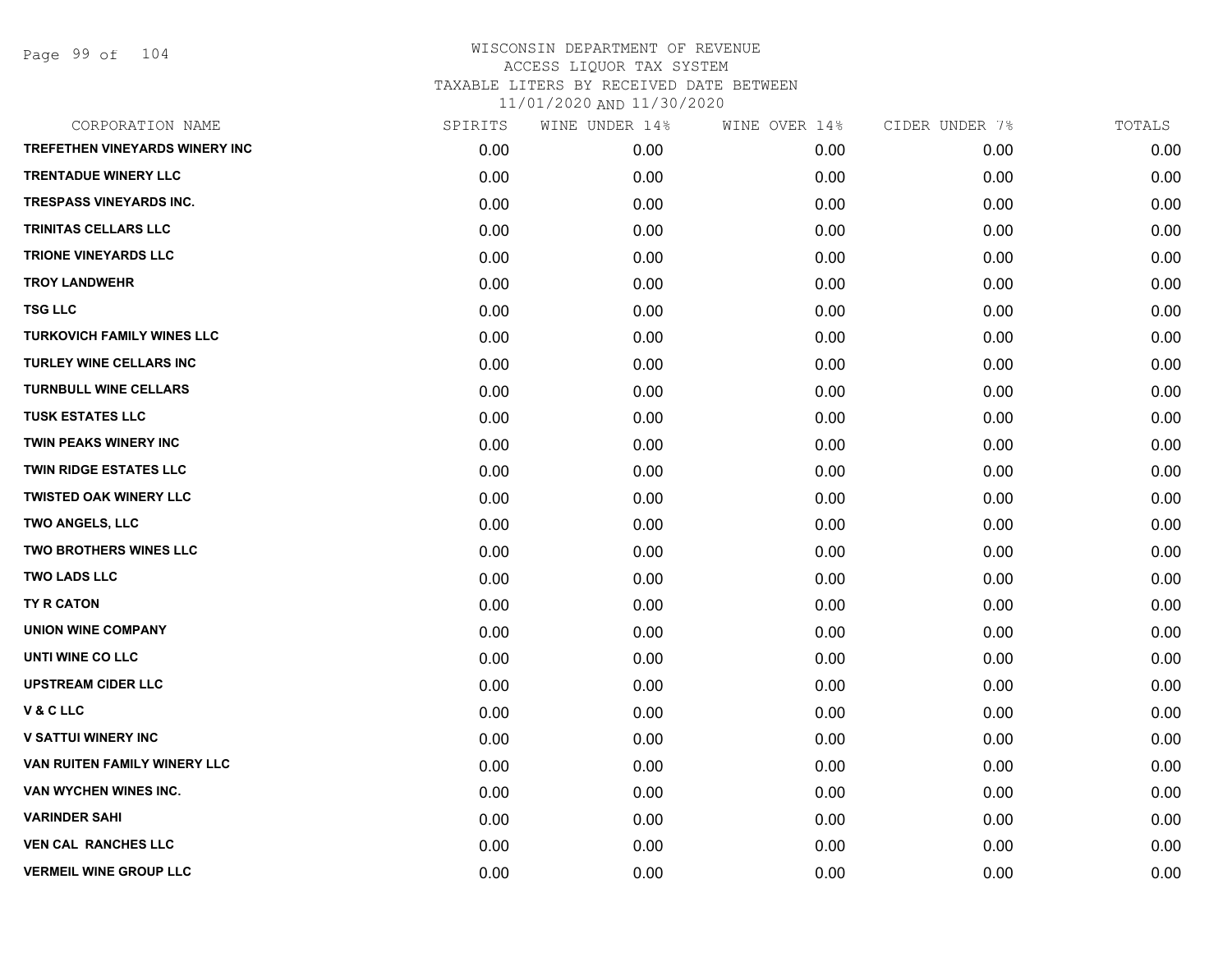Page 99 of 104

| CORPORATION NAME                      | SPIRITS | WINE UNDER 14% | WINE OVER 14% | CIDER UNDER 7% | TOTALS |
|---------------------------------------|---------|----------------|---------------|----------------|--------|
| <b>TREFETHEN VINEYARDS WINERY INC</b> | 0.00    | 0.00           | 0.00          | 0.00           | 0.00   |
| <b>TRENTADUE WINERY LLC</b>           | 0.00    | 0.00           | 0.00          | 0.00           | 0.00   |
| TRESPASS VINEYARDS INC.               | 0.00    | 0.00           | 0.00          | 0.00           | 0.00   |
| <b>TRINITAS CELLARS LLC</b>           | 0.00    | 0.00           | 0.00          | 0.00           | 0.00   |
| <b>TRIONE VINEYARDS LLC</b>           | 0.00    | 0.00           | 0.00          | 0.00           | 0.00   |
| <b>TROY LANDWEHR</b>                  | 0.00    | 0.00           | 0.00          | 0.00           | 0.00   |
| <b>TSG LLC</b>                        | 0.00    | 0.00           | 0.00          | 0.00           | 0.00   |
| <b>TURKOVICH FAMILY WINES LLC</b>     | 0.00    | 0.00           | 0.00          | 0.00           | 0.00   |
| <b>TURLEY WINE CELLARS INC</b>        | 0.00    | 0.00           | 0.00          | 0.00           | 0.00   |
| <b>TURNBULL WINE CELLARS</b>          | 0.00    | 0.00           | 0.00          | 0.00           | 0.00   |
| <b>TUSK ESTATES LLC</b>               | 0.00    | 0.00           | 0.00          | 0.00           | 0.00   |
| <b>TWIN PEAKS WINERY INC</b>          | 0.00    | 0.00           | 0.00          | 0.00           | 0.00   |
| <b>TWIN RIDGE ESTATES LLC</b>         | 0.00    | 0.00           | 0.00          | 0.00           | 0.00   |
| <b>TWISTED OAK WINERY LLC</b>         | 0.00    | 0.00           | 0.00          | 0.00           | 0.00   |
| TWO ANGELS, LLC                       | 0.00    | 0.00           | 0.00          | 0.00           | 0.00   |
| <b>TWO BROTHERS WINES LLC</b>         | 0.00    | 0.00           | 0.00          | 0.00           | 0.00   |
| <b>TWO LADS LLC</b>                   | 0.00    | 0.00           | 0.00          | 0.00           | 0.00   |
| <b>TY R CATON</b>                     | 0.00    | 0.00           | 0.00          | 0.00           | 0.00   |
| <b>UNION WINE COMPANY</b>             | 0.00    | 0.00           | 0.00          | 0.00           | 0.00   |
| UNTI WINE CO LLC                      | 0.00    | 0.00           | 0.00          | 0.00           | 0.00   |
| <b>UPSTREAM CIDER LLC</b>             | 0.00    | 0.00           | 0.00          | 0.00           | 0.00   |
| V & C LLC                             | 0.00    | 0.00           | 0.00          | 0.00           | 0.00   |
| <b>V SATTUI WINERY INC</b>            | 0.00    | 0.00           | 0.00          | 0.00           | 0.00   |
| VAN RUITEN FAMILY WINERY LLC          | 0.00    | 0.00           | 0.00          | 0.00           | 0.00   |
| VAN WYCHEN WINES INC.                 | 0.00    | 0.00           | 0.00          | 0.00           | 0.00   |
| <b>VARINDER SAHI</b>                  | 0.00    | 0.00           | 0.00          | 0.00           | 0.00   |
| <b>VEN CAL RANCHES LLC</b>            | 0.00    | 0.00           | 0.00          | 0.00           | 0.00   |
| <b>VERMEIL WINE GROUP LLC</b>         | 0.00    | 0.00           | 0.00          | 0.00           | 0.00   |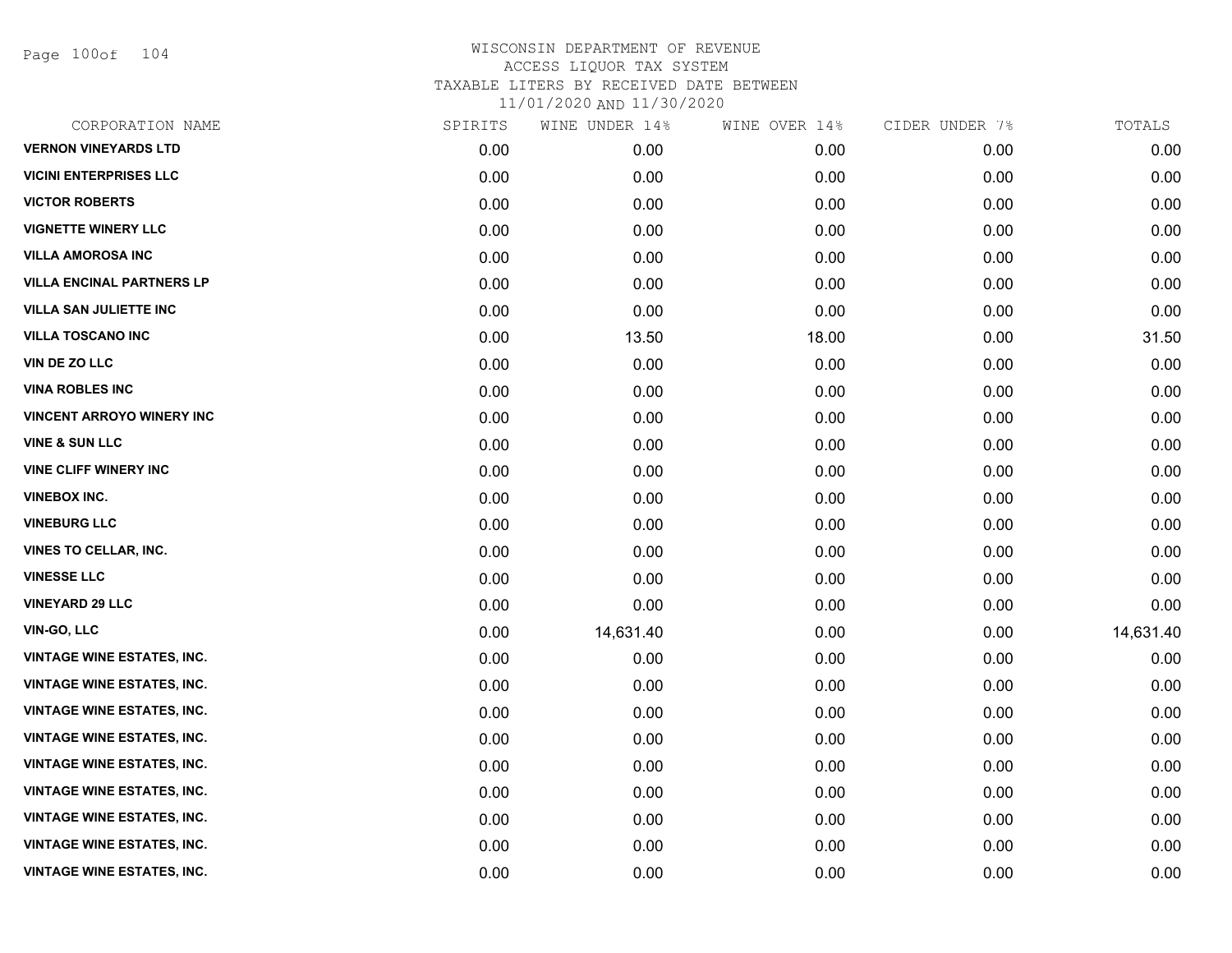Page 100of 104

| CORPORATION NAME                  | SPIRITS | WINE UNDER 14% | WINE OVER 14% | CIDER UNDER 7% | TOTALS    |
|-----------------------------------|---------|----------------|---------------|----------------|-----------|
| <b>VERNON VINEYARDS LTD</b>       | 0.00    | 0.00           | 0.00          | 0.00           | 0.00      |
| <b>VICINI ENTERPRISES LLC</b>     | 0.00    | 0.00           | 0.00          | 0.00           | 0.00      |
| <b>VICTOR ROBERTS</b>             | 0.00    | 0.00           | 0.00          | 0.00           | 0.00      |
| <b>VIGNETTE WINERY LLC</b>        | 0.00    | 0.00           | 0.00          | 0.00           | 0.00      |
| <b>VILLA AMOROSA INC</b>          | 0.00    | 0.00           | 0.00          | 0.00           | 0.00      |
| <b>VILLA ENCINAL PARTNERS LP</b>  | 0.00    | 0.00           | 0.00          | 0.00           | 0.00      |
| <b>VILLA SAN JULIETTE INC</b>     | 0.00    | 0.00           | 0.00          | 0.00           | 0.00      |
| <b>VILLA TOSCANO INC</b>          | 0.00    | 13.50          | 18.00         | 0.00           | 31.50     |
| VIN DE ZO LLC                     | 0.00    | 0.00           | 0.00          | 0.00           | 0.00      |
| <b>VINA ROBLES INC</b>            | 0.00    | 0.00           | 0.00          | 0.00           | 0.00      |
| <b>VINCENT ARROYO WINERY INC</b>  | 0.00    | 0.00           | 0.00          | 0.00           | 0.00      |
| <b>VINE &amp; SUN LLC</b>         | 0.00    | 0.00           | 0.00          | 0.00           | 0.00      |
| <b>VINE CLIFF WINERY INC</b>      | 0.00    | 0.00           | 0.00          | 0.00           | 0.00      |
| <b>VINEBOX INC.</b>               | 0.00    | 0.00           | 0.00          | 0.00           | 0.00      |
| <b>VINEBURG LLC</b>               | 0.00    | 0.00           | 0.00          | 0.00           | 0.00      |
| VINES TO CELLAR, INC.             | 0.00    | 0.00           | 0.00          | 0.00           | 0.00      |
| <b>VINESSE LLC</b>                | 0.00    | 0.00           | 0.00          | 0.00           | 0.00      |
| <b>VINEYARD 29 LLC</b>            | 0.00    | 0.00           | 0.00          | 0.00           | 0.00      |
| <b>VIN-GO, LLC</b>                | 0.00    | 14,631.40      | 0.00          | 0.00           | 14,631.40 |
| <b>VINTAGE WINE ESTATES, INC.</b> | 0.00    | 0.00           | 0.00          | 0.00           | 0.00      |
| <b>VINTAGE WINE ESTATES, INC.</b> | 0.00    | 0.00           | 0.00          | 0.00           | 0.00      |
| <b>VINTAGE WINE ESTATES, INC.</b> | 0.00    | 0.00           | 0.00          | 0.00           | 0.00      |
| <b>VINTAGE WINE ESTATES, INC.</b> | 0.00    | 0.00           | 0.00          | 0.00           | 0.00      |
| <b>VINTAGE WINE ESTATES, INC.</b> | 0.00    | 0.00           | 0.00          | 0.00           | 0.00      |
| <b>VINTAGE WINE ESTATES, INC.</b> | 0.00    | 0.00           | 0.00          | 0.00           | 0.00      |
| <b>VINTAGE WINE ESTATES, INC.</b> | 0.00    | 0.00           | 0.00          | 0.00           | 0.00      |
| <b>VINTAGE WINE ESTATES, INC.</b> | 0.00    | 0.00           | 0.00          | 0.00           | 0.00      |
| <b>VINTAGE WINE ESTATES, INC.</b> | 0.00    | 0.00           | 0.00          | 0.00           | 0.00      |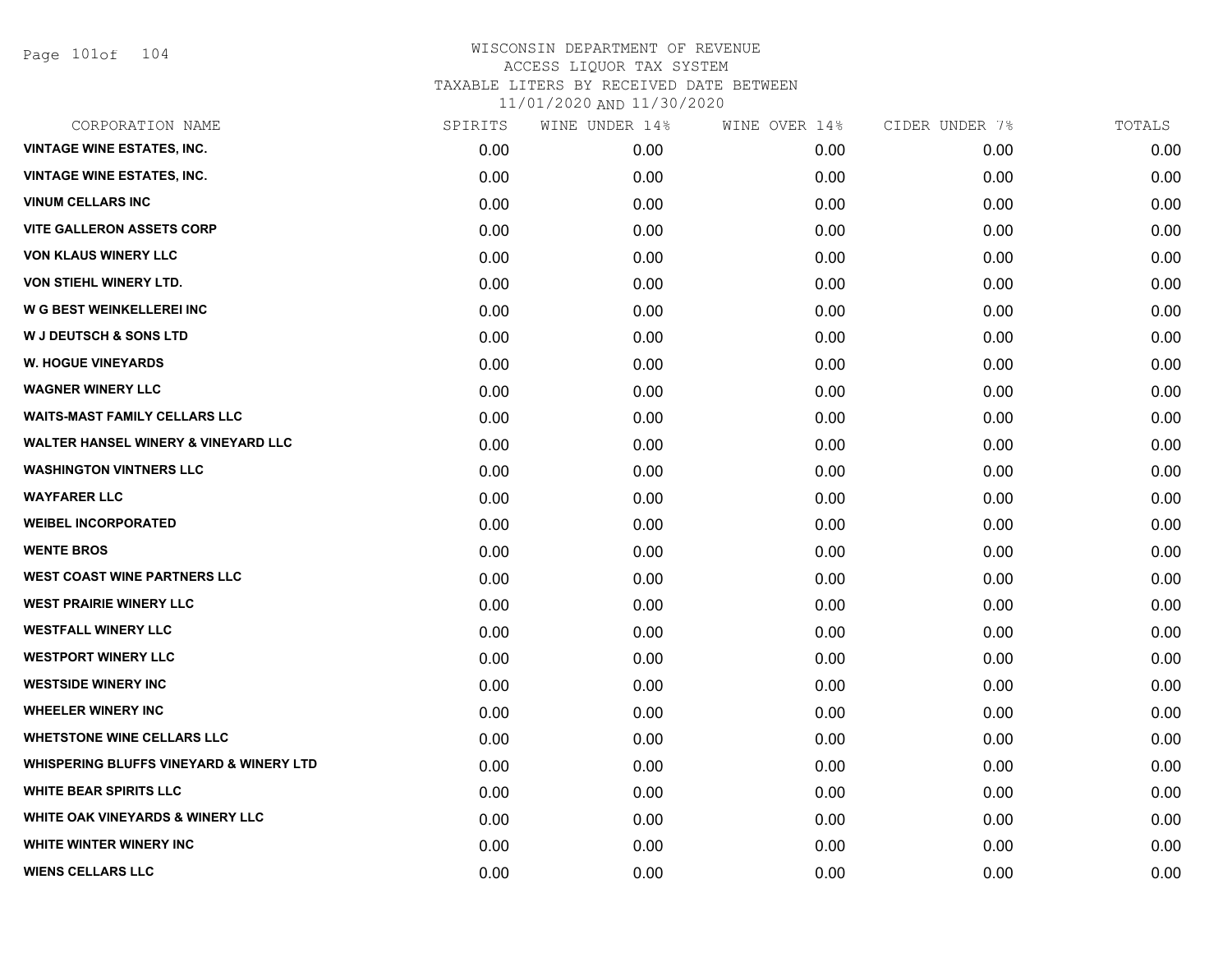Page 101of 104

| CORPORATION NAME                                   | SPIRITS | WINE UNDER 14% | WINE OVER 14% | CIDER UNDER 7% | TOTALS |
|----------------------------------------------------|---------|----------------|---------------|----------------|--------|
| <b>VINTAGE WINE ESTATES, INC.</b>                  | 0.00    | 0.00           | 0.00          | 0.00           | 0.00   |
| <b>VINTAGE WINE ESTATES, INC.</b>                  | 0.00    | 0.00           | 0.00          | 0.00           | 0.00   |
| <b>VINUM CELLARS INC</b>                           | 0.00    | 0.00           | 0.00          | 0.00           | 0.00   |
| <b>VITE GALLERON ASSETS CORP</b>                   | 0.00    | 0.00           | 0.00          | 0.00           | 0.00   |
| <b>VON KLAUS WINERY LLC</b>                        | 0.00    | 0.00           | 0.00          | 0.00           | 0.00   |
| VON STIEHL WINERY LTD.                             | 0.00    | 0.00           | 0.00          | 0.00           | 0.00   |
| W G BEST WEINKELLEREI INC                          | 0.00    | 0.00           | 0.00          | 0.00           | 0.00   |
| <b>W J DEUTSCH &amp; SONS LTD</b>                  | 0.00    | 0.00           | 0.00          | 0.00           | 0.00   |
| <b>W. HOGUE VINEYARDS</b>                          | 0.00    | 0.00           | 0.00          | 0.00           | 0.00   |
| <b>WAGNER WINERY LLC</b>                           | 0.00    | 0.00           | 0.00          | 0.00           | 0.00   |
| <b>WAITS-MAST FAMILY CELLARS LLC</b>               | 0.00    | 0.00           | 0.00          | 0.00           | 0.00   |
| <b>WALTER HANSEL WINERY &amp; VINEYARD LLC</b>     | 0.00    | 0.00           | 0.00          | 0.00           | 0.00   |
| <b>WASHINGTON VINTNERS LLC</b>                     | 0.00    | 0.00           | 0.00          | 0.00           | 0.00   |
| <b>WAYFARER LLC</b>                                | 0.00    | 0.00           | 0.00          | 0.00           | 0.00   |
| <b>WEIBEL INCORPORATED</b>                         | 0.00    | 0.00           | 0.00          | 0.00           | 0.00   |
| <b>WENTE BROS</b>                                  | 0.00    | 0.00           | 0.00          | 0.00           | 0.00   |
| <b>WEST COAST WINE PARTNERS LLC</b>                | 0.00    | 0.00           | 0.00          | 0.00           | 0.00   |
| <b>WEST PRAIRIE WINERY LLC</b>                     | 0.00    | 0.00           | 0.00          | 0.00           | 0.00   |
| <b>WESTFALL WINERY LLC</b>                         | 0.00    | 0.00           | 0.00          | 0.00           | 0.00   |
| <b>WESTPORT WINERY LLC</b>                         | 0.00    | 0.00           | 0.00          | 0.00           | 0.00   |
| <b>WESTSIDE WINERY INC</b>                         | 0.00    | 0.00           | 0.00          | 0.00           | 0.00   |
| <b>WHEELER WINERY INC</b>                          | 0.00    | 0.00           | 0.00          | 0.00           | 0.00   |
| <b>WHETSTONE WINE CELLARS LLC</b>                  | 0.00    | 0.00           | 0.00          | 0.00           | 0.00   |
| <b>WHISPERING BLUFFS VINEYARD &amp; WINERY LTD</b> | 0.00    | 0.00           | 0.00          | 0.00           | 0.00   |
| <b>WHITE BEAR SPIRITS LLC</b>                      | 0.00    | 0.00           | 0.00          | 0.00           | 0.00   |
| WHITE OAK VINEYARDS & WINERY LLC                   | 0.00    | 0.00           | 0.00          | 0.00           | 0.00   |
| WHITE WINTER WINERY INC                            | 0.00    | 0.00           | 0.00          | 0.00           | 0.00   |
| <b>WIENS CELLARS LLC</b>                           | 0.00    | 0.00           | 0.00          | 0.00           | 0.00   |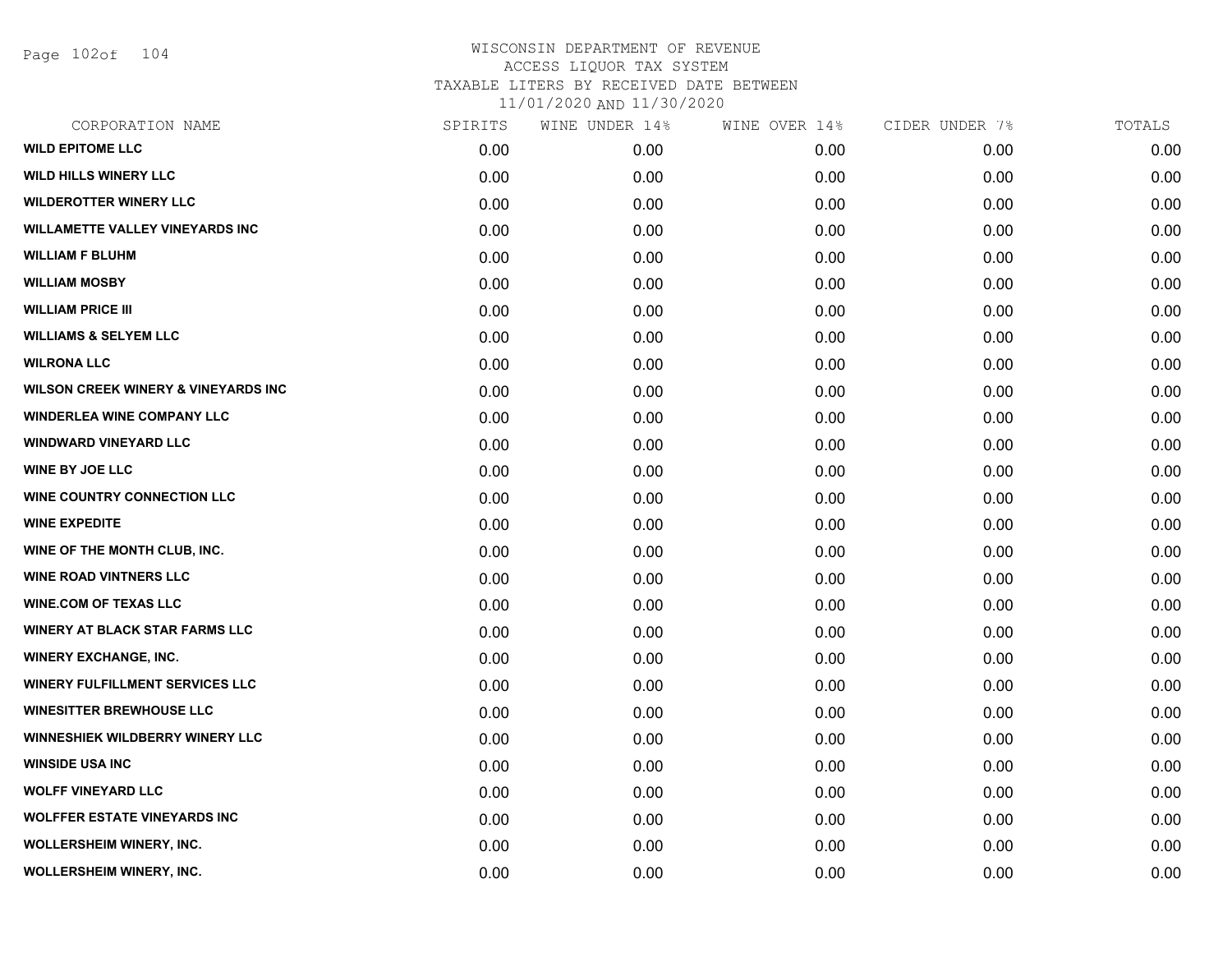Page 102of 104

| CORPORATION NAME                               | SPIRITS | WINE UNDER 14% | WINE OVER 14% | CIDER UNDER 7% | TOTALS |
|------------------------------------------------|---------|----------------|---------------|----------------|--------|
| <b>WILD EPITOME LLC</b>                        | 0.00    | 0.00           | 0.00          | 0.00           | 0.00   |
| <b>WILD HILLS WINERY LLC</b>                   | 0.00    | 0.00           | 0.00          | 0.00           | 0.00   |
| <b>WILDEROTTER WINERY LLC</b>                  | 0.00    | 0.00           | 0.00          | 0.00           | 0.00   |
| <b>WILLAMETTE VALLEY VINEYARDS INC</b>         | 0.00    | 0.00           | 0.00          | 0.00           | 0.00   |
| <b>WILLIAM F BLUHM</b>                         | 0.00    | 0.00           | 0.00          | 0.00           | 0.00   |
| <b>WILLIAM MOSBY</b>                           | 0.00    | 0.00           | 0.00          | 0.00           | 0.00   |
| <b>WILLIAM PRICE III</b>                       | 0.00    | 0.00           | 0.00          | 0.00           | 0.00   |
| <b>WILLIAMS &amp; SELYEM LLC</b>               | 0.00    | 0.00           | 0.00          | 0.00           | 0.00   |
| <b>WILRONA LLC</b>                             | 0.00    | 0.00           | 0.00          | 0.00           | 0.00   |
| <b>WILSON CREEK WINERY &amp; VINEYARDS INC</b> | 0.00    | 0.00           | 0.00          | 0.00           | 0.00   |
| <b>WINDERLEA WINE COMPANY LLC</b>              | 0.00    | 0.00           | 0.00          | 0.00           | 0.00   |
| <b>WINDWARD VINEYARD LLC</b>                   | 0.00    | 0.00           | 0.00          | 0.00           | 0.00   |
| <b>WINE BY JOE LLC</b>                         | 0.00    | 0.00           | 0.00          | 0.00           | 0.00   |
| <b>WINE COUNTRY CONNECTION LLC</b>             | 0.00    | 0.00           | 0.00          | 0.00           | 0.00   |
| <b>WINE EXPEDITE</b>                           | 0.00    | 0.00           | 0.00          | 0.00           | 0.00   |
| WINE OF THE MONTH CLUB, INC.                   | 0.00    | 0.00           | 0.00          | 0.00           | 0.00   |
| <b>WINE ROAD VINTNERS LLC</b>                  | 0.00    | 0.00           | 0.00          | 0.00           | 0.00   |
| <b>WINE.COM OF TEXAS LLC</b>                   | 0.00    | 0.00           | 0.00          | 0.00           | 0.00   |
| <b>WINERY AT BLACK STAR FARMS LLC</b>          | 0.00    | 0.00           | 0.00          | 0.00           | 0.00   |
| <b>WINERY EXCHANGE, INC.</b>                   | 0.00    | 0.00           | 0.00          | 0.00           | 0.00   |
| <b>WINERY FULFILLMENT SERVICES LLC</b>         | 0.00    | 0.00           | 0.00          | 0.00           | 0.00   |
| <b>WINESITTER BREWHOUSE LLC</b>                | 0.00    | 0.00           | 0.00          | 0.00           | 0.00   |
| <b>WINNESHIEK WILDBERRY WINERY LLC</b>         | 0.00    | 0.00           | 0.00          | 0.00           | 0.00   |
| <b>WINSIDE USA INC</b>                         | 0.00    | 0.00           | 0.00          | 0.00           | 0.00   |
| <b>WOLFF VINEYARD LLC</b>                      | 0.00    | 0.00           | 0.00          | 0.00           | 0.00   |
| <b>WOLFFER ESTATE VINEYARDS INC</b>            | 0.00    | 0.00           | 0.00          | 0.00           | 0.00   |
| <b>WOLLERSHEIM WINERY, INC.</b>                | 0.00    | 0.00           | 0.00          | 0.00           | 0.00   |
| WOLLERSHEIM WINERY, INC.                       | 0.00    | 0.00           | 0.00          | 0.00           | 0.00   |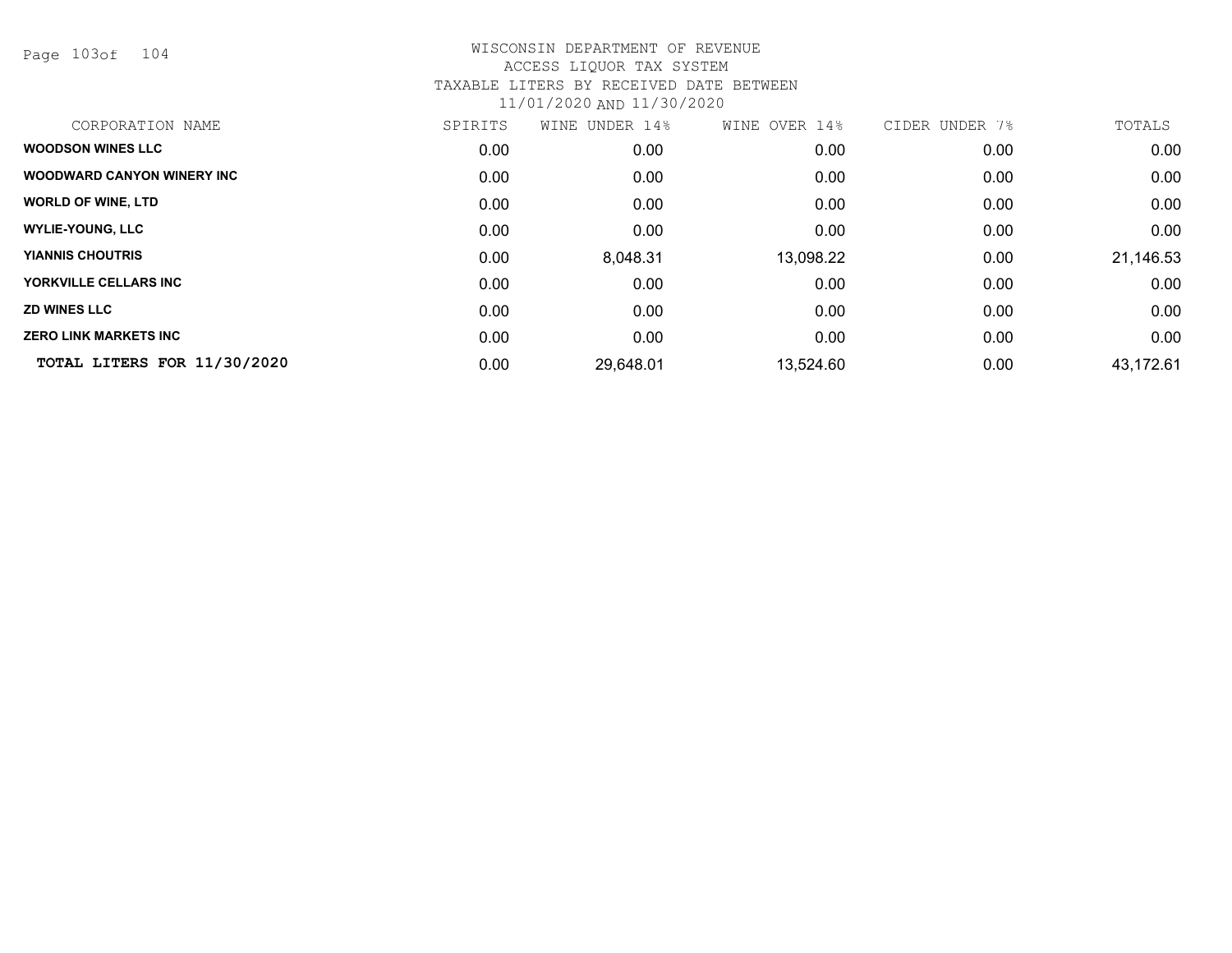Page 103of 104

| CORPORATION NAME                   | SPIRITS | UNDER 14%<br>WINE | WINE OVER 14% | CIDER<br>UNDER<br>7% | TOTALS    |
|------------------------------------|---------|-------------------|---------------|----------------------|-----------|
| <b>WOODSON WINES LLC</b>           | 0.00    | 0.00              | 0.00          | 0.00                 | 0.00      |
| <b>WOODWARD CANYON WINERY INC.</b> | 0.00    | 0.00              | 0.00          | 0.00                 | 0.00      |
| <b>WORLD OF WINE, LTD</b>          | 0.00    | 0.00              | 0.00          | 0.00                 | 0.00      |
| <b>WYLIE-YOUNG, LLC</b>            | 0.00    | 0.00              | 0.00          | 0.00                 | 0.00      |
| <b>YIANNIS CHOUTRIS</b>            | 0.00    | 8,048.31          | 13,098.22     | 0.00                 | 21,146.53 |
| YORKVILLE CELLARS INC              | 0.00    | 0.00              | 0.00          | 0.00                 | 0.00      |
| <b>ZD WINES LLC</b>                | 0.00    | 0.00              | 0.00          | 0.00                 | 0.00      |
| <b>ZERO LINK MARKETS INC</b>       | 0.00    | 0.00              | 0.00          | 0.00                 | 0.00      |
| TOTAL LITERS FOR 11/30/2020        | 0.00    | 29,648.01         | 13,524.60     | 0.00                 | 43,172.61 |